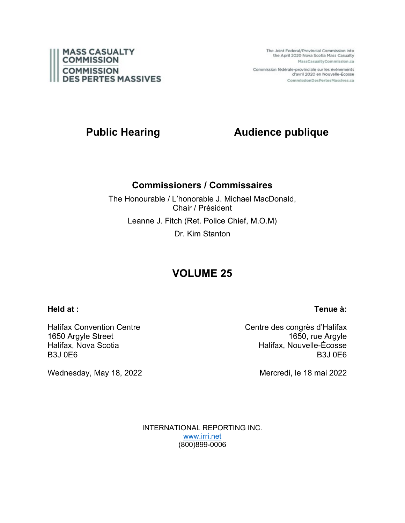

The Joint Federal/Provincial Commission into the April 2020 Nova Scotia Mass Casualty MassCasualtyCommission.ca

Commission fédérale-provinciale sur les événements d'avril 2020 en Nouvelle-Écosse CommissionDesPertesMassives.ca

# **Public Hearing <b>Audience publique**

## **Commissioners / Commissaires**

The Honourable / L'honorable J. Michael MacDonald, Chair / Président Leanne J. Fitch (Ret. Police Chief, M.O.M) Dr. Kim Stanton

# **VOLUME 25**

**Held at :**

## **Tenue à:**

Halifax Convention Centre 1650 Argyle Street Halifax, Nova Scotia B3J 0E6

Centre des congrès d'Halifax 1650, rue Argyle Halifax, Nouvelle-Écosse B3J 0E6

Wednesday, May 18, 2022

Mercredi, le 18 mai 2022

INTERNATIONAL REPORTING INC. [www.irri.net](http://www.irri.net/) (800)899-0006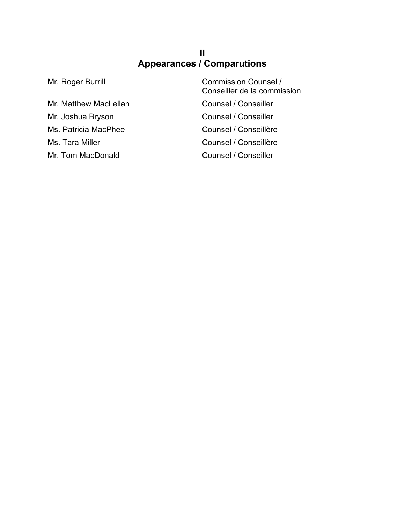## **II Appearances / Comparutions**

Mr. Matthew MacLellan Counsel / Conseiller Mr. Joshua Bryson Counsel / Conseiller Ms. Patricia MacPhee Counsel / Conseillère Ms. Tara Miller Counsel / Conseillère Mr. Tom MacDonald Counsel / Conseiller

Mr. Roger Burrill **Commission Counsel /** Conseiller de la commission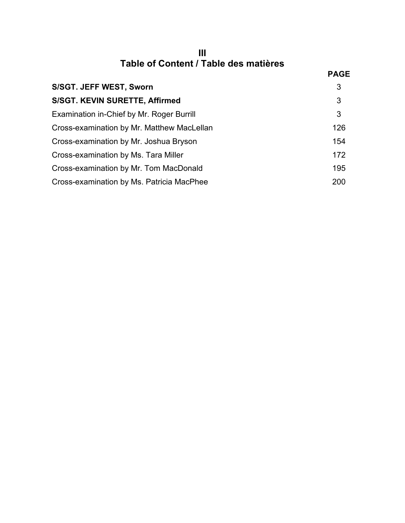| Table of Content / Table des matières |  |
|---------------------------------------|--|

|                                            | <b>PAGE</b> |
|--------------------------------------------|-------------|
| S/SGT. JEFF WEST, Sworn                    | 3           |
| S/SGT. KEVIN SURETTE, Affirmed             | 3           |
| Examination in-Chief by Mr. Roger Burrill  | 3           |
| Cross-examination by Mr. Matthew MacLellan | 126         |
| Cross-examination by Mr. Joshua Bryson     | 154         |
| Cross-examination by Ms. Tara Miller       | 172         |
| Cross-examination by Mr. Tom MacDonald     | 195         |
| Cross-examination by Ms. Patricia MacPhee  | 200         |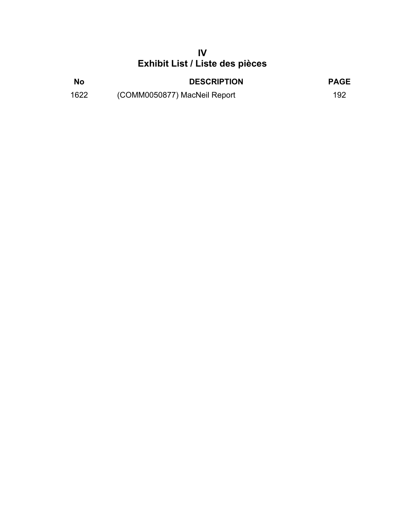## **IV Exhibit List / Liste des pièces**

| No   | <b>DESCRIPTION</b>           | <b>PAGE</b> |
|------|------------------------------|-------------|
| 1622 | (COMM0050877) MacNeil Report | 192         |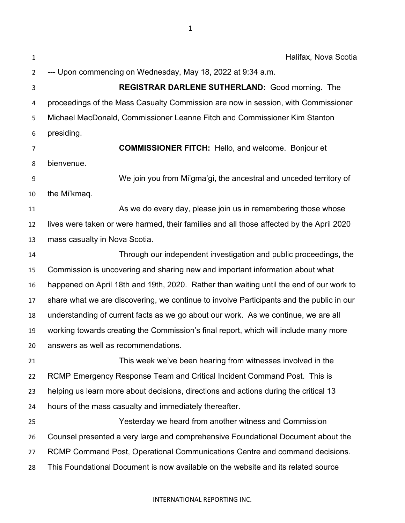| $\mathbf{1}$ | Halifax, Nova Scotia                                                                     |
|--------------|------------------------------------------------------------------------------------------|
| 2            | --- Upon commencing on Wednesday, May 18, 2022 at 9:34 a.m.                              |
| 3            | <b>REGISTRAR DARLENE SUTHERLAND: Good morning. The</b>                                   |
| 4            | proceedings of the Mass Casualty Commission are now in session, with Commissioner        |
| 5            | Michael MacDonald, Commissioner Leanne Fitch and Commissioner Kim Stanton                |
| 6            | presiding.                                                                               |
| 7            | <b>COMMISSIONER FITCH:</b> Hello, and welcome. Bonjour et                                |
| 8            | bienvenue.                                                                               |
| 9            | We join you from Mi'gma'gi, the ancestral and unceded territory of                       |
| 10           | the Mi'kmaq.                                                                             |
| 11           | As we do every day, please join us in remembering those whose                            |
| 12           | lives were taken or were harmed, their families and all those affected by the April 2020 |
| 13           | mass casualty in Nova Scotia.                                                            |
| 14           | Through our independent investigation and public proceedings, the                        |
| 15           | Commission is uncovering and sharing new and important information about what            |
| 16           | happened on April 18th and 19th, 2020. Rather than waiting until the end of our work to  |
| 17           | share what we are discovering, we continue to involve Participants and the public in our |
| 18           | understanding of current facts as we go about our work. As we continue, we are all       |
| 19           | working towards creating the Commission's final report, which will include many more     |
| 20           | answers as well as recommendations.                                                      |
| 21           | This week we've been hearing from witnesses involved in the                              |
| 22           | RCMP Emergency Response Team and Critical Incident Command Post. This is                 |
| 23           | helping us learn more about decisions, directions and actions during the critical 13     |
| 24           | hours of the mass casualty and immediately thereafter.                                   |
| 25           | Yesterday we heard from another witness and Commission                                   |
| 26           | Counsel presented a very large and comprehensive Foundational Document about the         |
| 27           | RCMP Command Post, Operational Communications Centre and command decisions.              |
| 28           | This Foundational Document is now available on the website and its related source        |
|              |                                                                                          |

### INTERNATIONAL REPORTING INC.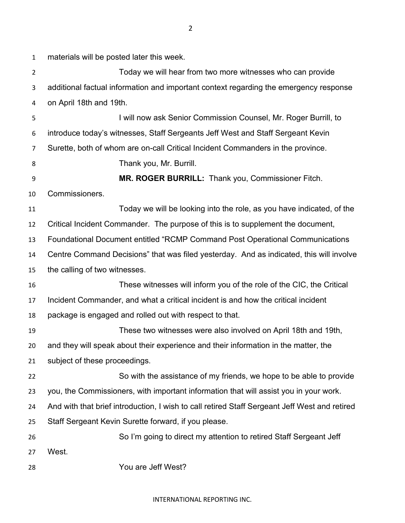materials will be posted later this week. Today we will hear from two more witnesses who can provide additional factual information and important context regarding the emergency response on April 18th and 19th. I will now ask Senior Commission Counsel, Mr. Roger Burrill, to introduce today's witnesses, Staff Sergeants Jeff West and Staff Sergeant Kevin Surette, both of whom are on-call Critical Incident Commanders in the province. Thank you, Mr. Burrill. **MR. ROGER BURRILL:** Thank you, Commissioner Fitch. Commissioners. Today we will be looking into the role, as you have indicated, of the Critical Incident Commander. The purpose of this is to supplement the document, Foundational Document entitled "RCMP Command Post Operational Communications Centre Command Decisions" that was filed yesterday. And as indicated, this will involve the calling of two witnesses. These witnesses will inform you of the role of the CIC, the Critical Incident Commander, and what a critical incident is and how the critical incident package is engaged and rolled out with respect to that. These two witnesses were also involved on April 18th and 19th, and they will speak about their experience and their information in the matter, the subject of these proceedings. So with the assistance of my friends, we hope to be able to provide you, the Commissioners, with important information that will assist you in your work. And with that brief introduction, I wish to call retired Staff Sergeant Jeff West and retired Staff Sergeant Kevin Surette forward, if you please. So I'm going to direct my attention to retired Staff Sergeant Jeff West. You are Jeff West?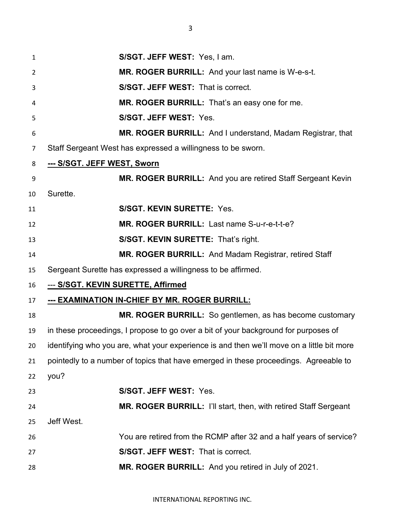**S/SGT. JEFF WEST:** Yes, I am. **MR. ROGER BURRILL:** And your last name is W-e-s-t. **S/SGT. JEFF WEST:** That is correct. **MR. ROGER BURRILL:** That's an easy one for me. **S/SGT. JEFF WEST:** Yes. **MR. ROGER BURRILL:** And I understand, Madam Registrar, that Staff Sergeant West has expressed a willingness to be sworn. **--- S/SGT. JEFF WEST, Sworn MR. ROGER BURRILL:** And you are retired Staff Sergeant Kevin Surette. **S/SGT. KEVIN SURETTE:** Yes. **MR. ROGER BURRILL:** Last name S-u-r-e-t-t-e? **S/SGT. KEVIN SURETTE:** That's right. **MR. ROGER BURRILL:** And Madam Registrar, retired Staff Sergeant Surette has expressed a willingness to be affirmed. --- **S/SGT. KEVIN SURETTE, Affirmed --- EXAMINATION IN-CHIEF BY MR. ROGER BURRILL: MR. ROGER BURRILL:** So gentlemen, as has become customary in these proceedings, I propose to go over a bit of your background for purposes of identifying who you are, what your experience is and then we'll move on a little bit more pointedly to a number of topics that have emerged in these proceedings. Agreeable to you? **S/SGT. JEFF WEST:** Yes. **MR. ROGER BURRILL:** I'll start, then, with retired Staff Sergeant Jeff West. You are retired from the RCMP after 32 and a half years of service? **S/SGT. JEFF WEST:** That is correct. **MR. ROGER BURRILL:** And you retired in July of 2021.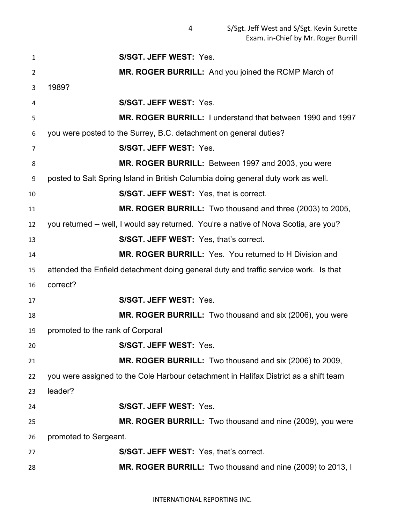**S/SGT. JEFF WEST:** Yes. **MR. ROGER BURRILL:** And you joined the RCMP March of 1989? **S/SGT. JEFF WEST:** Yes. **MR. ROGER BURRILL:** I understand that between 1990 and 1997 you were posted to the Surrey, B.C. detachment on general duties? **S/SGT. JEFF WEST:** Yes. **MR. ROGER BURRILL:** Between 1997 and 2003, you were posted to Salt Spring Island in British Columbia doing general duty work as well. **S/SGT. JEFF WEST:** Yes, that is correct. **MR. ROGER BURRILL:** Two thousand and three (2003) to 2005, you returned -- well, I would say returned. You're a native of Nova Scotia, are you? **S/SGT. JEFF WEST:** Yes, that's correct. **MR. ROGER BURRILL:** Yes. You returned to H Division and attended the Enfield detachment doing general duty and traffic service work. Is that correct? **S/SGT. JEFF WEST:** Yes. **MR. ROGER BURRILL:** Two thousand and six (2006), you were promoted to the rank of Corporal **S/SGT. JEFF WEST:** Yes. **MR. ROGER BURRILL:** Two thousand and six (2006) to 2009, you were assigned to the Cole Harbour detachment in Halifax District as a shift team leader? **S/SGT. JEFF WEST:** Yes. **MR. ROGER BURRILL:** Two thousand and nine (2009), you were promoted to Sergeant. **S/SGT. JEFF WEST:** Yes, that's correct. **MR. ROGER BURRILL:** Two thousand and nine (2009) to 2013, I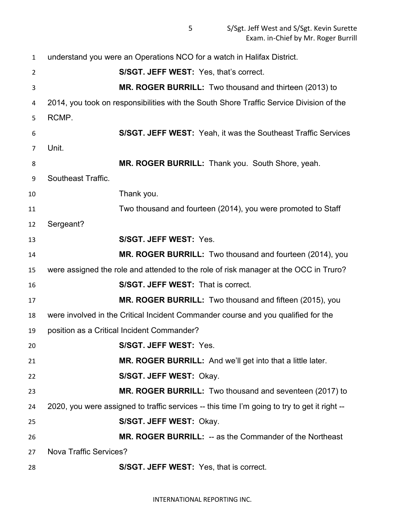understand you were an Operations NCO for a watch in Halifax District. **S/SGT. JEFF WEST:** Yes, that's correct. **MR. ROGER BURRILL:** Two thousand and thirteen (2013) to 2014, you took on responsibilities with the South Shore Traffic Service Division of the RCMP. **S/SGT. JEFF WEST:** Yeah, it was the Southeast Traffic Services Unit. **MR. ROGER BURRILL:** Thank you. South Shore, yeah. Southeast Traffic. Thank you. Two thousand and fourteen (2014), you were promoted to Staff Sergeant? **S/SGT. JEFF WEST:** Yes. **MR. ROGER BURRILL:** Two thousand and fourteen (2014), you were assigned the role and attended to the role of risk manager at the OCC in Truro? **S/SGT. JEFF WEST:** That is correct. **MR. ROGER BURRILL:** Two thousand and fifteen (2015), you were involved in the Critical Incident Commander course and you qualified for the position as a Critical Incident Commander? **S/SGT. JEFF WEST:** Yes. **MR. ROGER BURRILL:** And we'll get into that a little later. **S/SGT. JEFF WEST:** Okay. **MR. ROGER BURRILL:** Two thousand and seventeen (2017) to 2020, you were assigned to traffic services -- this time I'm going to try to get it right -- **S/SGT. JEFF WEST:** Okay. **MR. ROGER BURRILL:** -- as the Commander of the Northeast Nova Traffic Services? **S/SGT. JEFF WEST:** Yes, that is correct.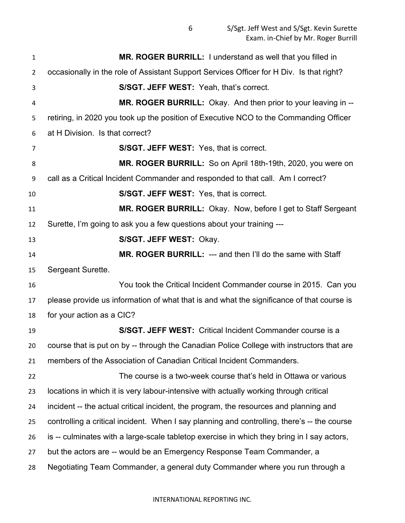| $\mathbf{1}$   | MR. ROGER BURRILL: I understand as well that you filled in                                  |
|----------------|---------------------------------------------------------------------------------------------|
| $\overline{2}$ | occasionally in the role of Assistant Support Services Officer for H Div. Is that right?    |
| 3              | S/SGT. JEFF WEST: Yeah, that's correct.                                                     |
| 4              | MR. ROGER BURRILL: Okay. And then prior to your leaving in --                               |
| 5              | retiring, in 2020 you took up the position of Executive NCO to the Commanding Officer       |
| 6              | at H Division. Is that correct?                                                             |
| 7              | <b>S/SGT. JEFF WEST: Yes, that is correct.</b>                                              |
| 8              | MR. ROGER BURRILL: So on April 18th-19th, 2020, you were on                                 |
| 9              | call as a Critical Incident Commander and responded to that call. Am I correct?             |
| 10             | <b>S/SGT. JEFF WEST:</b> Yes, that is correct.                                              |
| 11             | MR. ROGER BURRILL: Okay. Now, before I get to Staff Sergeant                                |
| 12             | Surette, I'm going to ask you a few questions about your training ---                       |
| 13             | S/SGT. JEFF WEST: Okay.                                                                     |
| 14             | <b>MR. ROGER BURRILL: --- and then I'll do the same with Staff</b>                          |
| 15             | Sergeant Surette.                                                                           |
| 16             | You took the Critical Incident Commander course in 2015. Can you                            |
| 17             | please provide us information of what that is and what the significance of that course is   |
| 18             | for your action as a CIC?                                                                   |
| 19             | S/SGT. JEFF WEST: Critical Incident Commander course is a                                   |
| 20             | course that is put on by -- through the Canadian Police College with instructors that are   |
| 21             | members of the Association of Canadian Critical Incident Commanders.                        |
| 22             | The course is a two-week course that's held in Ottawa or various                            |
| 23             | locations in which it is very labour-intensive with actually working through critical       |
| 24             | incident -- the actual critical incident, the program, the resources and planning and       |
| 25             | controlling a critical incident. When I say planning and controlling, there's -- the course |
| 26             | is -- culminates with a large-scale tabletop exercise in which they bring in I say actors,  |
| 27             | but the actors are -- would be an Emergency Response Team Commander, a                      |
| 28             | Negotiating Team Commander, a general duty Commander where you run through a                |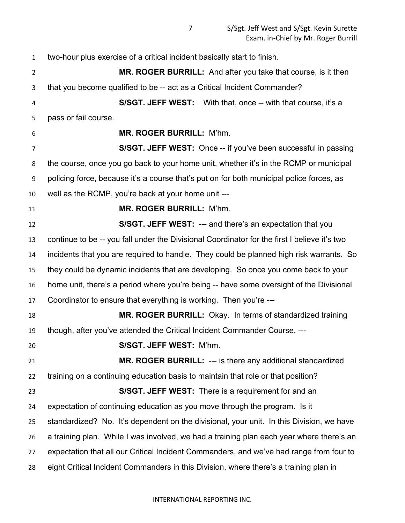two-hour plus exercise of a critical incident basically start to finish. **MR. ROGER BURRILL:** And after you take that course, is it then that you become qualified to be -- act as a Critical Incident Commander? **S/SGT. JEFF WEST:** With that, once -- with that course, it's a pass or fail course. **MR. ROGER BURRILL:** M'hm. **S/SGT. JEFF WEST:** Once -- if you've been successful in passing the course, once you go back to your home unit, whether it's in the RCMP or municipal policing force, because it's a course that's put on for both municipal police forces, as well as the RCMP, you're back at your home unit --- **MR. ROGER BURRILL:** M'hm. **S/SGT. JEFF WEST:** --- and there's an expectation that you continue to be -- you fall under the Divisional Coordinator for the first I believe it's two incidents that you are required to handle. They could be planned high risk warrants. So they could be dynamic incidents that are developing. So once you come back to your home unit, there's a period where you're being -- have some oversight of the Divisional Coordinator to ensure that everything is working. Then you're --- **MR. ROGER BURRILL:** Okay. In terms of standardized training though, after you've attended the Critical Incident Commander Course, --- **S/SGT. JEFF WEST:** M'hm. **MR. ROGER BURRILL:** --- is there any additional standardized training on a continuing education basis to maintain that role or that position? **S/SGT. JEFF WEST:** There is a requirement for and an expectation of continuing education as you move through the program. Is it standardized? No. It's dependent on the divisional, your unit. In this Division, we have a training plan. While I was involved, we had a training plan each year where there's an expectation that all our Critical Incident Commanders, and we've had range from four to eight Critical Incident Commanders in this Division, where there's a training plan in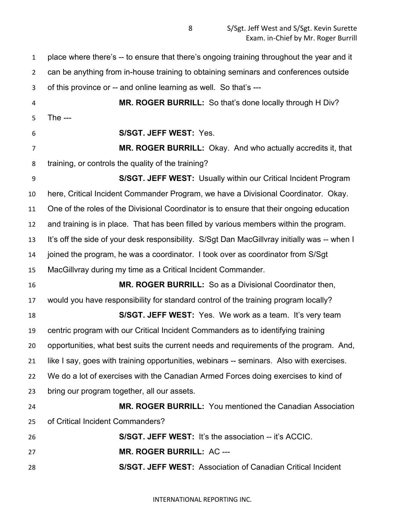place where there's -- to ensure that there's ongoing training throughout the year and it

 can be anything from in-house training to obtaining seminars and conferences outside of this province or -- and online learning as well. So that's ---

 **MR. ROGER BURRILL:** So that's done locally through H Div? The ---

**S/SGT. JEFF WEST:** Yes.

 **MR. ROGER BURRILL:** Okay. And who actually accredits it, that training, or controls the quality of the training?

 **S/SGT. JEFF WEST:** Usually within our Critical Incident Program here, Critical Incident Commander Program, we have a Divisional Coordinator. Okay. One of the roles of the Divisional Coordinator is to ensure that their ongoing education and training is in place. That has been filled by various members within the program. It's off the side of your desk responsibility. S/Sgt Dan MacGillvray initially was -- when I joined the program, he was a coordinator. I took over as coordinator from S/Sgt MacGillvray during my time as a Critical Incident Commander. **MR. ROGER BURRILL:** So as a Divisional Coordinator then, would you have responsibility for standard control of the training program locally? **S/SGT. JEFF WEST:** Yes. We work as a team. It's very team centric program with our Critical Incident Commanders as to identifying training opportunities, what best suits the current needs and requirements of the program. And, like I say, goes with training opportunities, webinars -- seminars. Also with exercises. We do a lot of exercises with the Canadian Armed Forces doing exercises to kind of bring our program together, all our assets. **MR. ROGER BURRILL:** You mentioned the Canadian Association

of Critical Incident Commanders?

| 26 | <b>S/SGT, JEFF WEST:</b> It's the association -- it's ACCIC.       |
|----|--------------------------------------------------------------------|
| 27 | MR. ROGER BURRILL: AC ---                                          |
| 28 | <b>S/SGT, JEFF WEST:</b> Association of Canadian Critical Incident |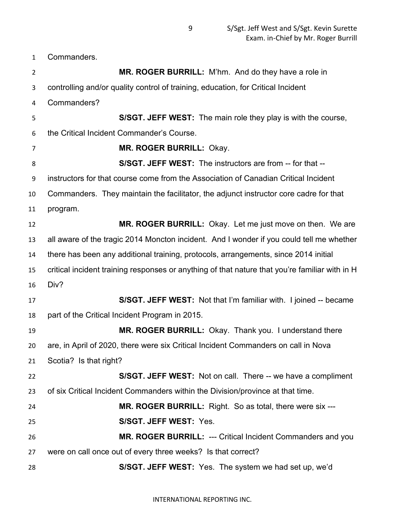Commanders.

| $\overline{2}$ | MR. ROGER BURRILL: M'hm. And do they have a role in                                            |
|----------------|------------------------------------------------------------------------------------------------|
| 3              | controlling and/or quality control of training, education, for Critical Incident               |
| 4              | Commanders?                                                                                    |
| 5              | S/SGT. JEFF WEST: The main role they play is with the course,                                  |
| 6              | the Critical Incident Commander's Course.                                                      |
| $\overline{7}$ | MR. ROGER BURRILL: Okay.                                                                       |
| 8              | S/SGT. JEFF WEST: The instructors are from -- for that --                                      |
| 9              | instructors for that course come from the Association of Canadian Critical Incident            |
| 10             | Commanders. They maintain the facilitator, the adjunct instructor core cadre for that          |
| 11             | program.                                                                                       |
| 12             | MR. ROGER BURRILL: Okay. Let me just move on then. We are                                      |
| 13             | all aware of the tragic 2014 Moncton incident. And I wonder if you could tell me whether       |
| 14             | there has been any additional training, protocols, arrangements, since 2014 initial            |
| 15             | critical incident training responses or anything of that nature that you're familiar with in H |
| 16             | Div?                                                                                           |
| 17             | S/SGT. JEFF WEST: Not that I'm familiar with. I joined -- became                               |
| 18             | part of the Critical Incident Program in 2015.                                                 |
| 19             | MR. ROGER BURRILL: Okay. Thank you. I understand there                                         |
| 20             | are, in April of 2020, there were six Critical Incident Commanders on call in Nova             |
| 21             | Scotia? Is that right?                                                                         |
| 22             | S/SGT. JEFF WEST: Not on call. There -- we have a compliment                                   |
| 23             | of six Critical Incident Commanders within the Division/province at that time.                 |
| 24             | <b>MR. ROGER BURRILL:</b> Right. So as total, there were six ---                               |
| 25             | S/SGT. JEFF WEST: Yes.                                                                         |
| 26             | MR. ROGER BURRILL: --- Critical Incident Commanders and you                                    |
| 27             | were on call once out of every three weeks? Is that correct?                                   |
| 28             | S/SGT. JEFF WEST: Yes. The system we had set up, we'd                                          |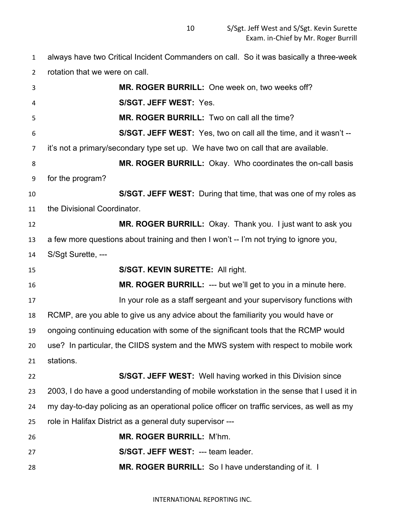always have two Critical Incident Commanders on call. So it was basically a three-week rotation that we were on call.

| 3  | MR. ROGER BURRILL: One week on, two weeks off?                                             |
|----|--------------------------------------------------------------------------------------------|
| 4  | S/SGT. JEFF WEST: Yes.                                                                     |
| 5  | MR. ROGER BURRILL: Two on call all the time?                                               |
| 6  | S/SGT. JEFF WEST: Yes, two on call all the time, and it wasn't --                          |
| 7  | it's not a primary/secondary type set up. We have two on call that are available.          |
| 8  | MR. ROGER BURRILL: Okay. Who coordinates the on-call basis                                 |
| 9  | for the program?                                                                           |
| 10 | S/SGT. JEFF WEST: During that time, that was one of my roles as                            |
| 11 | the Divisional Coordinator.                                                                |
| 12 | MR. ROGER BURRILL: Okay. Thank you. I just want to ask you                                 |
| 13 | a few more questions about training and then I won't -- I'm not trying to ignore you,      |
| 14 | S/Sgt Surette, ---                                                                         |
| 15 | S/SGT. KEVIN SURETTE: All right.                                                           |
| 16 | <b>MR. ROGER BURRILL: --- but we'll get to you in a minute here.</b>                       |
| 17 | In your role as a staff sergeant and your supervisory functions with                       |
| 18 | RCMP, are you able to give us any advice about the familiarity you would have or           |
| 19 | ongoing continuing education with some of the significant tools that the RCMP would        |
| 20 | use? In particular, the CIIDS system and the MWS system with respect to mobile work        |
| 21 | stations.                                                                                  |
| 22 | S/SGT. JEFF WEST: Well having worked in this Division since                                |
| 23 | 2003, I do have a good understanding of mobile workstation in the sense that I used it in  |
| 24 | my day-to-day policing as an operational police officer on traffic services, as well as my |
| 25 | role in Halifax District as a general duty supervisor ---                                  |
| 26 | MR. ROGER BURRILL: M'hm.                                                                   |
| 27 | S/SGT. JEFF WEST: --- team leader.                                                         |
| 28 | MR. ROGER BURRILL: So I have understanding of it. I                                        |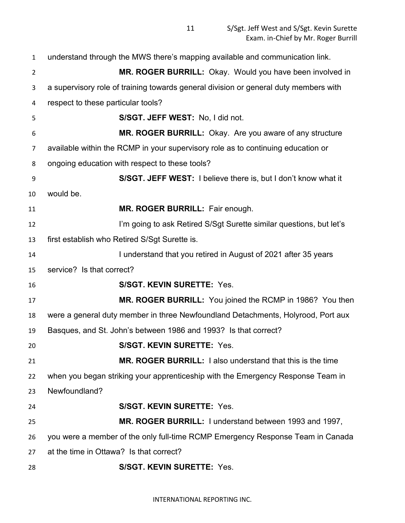| $\mathbf{1}$   | understand through the MWS there's mapping available and communication link.         |
|----------------|--------------------------------------------------------------------------------------|
| $\overline{2}$ | MR. ROGER BURRILL: Okay. Would you have been involved in                             |
| 3              | a supervisory role of training towards general division or general duty members with |
| 4              | respect to these particular tools?                                                   |
| 5              | S/SGT. JEFF WEST: No, I did not.                                                     |
| 6              | MR. ROGER BURRILL: Okay. Are you aware of any structure                              |
| 7              | available within the RCMP in your supervisory role as to continuing education or     |
| 8              | ongoing education with respect to these tools?                                       |
| 9              | S/SGT. JEFF WEST: I believe there is, but I don't know what it                       |
| 10             | would be.                                                                            |
| 11             | MR. ROGER BURRILL: Fair enough.                                                      |
| 12             | I'm going to ask Retired S/Sgt Surette similar questions, but let's                  |
| 13             | first establish who Retired S/Sgt Surette is.                                        |
| 14             | I understand that you retired in August of 2021 after 35 years                       |
| 15             | service? Is that correct?                                                            |
| 16             | <b>S/SGT. KEVIN SURETTE: Yes.</b>                                                    |
| 17             | MR. ROGER BURRILL: You joined the RCMP in 1986? You then                             |
| 18             | were a general duty member in three Newfoundland Detachments, Holyrood, Port aux     |
| 19             | Basques, and St. John's between 1986 and 1993? Is that correct?                      |
| 20             | <b>S/SGT. KEVIN SURETTE: Yes</b>                                                     |
| 21             | MR. ROGER BURRILL: I also understand that this is the time                           |
| 22             | when you began striking your apprenticeship with the Emergency Response Team in      |
| 23             | Newfoundland?                                                                        |
| 24             | <b>S/SGT. KEVIN SURETTE: Yes.</b>                                                    |
| 25             | MR. ROGER BURRILL: I understand between 1993 and 1997,                               |
| 26             | you were a member of the only full-time RCMP Emergency Response Team in Canada       |
| 27             | at the time in Ottawa? Is that correct?                                              |
| 28             | <b>S/SGT. KEVIN SURETTE: Yes.</b>                                                    |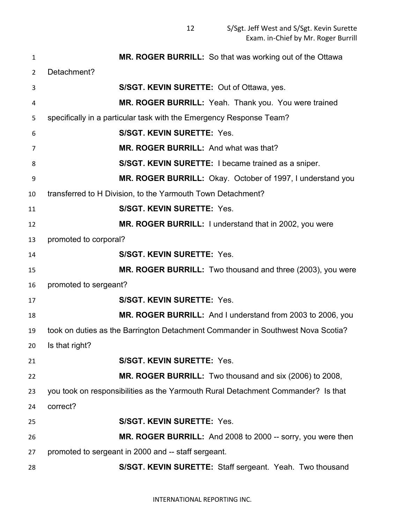| 1  | MR. ROGER BURRILL: So that was working out of the Ottawa                         |
|----|----------------------------------------------------------------------------------|
| 2  | Detachment?                                                                      |
| 3  | S/SGT. KEVIN SURETTE: Out of Ottawa, yes.                                        |
| 4  | MR. ROGER BURRILL: Yeah. Thank you. You were trained                             |
| 5  | specifically in a particular task with the Emergency Response Team?              |
| 6  | <b>S/SGT. KEVIN SURETTE: Yes.</b>                                                |
| 7  | MR. ROGER BURRILL: And what was that?                                            |
| 8  | S/SGT. KEVIN SURETTE: I became trained as a sniper.                              |
| 9  | MR. ROGER BURRILL: Okay. October of 1997, I understand you                       |
| 10 | transferred to H Division, to the Yarmouth Town Detachment?                      |
| 11 | <b>S/SGT. KEVIN SURETTE: Yes.</b>                                                |
| 12 | MR. ROGER BURRILL: I understand that in 2002, you were                           |
| 13 | promoted to corporal?                                                            |
| 14 | <b>S/SGT. KEVIN SURETTE: Yes.</b>                                                |
| 15 | <b>MR. ROGER BURRILL:</b> Two thousand and three (2003), you were                |
| 16 | promoted to sergeant?                                                            |
| 17 | S/SGT. KEVIN SURETTE: Yes.                                                       |
| 18 | MR. ROGER BURRILL: And I understand from 2003 to 2006, you                       |
| 19 | took on duties as the Barrington Detachment Commander in Southwest Nova Scotia?  |
| 20 | Is that right?                                                                   |
| 21 | <b>S/SGT. KEVIN SURETTE: Yes.</b>                                                |
| 22 | MR. ROGER BURRILL: Two thousand and six (2006) to 2008,                          |
| 23 | you took on responsibilities as the Yarmouth Rural Detachment Commander? Is that |
| 24 | correct?                                                                         |
| 25 | <b>S/SGT. KEVIN SURETTE: Yes.</b>                                                |
| 26 | MR. ROGER BURRILL: And 2008 to 2000 -- sorry, you were then                      |
| 27 | promoted to sergeant in 2000 and -- staff sergeant.                              |
| 28 | S/SGT. KEVIN SURETTE: Staff sergeant. Yeah. Two thousand                         |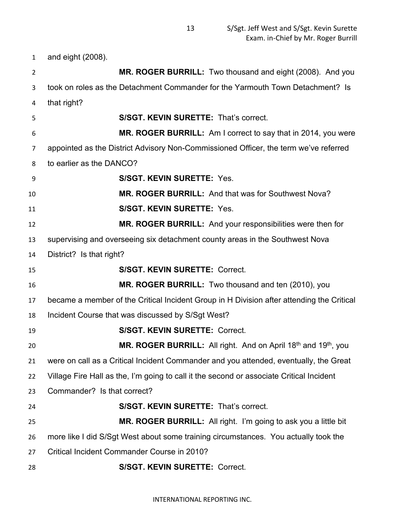and eight (2008). **MR. ROGER BURRILL:** Two thousand and eight (2008). And you took on roles as the Detachment Commander for the Yarmouth Town Detachment? Is that right? **S/SGT. KEVIN SURETTE:** That's correct. **MR. ROGER BURRILL:** Am I correct to say that in 2014, you were appointed as the District Advisory Non-Commissioned Officer, the term we've referred to earlier as the DANCO? **S/SGT. KEVIN SURETTE:** Yes. **MR. ROGER BURRILL:** And that was for Southwest Nova? **S/SGT. KEVIN SURETTE:** Yes. **MR. ROGER BURRILL:** And your responsibilities were then for supervising and overseeing six detachment county areas in the Southwest Nova District? Is that right? **S/SGT. KEVIN SURETTE:** Correct. **MR. ROGER BURRILL:** Two thousand and ten (2010), you became a member of the Critical Incident Group in H Division after attending the Critical Incident Course that was discussed by S/Sgt West? **S/SGT. KEVIN SURETTE:** Correct. **MR. ROGER BURRILL:** All right. And on April 18<sup>th</sup> and 19<sup>th</sup>, you were on call as a Critical Incident Commander and you attended, eventually, the Great Village Fire Hall as the, I'm going to call it the second or associate Critical Incident Commander? Is that correct? **S/SGT. KEVIN SURETTE:** That's correct. **MR. ROGER BURRILL:** All right. I'm going to ask you a little bit more like I did S/Sgt West about some training circumstances. You actually took the Critical Incident Commander Course in 2010? **S/SGT. KEVIN SURETTE:** Correct.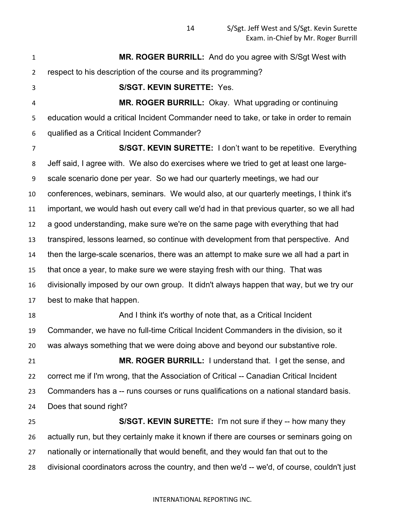**MR. ROGER BURRILL:** And do you agree with S/Sgt West with respect to his description of the course and its programming? **S/SGT. KEVIN SURETTE:** Yes. **MR. ROGER BURRILL:** Okay. What upgrading or continuing education would a critical Incident Commander need to take, or take in order to remain qualified as a Critical Incident Commander? **S/SGT. KEVIN SURETTE:** I don't want to be repetitive. Everything Jeff said, I agree with. We also do exercises where we tried to get at least one large- scale scenario done per year. So we had our quarterly meetings, we had our conferences, webinars, seminars. We would also, at our quarterly meetings, I think it's important, we would hash out every call we'd had in that previous quarter, so we all had a good understanding, make sure we're on the same page with everything that had transpired, lessons learned, so continue with development from that perspective. And then the large-scale scenarios, there was an attempt to make sure we all had a part in that once a year, to make sure we were staying fresh with our thing. That was divisionally imposed by our own group. It didn't always happen that way, but we try our best to make that happen. And I think it's worthy of note that, as a Critical Incident Commander, we have no full-time Critical Incident Commanders in the division, so it was always something that we were doing above and beyond our substantive role. **MR. ROGER BURRILL:** I understand that. I get the sense, and correct me if I'm wrong, that the Association of Critical -- Canadian Critical Incident Commanders has a -- runs courses or runs qualifications on a national standard basis. Does that sound right? **S/SGT. KEVIN SURETTE:** I'm not sure if they -- how many they actually run, but they certainly make it known if there are courses or seminars going on nationally or internationally that would benefit, and they would fan that out to the divisional coordinators across the country, and then we'd -- we'd, of course, couldn't just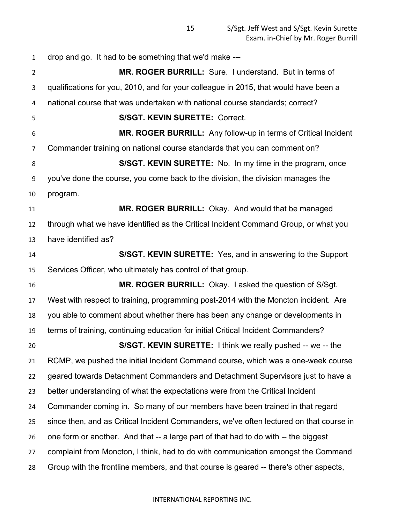drop and go. It had to be something that we'd make ---

 **MR. ROGER BURRILL:** Sure. I understand. But in terms of qualifications for you, 2010, and for your colleague in 2015, that would have been a national course that was undertaken with national course standards; correct? **S/SGT. KEVIN SURETTE:** Correct. **MR. ROGER BURRILL:** Any follow-up in terms of Critical Incident Commander training on national course standards that you can comment on? **S/SGT. KEVIN SURETTE:** No. In my time in the program, once you've done the course, you come back to the division, the division manages the program. **MR. ROGER BURRILL:** Okay. And would that be managed through what we have identified as the Critical Incident Command Group, or what you have identified as? **S/SGT. KEVIN SURETTE:** Yes, and in answering to the Support Services Officer, who ultimately has control of that group. **MR. ROGER BURRILL:** Okay. I asked the question of S/Sgt. West with respect to training, programming post-2014 with the Moncton incident. Are you able to comment about whether there has been any change or developments in terms of training, continuing education for initial Critical Incident Commanders? **S/SGT. KEVIN SURETTE:** I think we really pushed -- we -- the RCMP, we pushed the initial Incident Command course, which was a one-week course geared towards Detachment Commanders and Detachment Supervisors just to have a better understanding of what the expectations were from the Critical Incident Commander coming in. So many of our members have been trained in that regard since then, and as Critical Incident Commanders, we've often lectured on that course in one form or another. And that -- a large part of that had to do with -- the biggest complaint from Moncton, I think, had to do with communication amongst the Command Group with the frontline members, and that course is geared -- there's other aspects,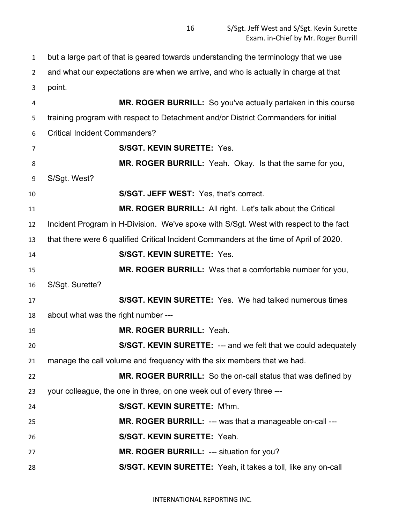but a large part of that is geared towards understanding the terminology that we use

and what our expectations are when we arrive, and who is actually in charge at that

point.

 **MR. ROGER BURRILL:** So you've actually partaken in this course training program with respect to Detachment and/or District Commanders for initial Critical Incident Commanders? **S/SGT. KEVIN SURETTE:** Yes. **MR. ROGER BURRILL:** Yeah. Okay. Is that the same for you, S/Sgt. West? **S/SGT. JEFF WEST:** Yes, that's correct. **MR. ROGER BURRILL:** All right. Let's talk about the Critical Incident Program in H-Division. We've spoke with S/Sgt. West with respect to the fact that there were 6 qualified Critical Incident Commanders at the time of April of 2020. **S/SGT. KEVIN SURETTE:** Yes. **MR. ROGER BURRILL:** Was that a comfortable number for you, S/Sgt. Surette? **S/SGT. KEVIN SURETTE:** Yes. We had talked numerous times about what was the right number --- **MR. ROGER BURRILL:** Yeah. **S/SGT. KEVIN SURETTE:** --- and we felt that we could adequately manage the call volume and frequency with the six members that we had. **MR. ROGER BURRILL:** So the on-call status that was defined by your colleague, the one in three, on one week out of every three --- **S/SGT. KEVIN SURETTE:** M'hm. **MR. ROGER BURRILL:** --- was that a manageable on-call --- **S/SGT. KEVIN SURETTE:** Yeah. **MR. ROGER BURRILL:** --- situation for you? **S/SGT. KEVIN SURETTE:** Yeah, it takes a toll, like any on-call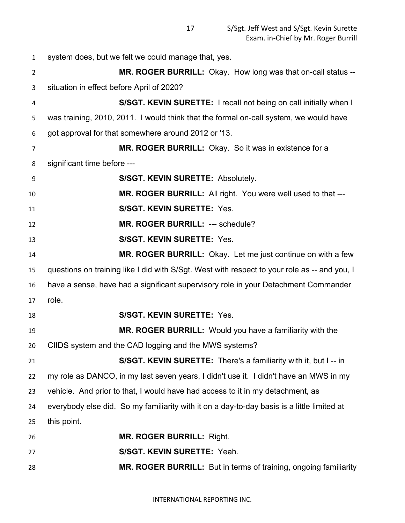system does, but we felt we could manage that, yes. **MR. ROGER BURRILL:** Okay. How long was that on-call status -- situation in effect before April of 2020? **S/SGT. KEVIN SURETTE:** I recall not being on call initially when I was training, 2010, 2011. I would think that the formal on-call system, we would have got approval for that somewhere around 2012 or '13. **MR. ROGER BURRILL:** Okay. So it was in existence for a significant time before --- **S/SGT. KEVIN SURETTE:** Absolutely. **MR. ROGER BURRILL:** All right. You were well used to that --- **S/SGT. KEVIN SURETTE:** Yes. **MR. ROGER BURRILL:** --- schedule? **S/SGT. KEVIN SURETTE:** Yes. **MR. ROGER BURRILL:** Okay. Let me just continue on with a few questions on training like I did with S/Sgt. West with respect to your role as -- and you, I have a sense, have had a significant supervisory role in your Detachment Commander role. **S/SGT. KEVIN SURETTE:** Yes. **MR. ROGER BURRILL:** Would you have a familiarity with the CIIDS system and the CAD logging and the MWS systems? **S/SGT. KEVIN SURETTE:** There's a familiarity with it, but I -- in my role as DANCO, in my last seven years, I didn't use it. I didn't have an MWS in my vehicle. And prior to that, I would have had access to it in my detachment, as everybody else did. So my familiarity with it on a day-to-day basis is a little limited at this point. **MR. ROGER BURRILL:** Right. **S/SGT. KEVIN SURETTE:** Yeah. **MR. ROGER BURRILL:** But in terms of training, ongoing familiarity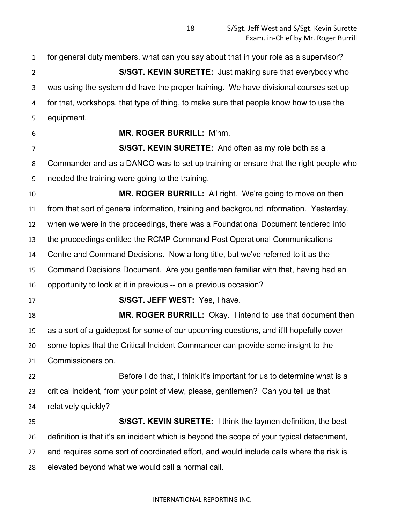for general duty members, what can you say about that in your role as a supervisor? **S/SGT. KEVIN SURETTE:** Just making sure that everybody who was using the system did have the proper training. We have divisional courses set up for that, workshops, that type of thing, to make sure that people know how to use the equipment.

## **MR. ROGER BURRILL:** M'hm.

 **S/SGT. KEVIN SURETTE:** And often as my role both as a Commander and as a DANCO was to set up training or ensure that the right people who needed the training were going to the training.

 **MR. ROGER BURRILL:** All right. We're going to move on then from that sort of general information, training and background information. Yesterday, when we were in the proceedings, there was a Foundational Document tendered into the proceedings entitled the RCMP Command Post Operational Communications Centre and Command Decisions. Now a long title, but we've referred to it as the Command Decisions Document. Are you gentlemen familiar with that, having had an opportunity to look at it in previous -- on a previous occasion?

**S/SGT. JEFF WEST:** Yes, I have.

 **MR. ROGER BURRILL:** Okay. I intend to use that document then as a sort of a guidepost for some of our upcoming questions, and it'll hopefully cover some topics that the Critical Incident Commander can provide some insight to the Commissioners on.

 Before I do that, I think it's important for us to determine what is a critical incident, from your point of view, please, gentlemen? Can you tell us that relatively quickly?

 **S/SGT. KEVIN SURETTE:** I think the laymen definition, the best definition is that it's an incident which is beyond the scope of your typical detachment, and requires some sort of coordinated effort, and would include calls where the risk is elevated beyond what we would call a normal call.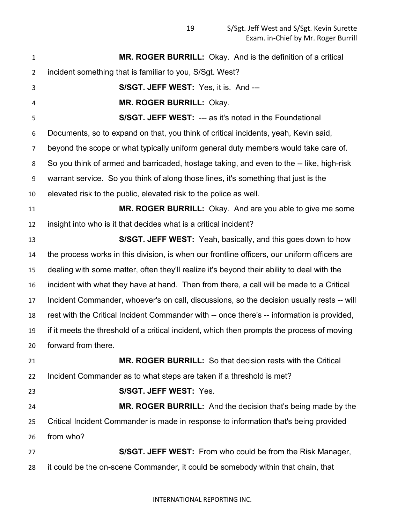| $\mathbf{1}$    | MR. ROGER BURRILL: Okay. And is the definition of a critical                                 |
|-----------------|----------------------------------------------------------------------------------------------|
| $\overline{2}$  | incident something that is familiar to you, S/Sgt. West?                                     |
| 3               | S/SGT. JEFF WEST: Yes, it is. And ---                                                        |
| 4               | MR. ROGER BURRILL: Okay.                                                                     |
| 5               | <b>S/SGT. JEFF WEST: --- as it's noted in the Foundational</b>                               |
| 6               | Documents, so to expand on that, you think of critical incidents, yeah, Kevin said,          |
| $\overline{7}$  | beyond the scope or what typically uniform general duty members would take care of.          |
| 8               | So you think of armed and barricaded, hostage taking, and even to the -- like, high-risk     |
| 9               | warrant service. So you think of along those lines, it's something that just is the          |
| 10              | elevated risk to the public, elevated risk to the police as well.                            |
| 11              | MR. ROGER BURRILL: Okay. And are you able to give me some                                    |
| 12              | insight into who is it that decides what is a critical incident?                             |
| 13              | S/SGT. JEFF WEST: Yeah, basically, and this goes down to how                                 |
| 14              | the process works in this division, is when our frontline officers, our uniform officers are |
| 15              | dealing with some matter, often they'll realize it's beyond their ability to deal with the   |
| 16              | incident with what they have at hand. Then from there, a call will be made to a Critical     |
| 17              | Incident Commander, whoever's on call, discussions, so the decision usually rests -- will    |
| 18              | rest with the Critical Incident Commander with -- once there's -- information is provided,   |
| 19              | if it meets the threshold of a critical incident, which then prompts the process of moving   |
| 20 <sub>2</sub> | forward from there.                                                                          |
| 21              | <b>MR. ROGER BURRILL:</b> So that decision rests with the Critical                           |
| 22              | Incident Commander as to what steps are taken if a threshold is met?                         |
| 23              | S/SGT. JEFF WEST: Yes.                                                                       |
| 24              | MR. ROGER BURRILL: And the decision that's being made by the                                 |
| 25              | Critical Incident Commander is made in response to information that's being provided         |
| 26              | from who?                                                                                    |
| 27              | S/SGT. JEFF WEST: From who could be from the Risk Manager,                                   |
| 28              | it could be the on-scene Commander, it could be somebody within that chain, that             |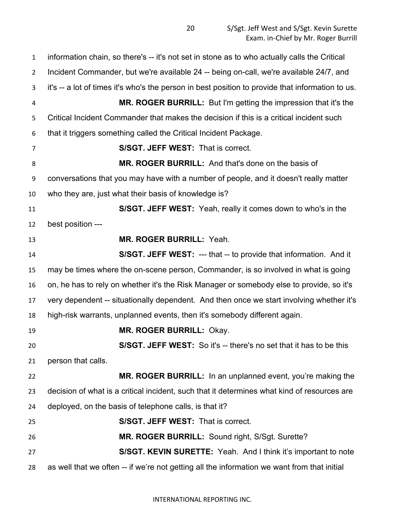information chain, so there's -- it's not set in stone as to who actually calls the Critical Incident Commander, but we're available 24 -- being on-call, we're available 24/7, and it's -- a lot of times it's who's the person in best position to provide that information to us. **MR. ROGER BURRILL:** But I'm getting the impression that it's the Critical Incident Commander that makes the decision if this is a critical incident such that it triggers something called the Critical Incident Package. **S/SGT. JEFF WEST:** That is correct. **MR. ROGER BURRILL:** And that's done on the basis of conversations that you may have with a number of people, and it doesn't really matter who they are, just what their basis of knowledge is? **S/SGT. JEFF WEST:** Yeah, really it comes down to who's in the best position --- **MR. ROGER BURRILL:** Yeah. **S/SGT. JEFF WEST:** --- that -- to provide that information. And it may be times where the on-scene person, Commander, is so involved in what is going on, he has to rely on whether it's the Risk Manager or somebody else to provide, so it's very dependent -- situationally dependent. And then once we start involving whether it's high-risk warrants, unplanned events, then it's somebody different again. **MR. ROGER BURRILL:** Okay. **S/SGT. JEFF WEST:** So it's -- there's no set that it has to be this person that calls. **MR. ROGER BURRILL:** In an unplanned event, you're making the decision of what is a critical incident, such that it determines what kind of resources are deployed, on the basis of telephone calls, is that it? **S/SGT. JEFF WEST:** That is correct. **MR. ROGER BURRILL:** Sound right, S/Sgt. Surette? **S/SGT. KEVIN SURETTE:** Yeah. And I think it's important to note as well that we often -- if we're not getting all the information we want from that initial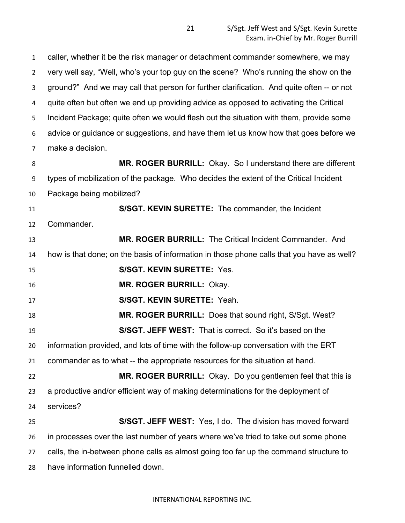caller, whether it be the risk manager or detachment commander somewhere, we may very well say, "Well, who's your top guy on the scene? Who's running the show on the ground?" And we may call that person for further clarification. And quite often -- or not quite often but often we end up providing advice as opposed to activating the Critical Incident Package; quite often we would flesh out the situation with them, provide some advice or guidance or suggestions, and have them let us know how that goes before we make a decision. **MR. ROGER BURRILL:** Okay. So I understand there are different types of mobilization of the package. Who decides the extent of the Critical Incident Package being mobilized? **S/SGT. KEVIN SURETTE:** The commander, the Incident Commander. **MR. ROGER BURRILL:** The Critical Incident Commander. And how is that done; on the basis of information in those phone calls that you have as well? **S/SGT. KEVIN SURETTE:** Yes. **MR. ROGER BURRILL:** Okay. **S/SGT. KEVIN SURETTE:** Yeah. **MR. ROGER BURRILL:** Does that sound right, S/Sgt. West? **S/SGT. JEFF WEST:** That is correct. So it's based on the information provided, and lots of time with the follow-up conversation with the ERT commander as to what -- the appropriate resources for the situation at hand. **MR. ROGER BURRILL:** Okay. Do you gentlemen feel that this is a productive and/or efficient way of making determinations for the deployment of services? **S/SGT. JEFF WEST:** Yes, I do. The division has moved forward in processes over the last number of years where we've tried to take out some phone calls, the in-between phone calls as almost going too far up the command structure to have information funnelled down.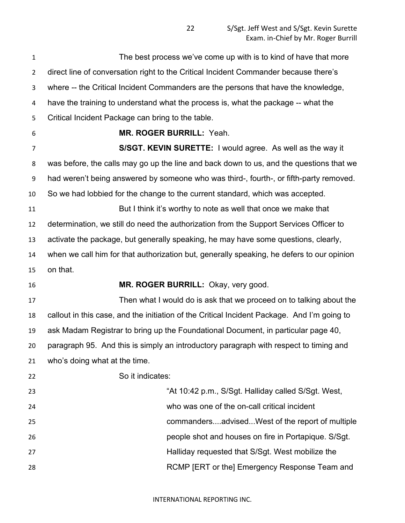| $\mathbf{1}$   | The best process we've come up with is to kind of have that more                            |
|----------------|---------------------------------------------------------------------------------------------|
| $\overline{2}$ | direct line of conversation right to the Critical Incident Commander because there's        |
| 3              | where -- the Critical Incident Commanders are the persons that have the knowledge,          |
| 4              | have the training to understand what the process is, what the package -- what the           |
| 5              | Critical Incident Package can bring to the table.                                           |
| 6              | MR. ROGER BURRILL: Yeah.                                                                    |
| 7              | S/SGT. KEVIN SURETTE: I would agree. As well as the way it                                  |
| 8              | was before, the calls may go up the line and back down to us, and the questions that we     |
| 9              | had weren't being answered by someone who was third-, fourth-, or fifth-party removed.      |
| 10             | So we had lobbied for the change to the current standard, which was accepted.               |
| 11             | But I think it's worthy to note as well that once we make that                              |
| 12             | determination, we still do need the authorization from the Support Services Officer to      |
| 13             | activate the package, but generally speaking, he may have some questions, clearly,          |
| 14             | when we call him for that authorization but, generally speaking, he defers to our opinion   |
| 15             | on that.                                                                                    |
| 16             | MR. ROGER BURRILL: Okay, very good.                                                         |
| 17             | Then what I would do is ask that we proceed on to talking about the                         |
| 18             | callout in this case, and the initiation of the Critical Incident Package. And I'm going to |
| 19             | ask Madam Registrar to bring up the Foundational Document, in particular page 40,           |
| 20             | paragraph 95. And this is simply an introductory paragraph with respect to timing and       |
| 21             | who's doing what at the time.                                                               |
| 22             | So it indicates:                                                                            |
| 23             | "At 10:42 p.m., S/Sgt. Halliday called S/Sgt. West,                                         |
| 24             | who was one of the on-call critical incident                                                |
| 25             | commandersadvisedWest of the report of multiple                                             |
| 26             | people shot and houses on fire in Portapique. S/Sgt.                                        |
| 27             | Halliday requested that S/Sgt. West mobilize the                                            |
| 28             | RCMP [ERT or the] Emergency Response Team and                                               |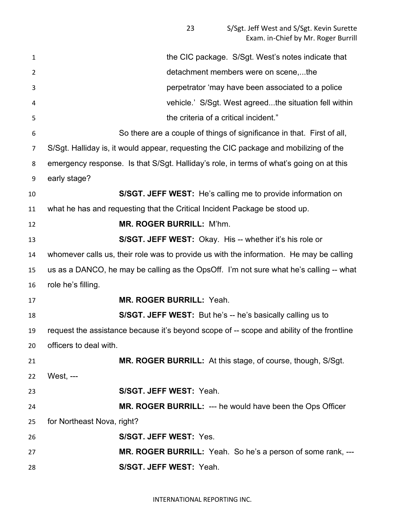| $\mathbf{1}$   | the CIC package. S/Sgt. West's notes indicate that                                        |
|----------------|-------------------------------------------------------------------------------------------|
| $\overline{2}$ | detachment members were on scene,the                                                      |
| 3              | perpetrator 'may have been associated to a police                                         |
| 4              | vehicle.' S/Sgt. West agreedthe situation fell within                                     |
| 5              | the criteria of a critical incident."                                                     |
| 6              | So there are a couple of things of significance in that. First of all,                    |
| 7              | S/Sgt. Halliday is, it would appear, requesting the CIC package and mobilizing of the     |
| 8              | emergency response. Is that S/Sgt. Halliday's role, in terms of what's going on at this   |
| 9              | early stage?                                                                              |
| 10             | S/SGT. JEFF WEST: He's calling me to provide information on                               |
| 11             | what he has and requesting that the Critical Incident Package be stood up.                |
| 12             | <b>MR. ROGER BURRILL: M'hm.</b>                                                           |
| 13             | S/SGT. JEFF WEST: Okay. His -- whether it's his role or                                   |
| 14             | whomever calls us, their role was to provide us with the information. He may be calling   |
| 15             | us as a DANCO, he may be calling as the OpsOff. I'm not sure what he's calling -- what    |
| 16             | role he's filling.                                                                        |
| 17             | <b>MR. ROGER BURRILL: Yeah.</b>                                                           |
| 18             | <b>S/SGT. JEFF WEST:</b> But he's -- he's basically calling us to                         |
| 19             | request the assistance because it's beyond scope of -- scope and ability of the frontline |
| 20             | officers to deal with.                                                                    |
| 21             | MR. ROGER BURRILL: At this stage, of course, though, S/Sgt.                               |
| 22             | West, ---                                                                                 |
| 23             | S/SGT. JEFF WEST: Yeah.                                                                   |
| 24             | <b>MR. ROGER BURRILL: --- he would have been the Ops Officer</b>                          |
| 25             | for Northeast Nova, right?                                                                |
| 26             | S/SGT. JEFF WEST: Yes.                                                                    |
| 27             | MR. ROGER BURRILL: Yeah. So he's a person of some rank, ---                               |
| 28             | S/SGT. JEFF WEST: Yeah.                                                                   |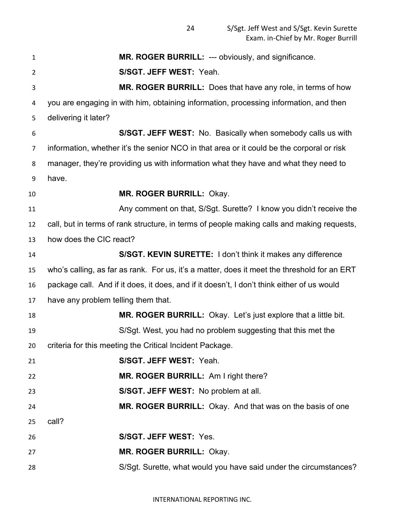| 1              | <b>MR. ROGER BURRILL: --- obviously, and significance.</b>                                  |  |
|----------------|---------------------------------------------------------------------------------------------|--|
| $\overline{2}$ | S/SGT. JEFF WEST: Yeah.                                                                     |  |
| 3              | MR. ROGER BURRILL: Does that have any role, in terms of how                                 |  |
| 4              | you are engaging in with him, obtaining information, processing information, and then       |  |
| 5              | delivering it later?                                                                        |  |
| 6              | S/SGT. JEFF WEST: No. Basically when somebody calls us with                                 |  |
| 7              | information, whether it's the senior NCO in that area or it could be the corporal or risk   |  |
| 8              | manager, they're providing us with information what they have and what they need to         |  |
| 9              | have.                                                                                       |  |
| 10             | <b>MR. ROGER BURRILL: Okay.</b>                                                             |  |
| 11             | Any comment on that, S/Sgt. Surette? I know you didn't receive the                          |  |
| 12             | call, but in terms of rank structure, in terms of people making calls and making requests,  |  |
| 13             | how does the CIC react?                                                                     |  |
| 14             | S/SGT. KEVIN SURETTE: I don't think it makes any difference                                 |  |
| 15             | who's calling, as far as rank. For us, it's a matter, does it meet the threshold for an ERT |  |
| 16             | package call. And if it does, it does, and if it doesn't, I don't think either of us would  |  |
| 17             | have any problem telling them that.                                                         |  |
| 18             | <b>MR. ROGER BURRILL:</b> Okay. Let's just explore that a little bit.                       |  |
| 19             | S/Sgt. West, you had no problem suggesting that this met the                                |  |
| 20             | criteria for this meeting the Critical Incident Package.                                    |  |
| 21             | S/SGT. JEFF WEST: Yeah.                                                                     |  |
| 22             | MR. ROGER BURRILL: Am I right there?                                                        |  |
| 23             | S/SGT. JEFF WEST: No problem at all.                                                        |  |
| 24             | MR. ROGER BURRILL: Okay. And that was on the basis of one                                   |  |
| 25             | call?                                                                                       |  |
| 26             | S/SGT. JEFF WEST: Yes.                                                                      |  |
| 27             | MR. ROGER BURRILL: Okay.                                                                    |  |
| 28             | S/Sgt. Surette, what would you have said under the circumstances?                           |  |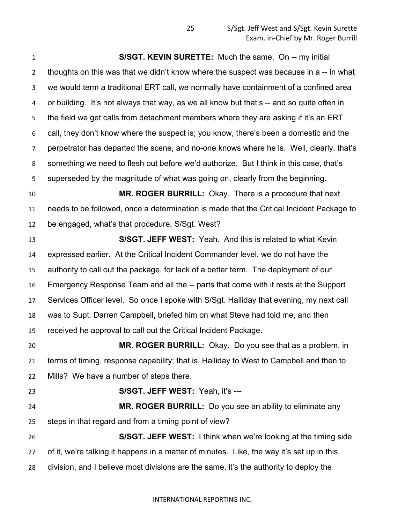**S/SGT. KEVIN SURETTE:** Much the same. On -- my initial thoughts on this was that we didn't know where the suspect was because in a -- in what we would term a traditional ERT call, we normally have containment of a confined area or building. It's not always that way, as we all know but that's -- and so quite often in the field we get calls from detachment members where they are asking if it's an ERT call, they don't know where the suspect is; you know, there's been a domestic and the perpetrator has departed the scene, and no-one knows where he is. Well, clearly, that's something we need to flesh out before we'd authorize. But I think in this case, that's superseded by the magnitude of what was going on, clearly from the beginning. **MR. ROGER BURRILL:** Okay. There is a procedure that next needs to be followed, once a determination is made that the Critical Incident Package to be engaged, what's that procedure, S/Sgt. West? **S/SGT. JEFF WEST:** Yeah. And this is related to what Kevin expressed earlier. At the Critical Incident Commander level, we do not have the authority to call out the package, for lack of a better term. The deployment of our Emergency Response Team and all the -- parts that come with it rests at the Support Services Officer level. So once I spoke with S/Sgt. Halliday that evening, my next call was to Supt. Darren Campbell, briefed him on what Steve had told me, and then received he approval to call out the Critical Incident Package. **MR. ROGER BURRILL:** Okay. Do you see that as a problem, in terms of timing, response capability; that is, Halliday to West to Campbell and then to Mills? We have a number of steps there. **S/SGT. JEFF WEST:** Yeah, it's --- **MR. ROGER BURRILL:** Do you see an ability to eliminate any steps in that regard and from a timing point of view?

 **S/SGT. JEFF WEST:** I think when we're looking at the timing side of it, we're talking it happens in a matter of minutes. Like, the way it's set up in this division, and I believe most divisions are the same, it's the authority to deploy the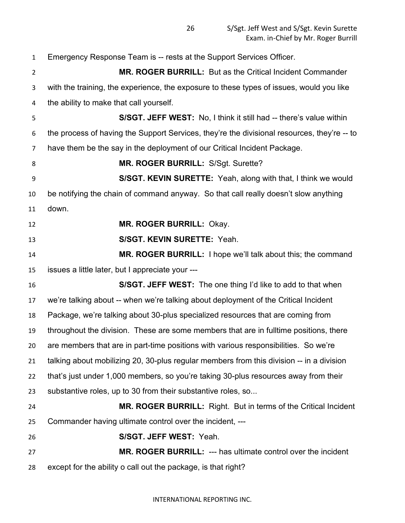Emergency Response Team is -- rests at the Support Services Officer. **MR. ROGER BURRILL:** But as the Critical Incident Commander with the training, the experience, the exposure to these types of issues, would you like the ability to make that call yourself. **S/SGT. JEFF WEST:** No, I think it still had -- there's value within the process of having the Support Services, they're the divisional resources, they're -- to have them be the say in the deployment of our Critical Incident Package. **MR. ROGER BURRILL:** S/Sgt. Surette? **S/SGT. KEVIN SURETTE:** Yeah, along with that, I think we would be notifying the chain of command anyway. So that call really doesn't slow anything down. **MR. ROGER BURRILL:** Okay. **S/SGT. KEVIN SURETTE:** Yeah. **MR. ROGER BURRILL:** I hope we'll talk about this; the command issues a little later, but I appreciate your --- **S/SGT. JEFF WEST:** The one thing I'd like to add to that when we're talking about -- when we're talking about deployment of the Critical Incident Package, we're talking about 30-plus specialized resources that are coming from throughout the division. These are some members that are in fulltime positions, there are members that are in part-time positions with various responsibilities. So we're talking about mobilizing 20, 30-plus regular members from this division -- in a division that's just under 1,000 members, so you're taking 30-plus resources away from their substantive roles, up to 30 from their substantive roles, so... **MR. ROGER BURRILL:** Right. But in terms of the Critical Incident Commander having ultimate control over the incident, --- **S/SGT. JEFF WEST:** Yeah. **MR. ROGER BURRILL:** --- has ultimate control over the incident except for the ability o call out the package, is that right?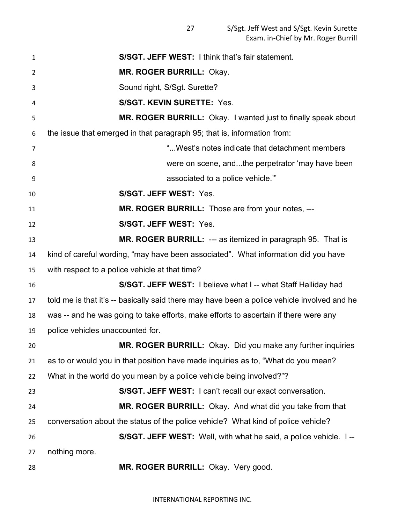| 1              | <b>S/SGT. JEFF WEST: I think that's fair statement.</b>                                     |
|----------------|---------------------------------------------------------------------------------------------|
| $\overline{2}$ | MR. ROGER BURRILL: Okay.                                                                    |
| 3              | Sound right, S/Sgt. Surette?                                                                |
| 4              | <b>S/SGT. KEVIN SURETTE: Yes.</b>                                                           |
| 5              | MR. ROGER BURRILL: Okay. I wanted just to finally speak about                               |
| 6              | the issue that emerged in that paragraph 95; that is, information from:                     |
| 7              | " West's notes indicate that detachment members                                             |
| 8              | were on scene, andthe perpetrator 'may have been                                            |
| 9              | associated to a police vehicle."                                                            |
| 10             | S/SGT. JEFF WEST: Yes.                                                                      |
| 11             | MR. ROGER BURRILL: Those are from your notes, ---                                           |
| 12             | S/SGT. JEFF WEST: Yes.                                                                      |
| 13             | MR. ROGER BURRILL: --- as itemized in paragraph 95. That is                                 |
| 14             | kind of careful wording, "may have been associated". What information did you have          |
| 15             | with respect to a police vehicle at that time?                                              |
| 16             | S/SGT. JEFF WEST: I believe what I -- what Staff Halliday had                               |
| 17             | told me is that it's -- basically said there may have been a police vehicle involved and he |
| 18             | was -- and he was going to take efforts, make efforts to ascertain if there were any        |
| 19             | police vehicles unaccounted for.                                                            |
| 20             | MR. ROGER BURRILL: Okay. Did you make any further inquiries                                 |
| 21             | as to or would you in that position have made inquiries as to, "What do you mean?           |
| 22             | What in the world do you mean by a police vehicle being involved?"?                         |
| 23             | S/SGT. JEFF WEST: I can't recall our exact conversation.                                    |
| 24             | MR. ROGER BURRILL: Okay. And what did you take from that                                    |
| 25             | conversation about the status of the police vehicle? What kind of police vehicle?           |
| 26             | S/SGT. JEFF WEST: Well, with what he said, a police vehicle. I--                            |
| 27             | nothing more.                                                                               |
| 28             | MR. ROGER BURRILL: Okay. Very good.                                                         |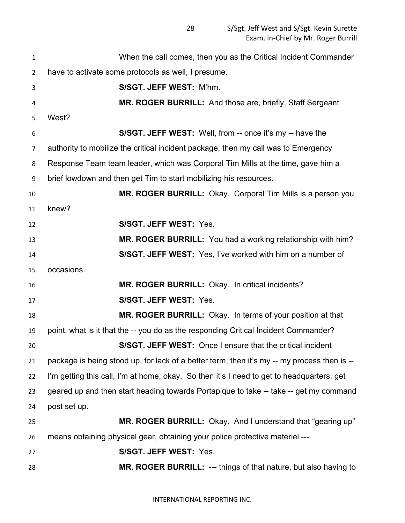S/Sgt. Jeff West and S/Sgt. Kevin Surette Exam. in-Chief by Mr. Roger Burrill

 When the call comes, then you as the Critical Incident Commander have to activate some protocols as well, I presume. **S/SGT. JEFF WEST:** M'hm. **MR. ROGER BURRILL:** And those are, briefly, Staff Sergeant West? **S/SGT. JEFF WEST:** Well, from -- once it's my -- have the authority to mobilize the critical incident package, then my call was to Emergency Response Team team leader, which was Corporal Tim Mills at the time, gave him a brief lowdown and then get Tim to start mobilizing his resources. **MR. ROGER BURRILL:** Okay. Corporal Tim Mills is a person you knew? **S/SGT. JEFF WEST:** Yes. **MR. ROGER BURRILL:** You had a working relationship with him? **S/SGT. JEFF WEST:** Yes, I've worked with him on a number of occasions. **MR. ROGER BURRILL:** Okay. In critical incidents? **S/SGT. JEFF WEST:** Yes. **MR. ROGER BURRILL:** Okay. In terms of your position at that point, what is it that the -- you do as the responding Critical Incident Commander? **S/SGT. JEFF WEST:** Once I ensure that the critical incident package is being stood up, for lack of a better term, then it's my -- my process then is -- I'm getting this call, I'm at home, okay. So then it's I need to get to headquarters, get geared up and then start heading towards Portapique to take -- take -- get my command post set up. **MR. ROGER BURRILL:** Okay. And I understand that "gearing up" means obtaining physical gear, obtaining your police protective materiel --- **S/SGT. JEFF WEST:** Yes. **MR. ROGER BURRILL:** --- things of that nature, but also having to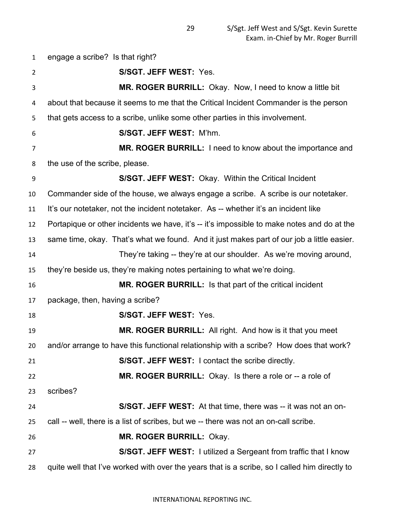engage a scribe? Is that right? **S/SGT. JEFF WEST:** Yes. **MR. ROGER BURRILL:** Okay. Now, I need to know a little bit about that because it seems to me that the Critical Incident Commander is the person that gets access to a scribe, unlike some other parties in this involvement. **S/SGT. JEFF WEST:** M'hm. **MR. ROGER BURRILL:** I need to know about the importance and the use of the scribe, please. **S/SGT. JEFF WEST:** Okay. Within the Critical Incident Commander side of the house, we always engage a scribe. A scribe is our notetaker. It's our notetaker, not the incident notetaker. As -- whether it's an incident like Portapique or other incidents we have, it's -- it's impossible to make notes and do at the same time, okay. That's what we found. And it just makes part of our job a little easier. They're taking -- they're at our shoulder. As we're moving around, they're beside us, they're making notes pertaining to what we're doing. **MR. ROGER BURRILL:** Is that part of the critical incident package, then, having a scribe? **S/SGT. JEFF WEST:** Yes. **MR. ROGER BURRILL:** All right. And how is it that you meet and/or arrange to have this functional relationship with a scribe? How does that work? **S/SGT. JEFF WEST:** I contact the scribe directly. **MR. ROGER BURRILL:** Okay. Is there a role or -- a role of scribes? **S/SGT. JEFF WEST:** At that time, there was -- it was not an on- call -- well, there is a list of scribes, but we -- there was not an on-call scribe. **MR. ROGER BURRILL:** Okay. **S/SGT. JEFF WEST:** I utilized a Sergeant from traffic that I know quite well that I've worked with over the years that is a scribe, so I called him directly to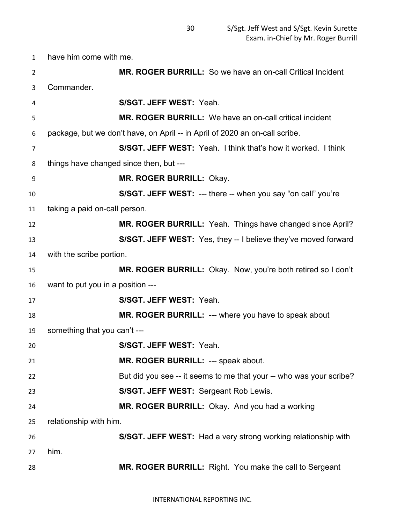have him come with me.

| $\overline{2}$ |                                         | MR. ROGER BURRILL: So we have an on-call Critical Incident                  |
|----------------|-----------------------------------------|-----------------------------------------------------------------------------|
| 3              | Commander.                              |                                                                             |
| 4              |                                         | S/SGT. JEFF WEST: Yeah.                                                     |
| 5              |                                         | <b>MR. ROGER BURRILL:</b> We have an on-call critical incident              |
| 6              |                                         | package, but we don't have, on April -- in April of 2020 an on-call scribe. |
| 7              |                                         | S/SGT. JEFF WEST: Yeah. I think that's how it worked. I think               |
| 8              | things have changed since then, but --- |                                                                             |
| 9              |                                         | <b>MR. ROGER BURRILL: Okay.</b>                                             |
| 10             |                                         | <b>S/SGT. JEFF WEST: --- there -- when you say "on call" you're</b>         |
| 11             | taking a paid on-call person.           |                                                                             |
| 12             |                                         | MR. ROGER BURRILL: Yeah. Things have changed since April?                   |
| 13             |                                         | S/SGT. JEFF WEST: Yes, they -- I believe they've moved forward              |
| 14             | with the scribe portion.                |                                                                             |
| 15             |                                         | MR. ROGER BURRILL: Okay. Now, you're both retired so I don't                |
| 16             | want to put you in a position ---       |                                                                             |
| 17             |                                         | S/SGT. JEFF WEST: Yeah.                                                     |
| 18             |                                         | MR. ROGER BURRILL: --- where you have to speak about                        |
| 19             | something that you can't ---            |                                                                             |
| 20             |                                         | S/SGT. JEFF WEST: Yeah.                                                     |
| 21             |                                         | MR. ROGER BURRILL: --- speak about.                                         |
| 22             |                                         | But did you see -- it seems to me that your -- who was your scribe?         |
| 23             |                                         | S/SGT. JEFF WEST: Sergeant Rob Lewis.                                       |
| 24             |                                         | MR. ROGER BURRILL: Okay. And you had a working                              |
| 25             | relationship with him.                  |                                                                             |
| 26             |                                         | S/SGT. JEFF WEST: Had a very strong working relationship with               |
| 27             | him.                                    |                                                                             |
| 28             |                                         | MR. ROGER BURRILL: Right. You make the call to Sergeant                     |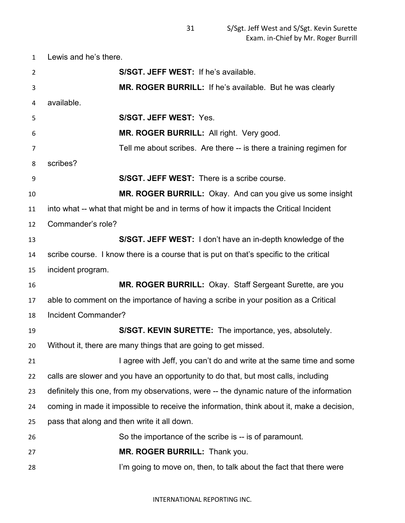Lewis and he's there.

| $\overline{2}$ | S/SGT. JEFF WEST: If he's available.                                                      |  |
|----------------|-------------------------------------------------------------------------------------------|--|
| 3              | MR. ROGER BURRILL: If he's available. But he was clearly                                  |  |
| 4              | available.                                                                                |  |
| 5              | <b>S/SGT. JEFF WEST: Yes.</b>                                                             |  |
| 6              | MR. ROGER BURRILL: All right. Very good.                                                  |  |
| 7              | Tell me about scribes. Are there -- is there a training regimen for                       |  |
| 8              | scribes?                                                                                  |  |
| 9              | <b>S/SGT. JEFF WEST:</b> There is a scribe course.                                        |  |
| 10             | MR. ROGER BURRILL: Okay. And can you give us some insight                                 |  |
| 11             | into what -- what that might be and in terms of how it impacts the Critical Incident      |  |
| 12             | Commander's role?                                                                         |  |
| 13             | S/SGT. JEFF WEST: I don't have an in-depth knowledge of the                               |  |
| 14             | scribe course. I know there is a course that is put on that's specific to the critical    |  |
| 15             | incident program.                                                                         |  |
| 16             | MR. ROGER BURRILL: Okay. Staff Sergeant Surette, are you                                  |  |
| 17             | able to comment on the importance of having a scribe in your position as a Critical       |  |
| 18             | Incident Commander?                                                                       |  |
| 19             | <b>S/SGT. KEVIN SURETTE:</b> The importance, yes, absolutely.                             |  |
| 20             | Without it, there are many things that are going to get missed.                           |  |
| 21             | I agree with Jeff, you can't do and write at the same time and some                       |  |
| 22             | calls are slower and you have an opportunity to do that, but most calls, including        |  |
| 23             | definitely this one, from my observations, were -- the dynamic nature of the information  |  |
| 24             | coming in made it impossible to receive the information, think about it, make a decision, |  |
| 25             | pass that along and then write it all down.                                               |  |
| 26             | So the importance of the scribe is -- is of paramount.                                    |  |
| 27             | MR. ROGER BURRILL: Thank you.                                                             |  |
| 28             | I'm going to move on, then, to talk about the fact that there were                        |  |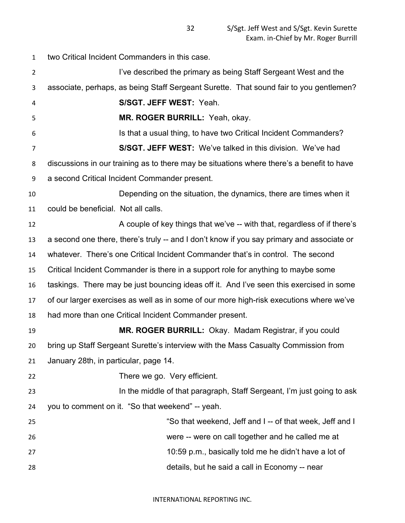two Critical Incident Commanders in this case.

2 I've described the primary as being Staff Sergeant West and the associate, perhaps, as being Staff Sergeant Surette. That sound fair to you gentlemen?

 **S/SGT. JEFF WEST:** Yeah. **MR. ROGER BURRILL:** Yeah, okay. Is that a usual thing, to have two Critical Incident Commanders? **S/SGT. JEFF WEST:** We've talked in this division. We've had discussions in our training as to there may be situations where there's a benefit to have a second Critical Incident Commander present. Depending on the situation, the dynamics, there are times when it could be beneficial. Not all calls. 12 A couple of key things that we've -- with that, regardless of if there's a second one there, there's truly -- and I don't know if you say primary and associate or whatever. There's one Critical Incident Commander that's in control. The second Critical Incident Commander is there in a support role for anything to maybe some taskings. There may be just bouncing ideas off it. And I've seen this exercised in some of our larger exercises as well as in some of our more high-risk executions where we've had more than one Critical Incident Commander present.

 **MR. ROGER BURRILL:** Okay. Madam Registrar, if you could bring up Staff Sergeant Surette's interview with the Mass Casualty Commission from January 28th, in particular, page 14.

There we go. Very efficient.

**In the middle of that paragraph, Staff Sergeant, I'm just going to ask** you to comment on it. "So that weekend" -- yeah.

| 25  | "So that weekend, Jeff and I -- of that week, Jeff and I |
|-----|----------------------------------------------------------|
| 26  | were -- were on call together and he called me at        |
| 27  | 10:59 p.m., basically told me he didn't have a lot of    |
| -28 | details, but he said a call in Economy -- near           |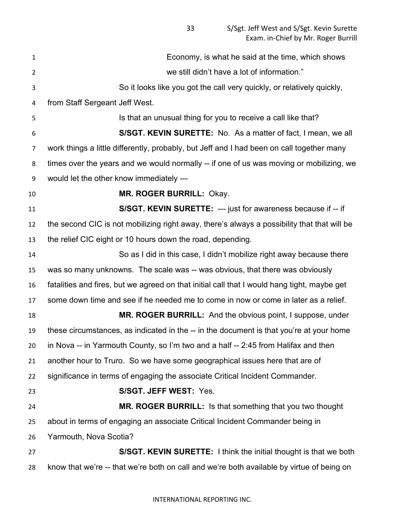Economy, is what he said at the time, which shows we still didn't have a lot of information." So it looks like you got the call very quickly, or relatively quickly, from Staff Sergeant Jeff West. Is that an unusual thing for you to receive a call like that? **S/SGT. KEVIN SURETTE:** No. As a matter of fact, I mean, we all work things a little differently, probably, but Jeff and I had been on call together many times over the years and we would normally -- if one of us was moving or mobilizing, we would let the other know immediately --- **MR. ROGER BURRILL:** Okay. **S/SGT. KEVIN SURETTE:** --- just for awareness because if -- if the second CIC is not mobilizing right away, there's always a possibility that that will be the relief CIC eight or 10 hours down the road, depending. So as I did in this case, I didn't mobilize right away because there was so many unknowns. The scale was -- was obvious, that there was obviously fatalities and fires, but we agreed on that initial call that I would hang tight, maybe get some down time and see if he needed me to come in now or come in later as a relief. **MR. ROGER BURRILL:** And the obvious point, I suppose, under these circumstances, as indicated in the -- in the document is that you're at your home in Nova -- in Yarmouth County, so I'm two and a half -- 2:45 from Halifax and then another hour to Truro. So we have some geographical issues here that are of significance in terms of engaging the associate Critical Incident Commander. **S/SGT. JEFF WEST:** Yes. **MR. ROGER BURRILL:** Is that something that you two thought about in terms of engaging an associate Critical Incident Commander being in Yarmouth, Nova Scotia? **S/SGT. KEVIN SURETTE:** I think the initial thought is that we both know that we're -- that we're both on call and we're both available by virtue of being on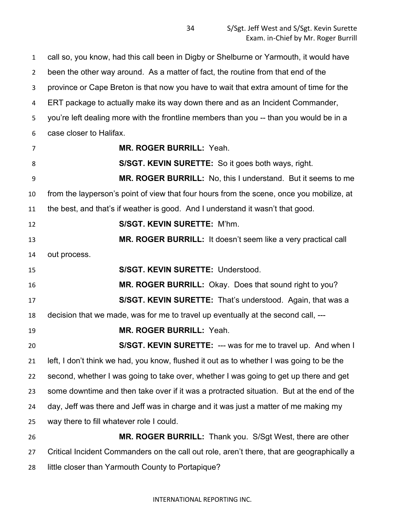call so, you know, had this call been in Digby or Shelburne or Yarmouth, it would have been the other way around. As a matter of fact, the routine from that end of the province or Cape Breton is that now you have to wait that extra amount of time for the ERT package to actually make its way down there and as an Incident Commander, you're left dealing more with the frontline members than you -- than you would be in a case closer to Halifax.

 **MR. ROGER BURRILL:** Yeah. **S/SGT. KEVIN SURETTE:** So it goes both ways, right. **MR. ROGER BURRILL:** No, this I understand. But it seems to me from the layperson's point of view that four hours from the scene, once you mobilize, at the best, and that's if weather is good. And I understand it wasn't that good. **S/SGT. KEVIN SURETTE:** M'hm. **MR. ROGER BURRILL:** It doesn't seem like a very practical call out process. **S/SGT. KEVIN SURETTE:** Understood. **MR. ROGER BURRILL:** Okay. Does that sound right to you? **S/SGT. KEVIN SURETTE:** That's understood. Again, that was a decision that we made, was for me to travel up eventually at the second call, --- **MR. ROGER BURRILL:** Yeah. **S/SGT. KEVIN SURETTE:** --- was for me to travel up. And when I left, I don't think we had, you know, flushed it out as to whether I was going to be the second, whether I was going to take over, whether I was going to get up there and get some downtime and then take over if it was a protracted situation. But at the end of the day, Jeff was there and Jeff was in charge and it was just a matter of me making my way there to fill whatever role I could. **MR. ROGER BURRILL:** Thank you. S/Sgt West, there are other Critical Incident Commanders on the call out role, aren't there, that are geographically a

little closer than Yarmouth County to Portapique?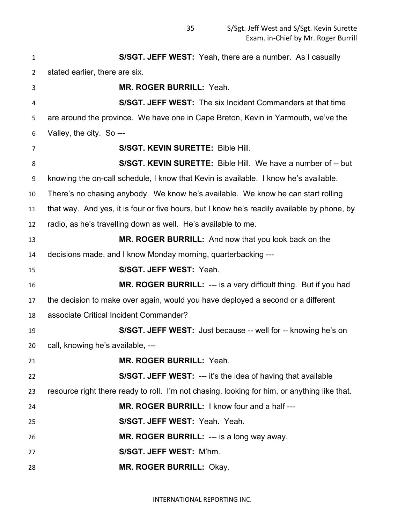**S/SGT. JEFF WEST:** Yeah, there are a number. As I casually stated earlier, there are six. **MR. ROGER BURRILL:** Yeah. **S/SGT. JEFF WEST:** The six Incident Commanders at that time are around the province. We have one in Cape Breton, Kevin in Yarmouth, we've the Valley, the city. So --- **S/SGT. KEVIN SURETTE:** Bible Hill. **S/SGT. KEVIN SURETTE:** Bible Hill. We have a number of -- but knowing the on-call schedule, I know that Kevin is available. I know he's available. There's no chasing anybody. We know he's available. We know he can start rolling that way. And yes, it is four or five hours, but I know he's readily available by phone, by radio, as he's travelling down as well. He's available to me. **MR. ROGER BURRILL:** And now that you look back on the decisions made, and I know Monday morning, quarterbacking --- **S/SGT. JEFF WEST:** Yeah. **MR. ROGER BURRILL:** --- is a very difficult thing. But if you had the decision to make over again, would you have deployed a second or a different associate Critical Incident Commander? **S/SGT. JEFF WEST:** Just because -- well for -- knowing he's on call, knowing he's available, --- **MR. ROGER BURRILL:** Yeah. **S/SGT. JEFF WEST:** --- it's the idea of having that available resource right there ready to roll. I'm not chasing, looking for him, or anything like that. **MR. ROGER BURRILL:** I know four and a half --- **S/SGT. JEFF WEST:** Yeah. Yeah. **MR. ROGER BURRILL:** --- is a long way away. **S/SGT. JEFF WEST:** M'hm. **MR. ROGER BURRILL:** Okay.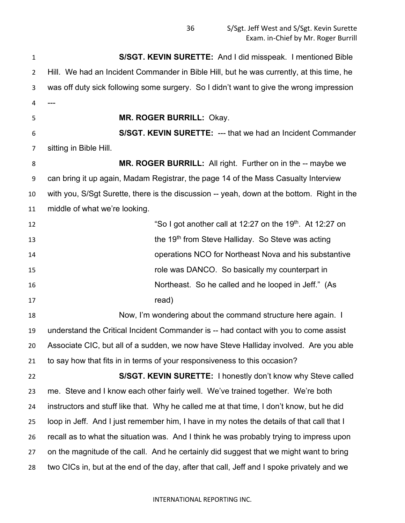**S/SGT. KEVIN SURETTE:** And I did misspeak. I mentioned Bible Hill. We had an Incident Commander in Bible Hill, but he was currently, at this time, he was off duty sick following some surgery. So I didn't want to give the wrong impression --- **MR. ROGER BURRILL:** Okay. **S/SGT. KEVIN SURETTE:** --- that we had an Incident Commander sitting in Bible Hill. **MR. ROGER BURRILL:** All right. Further on in the -- maybe we can bring it up again, Madam Registrar, the page 14 of the Mass Casualty Interview with you, S/Sgt Surette, there is the discussion -- yeah, down at the bottom. Right in the middle of what we're looking. **So I got another call at 12:27 on the 19<sup>th</sup>. At 12:27 on the 19<sup>th</sup> from Steve Halliday.** So Steve was acting operations NCO for Northeast Nova and his substantive role was DANCO. So basically my counterpart in Northeast. So he called and he looped in Jeff." (As 17 read) Now, I'm wondering about the command structure here again. I understand the Critical Incident Commander is -- had contact with you to come assist Associate CIC, but all of a sudden, we now have Steve Halliday involved. Are you able to say how that fits in in terms of your responsiveness to this occasion? **S/SGT. KEVIN SURETTE:** I honestly don't know why Steve called me. Steve and I know each other fairly well. We've trained together. We're both instructors and stuff like that. Why he called me at that time, I don't know, but he did loop in Jeff. And I just remember him, I have in my notes the details of that call that I recall as to what the situation was. And I think he was probably trying to impress upon on the magnitude of the call. And he certainly did suggest that we might want to bring two CICs in, but at the end of the day, after that call, Jeff and I spoke privately and we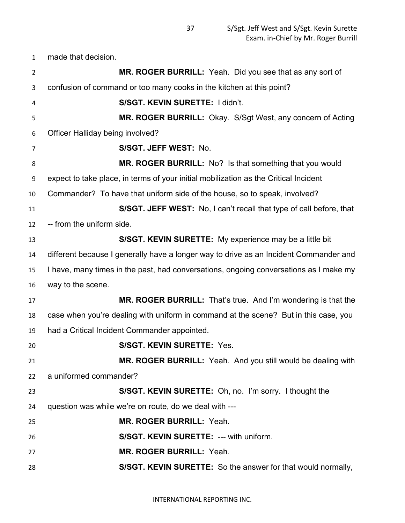made that decision.

| $\overline{2}$ | MR. ROGER BURRILL: Yeah. Did you see that as any sort of                              |
|----------------|---------------------------------------------------------------------------------------|
| 3              | confusion of command or too many cooks in the kitchen at this point?                  |
| 4              | S/SGT. KEVIN SURETTE: I didn't.                                                       |
| 5              | MR. ROGER BURRILL: Okay. S/Sgt West, any concern of Acting                            |
| 6              | Officer Halliday being involved?                                                      |
| 7              | S/SGT. JEFF WEST: No.                                                                 |
| 8              | MR. ROGER BURRILL: No? Is that something that you would                               |
| 9              | expect to take place, in terms of your initial mobilization as the Critical Incident  |
| 10             | Commander? To have that uniform side of the house, so to speak, involved?             |
| 11             | S/SGT. JEFF WEST: No, I can't recall that type of call before, that                   |
| 12             | -- from the uniform side.                                                             |
| 13             | S/SGT. KEVIN SURETTE: My experience may be a little bit                               |
| 14             | different because I generally have a longer way to drive as an Incident Commander and |
| 15             | I have, many times in the past, had conversations, ongoing conversations as I make my |
| 16             | way to the scene.                                                                     |
| 17             | MR. ROGER BURRILL: That's true. And I'm wondering is that the                         |
| 18             | case when you're dealing with uniform in command at the scene? But in this case, you  |
| 19             | had a Critical Incident Commander appointed.                                          |
| 20             | <b>S/SGT. KEVIN SURETTE: Yes.</b>                                                     |
| 21             | MR. ROGER BURRILL: Yeah. And you still would be dealing with                          |
| 22             | a uniformed commander?                                                                |
| 23             | S/SGT. KEVIN SURETTE: Oh, no. I'm sorry. I thought the                                |
| 24             | question was while we're on route, do we deal with ---                                |
| 25             | MR. ROGER BURRILL: Yeah.                                                              |
| 26             | S/SGT. KEVIN SURETTE: --- with uniform.                                               |
| 27             | MR. ROGER BURRILL: Yeah.                                                              |
| 28             | S/SGT. KEVIN SURETTE: So the answer for that would normally,                          |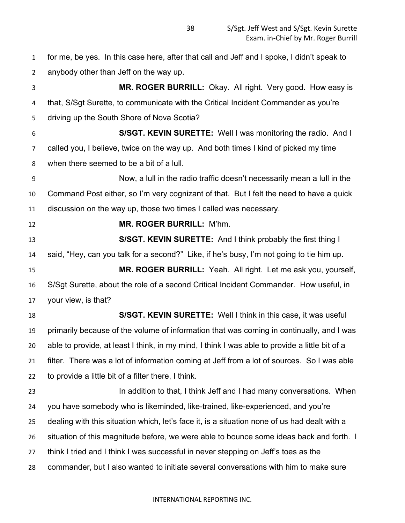for me, be yes. In this case here, after that call and Jeff and I spoke, I didn't speak to anybody other than Jeff on the way up.

 **MR. ROGER BURRILL:** Okay. All right. Very good. How easy is that, S/Sgt Surette, to communicate with the Critical Incident Commander as you're driving up the South Shore of Nova Scotia? **S/SGT. KEVIN SURETTE:** Well I was monitoring the radio. And I called you, I believe, twice on the way up. And both times I kind of picked my time when there seemed to be a bit of a lull. Now, a lull in the radio traffic doesn't necessarily mean a lull in the Command Post either, so I'm very cognizant of that. But I felt the need to have a quick discussion on the way up, those two times I called was necessary. **MR. ROGER BURRILL:** M'hm. **S/SGT. KEVIN SURETTE:** And I think probably the first thing I said, "Hey, can you talk for a second?" Like, if he's busy, I'm not going to tie him up. **MR. ROGER BURRILL:** Yeah. All right. Let me ask you, yourself, S/Sgt Surette, about the role of a second Critical Incident Commander. How useful, in your view, is that? **S/SGT. KEVIN SURETTE:** Well I think in this case, it was useful primarily because of the volume of information that was coming in continually, and I was able to provide, at least I think, in my mind, I think I was able to provide a little bit of a filter. There was a lot of information coming at Jeff from a lot of sources. So I was able to provide a little bit of a filter there, I think. 23 In addition to that, I think Jeff and I had many conversations. When you have somebody who is likeminded, like-trained, like-experienced, and you're dealing with this situation which, let's face it, is a situation none of us had dealt with a situation of this magnitude before, we were able to bounce some ideas back and forth. I think I tried and I think I was successful in never stepping on Jeff's toes as the commander, but I also wanted to initiate several conversations with him to make sure

## INTERNATIONAL REPORTING INC.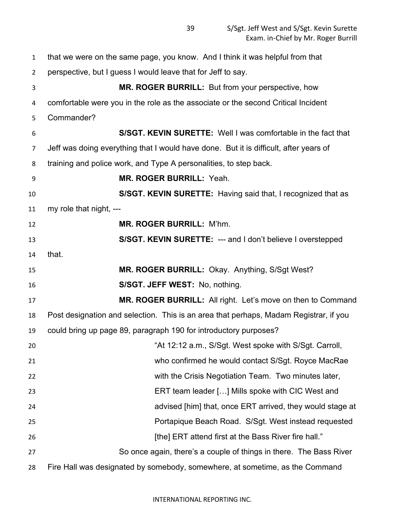that we were on the same page, you know. And I think it was helpful from that perspective, but I guess I would leave that for Jeff to say. **MR. ROGER BURRILL:** But from your perspective, how comfortable were you in the role as the associate or the second Critical Incident Commander? **S/SGT. KEVIN SURETTE:** Well I was comfortable in the fact that Jeff was doing everything that I would have done. But it is difficult, after years of training and police work, and Type A personalities, to step back. **MR. ROGER BURRILL:** Yeah. **S/SGT. KEVIN SURETTE:** Having said that, I recognized that as my role that night, --- **MR. ROGER BURRILL:** M'hm. **S/SGT. KEVIN SURETTE:** --- and I don't believe I overstepped that. **MR. ROGER BURRILL:** Okay. Anything, S/Sgt West? **S/SGT. JEFF WEST:** No, nothing. **MR. ROGER BURRILL:** All right. Let's move on then to Command Post designation and selection. This is an area that perhaps, Madam Registrar, if you could bring up page 89, paragraph 190 for introductory purposes? "At 12:12 a.m., S/Sgt. West spoke with S/Sgt. Carroll, who confirmed he would contact S/Sgt. Royce MacRae with the Crisis Negotiation Team. Two minutes later, ERT team leader […] Mills spoke with CIC West and advised [him] that, once ERT arrived, they would stage at Portapique Beach Road. S/Sgt. West instead requested **ERT** attend first at the Bass River fire hall." So once again, there's a couple of things in there. The Bass River Fire Hall was designated by somebody, somewhere, at sometime, as the Command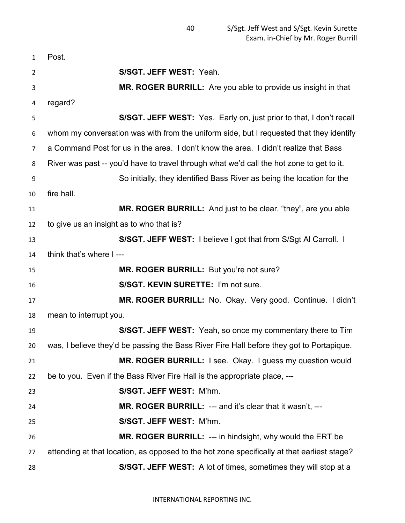| $\mathbf{1}$ | Post.                                                                                       |
|--------------|---------------------------------------------------------------------------------------------|
| 2            | S/SGT. JEFF WEST: Yeah.                                                                     |
| 3            | MR. ROGER BURRILL: Are you able to provide us insight in that                               |
| 4            | regard?                                                                                     |
| 5            | S/SGT. JEFF WEST: Yes. Early on, just prior to that, I don't recall                         |
| 6            | whom my conversation was with from the uniform side, but I requested that they identify     |
| 7            | a Command Post for us in the area. I don't know the area. I didn't realize that Bass        |
| 8            | River was past -- you'd have to travel through what we'd call the hot zone to get to it.    |
| 9            | So initially, they identified Bass River as being the location for the                      |
| 10           | fire hall.                                                                                  |
| 11           | MR. ROGER BURRILL: And just to be clear, "they", are you able                               |
| 12           | to give us an insight as to who that is?                                                    |
| 13           | S/SGT. JEFF WEST: I believe I got that from S/Sgt AI Carroll. I                             |
| 14           | think that's where I---                                                                     |
| 15           | MR. ROGER BURRILL: But you're not sure?                                                     |
| 16           | S/SGT. KEVIN SURETTE: I'm not sure.                                                         |
| 17           | MR. ROGER BURRILL: No. Okay. Very good. Continue. I didn't                                  |
| 18           | mean to interrupt you.                                                                      |
| 19           | S/SGT. JEFF WEST: Yeah, so once my commentary there to Tim                                  |
| 20           | was, I believe they'd be passing the Bass River Fire Hall before they got to Portapique.    |
| 21           | MR. ROGER BURRILL: I see. Okay. I guess my question would                                   |
| 22           | be to you. Even if the Bass River Fire Hall is the appropriate place, ---                   |
| 23           | S/SGT. JEFF WEST: M'hm.                                                                     |
| 24           | MR. ROGER BURRILL: --- and it's clear that it wasn't, ---                                   |
| 25           | S/SGT. JEFF WEST: M'hm.                                                                     |
| 26           | <b>MR. ROGER BURRILL: --- in hindsight, why would the ERT be</b>                            |
| 27           | attending at that location, as opposed to the hot zone specifically at that earliest stage? |
| 28           | S/SGT. JEFF WEST: A lot of times, sometimes they will stop at a                             |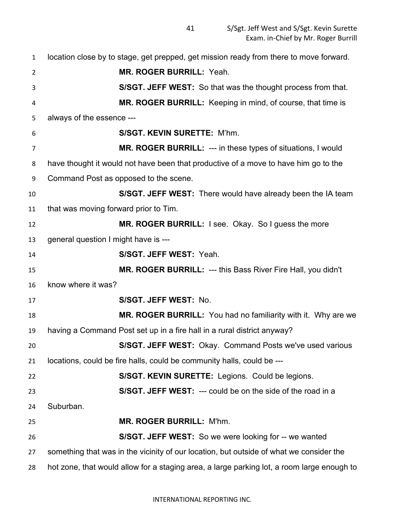location close by to stage, get prepped, get mission ready from there to move forward. **MR. ROGER BURRILL:** Yeah. **S/SGT. JEFF WEST:** So that was the thought process from that. **MR. ROGER BURRILL:** Keeping in mind, of course, that time is always of the essence --- **S/SGT. KEVIN SURETTE:** M'hm. **MR. ROGER BURRILL:** --- in these types of situations, I would have thought it would not have been that productive of a move to have him go to the Command Post as opposed to the scene. **S/SGT. JEFF WEST:** There would have already been the IA team that was moving forward prior to Tim. **MR. ROGER BURRILL:** I see. Okay. So I guess the more general question I might have is --- **S/SGT. JEFF WEST:** Yeah. **MR. ROGER BURRILL:** --- this Bass River Fire Hall, you didn't know where it was? **S/SGT. JEFF WEST:** No. **MR. ROGER BURRILL:** You had no familiarity with it. Why are we having a Command Post set up in a fire hall in a rural district anyway? **S/SGT. JEFF WEST:** Okay. Command Posts we've used various locations, could be fire halls, could be community halls, could be --- **S/SGT. KEVIN SURETTE:** Legions. Could be legions. **S/SGT. JEFF WEST:** --- could be on the side of the road in a Suburban. **MR. ROGER BURRILL:** M'hm. **S/SGT. JEFF WEST:** So we were looking for -- we wanted something that was in the vicinity of our location, but outside of what we consider the hot zone, that would allow for a staging area, a large parking lot, a room large enough to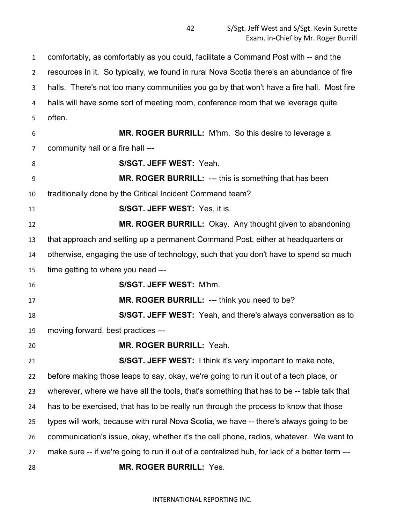comfortably, as comfortably as you could, facilitate a Command Post with -- and the resources in it. So typically, we found in rural Nova Scotia there's an abundance of fire halls. There's not too many communities you go by that won't have a fire hall. Most fire halls will have some sort of meeting room, conference room that we leverage quite often. **MR. ROGER BURRILL:** M'hm. So this desire to leverage a community hall or a fire hall --- **S/SGT. JEFF WEST:** Yeah. **MR. ROGER BURRILL:** --- this is something that has been traditionally done by the Critical Incident Command team? **S/SGT. JEFF WEST:** Yes, it is. **MR. ROGER BURRILL:** Okay. Any thought given to abandoning that approach and setting up a permanent Command Post, either at headquarters or otherwise, engaging the use of technology, such that you don't have to spend so much time getting to where you need --- **S/SGT. JEFF WEST:** M'hm. **MR. ROGER BURRILL:** --- think you need to be? **S/SGT. JEFF WEST:** Yeah, and there's always conversation as to moving forward, best practices --- **MR. ROGER BURRILL:** Yeah. **S/SGT. JEFF WEST:** I think it's very important to make note, before making those leaps to say, okay, we're going to run it out of a tech place, or wherever, where we have all the tools, that's something that has to be -- table talk that has to be exercised, that has to be really run through the process to know that those types will work, because with rural Nova Scotia, we have -- there's always going to be communication's issue, okay, whether it's the cell phone, radios, whatever. We want to make sure -- if we're going to run it out of a centralized hub, for lack of a better term --- **MR. ROGER BURRILL:** Yes.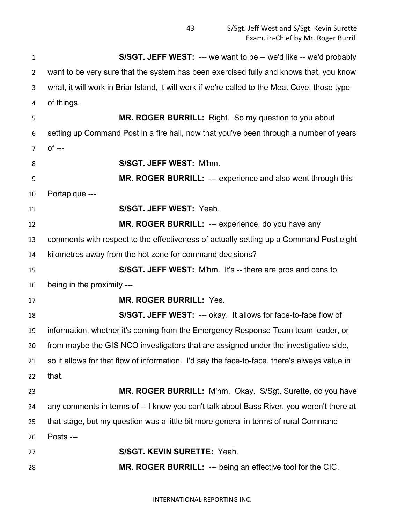S/Sgt. Jeff West and S/Sgt. Kevin Surette Exam. in-Chief by Mr. Roger Burrill

 **S/SGT. JEFF WEST:** --- we want to be -- we'd like -- we'd probably want to be very sure that the system has been exercised fully and knows that, you know what, it will work in Briar Island, it will work if we're called to the Meat Cove, those type of things. **MR. ROGER BURRILL:** Right. So my question to you about setting up Command Post in a fire hall, now that you've been through a number of years of --- **S/SGT. JEFF WEST:** M'hm. **MR. ROGER BURRILL:** --- experience and also went through this Portapique --- **S/SGT. JEFF WEST:** Yeah. **MR. ROGER BURRILL:** --- experience, do you have any comments with respect to the effectiveness of actually setting up a Command Post eight kilometres away from the hot zone for command decisions? **S/SGT. JEFF WEST:** M'hm. It's -- there are pros and cons to being in the proximity --- **MR. ROGER BURRILL:** Yes. **S/SGT. JEFF WEST:** --- okay. It allows for face-to-face flow of information, whether it's coming from the Emergency Response Team team leader, or from maybe the GIS NCO investigators that are assigned under the investigative side, so it allows for that flow of information. I'd say the face-to-face, there's always value in that. **MR. ROGER BURRILL:** M'hm. Okay. S/Sgt. Surette, do you have any comments in terms of -- I know you can't talk about Bass River, you weren't there at that stage, but my question was a little bit more general in terms of rural Command Posts --- **S/SGT. KEVIN SURETTE:** Yeah. **MR. ROGER BURRILL:** --- being an effective tool for the CIC.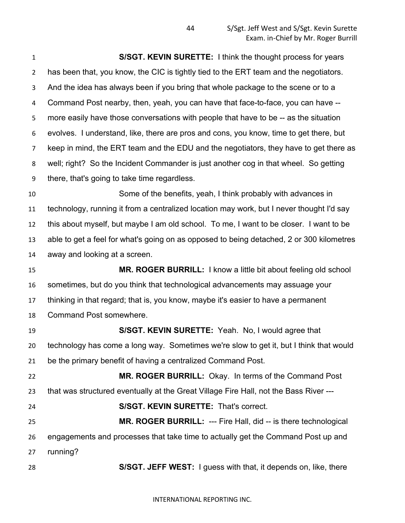**S/SGT. KEVIN SURETTE:** I think the thought process for years has been that, you know, the CIC is tightly tied to the ERT team and the negotiators. And the idea has always been if you bring that whole package to the scene or to a Command Post nearby, then, yeah, you can have that face-to-face, you can have -- more easily have those conversations with people that have to be -- as the situation evolves. I understand, like, there are pros and cons, you know, time to get there, but keep in mind, the ERT team and the EDU and the negotiators, they have to get there as well; right? So the Incident Commander is just another cog in that wheel. So getting there, that's going to take time regardless.

 Some of the benefits, yeah, I think probably with advances in technology, running it from a centralized location may work, but I never thought I'd say this about myself, but maybe I am old school. To me, I want to be closer. I want to be able to get a feel for what's going on as opposed to being detached, 2 or 300 kilometres away and looking at a screen.

 **MR. ROGER BURRILL:** I know a little bit about feeling old school sometimes, but do you think that technological advancements may assuage your thinking in that regard; that is, you know, maybe it's easier to have a permanent Command Post somewhere.

 **S/SGT. KEVIN SURETTE:** Yeah. No, I would agree that technology has come a long way. Sometimes we're slow to get it, but I think that would be the primary benefit of having a centralized Command Post.

 **MR. ROGER BURRILL:** Okay. In terms of the Command Post that was structured eventually at the Great Village Fire Hall, not the Bass River ---

**S/SGT. KEVIN SURETTE:** That's correct.

 **MR. ROGER BURRILL:** --- Fire Hall, did -- is there technological engagements and processes that take time to actually get the Command Post up and running?

**S/SGT. JEFF WEST:** I guess with that, it depends on, like, there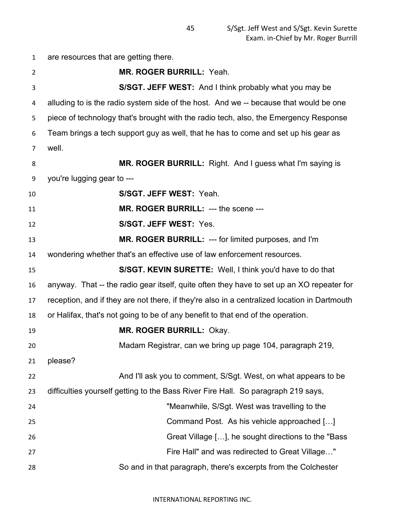are resources that are getting there. **MR. ROGER BURRILL:** Yeah. **S/SGT. JEFF WEST:** And I think probably what you may be alluding to is the radio system side of the host. And we -- because that would be one piece of technology that's brought with the radio tech, also, the Emergency Response Team brings a tech support guy as well, that he has to come and set up his gear as well. **MR. ROGER BURRILL:** Right. And I guess what I'm saying is you're lugging gear to --- **S/SGT. JEFF WEST:** Yeah. **MR. ROGER BURRILL:** --- the scene --- **S/SGT. JEFF WEST:** Yes. **MR. ROGER BURRILL:** --- for limited purposes, and I'm wondering whether that's an effective use of law enforcement resources. **S/SGT. KEVIN SURETTE:** Well, I think you'd have to do that anyway. That -- the radio gear itself, quite often they have to set up an XO repeater for reception, and if they are not there, if they're also in a centralized location in Dartmouth or Halifax, that's not going to be of any benefit to that end of the operation. **MR. ROGER BURRILL:** Okay. Madam Registrar, can we bring up page 104, paragraph 219, please? And I'll ask you to comment, S/Sgt. West, on what appears to be difficulties yourself getting to the Bass River Fire Hall. So paragraph 219 says, "Meanwhile, S/Sgt. West was travelling to the Command Post. As his vehicle approached […] Great Village […], he sought directions to the "Bass Fire Hall" and was redirected to Great Village…" So and in that paragraph, there's excerpts from the Colchester

INTERNATIONAL REPORTING INC.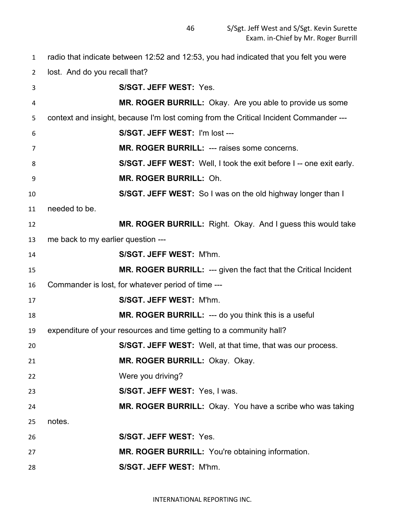radio that indicate between 12:52 and 12:53, you had indicated that you felt you were

lost. And do you recall that?

| 3  |                                    | <b>S/SGT. JEFF WEST: Yes.</b>                                                         |
|----|------------------------------------|---------------------------------------------------------------------------------------|
| 4  |                                    | MR. ROGER BURRILL: Okay. Are you able to provide us some                              |
| 5  |                                    | context and insight, because I'm lost coming from the Critical Incident Commander --- |
| 6  |                                    | S/SGT. JEFF WEST: I'm lost ---                                                        |
| 7  |                                    | MR. ROGER BURRILL: --- raises some concerns.                                          |
| 8  |                                    | S/SGT. JEFF WEST: Well, I took the exit before I-- one exit early.                    |
| 9  |                                    | <b>MR. ROGER BURRILL: Oh.</b>                                                         |
| 10 |                                    | S/SGT. JEFF WEST: So I was on the old highway longer than I                           |
| 11 | needed to be.                      |                                                                                       |
| 12 |                                    | MR. ROGER BURRILL: Right. Okay. And I guess this would take                           |
| 13 | me back to my earlier question --- |                                                                                       |
| 14 |                                    | S/SGT. JEFF WEST: M'hm.                                                               |
| 15 |                                    | <b>MR. ROGER BURRILL: --- given the fact that the Critical Incident</b>               |
| 16 |                                    | Commander is lost, for whatever period of time ---                                    |
| 17 |                                    | S/SGT. JEFF WEST: M'hm.                                                               |
| 18 |                                    | MR. ROGER BURRILL: --- do you think this is a useful                                  |
| 19 |                                    | expenditure of your resources and time getting to a community hall?                   |
| 20 |                                    | S/SGT. JEFF WEST: Well, at that time, that was our process.                           |
| 21 |                                    | MR. ROGER BURRILL: Okay. Okay.                                                        |
| 22 |                                    | Were you driving?                                                                     |
| 23 |                                    | S/SGT. JEFF WEST: Yes, I was.                                                         |
| 24 |                                    | MR. ROGER BURRILL: Okay. You have a scribe who was taking                             |
| 25 | notes.                             |                                                                                       |
| 26 |                                    | S/SGT. JEFF WEST: Yes.                                                                |
| 27 |                                    | MR. ROGER BURRILL: You're obtaining information.                                      |
| 28 |                                    | S/SGT. JEFF WEST: M'hm.                                                               |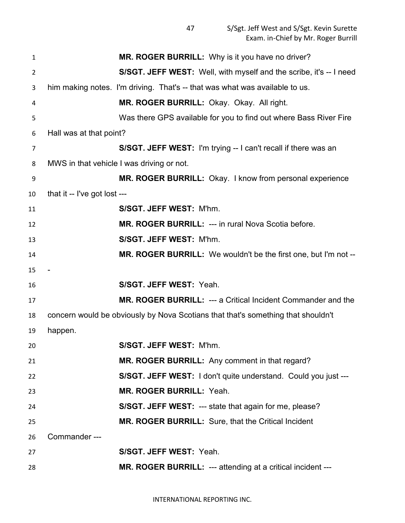| $\mathbf{1}$   | MR. ROGER BURRILL: Why is it you have no driver?                                 |
|----------------|----------------------------------------------------------------------------------|
| $\overline{2}$ | S/SGT. JEFF WEST: Well, with myself and the scribe, it's -- I need               |
| 3              | him making notes. I'm driving. That's -- that was what was available to us.      |
| 4              | MR. ROGER BURRILL: Okay. Okay. All right.                                        |
| 5              | Was there GPS available for you to find out where Bass River Fire                |
| 6              | Hall was at that point?                                                          |
| 7              | S/SGT. JEFF WEST: I'm trying -- I can't recall if there was an                   |
| 8              | MWS in that vehicle I was driving or not.                                        |
| 9              | MR. ROGER BURRILL: Okay. I know from personal experience                         |
| 10             | that it -- I've got lost ---                                                     |
| 11             | S/SGT. JEFF WEST: M'hm.                                                          |
| 12             | MR. ROGER BURRILL: --- in rural Nova Scotia before.                              |
| 13             | S/SGT. JEFF WEST: M'hm.                                                          |
| 14             | MR. ROGER BURRILL: We wouldn't be the first one, but I'm not --                  |
| 15             |                                                                                  |
| 16             | S/SGT. JEFF WEST: Yeah.                                                          |
| 17             | MR. ROGER BURRILL: --- a Critical Incident Commander and the                     |
| 18             | concern would be obviously by Nova Scotians that that's something that shouldn't |
| 19             | happen.                                                                          |
| 20             | S/SGT. JEFF WEST: M'hm.                                                          |
| 21             | MR. ROGER BURRILL: Any comment in that regard?                                   |
| 22             | S/SGT. JEFF WEST: I don't quite understand. Could you just ---                   |
| 23             | MR. ROGER BURRILL: Yeah.                                                         |
| 24             | <b>S/SGT. JEFF WEST: --- state that again for me, please?</b>                    |
| 25             | MR. ROGER BURRILL: Sure, that the Critical Incident                              |
| 26             | Commander---                                                                     |
| 27             | S/SGT. JEFF WEST: Yeah.                                                          |
| 28             | MR. ROGER BURRILL: --- attending at a critical incident ---                      |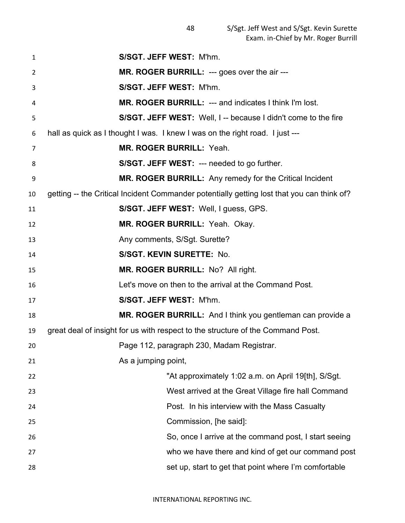| $\mathbf{1}$   | S/SGT. JEFF WEST: M'hm.                                                                    |
|----------------|--------------------------------------------------------------------------------------------|
| $\overline{2}$ | MR. ROGER BURRILL: --- goes over the air ---                                               |
| 3              | S/SGT. JEFF WEST: M'hm.                                                                    |
| 4              | <b>MR. ROGER BURRILL: --- and indicates I think I'm lost.</b>                              |
| 5              | S/SGT. JEFF WEST: Well, I -- because I didn't come to the fire                             |
| 6              | hall as quick as I thought I was. I knew I was on the right road. I just ---               |
| 7              | <b>MR. ROGER BURRILL: Yeah.</b>                                                            |
| 8              | <b>S/SGT. JEFF WEST: --- needed to go further.</b>                                         |
| 9              | <b>MR. ROGER BURRILL:</b> Any remedy for the Critical Incident                             |
| 10             | getting -- the Critical Incident Commander potentially getting lost that you can think of? |
| 11             | S/SGT. JEFF WEST: Well, I guess, GPS.                                                      |
| 12             | MR. ROGER BURRILL: Yeah. Okay.                                                             |
| 13             | Any comments, S/Sgt. Surette?                                                              |
| 14             | S/SGT. KEVIN SURETTE: No.                                                                  |
| 15             | MR. ROGER BURRILL: No? All right.                                                          |
| 16             | Let's move on then to the arrival at the Command Post.                                     |
| 17             | S/SGT. JEFF WEST: M'hm.                                                                    |
| 18             | MR. ROGER BURRILL: And I think you gentleman can provide a                                 |
| 19             | great deal of insight for us with respect to the structure of the Command Post.            |
| 20             | Page 112, paragraph 230, Madam Registrar.                                                  |
| 21             | As a jumping point,                                                                        |
| 22             | "At approximately 1:02 a.m. on April 19[th], S/Sgt.                                        |
| 23             | West arrived at the Great Village fire hall Command                                        |
| 24             | Post. In his interview with the Mass Casualty                                              |
| 25             | Commission, [he said]:                                                                     |
| 26             | So, once I arrive at the command post, I start seeing                                      |
| 27             | who we have there and kind of get our command post                                         |
| 28             | set up, start to get that point where I'm comfortable                                      |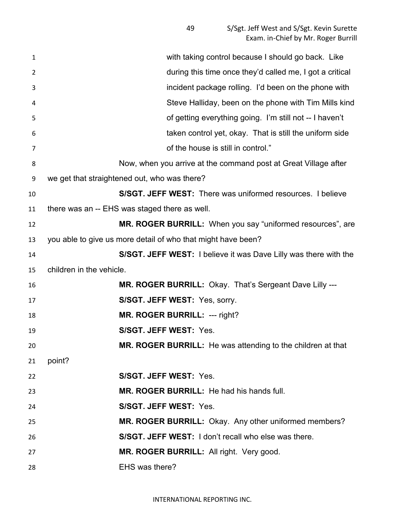| $\mathbf{1}$   | with taking control because I should go back. Like                      |
|----------------|-------------------------------------------------------------------------|
| $\overline{2}$ | during this time once they'd called me, I got a critical                |
| 3              | incident package rolling. I'd been on the phone with                    |
| 4              | Steve Halliday, been on the phone with Tim Mills kind                   |
| 5              | of getting everything going. I'm still not -- I haven't                 |
| 6              | taken control yet, okay. That is still the uniform side                 |
| $\overline{7}$ | of the house is still in control."                                      |
| 8              | Now, when you arrive at the command post at Great Village after         |
| 9              | we get that straightened out, who was there?                            |
| 10             | S/SGT. JEFF WEST: There was uniformed resources. I believe              |
| 11             | there was an -- EHS was staged there as well.                           |
| 12             | MR. ROGER BURRILL: When you say "uniformed resources", are              |
| 13             | you able to give us more detail of who that might have been?            |
| 14             | <b>S/SGT. JEFF WEST:</b> I believe it was Dave Lilly was there with the |
| 15             | children in the vehicle.                                                |
| 16             | MR. ROGER BURRILL: Okay. That's Sergeant Dave Lilly ---                 |
| 17             | S/SGT. JEFF WEST: Yes, sorry.                                           |
| 18             | <b>MR. ROGER BURRILL: --- right?</b>                                    |
| 19             | S/SGT. JEFF WEST: Yes.                                                  |
| 20             | <b>MR. ROGER BURRILL:</b> He was attending to the children at that      |
| 21             | point?                                                                  |
| 22             | S/SGT. JEFF WEST: Yes.                                                  |
| 23             | MR. ROGER BURRILL: He had his hands full.                               |
| 24             | S/SGT. JEFF WEST: Yes.                                                  |
| 25             | MR. ROGER BURRILL: Okay. Any other uniformed members?                   |
| 26             | S/SGT. JEFF WEST: I don't recall who else was there.                    |
| 27             | MR. ROGER BURRILL: All right. Very good.                                |
| 28             | EHS was there?                                                          |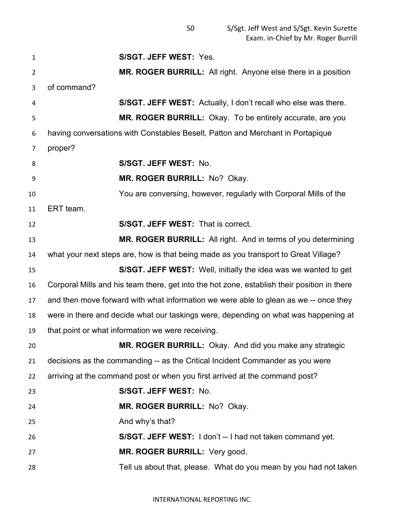**S/SGT. JEFF WEST:** Yes. **MR. ROGER BURRILL:** All right. Anyone else there in a position of command? **S/SGT. JEFF WEST:** Actually, I don't recall who else was there. **MR. ROGER BURRILL:** Okay. To be entirely accurate, are you having conversations with Constables Beselt, Patton and Merchant in Portapique proper? **S/SGT. JEFF WEST:** No. **MR. ROGER BURRILL:** No? Okay. You are conversing, however, regularly with Corporal Mills of the ERT team. **S/SGT. JEFF WEST:** That is correct. **MR. ROGER BURRILL:** All right. And in terms of you determining what your next steps are, how is that being made as you transport to Great Village? **S/SGT. JEFF WEST:** Well, initially the idea was we wanted to get Corporal Mills and his team there, get into the hot zone, establish their position in there and then move forward with what information we were able to glean as we -- once they were in there and decide what our taskings were, depending on what was happening at that point or what information we were receiving. **MR. ROGER BURRILL:** Okay. And did you make any strategic decisions as the commanding -- as the Critical Incident Commander as you were arriving at the command post or when you first arrived at the command post? **S/SGT. JEFF WEST:** No. **MR. ROGER BURRILL:** No? Okay. 25 And why's that? **S/SGT. JEFF WEST:** I don't -- I had not taken command yet. **MR. ROGER BURRILL:** Very good. Tell us about that, please. What do you mean by you had not taken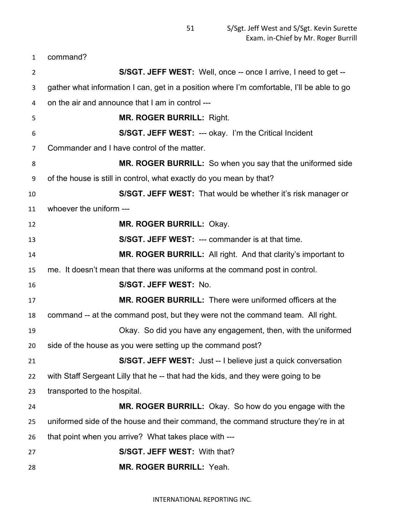command?

| $\overline{2}$ | S/SGT. JEFF WEST: Well, once -- once I arrive, I need to get --                            |
|----------------|--------------------------------------------------------------------------------------------|
| 3              | gather what information I can, get in a position where I'm comfortable, I'll be able to go |
| 4              | on the air and announce that I am in control ---                                           |
| 5              | <b>MR. ROGER BURRILL: Right.</b>                                                           |
| 6              | S/SGT. JEFF WEST: --- okay. I'm the Critical Incident                                      |
| 7              | Commander and I have control of the matter.                                                |
| 8              | <b>MR. ROGER BURRILL:</b> So when you say that the uniformed side                          |
| 9              | of the house is still in control, what exactly do you mean by that?                        |
| 10             | <b>S/SGT. JEFF WEST:</b> That would be whether it's risk manager or                        |
| 11             | whoever the uniform ---                                                                    |
| 12             | MR. ROGER BURRILL: Okay.                                                                   |
| 13             | S/SGT. JEFF WEST: --- commander is at that time.                                           |
| 14             | MR. ROGER BURRILL: All right. And that clarity's important to                              |
| 15             | me. It doesn't mean that there was uniforms at the command post in control.                |
| 16             | S/SGT. JEFF WEST: No.                                                                      |
| 17             | <b>MR. ROGER BURRILL:</b> There were uniformed officers at the                             |
| 18             | command -- at the command post, but they were not the command team. All right.             |
| 19             | Okay. So did you have any engagement, then, with the uniformed                             |
| 20             | side of the house as you were setting up the command post?                                 |
| 21             | S/SGT. JEFF WEST: Just -- I believe just a quick conversation                              |
| 22             | with Staff Sergeant Lilly that he -- that had the kids, and they were going to be          |
| 23             | transported to the hospital.                                                               |
| 24             | MR. ROGER BURRILL: Okay. So how do you engage with the                                     |
| 25             | uniformed side of the house and their command, the command structure they're in at         |
| 26             | that point when you arrive? What takes place with ---                                      |
| 27             | S/SGT. JEFF WEST: With that?                                                               |
| 28             | MR. ROGER BURRILL: Yeah.                                                                   |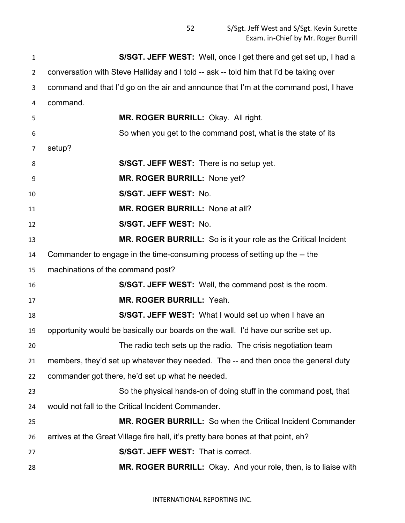S/Sgt. Jeff West and S/Sgt. Kevin Surette Exam. in-Chief by Mr. Roger Burrill

 **S/SGT. JEFF WEST:** Well, once I get there and get set up, I had a conversation with Steve Halliday and I told -- ask -- told him that I'd be taking over command and that I'd go on the air and announce that I'm at the command post, I have command. **MR. ROGER BURRILL:** Okay. All right. So when you get to the command post, what is the state of its setup? **S/SGT. JEFF WEST:** There is no setup yet. **MR. ROGER BURRILL:** None yet? **S/SGT. JEFF WEST:** No. **MR. ROGER BURRILL:** None at all? **S/SGT. JEFF WEST:** No. **MR. ROGER BURRILL:** So is it your role as the Critical Incident Commander to engage in the time-consuming process of setting up the -- the machinations of the command post? **S/SGT. JEFF WEST:** Well, the command post is the room. **MR. ROGER BURRILL:** Yeah. **S/SGT. JEFF WEST:** What I would set up when I have an opportunity would be basically our boards on the wall. I'd have our scribe set up. The radio tech sets up the radio. The crisis negotiation team members, they'd set up whatever they needed. The -- and then once the general duty commander got there, he'd set up what he needed. So the physical hands-on of doing stuff in the command post, that would not fall to the Critical Incident Commander. **MR. ROGER BURRILL:** So when the Critical Incident Commander arrives at the Great Village fire hall, it's pretty bare bones at that point, eh? **S/SGT. JEFF WEST:** That is correct. **MR. ROGER BURRILL:** Okay. And your role, then, is to liaise with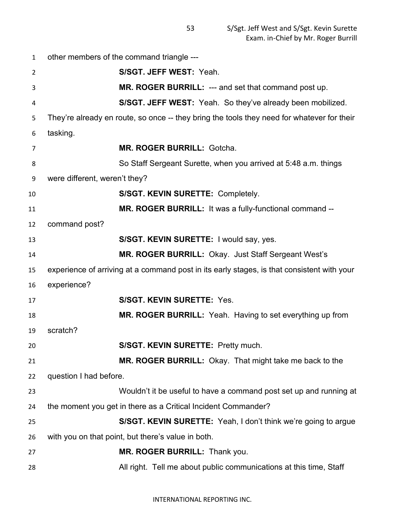other members of the command triangle --- **S/SGT. JEFF WEST:** Yeah. **MR. ROGER BURRILL:** --- and set that command post up. **S/SGT. JEFF WEST:** Yeah. So they've already been mobilized. They're already en route, so once -- they bring the tools they need for whatever for their tasking. **MR. ROGER BURRILL:** Gotcha. So Staff Sergeant Surette, when you arrived at 5:48 a.m. things were different, weren't they? **S/SGT. KEVIN SURETTE:** Completely. **MR. ROGER BURRILL:** It was a fully-functional command -- command post? **S/SGT. KEVIN SURETTE:** I would say, yes. **MR. ROGER BURRILL:** Okay. Just Staff Sergeant West's experience of arriving at a command post in its early stages, is that consistent with your experience? **S/SGT. KEVIN SURETTE:** Yes. **MR. ROGER BURRILL:** Yeah. Having to set everything up from scratch? **S/SGT. KEVIN SURETTE:** Pretty much. **MR. ROGER BURRILL:** Okay. That might take me back to the question I had before. Wouldn't it be useful to have a command post set up and running at the moment you get in there as a Critical Incident Commander? **S/SGT. KEVIN SURETTE:** Yeah, I don't think we're going to argue with you on that point, but there's value in both. **MR. ROGER BURRILL:** Thank you. All right. Tell me about public communications at this time, Staff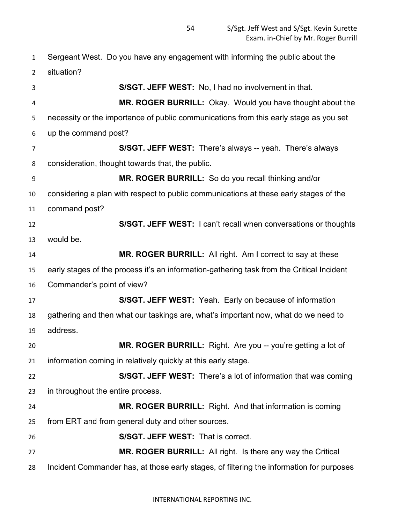Sergeant West. Do you have any engagement with informing the public about the situation? **S/SGT. JEFF WEST:** No, I had no involvement in that. **MR. ROGER BURRILL:** Okay. Would you have thought about the necessity or the importance of public communications from this early stage as you set up the command post? **S/SGT. JEFF WEST:** There's always -- yeah. There's always consideration, thought towards that, the public. **MR. ROGER BURRILL:** So do you recall thinking and/or considering a plan with respect to public communications at these early stages of the command post? **S/SGT. JEFF WEST:** I can't recall when conversations or thoughts would be. **MR. ROGER BURRILL:** All right. Am I correct to say at these early stages of the process it's an information-gathering task from the Critical Incident Commander's point of view? **S/SGT. JEFF WEST:** Yeah. Early on because of information gathering and then what our taskings are, what's important now, what do we need to address. **MR. ROGER BURRILL:** Right. Are you -- you're getting a lot of information coming in relatively quickly at this early stage. **S/SGT. JEFF WEST:** There's a lot of information that was coming in throughout the entire process. **MR. ROGER BURRILL:** Right. And that information is coming from ERT and from general duty and other sources. **S/SGT. JEFF WEST:** That is correct. **MR. ROGER BURRILL:** All right. Is there any way the Critical Incident Commander has, at those early stages, of filtering the information for purposes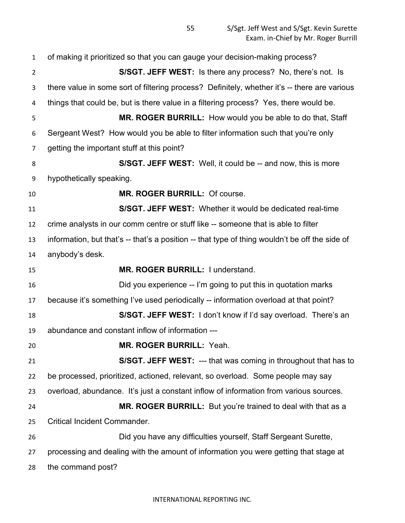of making it prioritized so that you can gauge your decision-making process? **S/SGT. JEFF WEST:** Is there any process? No, there's not. Is there value in some sort of filtering process? Definitely, whether it's -- there are various things that could be, but is there value in a filtering process? Yes, there would be. **MR. ROGER BURRILL:** How would you be able to do that, Staff Sergeant West? How would you be able to filter information such that you're only getting the important stuff at this point? **S/SGT. JEFF WEST:** Well, it could be -- and now, this is more hypothetically speaking. **MR. ROGER BURRILL:** Of course. **S/SGT. JEFF WEST:** Whether it would be dedicated real-time crime analysts in our comm centre or stuff like -- someone that is able to filter information, but that's -- that's a position -- that type of thing wouldn't be off the side of anybody's desk. **MR. ROGER BURRILL:** I understand. Did you experience -- I'm going to put this in quotation marks because it's something I've used periodically -- information overload at that point? **S/SGT. JEFF WEST:** I don't know if I'd say overload. There's an abundance and constant inflow of information --- **MR. ROGER BURRILL:** Yeah. **S/SGT. JEFF WEST:** --- that was coming in throughout that has to be processed, prioritized, actioned, relevant, so overload. Some people may say overload, abundance. It's just a constant inflow of information from various sources. **MR. ROGER BURRILL:** But you're trained to deal with that as a Critical Incident Commander. Did you have any difficulties yourself, Staff Sergeant Surette, processing and dealing with the amount of information you were getting that stage at the command post?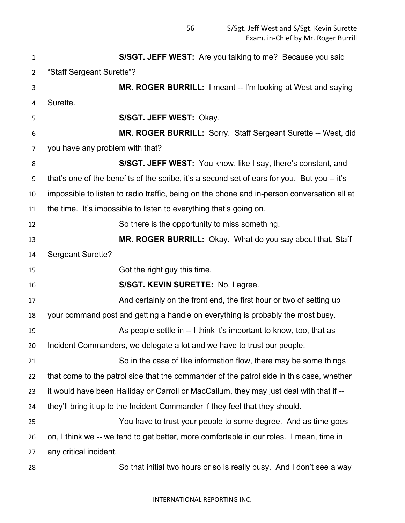| 1              | S/SGT. JEFF WEST: Are you talking to me? Because you said                                    |
|----------------|----------------------------------------------------------------------------------------------|
| $\overline{2}$ | "Staff Sergeant Surette"?                                                                    |
| 3              | <b>MR. ROGER BURRILL:</b> I meant -- I'm looking at West and saying                          |
| 4              | Surette.                                                                                     |
| 5              | S/SGT. JEFF WEST: Okay.                                                                      |
| 6              | <b>MR. ROGER BURRILL:</b> Sorry. Staff Sergeant Surette -- West, did                         |
| 7              | you have any problem with that?                                                              |
| 8              | S/SGT. JEFF WEST: You know, like I say, there's constant, and                                |
| 9              | that's one of the benefits of the scribe, it's a second set of ears for you. But you -- it's |
| 10             | impossible to listen to radio traffic, being on the phone and in-person conversation all at  |
| 11             | the time. It's impossible to listen to everything that's going on.                           |
| 12             | So there is the opportunity to miss something.                                               |
| 13             | MR. ROGER BURRILL: Okay. What do you say about that, Staff                                   |
| 14             | <b>Sergeant Surette?</b>                                                                     |
| 15             | Got the right guy this time.                                                                 |
| 16             | S/SGT. KEVIN SURETTE: No, I agree.                                                           |
| 17             | And certainly on the front end, the first hour or two of setting up                          |
| 18             | your command post and getting a handle on everything is probably the most busy.              |
| 19             | As people settle in -- I think it's important to know, too, that as                          |
| 20             | Incident Commanders, we delegate a lot and we have to trust our people.                      |
| 21             | So in the case of like information flow, there may be some things                            |
| 22             | that come to the patrol side that the commander of the patrol side in this case, whether     |
| 23             | it would have been Halliday or Carroll or MacCallum, they may just deal with that if --      |
| 24             | they'll bring it up to the Incident Commander if they feel that they should.                 |
| 25             | You have to trust your people to some degree. And as time goes                               |
| 26             | on, I think we -- we tend to get better, more comfortable in our roles. I mean, time in      |
| 27             | any critical incident.                                                                       |
| 28             | So that initial two hours or so is really busy. And I don't see a way                        |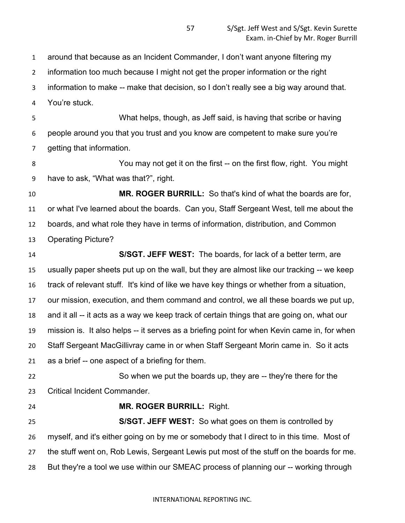around that because as an Incident Commander, I don't want anyone filtering my

information too much because I might not get the proper information or the right

information to make -- make that decision, so I don't really see a big way around that.

You're stuck.

 What helps, though, as Jeff said, is having that scribe or having people around you that you trust and you know are competent to make sure you're getting that information.

 You may not get it on the first -- on the first flow, right. You might have to ask, "What was that?", right.

 **MR. ROGER BURRILL:** So that's kind of what the boards are for, or what I've learned about the boards. Can you, Staff Sergeant West, tell me about the boards, and what role they have in terms of information, distribution, and Common Operating Picture?

 **S/SGT. JEFF WEST:** The boards, for lack of a better term, are usually paper sheets put up on the wall, but they are almost like our tracking -- we keep track of relevant stuff. It's kind of like we have key things or whether from a situation, our mission, execution, and them command and control, we all these boards we put up, and it all -- it acts as a way we keep track of certain things that are going on, what our mission is. It also helps -- it serves as a briefing point for when Kevin came in, for when Staff Sergeant MacGillivray came in or when Staff Sergeant Morin came in. So it acts as a brief -- one aspect of a briefing for them. So when we put the boards up, they are -- they're there for the

Critical Incident Commander.

## **MR. ROGER BURRILL:** Right.

 **S/SGT. JEFF WEST:** So what goes on them is controlled by myself, and it's either going on by me or somebody that I direct to in this time. Most of the stuff went on, Rob Lewis, Sergeant Lewis put most of the stuff on the boards for me. But they're a tool we use within our SMEAC process of planning our -- working through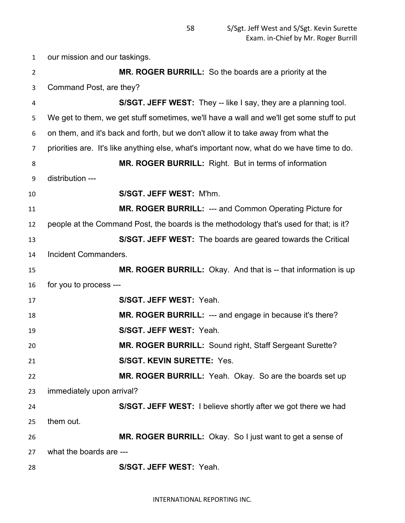our mission and our taskings. **MR. ROGER BURRILL:** So the boards are a priority at the Command Post, are they? **S/SGT. JEFF WEST:** They -- like I say, they are a planning tool. We get to them, we get stuff sometimes, we'll have a wall and we'll get some stuff to put on them, and it's back and forth, but we don't allow it to take away from what the priorities are. It's like anything else, what's important now, what do we have time to do. **MR. ROGER BURRILL:** Right. But in terms of information distribution --- **S/SGT. JEFF WEST:** M'hm. **MR. ROGER BURRILL:** --- and Common Operating Picture for people at the Command Post, the boards is the methodology that's used for that; is it? **S/SGT. JEFF WEST:** The boards are geared towards the Critical Incident Commanders. **MR. ROGER BURRILL:** Okay. And that is -- that information is up for you to process --- **S/SGT. JEFF WEST:** Yeah. **MR. ROGER BURRILL:** --- and engage in because it's there? **S/SGT. JEFF WEST:** Yeah. **MR. ROGER BURRILL:** Sound right, Staff Sergeant Surette? **S/SGT. KEVIN SURETTE:** Yes. **MR. ROGER BURRILL:** Yeah. Okay. So are the boards set up immediately upon arrival? **S/SGT. JEFF WEST:** I believe shortly after we got there we had them out. **MR. ROGER BURRILL:** Okay. So I just want to get a sense of what the boards are --- **S/SGT. JEFF WEST:** Yeah.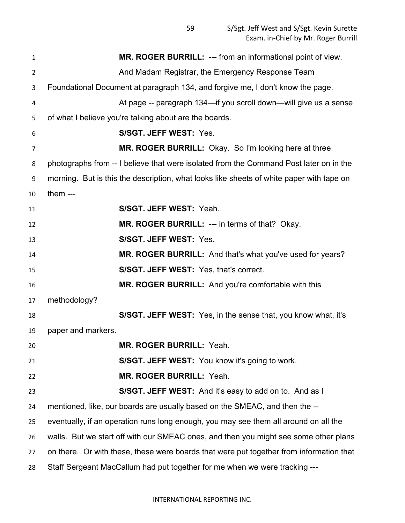S/Sgt. Jeff West and S/Sgt. Kevin Surette Exam. in-Chief by Mr. Roger Burrill

| $\mathbf{1}$   | MR. ROGER BURRILL: --- from an informational point of view.                              |
|----------------|------------------------------------------------------------------------------------------|
| $\overline{2}$ | And Madam Registrar, the Emergency Response Team                                         |
| 3              | Foundational Document at paragraph 134, and forgive me, I don't know the page.           |
| 4              | At page -- paragraph 134—if you scroll down—will give us a sense                         |
| 5              | of what I believe you're talking about are the boards.                                   |
| 6              | S/SGT. JEFF WEST: Yes.                                                                   |
| 7              | <b>MR. ROGER BURRILL:</b> Okay. So I'm looking here at three                             |
| 8              | photographs from -- I believe that were isolated from the Command Post later on in the   |
| 9              | morning. But is this the description, what looks like sheets of white paper with tape on |
| 10             | them $--$                                                                                |
| 11             | S/SGT. JEFF WEST: Yeah.                                                                  |
| 12             | MR. ROGER BURRILL: --- in terms of that? Okay.                                           |
| 13             | S/SGT. JEFF WEST: Yes.                                                                   |
| 14             | MR. ROGER BURRILL: And that's what you've used for years?                                |
| 15             | S/SGT. JEFF WEST: Yes, that's correct.                                                   |
| 16             | <b>MR. ROGER BURRILL:</b> And you're comfortable with this                               |
| 17             | methodology?                                                                             |
| 18             | <b>S/SGT. JEFF WEST:</b> Yes, in the sense that, you know what, it's                     |
| 19             | paper and markers.                                                                       |
| 20             | <b>MR. ROGER BURRILL: Yeah.</b>                                                          |
| 21             | S/SGT. JEFF WEST: You know it's going to work.                                           |
| 22             | MR. ROGER BURRILL: Yeah.                                                                 |
| 23             | <b>S/SGT. JEFF WEST:</b> And it's easy to add on to. And as I                            |
| 24             | mentioned, like, our boards are usually based on the SMEAC, and then the --              |
| 25             | eventually, if an operation runs long enough, you may see them all around on all the     |
| 26             | walls. But we start off with our SMEAC ones, and then you might see some other plans     |
| 27             | on there. Or with these, these were boards that were put together from information that  |
| 28             | Staff Sergeant MacCallum had put together for me when we were tracking ---               |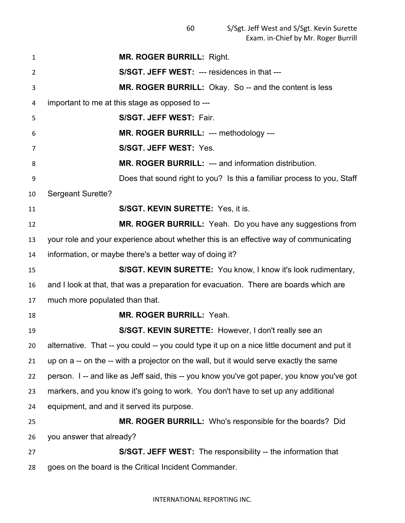S/Sgt. Jeff West and S/Sgt. Kevin Surette Exam. in-Chief by Mr. Roger Burrill

| 1  | <b>MR. ROGER BURRILL: Right.</b>                                                            |
|----|---------------------------------------------------------------------------------------------|
| 2  | S/SGT. JEFF WEST: --- residences in that ---                                                |
| 3  | MR. ROGER BURRILL: Okay. So -- and the content is less                                      |
| 4  | important to me at this stage as opposed to ---                                             |
| 5  | S/SGT. JEFF WEST: Fair.                                                                     |
| 6  | MR. ROGER BURRILL: --- methodology ---                                                      |
| 7  | S/SGT. JEFF WEST: Yes.                                                                      |
| 8  | MR. ROGER BURRILL: --- and information distribution.                                        |
| 9  | Does that sound right to you? Is this a familiar process to you, Staff                      |
| 10 | <b>Sergeant Surette?</b>                                                                    |
| 11 | S/SGT. KEVIN SURETTE: Yes, it is.                                                           |
| 12 | <b>MR. ROGER BURRILL:</b> Yeah. Do you have any suggestions from                            |
| 13 | your role and your experience about whether this is an effective way of communicating       |
| 14 | information, or maybe there's a better way of doing it?                                     |
| 15 | S/SGT. KEVIN SURETTE: You know, I know it's look rudimentary,                               |
| 16 | and I look at that, that was a preparation for evacuation. There are boards which are       |
| 17 | much more populated than that.                                                              |
| 18 | MR. ROGER BURRILL: Yeah.                                                                    |
| 19 | S/SGT. KEVIN SURETTE: However, I don't really see an                                        |
| 20 | alternative. That -- you could -- you could type it up on a nice little document and put it |
| 21 | up on a -- on the -- with a projector on the wall, but it would serve exactly the same      |
| 22 | person. I -- and like as Jeff said, this -- you know you've got paper, you know you've got  |
| 23 | markers, and you know it's going to work. You don't have to set up any additional           |
| 24 | equipment, and and it served its purpose.                                                   |
| 25 | <b>MR. ROGER BURRILL:</b> Who's responsible for the boards? Did                             |
| 26 | you answer that already?                                                                    |
| 27 | S/SGT. JEFF WEST: The responsibility -- the information that                                |
| 28 | goes on the board is the Critical Incident Commander.                                       |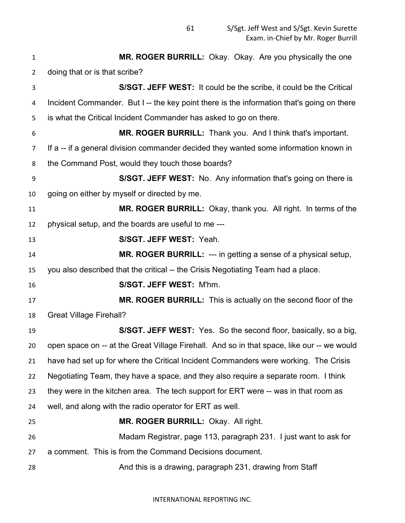| $\mathbf{1}$   | MR. ROGER BURRILL: Okay. Okay. Are you physically the one                                  |
|----------------|--------------------------------------------------------------------------------------------|
| $\overline{2}$ | doing that or is that scribe?                                                              |
| 3              | S/SGT. JEFF WEST: It could be the scribe, it could be the Critical                         |
| 4              | Incident Commander. But I -- the key point there is the information that's going on there  |
| 5              | is what the Critical Incident Commander has asked to go on there.                          |
| 6              | MR. ROGER BURRILL: Thank you. And I think that's important.                                |
| 7              | If a -- if a general division commander decided they wanted some information known in      |
| 8              | the Command Post, would they touch those boards?                                           |
| 9              | S/SGT. JEFF WEST: No. Any information that's going on there is                             |
| 10             | going on either by myself or directed by me.                                               |
| 11             | MR. ROGER BURRILL: Okay, thank you. All right. In terms of the                             |
| 12             | physical setup, and the boards are useful to me ---                                        |
| 13             | S/SGT. JEFF WEST: Yeah.                                                                    |
| 14             | <b>MR. ROGER BURRILL: --- in getting a sense of a physical setup,</b>                      |
| 15             | you also described that the critical -- the Crisis Negotiating Team had a place.           |
| 16             | S/SGT. JEFF WEST: M'hm.                                                                    |
| 17             | MR. ROGER BURRILL: This is actually on the second floor of the                             |
| 18             | <b>Great Village Firehall?</b>                                                             |
| 19             | S/SGT. JEFF WEST: Yes. So the second floor, basically, so a big,                           |
| 20             | open space on -- at the Great Village Firehall. And so in that space, like our -- we would |
| 21             | have had set up for where the Critical Incident Commanders were working. The Crisis        |
| 22             | Negotiating Team, they have a space, and they also require a separate room. I think        |
| 23             | they were in the kitchen area. The tech support for ERT were -- was in that room as        |
| 24             | well, and along with the radio operator for ERT as well.                                   |
| 25             | MR. ROGER BURRILL: Okay. All right.                                                        |
| 26             | Madam Registrar, page 113, paragraph 231. I just want to ask for                           |
| 27             | a comment. This is from the Command Decisions document.                                    |
| 28             | And this is a drawing, paragraph 231, drawing from Staff                                   |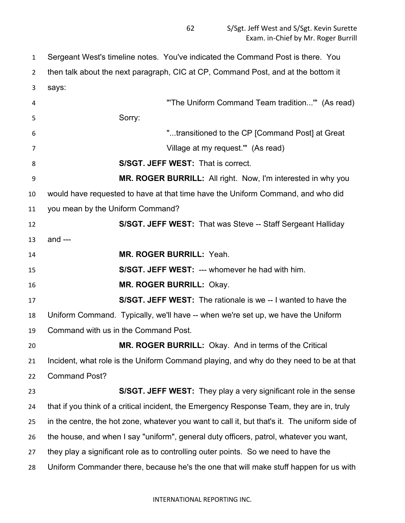Sergeant West's timeline notes. You've indicated the Command Post is there. You then talk about the next paragraph, CIC at CP, Command Post, and at the bottom it says: "'The Uniform Command Team tradition...'" (As read) Sorry: "...transitioned to the CP [Command Post] at Great Village at my request.'" (As read) **S/SGT. JEFF WEST:** That is correct. **MR. ROGER BURRILL:** All right. Now, I'm interested in why you would have requested to have at that time have the Uniform Command, and who did you mean by the Uniform Command? **S/SGT. JEFF WEST:** That was Steve -- Staff Sergeant Halliday and --- **MR. ROGER BURRILL:** Yeah. **S/SGT. JEFF WEST:** --- whomever he had with him. **MR. ROGER BURRILL:** Okay. **S/SGT. JEFF WEST:** The rationale is we -- I wanted to have the Uniform Command. Typically, we'll have -- when we're set up, we have the Uniform Command with us in the Command Post. **MR. ROGER BURRILL:** Okay. And in terms of the Critical Incident, what role is the Uniform Command playing, and why do they need to be at that Command Post? **S/SGT. JEFF WEST:** They play a very significant role in the sense that if you think of a critical incident, the Emergency Response Team, they are in, truly in the centre, the hot zone, whatever you want to call it, but that's it. The uniform side of the house, and when I say "uniform", general duty officers, patrol, whatever you want, they play a significant role as to controlling outer points. So we need to have the Uniform Commander there, because he's the one that will make stuff happen for us with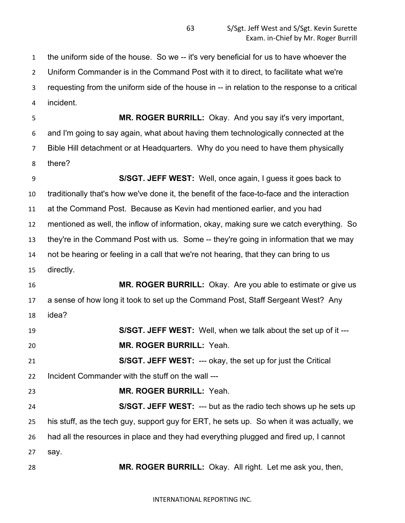the uniform side of the house. So we -- it's very beneficial for us to have whoever the Uniform Commander is in the Command Post with it to direct, to facilitate what we're requesting from the uniform side of the house in -- in relation to the response to a critical incident.

 **MR. ROGER BURRILL:** Okay. And you say it's very important, and I'm going to say again, what about having them technologically connected at the Bible Hill detachment or at Headquarters. Why do you need to have them physically there?

 **S/SGT. JEFF WEST:** Well, once again, I guess it goes back to traditionally that's how we've done it, the benefit of the face-to-face and the interaction at the Command Post. Because as Kevin had mentioned earlier, and you had mentioned as well, the inflow of information, okay, making sure we catch everything. So they're in the Command Post with us. Some -- they're going in information that we may not be hearing or feeling in a call that we're not hearing, that they can bring to us directly. **MR. ROGER BURRILL:** Okay. Are you able to estimate or give us

 a sense of how long it took to set up the Command Post, Staff Sergeant West? Any idea?

 **S/SGT. JEFF WEST:** Well, when we talk about the set up of it --- **MR. ROGER BURRILL:** Yeah.

 **S/SGT. JEFF WEST:** --- okay, the set up for just the Critical Incident Commander with the stuff on the wall ---

**MR. ROGER BURRILL:** Yeah.

 **S/SGT. JEFF WEST:** --- but as the radio tech shows up he sets up his stuff, as the tech guy, support guy for ERT, he sets up. So when it was actually, we had all the resources in place and they had everything plugged and fired up, I cannot say.

**MR. ROGER BURRILL:** Okay. All right. Let me ask you, then,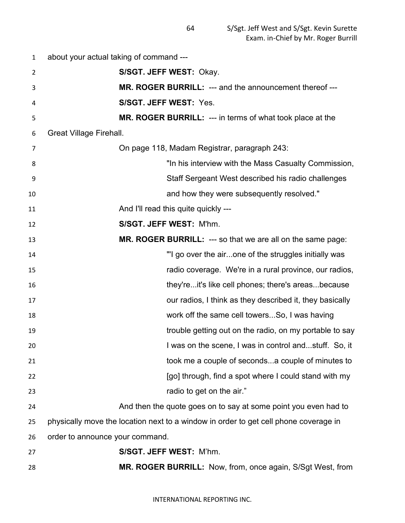about your actual taking of command --- **S/SGT. JEFF WEST:** Okay. **MR. ROGER BURRILL:** --- and the announcement thereof --- **S/SGT. JEFF WEST:** Yes. **MR. ROGER BURRILL:** --- in terms of what took place at the Great Village Firehall. On page 118, Madam Registrar, paragraph 243: "In his interview with the Mass Casualty Commission, Staff Sergeant West described his radio challenges and how they were subsequently resolved." **And I'll read this quite quickly --- S/SGT. JEFF WEST:** M'hm. **MR. ROGER BURRILL:** --- so that we are all on the same page: "'I go over the air...one of the struggles initially was radio coverage. We're in a rural province, our radios, they're...it's like cell phones; there's areas...because our radios, I think as they described it, they basically work off the same cell towers...So, I was having trouble getting out on the radio, on my portable to say I was on the scene, I was in control and...stuff. So, it took me a couple of seconds...a couple of minutes to **Example 20 EXEC 10 EXEC 10 CONDUCT EXECUTE:** [go] through, find a spot where I could stand with my radio to get on the air." And then the quote goes on to say at some point you even had to physically move the location next to a window in order to get cell phone coverage in order to announce your command. **S/SGT. JEFF WEST:** M'hm. **MR. ROGER BURRILL:** Now, from, once again, S/Sgt West, from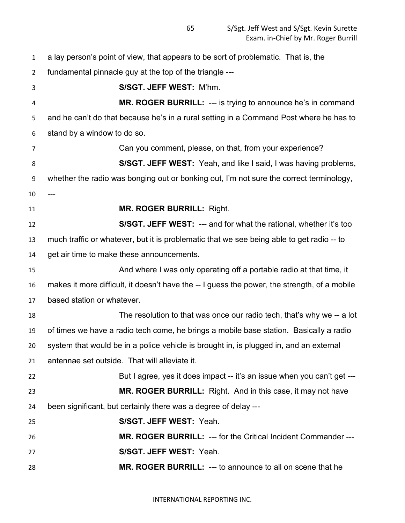a lay person's point of view, that appears to be sort of problematic. That is, the fundamental pinnacle guy at the top of the triangle --- **S/SGT. JEFF WEST:** M'hm. **MR. ROGER BURRILL:** --- is trying to announce he's in command and he can't do that because he's in a rural setting in a Command Post where he has to stand by a window to do so. Can you comment, please, on that, from your experience? **S/SGT. JEFF WEST:** Yeah, and like I said, I was having problems, whether the radio was bonging out or bonking out, I'm not sure the correct terminology, --- **MR. ROGER BURRILL:** Right. **S/SGT. JEFF WEST:** --- and for what the rational, whether it's too much traffic or whatever, but it is problematic that we see being able to get radio -- to get air time to make these announcements. And where I was only operating off a portable radio at that time, it makes it more difficult, it doesn't have the -- I guess the power, the strength, of a mobile based station or whatever. The resolution to that was once our radio tech, that's why we -- a lot of times we have a radio tech come, he brings a mobile base station. Basically a radio system that would be in a police vehicle is brought in, is plugged in, and an external antennae set outside. That will alleviate it. **But I agree, yes it does impact -- it's an issue when you can't get --- MR. ROGER BURRILL:** Right. And in this case, it may not have been significant, but certainly there was a degree of delay --- **S/SGT. JEFF WEST:** Yeah. **MR. ROGER BURRILL:** --- for the Critical Incident Commander --- **S/SGT. JEFF WEST:** Yeah. **MR. ROGER BURRILL:** --- to announce to all on scene that he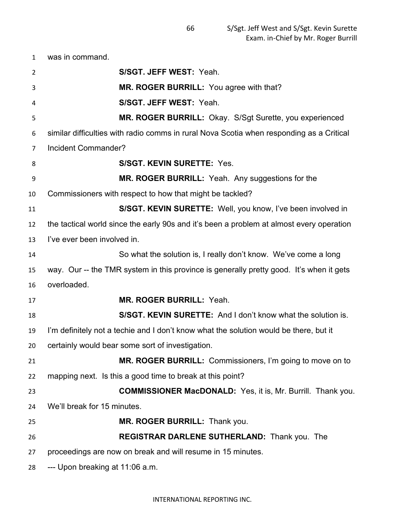was in command. **S/SGT. JEFF WEST:** Yeah. **MR. ROGER BURRILL:** You agree with that? **S/SGT. JEFF WEST:** Yeah. **MR. ROGER BURRILL:** Okay. S/Sgt Surette, you experienced similar difficulties with radio comms in rural Nova Scotia when responding as a Critical Incident Commander? **S/SGT. KEVIN SURETTE:** Yes. **MR. ROGER BURRILL:** Yeah. Any suggestions for the Commissioners with respect to how that might be tackled? **S/SGT. KEVIN SURETTE:** Well, you know, I've been involved in the tactical world since the early 90s and it's been a problem at almost every operation I've ever been involved in. So what the solution is, I really don't know. We've come a long way. Our -- the TMR system in this province is generally pretty good. It's when it gets overloaded. **MR. ROGER BURRILL:** Yeah. **S/SGT. KEVIN SURETTE:** And I don't know what the solution is. I'm definitely not a techie and I don't know what the solution would be there, but it certainly would bear some sort of investigation. **MR. ROGER BURRILL:** Commissioners, I'm going to move on to mapping next. Is this a good time to break at this point? **COMMISSIONER MacDONALD:** Yes, it is, Mr. Burrill. Thank you. We'll break for 15 minutes. **MR. ROGER BURRILL:** Thank you. **REGISTRAR DARLENE SUTHERLAND:** Thank you. The proceedings are now on break and will resume in 15 minutes. --- Upon breaking at 11:06 a.m.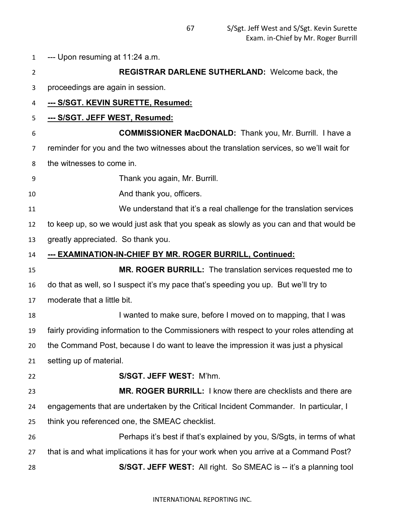--- Upon resuming at 11:24 a.m. **REGISTRAR DARLENE SUTHERLAND:** Welcome back, the proceedings are again in session. **--- S/SGT. KEVIN SURETTE, Resumed: --- S/SGT. JEFF WEST, Resumed: COMMISSIONER MacDONALD:** Thank you, Mr. Burrill. I have a reminder for you and the two witnesses about the translation services, so we'll wait for the witnesses to come in. Thank you again, Mr. Burrill. 10 And thank you, officers. We understand that it's a real challenge for the translation services to keep up, so we would just ask that you speak as slowly as you can and that would be greatly appreciated. So thank you. **--- EXAMINATION-IN-CHIEF BY MR. ROGER BURRILL, Continued: MR. ROGER BURRILL:** The translation services requested me to do that as well, so I suspect it's my pace that's speeding you up. But we'll try to moderate that a little bit. 18 I wanted to make sure, before I moved on to mapping, that I was fairly providing information to the Commissioners with respect to your roles attending at the Command Post, because I do want to leave the impression it was just a physical setting up of material. **S/SGT. JEFF WEST:** M'hm. **MR. ROGER BURRILL:** I know there are checklists and there are engagements that are undertaken by the Critical Incident Commander. In particular, I think you referenced one, the SMEAC checklist. Perhaps it's best if that's explained by you, S/Sgts, in terms of what that is and what implications it has for your work when you arrive at a Command Post? **S/SGT. JEFF WEST:** All right. So SMEAC is -- it's a planning tool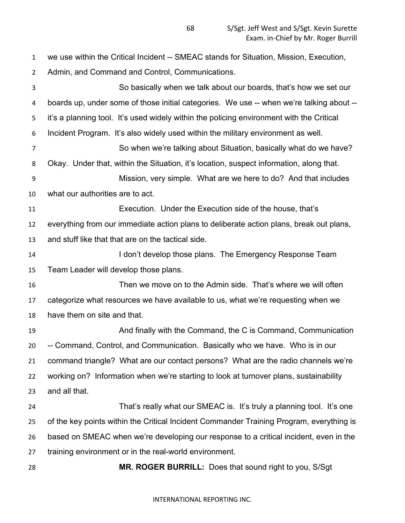we use within the Critical Incident -- SMEAC stands for Situation, Mission, Execution, Admin, and Command and Control, Communications. So basically when we talk about our boards, that's how we set our boards up, under some of those initial categories. We use -- when we're talking about -- it's a planning tool. It's used widely within the policing environment with the Critical Incident Program. It's also widely used within the military environment as well. So when we're talking about Situation, basically what do we have? Okay. Under that, within the Situation, it's location, suspect information, along that. Mission, very simple. What are we here to do? And that includes what our authorities are to act. Execution. Under the Execution side of the house, that's everything from our immediate action plans to deliberate action plans, break out plans, and stuff like that that are on the tactical side. **I don't develop those plans.** The Emergency Response Team Team Leader will develop those plans. Then we move on to the Admin side. That's where we will often categorize what resources we have available to us, what we're requesting when we have them on site and that. And finally with the Command, the C is Command, Communication -- Command, Control, and Communication. Basically who we have. Who is in our command triangle? What are our contact persons? What are the radio channels we're working on? Information when we're starting to look at turnover plans, sustainability and all that. That's really what our SMEAC is. It's truly a planning tool. It's one of the key points within the Critical Incident Commander Training Program, everything is based on SMEAC when we're developing our response to a critical incident, even in the training environment or in the real-world environment. **MR. ROGER BURRILL:** Does that sound right to you, S/Sgt

## INTERNATIONAL REPORTING INC.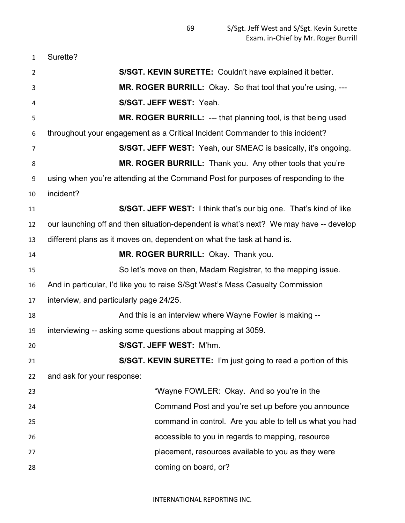| $\mathbf{1}$ | Surette?                                                                              |
|--------------|---------------------------------------------------------------------------------------|
| 2            | S/SGT. KEVIN SURETTE: Couldn't have explained it better.                              |
| 3            | MR. ROGER BURRILL: Okay. So that tool that you're using, ---                          |
| 4            | S/SGT. JEFF WEST: Yeah.                                                               |
| 5            | MR. ROGER BURRILL: --- that planning tool, is that being used                         |
| 6            | throughout your engagement as a Critical Incident Commander to this incident?         |
| 7            | <b>S/SGT. JEFF WEST:</b> Yeah, our SMEAC is basically, it's ongoing.                  |
| 8            | MR. ROGER BURRILL: Thank you. Any other tools that you're                             |
| 9            | using when you're attending at the Command Post for purposes of responding to the     |
| 10           | incident?                                                                             |
| 11           | S/SGT. JEFF WEST: I think that's our big one. That's kind of like                     |
| 12           | our launching off and then situation-dependent is what's next? We may have -- develop |
| 13           | different plans as it moves on, dependent on what the task at hand is.                |
| 14           | MR. ROGER BURRILL: Okay. Thank you.                                                   |
| 15           | So let's move on then, Madam Registrar, to the mapping issue.                         |
| 16           | And in particular, I'd like you to raise S/Sgt West's Mass Casualty Commission        |
| 17           | interview, and particularly page 24/25.                                               |
| 18           | And this is an interview where Wayne Fowler is making --                              |
| 19           | interviewing -- asking some questions about mapping at 3059.                          |
| 20           | S/SGT. JEFF WEST: M'hm.                                                               |
| 21           | S/SGT. KEVIN SURETTE: I'm just going to read a portion of this                        |
| 22           | and ask for your response:                                                            |
| 23           | "Wayne FOWLER: Okay. And so you're in the                                             |
| 24           | Command Post and you're set up before you announce                                    |
| 25           | command in control. Are you able to tell us what you had                              |
| 26           | accessible to you in regards to mapping, resource                                     |
| 27           | placement, resources available to you as they were                                    |
| 28           | coming on board, or?                                                                  |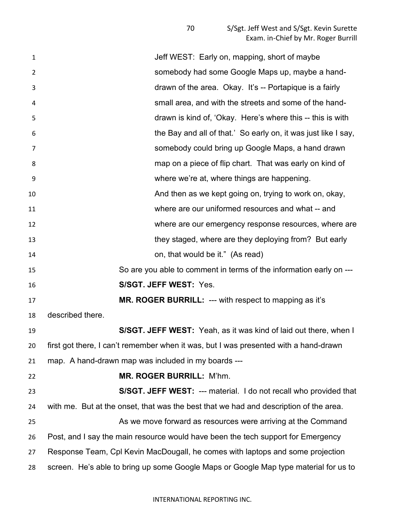**1** Jeff WEST: Early on, mapping, short of maybe somebody had some Google Maps up, maybe a hand- drawn of the area. Okay. It's -- Portapique is a fairly small area, and with the streets and some of the hand- drawn is kind of, 'Okay. Here's where this -- this is with the Bay and all of that.' So early on, it was just like I say, somebody could bring up Google Maps, a hand drawn map on a piece of flip chart. That was early on kind of where we're at, where things are happening. **And then as we kept going on, trying to work on, okay,** the And then as we kept going on, trying to work on, okay, where are our uniformed resources and what -- and where are our emergency response resources, where are 13 they staged, where are they deploying from? But early on, that would be it." (As read) So are you able to comment in terms of the information early on --- **S/SGT. JEFF WEST:** Yes. **MR. ROGER BURRILL:** --- with respect to mapping as it's described there. **S/SGT. JEFF WEST:** Yeah, as it was kind of laid out there, when I first got there, I can't remember when it was, but I was presented with a hand-drawn map. A hand-drawn map was included in my boards --- **MR. ROGER BURRILL:** M'hm. **S/SGT. JEFF WEST:** --- material. I do not recall who provided that with me. But at the onset, that was the best that we had and description of the area. As we move forward as resources were arriving at the Command Post, and I say the main resource would have been the tech support for Emergency Response Team, Cpl Kevin MacDougall, he comes with laptops and some projection screen. He's able to bring up some Google Maps or Google Map type material for us to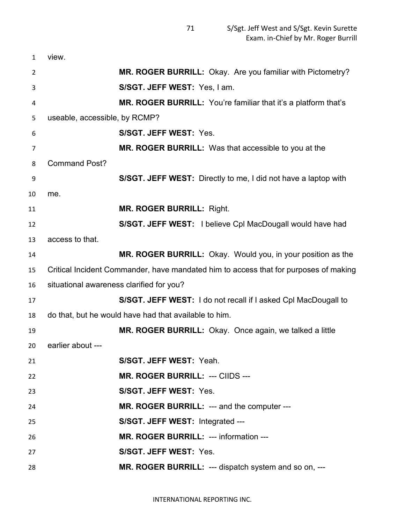| 1  | view.                                    |                                                                                      |
|----|------------------------------------------|--------------------------------------------------------------------------------------|
| 2  |                                          | MR. ROGER BURRILL: Okay. Are you familiar with Pictometry?                           |
| 3  |                                          | S/SGT. JEFF WEST: Yes, I am.                                                         |
| 4  |                                          | MR. ROGER BURRILL: You're familiar that it's a platform that's                       |
| 5  | useable, accessible, by RCMP?            |                                                                                      |
| 6  |                                          | S/SGT. JEFF WEST: Yes.                                                               |
| 7  |                                          | MR. ROGER BURRILL: Was that accessible to you at the                                 |
| 8  | <b>Command Post?</b>                     |                                                                                      |
| 9  |                                          | S/SGT. JEFF WEST: Directly to me, I did not have a laptop with                       |
| 10 | me.                                      |                                                                                      |
| 11 |                                          | <b>MR. ROGER BURRILL: Right.</b>                                                     |
| 12 |                                          | S/SGT. JEFF WEST: I believe CpI MacDougall would have had                            |
| 13 | access to that.                          |                                                                                      |
| 14 |                                          | MR. ROGER BURRILL: Okay. Would you, in your position as the                          |
| 15 |                                          | Critical Incident Commander, have mandated him to access that for purposes of making |
| 16 | situational awareness clarified for you? |                                                                                      |
| 17 |                                          | S/SGT. JEFF WEST: I do not recall if I asked CpI MacDougall to                       |
| 18 |                                          | do that, but he would have had that available to him.                                |
| 19 |                                          | MR. ROGER BURRILL: Okay. Once again, we talked a little                              |
| 20 | earlier about ---                        |                                                                                      |
| 21 |                                          | S/SGT. JEFF WEST: Yeah.                                                              |
| 22 |                                          | MR. ROGER BURRILL: --- CIIDS ---                                                     |
| 23 |                                          | S/SGT. JEFF WEST: Yes.                                                               |
| 24 |                                          | MR. ROGER BURRILL: --- and the computer ---                                          |
| 25 |                                          | S/SGT. JEFF WEST: Integrated ---                                                     |
| 26 |                                          | MR. ROGER BURRILL: --- information ---                                               |
| 27 |                                          | S/SGT. JEFF WEST: Yes.                                                               |
| 28 |                                          | MR. ROGER BURRILL: --- dispatch system and so on, ---                                |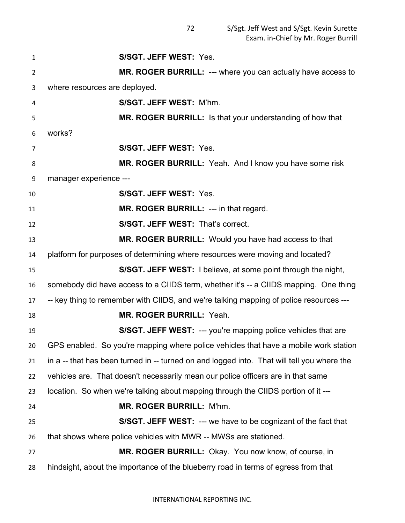**S/SGT. JEFF WEST:** Yes. **MR. ROGER BURRILL:** --- where you can actually have access to where resources are deployed. **S/SGT. JEFF WEST:** M'hm. **MR. ROGER BURRILL:** Is that your understanding of how that works? **S/SGT. JEFF WEST:** Yes. **MR. ROGER BURRILL:** Yeah. And I know you have some risk manager experience --- **S/SGT. JEFF WEST:** Yes. **MR. ROGER BURRILL:** --- in that regard. **S/SGT. JEFF WEST:** That's correct. **MR. ROGER BURRILL:** Would you have had access to that platform for purposes of determining where resources were moving and located? **S/SGT. JEFF WEST:** I believe, at some point through the night, somebody did have access to a CIIDS term, whether it's -- a CIIDS mapping. One thing -- key thing to remember with CIIDS, and we're talking mapping of police resources --- **MR. ROGER BURRILL:** Yeah. **S/SGT. JEFF WEST:** --- you're mapping police vehicles that are GPS enabled. So you're mapping where police vehicles that have a mobile work station in a -- that has been turned in -- turned on and logged into. That will tell you where the vehicles are. That doesn't necessarily mean our police officers are in that same location. So when we're talking about mapping through the CIIDS portion of it --- **MR. ROGER BURRILL:** M'hm. **S/SGT. JEFF WEST:** --- we have to be cognizant of the fact that that shows where police vehicles with MWR -- MWSs are stationed. **MR. ROGER BURRILL:** Okay. You now know, of course, in hindsight, about the importance of the blueberry road in terms of egress from that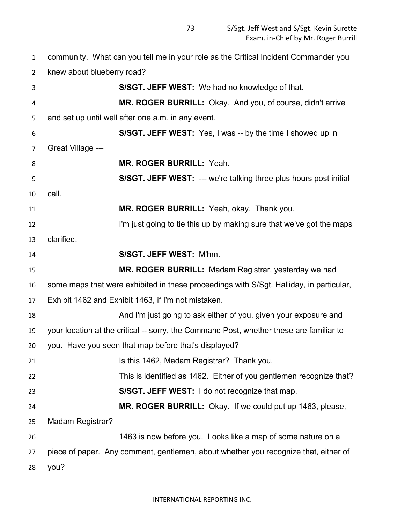community. What can you tell me in your role as the Critical Incident Commander you knew about blueberry road? **S/SGT. JEFF WEST:** We had no knowledge of that. **MR. ROGER BURRILL:** Okay. And you, of course, didn't arrive and set up until well after one a.m. in any event. **S/SGT. JEFF WEST:** Yes, I was -- by the time I showed up in Great Village --- **MR. ROGER BURRILL:** Yeah. **S/SGT. JEFF WEST:** --- we're talking three plus hours post initial call. **MR. ROGER BURRILL:** Yeah, okay. Thank you. **I'm just going to tie this up by making sure that we've got the maps**  clarified. **S/SGT. JEFF WEST:** M'hm. **MR. ROGER BURRILL:** Madam Registrar, yesterday we had some maps that were exhibited in these proceedings with S/Sgt. Halliday, in particular, Exhibit 1462 and Exhibit 1463, if I'm not mistaken. And I'm just going to ask either of you, given your exposure and your location at the critical -- sorry, the Command Post, whether these are familiar to you. Have you seen that map before that's displayed? **Is this 1462, Madam Registrar?** Thank you. This is identified as 1462. Either of you gentlemen recognize that? **S/SGT. JEFF WEST:** I do not recognize that map. **MR. ROGER BURRILL:** Okay. If we could put up 1463, please, Madam Registrar? 1463 is now before you. Looks like a map of some nature on a piece of paper. Any comment, gentlemen, about whether you recognize that, either of you?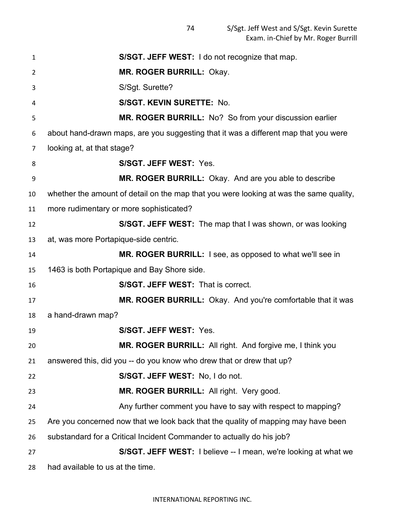| $\mathbf{1}$   | S/SGT. JEFF WEST: I do not recognize that map.                                         |
|----------------|----------------------------------------------------------------------------------------|
| $\overline{2}$ | MR. ROGER BURRILL: Okay.                                                               |
| 3              | S/Sgt. Surette?                                                                        |
| 4              | S/SGT. KEVIN SURETTE: No.                                                              |
| 5              | MR. ROGER BURRILL: No? So from your discussion earlier                                 |
| 6              | about hand-drawn maps, are you suggesting that it was a different map that you were    |
| 7              | looking at, at that stage?                                                             |
| 8              | S/SGT. JEFF WEST: Yes.                                                                 |
| 9              | MR. ROGER BURRILL: Okay. And are you able to describe                                  |
| 10             | whether the amount of detail on the map that you were looking at was the same quality, |
| 11             | more rudimentary or more sophisticated?                                                |
| 12             | S/SGT. JEFF WEST: The map that I was shown, or was looking                             |
| 13             | at, was more Portapique-side centric.                                                  |
| 14             | <b>MR. ROGER BURRILL:</b> I see, as opposed to what we'll see in                       |
| 15             | 1463 is both Portapique and Bay Shore side.                                            |
| 16             | <b>S/SGT. JEFF WEST: That is correct.</b>                                              |
| 17             | <b>MR. ROGER BURRILL:</b> Okay. And you're comfortable that it was                     |
| 18             | a hand-drawn map?                                                                      |
| 19             | S/SGT. JEFF WEST: Yes.                                                                 |
| 20             | <b>MR. ROGER BURRILL:</b> All right. And forgive me, I think you                       |
| 21             | answered this, did you -- do you know who drew that or drew that up?                   |
| 22             | S/SGT. JEFF WEST: No, I do not.                                                        |
| 23             | MR. ROGER BURRILL: All right. Very good.                                               |
| 24             | Any further comment you have to say with respect to mapping?                           |
| 25             | Are you concerned now that we look back that the quality of mapping may have been      |
| 26             | substandard for a Critical Incident Commander to actually do his job?                  |
| 27             | S/SGT. JEFF WEST: I believe -- I mean, we're looking at what we                        |
| 28             | had available to us at the time.                                                       |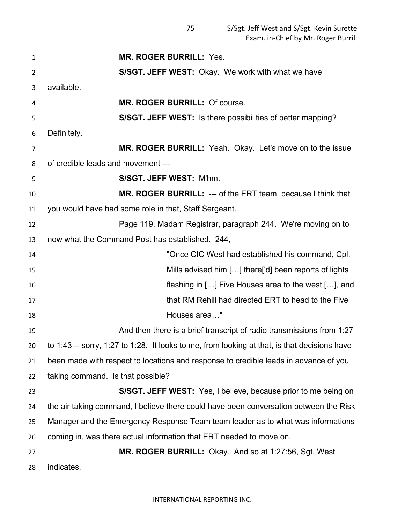**MR. ROGER BURRILL:** Yes. **S/SGT. JEFF WEST:** Okay. We work with what we have available. **MR. ROGER BURRILL:** Of course. **S/SGT. JEFF WEST:** Is there possibilities of better mapping? Definitely. **MR. ROGER BURRILL:** Yeah. Okay. Let's move on to the issue of credible leads and movement --- **S/SGT. JEFF WEST:** M'hm. **MR. ROGER BURRILL:** --- of the ERT team, because I think that you would have had some role in that, Staff Sergeant. Page 119, Madam Registrar, paragraph 244. We're moving on to now what the Command Post has established. 244, "Once CIC West had established his command, Cpl. Mills advised him […] there['d] been reports of lights flashing in […] Five Houses area to the west […], and that RM Rehill had directed ERT to head to the Five Houses area…" And then there is a brief transcript of radio transmissions from 1:27 to 1:43 -- sorry, 1:27 to 1:28. It looks to me, from looking at that, is that decisions have been made with respect to locations and response to credible leads in advance of you taking command. Is that possible? **S/SGT. JEFF WEST:** Yes, I believe, because prior to me being on the air taking command, I believe there could have been conversation between the Risk Manager and the Emergency Response Team team leader as to what was informations coming in, was there actual information that ERT needed to move on. **MR. ROGER BURRILL:** Okay. And so at 1:27:56, Sgt. West indicates,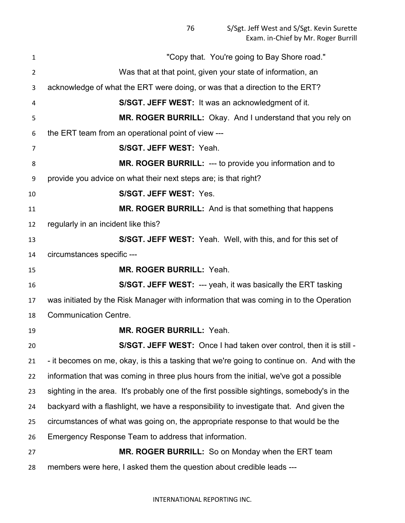"Copy that. You're going to Bay Shore road." Was that at that point, given your state of information, an acknowledge of what the ERT were doing, or was that a direction to the ERT? **S/SGT. JEFF WEST:** It was an acknowledgment of it. **MR. ROGER BURRILL:** Okay. And I understand that you rely on the ERT team from an operational point of view --- **S/SGT. JEFF WEST:** Yeah. **MR. ROGER BURRILL:** --- to provide you information and to provide you advice on what their next steps are; is that right? **S/SGT. JEFF WEST:** Yes. **MR. ROGER BURRILL:** And is that something that happens regularly in an incident like this? **S/SGT. JEFF WEST:** Yeah. Well, with this, and for this set of circumstances specific --- **MR. ROGER BURRILL:** Yeah. **S/SGT. JEFF WEST:** --- yeah, it was basically the ERT tasking was initiated by the Risk Manager with information that was coming in to the Operation Communication Centre. **MR. ROGER BURRILL:** Yeah. **S/SGT. JEFF WEST:** Once I had taken over control, then it is still - - it becomes on me, okay, is this a tasking that we're going to continue on. And with the information that was coming in three plus hours from the initial, we've got a possible sighting in the area. It's probably one of the first possible sightings, somebody's in the backyard with a flashlight, we have a responsibility to investigate that. And given the circumstances of what was going on, the appropriate response to that would be the Emergency Response Team to address that information. **MR. ROGER BURRILL:** So on Monday when the ERT team members were here, I asked them the question about credible leads ---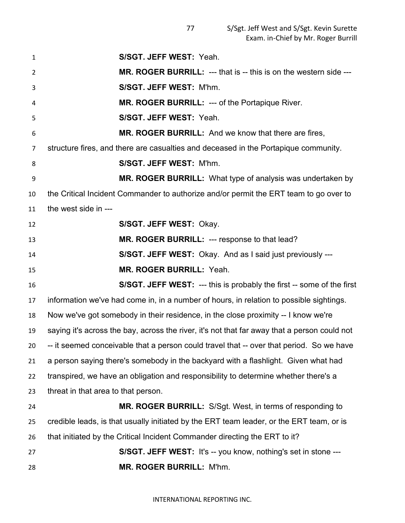| $\mathbf{1}$   | S/SGT. JEFF WEST: Yeah.                                                                      |
|----------------|----------------------------------------------------------------------------------------------|
| $\overline{2}$ | <b>MR. ROGER BURRILL: --- that is -- this is on the western side ---</b>                     |
| 3              | S/SGT. JEFF WEST: M'hm.                                                                      |
| 4              | <b>MR. ROGER BURRILL: --- of the Portapique River.</b>                                       |
| 5              | S/SGT. JEFF WEST: Yeah.                                                                      |
| 6              | MR. ROGER BURRILL: And we know that there are fires.                                         |
| 7              | structure fires, and there are casualties and deceased in the Portapique community.          |
| 8              | S/SGT. JEFF WEST: M'hm.                                                                      |
| 9              | MR. ROGER BURRILL: What type of analysis was undertaken by                                   |
| 10             | the Critical Incident Commander to authorize and/or permit the ERT team to go over to        |
| 11             | the west side in ---                                                                         |
| 12             | S/SGT. JEFF WEST: Okay.                                                                      |
| 13             | MR. ROGER BURRILL: --- response to that lead?                                                |
| 14             | <b>S/SGT. JEFF WEST:</b> Okay. And as I said just previously ---                             |
| 15             | <b>MR. ROGER BURRILL: Yeah.</b>                                                              |
| 16             | <b>S/SGT. JEFF WEST: --- this is probably the first -- some of the first</b>                 |
| 17             | information we've had come in, in a number of hours, in relation to possible sightings.      |
| 18             | Now we've got somebody in their residence, in the close proximity -- I know we're            |
| 19             | saying it's across the bay, across the river, it's not that far away that a person could not |
| 20             | -- it seemed conceivable that a person could travel that -- over that period. So we have     |
| 21             | a person saying there's somebody in the backyard with a flashlight. Given what had           |
| 22             | transpired, we have an obligation and responsibility to determine whether there's a          |
| 23             | threat in that area to that person.                                                          |
| 24             | <b>MR. ROGER BURRILL:</b> S/Sgt. West, in terms of responding to                             |
| 25             | credible leads, is that usually initiated by the ERT team leader, or the ERT team, or is     |
| 26             | that initiated by the Critical Incident Commander directing the ERT to it?                   |
| 27             | S/SGT. JEFF WEST: It's -- you know, nothing's set in stone ---                               |
| 28             | MR. ROGER BURRILL: M'hm.                                                                     |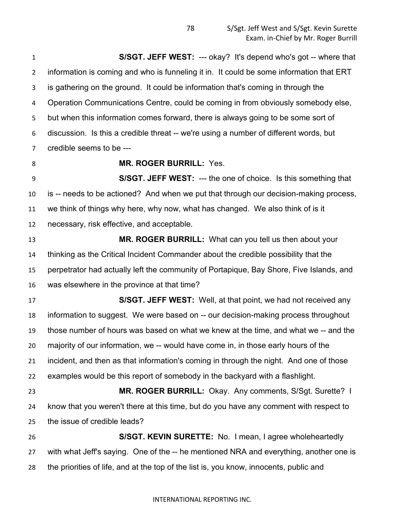**S/SGT. JEFF WEST:** --- okay? It's depend who's got -- where that information is coming and who is funneling it in. It could be some information that ERT is gathering on the ground. It could be information that's coming in through the Operation Communications Centre, could be coming in from obviously somebody else, but when this information comes forward, there is always going to be some sort of discussion. Is this a credible threat -- we're using a number of different words, but credible seems to be ---

# **MR. ROGER BURRILL:** Yes.

 **S/SGT. JEFF WEST:** --- the one of choice. Is this something that is -- needs to be actioned? And when we put that through our decision-making process, we think of things why here, why now, what has changed. We also think of is it necessary, risk effective, and acceptable.

 **MR. ROGER BURRILL:** What can you tell us then about your thinking as the Critical Incident Commander about the credible possibility that the perpetrator had actually left the community of Portapique, Bay Shore, Five Islands, and was elsewhere in the province at that time?

 **S/SGT. JEFF WEST:** Well, at that point, we had not received any information to suggest. We were based on -- our decision-making process throughout those number of hours was based on what we knew at the time, and what we -- and the majority of our information, we -- would have come in, in those early hours of the incident, and then as that information's coming in through the night. And one of those examples would be this report of somebody in the backyard with a flashlight. **MR. ROGER BURRILL:** Okay. Any comments, S/Sgt. Surette? I know that you weren't there at this time, but do you have any comment with respect to the issue of credible leads?

 **S/SGT. KEVIN SURETTE:** No. I mean, I agree wholeheartedly with what Jeff's saying. One of the -- he mentioned NRA and everything, another one is the priorities of life, and at the top of the list is, you know, innocents, public and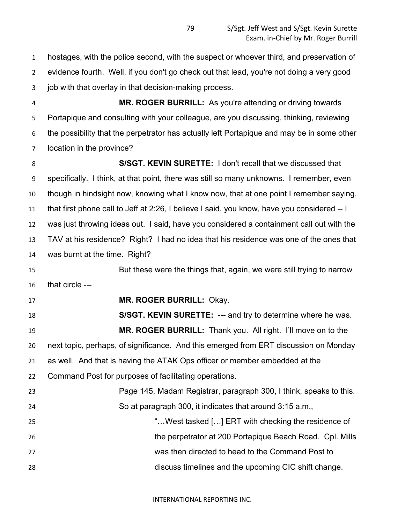hostages, with the police second, with the suspect or whoever third, and preservation of evidence fourth. Well, if you don't go check out that lead, you're not doing a very good job with that overlay in that decision-making process.

 **MR. ROGER BURRILL:** As you're attending or driving towards Portapique and consulting with your colleague, are you discussing, thinking, reviewing the possibility that the perpetrator has actually left Portapique and may be in some other location in the province?

 **S/SGT. KEVIN SURETTE:** I don't recall that we discussed that specifically. I think, at that point, there was still so many unknowns. I remember, even though in hindsight now, knowing what I know now, that at one point I remember saying, that first phone call to Jeff at 2:26, I believe I said, you know, have you considered -- I was just throwing ideas out. I said, have you considered a containment call out with the TAV at his residence? Right? I had no idea that his residence was one of the ones that was burnt at the time. Right?

 But these were the things that, again, we were still trying to narrow that circle ---

**MR. ROGER BURRILL:** Okay.

 **S/SGT. KEVIN SURETTE:** --- and try to determine where he was. **MR. ROGER BURRILL:** Thank you. All right. I'll move on to the next topic, perhaps, of significance. And this emerged from ERT discussion on Monday as well. And that is having the ATAK Ops officer or member embedded at the Command Post for purposes of facilitating operations. Page 145, Madam Registrar, paragraph 300, I think, speaks to this. So at paragraph 300, it indicates that around 3:15 a.m., "…West tasked […] ERT with checking the residence of

 the perpetrator at 200 Portapique Beach Road. Cpl. Mills was then directed to head to the Command Post to discuss timelines and the upcoming CIC shift change.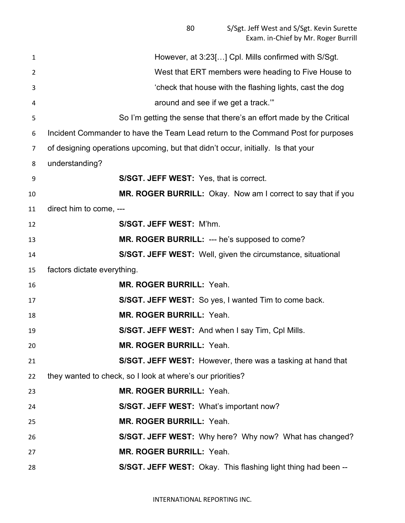| However, at 3:23[] Cpl. Mills confirmed with S/Sgt.                              |
|----------------------------------------------------------------------------------|
| West that ERT members were heading to Five House to                              |
| 'check that house with the flashing lights, cast the dog                         |
| around and see if we get a track."                                               |
| So I'm getting the sense that there's an effort made by the Critical             |
| Incident Commander to have the Team Lead return to the Command Post for purposes |
| of designing operations upcoming, but that didn't occur, initially. Is that your |
| understanding?                                                                   |
| <b>S/SGT. JEFF WEST:</b> Yes, that is correct.                                   |
| MR. ROGER BURRILL: Okay. Now am I correct to say that if you                     |
| direct him to come, ---                                                          |
| S/SGT. JEFF WEST: M'hm.                                                          |
| MR. ROGER BURRILL: --- he's supposed to come?                                    |
| S/SGT. JEFF WEST: Well, given the circumstance, situational                      |
| factors dictate everything.                                                      |
| <b>MR. ROGER BURRILL: Yeah.</b>                                                  |
| S/SGT. JEFF WEST: So yes, I wanted Tim to come back.                             |
| MR. ROGER BURRILL: Yeah.                                                         |
| S/SGT. JEFF WEST: And when I say Tim, CpI Mills.                                 |
| MR. ROGER BURRILL: Yeah.                                                         |
| S/SGT. JEFF WEST: However, there was a tasking at hand that                      |
| they wanted to check, so I look at where's our priorities?                       |
| <b>MR. ROGER BURRILL: Yeah.</b>                                                  |
| S/SGT. JEFF WEST: What's important now?                                          |
| MR. ROGER BURRILL: Yeah.                                                         |
| S/SGT. JEFF WEST: Why here? Why now? What has changed?                           |
| MR. ROGER BURRILL: Yeah.                                                         |
| S/SGT. JEFF WEST: Okay. This flashing light thing had been --                    |
|                                                                                  |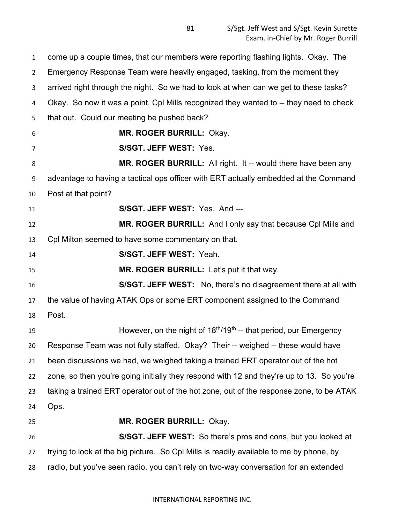come up a couple times, that our members were reporting flashing lights. Okay. The Emergency Response Team were heavily engaged, tasking, from the moment they arrived right through the night. So we had to look at when can we get to these tasks? Okay. So now it was a point, Cpl Mills recognized they wanted to -- they need to check that out. Could our meeting be pushed back? **MR. ROGER BURRILL:** Okay. **S/SGT. JEFF WEST:** Yes. **MR. ROGER BURRILL:** All right. It -- would there have been any advantage to having a tactical ops officer with ERT actually embedded at the Command Post at that point? **S/SGT. JEFF WEST:** Yes. And --- **MR. ROGER BURRILL:** And I only say that because Cpl Mills and Cpl Milton seemed to have some commentary on that. **S/SGT. JEFF WEST:** Yeah. **MR. ROGER BURRILL:** Let's put it that way. **S/SGT. JEFF WEST:** No, there's no disagreement there at all with the value of having ATAK Ops or some ERT component assigned to the Command Post. **However, on the night of 18<sup>th</sup>/19<sup>th</sup> -- that period, our Emergency**  Response Team was not fully staffed. Okay? Their -- weighed -- these would have been discussions we had, we weighed taking a trained ERT operator out of the hot zone, so then you're going initially they respond with 12 and they're up to 13. So you're taking a trained ERT operator out of the hot zone, out of the response zone, to be ATAK Ops. **MR. ROGER BURRILL:** Okay. **S/SGT. JEFF WEST:** So there's pros and cons, but you looked at trying to look at the big picture. So Cpl Mills is readily available to me by phone, by radio, but you've seen radio, you can't rely on two-way conversation for an extended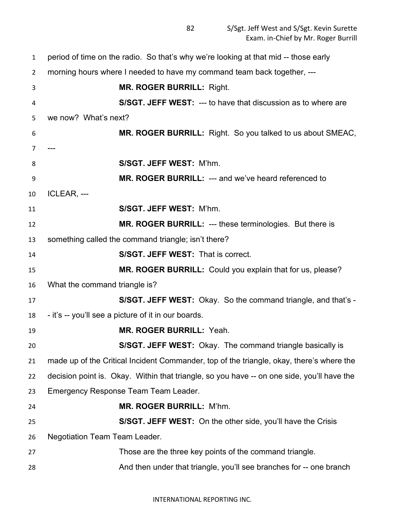| $\mathbf{1}$   | period of time on the radio. So that's why we're looking at that mid -- those early        |
|----------------|--------------------------------------------------------------------------------------------|
| $\overline{2}$ | morning hours where I needed to have my command team back together, ---                    |
| 3              | <b>MR. ROGER BURRILL: Right.</b>                                                           |
| 4              | S/SGT. JEFF WEST: --- to have that discussion as to where are                              |
| 5              | we now? What's next?                                                                       |
| 6              | MR. ROGER BURRILL: Right. So you talked to us about SMEAC,                                 |
| $\overline{7}$ |                                                                                            |
| 8              | S/SGT. JEFF WEST: M'hm.                                                                    |
| 9              | MR. ROGER BURRILL: --- and we've heard referenced to                                       |
| 10             | ICLEAR, ---                                                                                |
| 11             | S/SGT. JEFF WEST: M'hm.                                                                    |
| 12             | <b>MR. ROGER BURRILL: --- these terminologies. But there is</b>                            |
| 13             | something called the command triangle; isn't there?                                        |
| 14             | S/SGT. JEFF WEST: That is correct.                                                         |
| 15             | MR. ROGER BURRILL: Could you explain that for us, please?                                  |
| 16             | What the command triangle is?                                                              |
| 17             | S/SGT. JEFF WEST: Okay. So the command triangle, and that's -                              |
| 18             | - it's -- you'll see a picture of it in our boards.                                        |
| 19             | <b>MR. ROGER BURRILL: Yeah.</b>                                                            |
| 20             | S/SGT. JEFF WEST: Okay. The command triangle basically is                                  |
| 21             | made up of the Critical Incident Commander, top of the triangle, okay, there's where the   |
| 22             | decision point is. Okay. Within that triangle, so you have -- on one side, you'll have the |
| 23             | Emergency Response Team Team Leader.                                                       |
| 24             | MR. ROGER BURRILL: M'hm.                                                                   |
| 25             | <b>S/SGT. JEFF WEST:</b> On the other side, you'll have the Crisis                         |
| 26             | <b>Negotiation Team Team Leader.</b>                                                       |
| 27             | Those are the three key points of the command triangle.                                    |
| 28             | And then under that triangle, you'll see branches for -- one branch                        |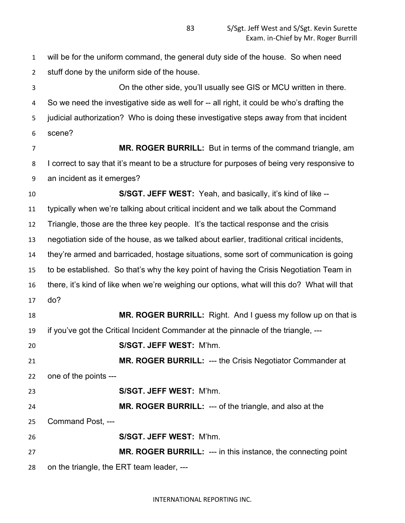will be for the uniform command, the general duty side of the house. So when need stuff done by the uniform side of the house.

 On the other side, you'll usually see GIS or MCU written in there. So we need the investigative side as well for -- all right, it could be who's drafting the judicial authorization? Who is doing these investigative steps away from that incident scene?

 **MR. ROGER BURRILL:** But in terms of the command triangle, am 8 I correct to say that it's meant to be a structure for purposes of being very responsive to an incident as it emerges?

 **S/SGT. JEFF WEST:** Yeah, and basically, it's kind of like -- typically when we're talking about critical incident and we talk about the Command Triangle, those are the three key people. It's the tactical response and the crisis negotiation side of the house, as we talked about earlier, traditional critical incidents, they're armed and barricaded, hostage situations, some sort of communication is going to be established. So that's why the key point of having the Crisis Negotiation Team in there, it's kind of like when we're weighing our options, what will this do? What will that do?

**MR. ROGER BURRILL:** Right. And I guess my follow up on that is if you've got the Critical Incident Commander at the pinnacle of the triangle, ---

**S/SGT. JEFF WEST:** M'hm.

 **MR. ROGER BURRILL:** --- the Crisis Negotiator Commander at one of the points ---

**S/SGT. JEFF WEST:** M'hm.

**MR. ROGER BURRILL:** --- of the triangle, and also at the

Command Post, ---

**S/SGT. JEFF WEST:** M'hm.

 **MR. ROGER BURRILL:** --- in this instance, the connecting point on the triangle, the ERT team leader, ---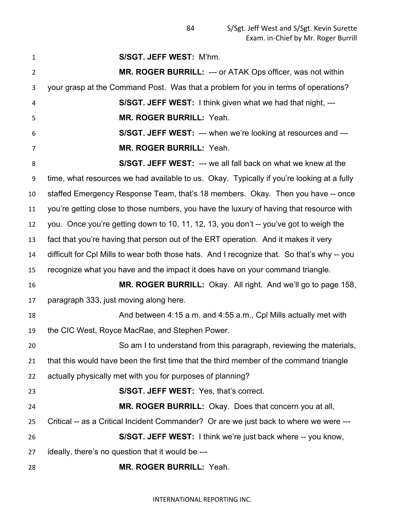**S/SGT. JEFF WEST:** M'hm. **MR. ROGER BURRILL:** --- or ATAK Ops officer, was not within your grasp at the Command Post. Was that a problem for you in terms of operations? **S/SGT. JEFF WEST:** I think given what we had that night, --- **MR. ROGER BURRILL:** Yeah. **S/SGT. JEFF WEST:** --- when we're looking at resources and --- **MR. ROGER BURRILL:** Yeah. **S/SGT. JEFF WEST:** --- we all fall back on what we knew at the time, what resources we had available to us. Okay. Typically if you're looking at a fully staffed Emergency Response Team, that's 18 members. Okay. Then you have -- once you're getting close to those numbers, you have the luxury of having that resource with you. Once you're getting down to 10, 11, 12, 13, you don't -- you've got to weigh the fact that you're having that person out of the ERT operation. And it makes it very difficult for Cpl Mills to wear both those hats. And I recognize that. So that's why -- you recognize what you have and the impact it does have on your command triangle. **MR. ROGER BURRILL:** Okay. All right. And we'll go to page 158, paragraph 333, just moving along here. And between 4:15 a.m. and 4:55 a.m., Cpl Mills actually met with the CIC West, Royce MacRae, and Stephen Power. So am I to understand from this paragraph, reviewing the materials, that this would have been the first time that the third member of the command triangle actually physically met with you for purposes of planning? **S/SGT. JEFF WEST:** Yes, that's correct. **MR. ROGER BURRILL:** Okay. Does that concern you at all, Critical -- as a Critical Incident Commander? Or are we just back to where we were --- **S/SGT. JEFF WEST:** I think we're just back where -- you know, ideally, there's no question that it would be --- **MR. ROGER BURRILL:** Yeah.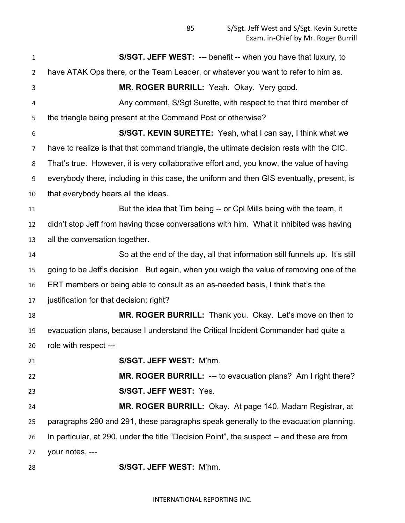**S/SGT. JEFF WEST:** --- benefit -- when you have that luxury, to have ATAK Ops there, or the Team Leader, or whatever you want to refer to him as. **MR. ROGER BURRILL:** Yeah. Okay. Very good. Any comment, S/Sgt Surette, with respect to that third member of the triangle being present at the Command Post or otherwise? **S/SGT. KEVIN SURETTE:** Yeah, what I can say, I think what we have to realize is that that command triangle, the ultimate decision rests with the CIC. That's true. However, it is very collaborative effort and, you know, the value of having everybody there, including in this case, the uniform and then GIS eventually, present, is that everybody hears all the ideas. **But the idea that Tim being -- or Cpl Mills being with the team, it**  didn't stop Jeff from having those conversations with him. What it inhibited was having all the conversation together. So at the end of the day, all that information still funnels up. It's still going to be Jeff's decision. But again, when you weigh the value of removing one of the ERT members or being able to consult as an as-needed basis, I think that's the justification for that decision; right? **MR. ROGER BURRILL:** Thank you. Okay. Let's move on then to evacuation plans, because I understand the Critical Incident Commander had quite a role with respect --- **S/SGT. JEFF WEST:** M'hm. **MR. ROGER BURRILL:** --- to evacuation plans? Am I right there? **S/SGT. JEFF WEST:** Yes. **MR. ROGER BURRILL:** Okay. At page 140, Madam Registrar, at paragraphs 290 and 291, these paragraphs speak generally to the evacuation planning. In particular, at 290, under the title "Decision Point", the suspect -- and these are from your notes, ---

**S/SGT. JEFF WEST:** M'hm.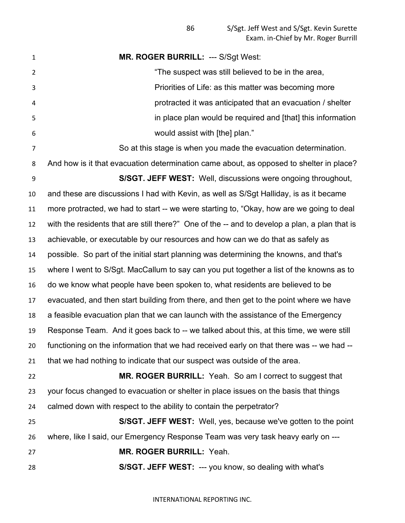**MR. ROGER BURRILL:** --- S/Sgt West: "The suspect was still believed to be in the area, Priorities of Life: as this matter was becoming more protracted it was anticipated that an evacuation / shelter in place plan would be required and [that] this information would assist with [the] plan." So at this stage is when you made the evacuation determination. And how is it that evacuation determination came about, as opposed to shelter in place? **S/SGT. JEFF WEST:** Well, discussions were ongoing throughout, and these are discussions I had with Kevin, as well as S/Sgt Halliday, is as it became more protracted, we had to start -- we were starting to, "Okay, how are we going to deal with the residents that are still there?" One of the -- and to develop a plan, a plan that is achievable, or executable by our resources and how can we do that as safely as possible. So part of the initial start planning was determining the knowns, and that's where I went to S/Sgt. MacCallum to say can you put together a list of the knowns as to do we know what people have been spoken to, what residents are believed to be evacuated, and then start building from there, and then get to the point where we have a feasible evacuation plan that we can launch with the assistance of the Emergency Response Team. And it goes back to -- we talked about this, at this time, we were still functioning on the information that we had received early on that there was -- we had -- that we had nothing to indicate that our suspect was outside of the area. **MR. ROGER BURRILL:** Yeah. So am I correct to suggest that your focus changed to evacuation or shelter in place issues on the basis that things calmed down with respect to the ability to contain the perpetrator? **S/SGT. JEFF WEST:** Well, yes, because we've gotten to the point where, like I said, our Emergency Response Team was very task heavy early on --- **MR. ROGER BURRILL:** Yeah. **S/SGT. JEFF WEST:** --- you know, so dealing with what's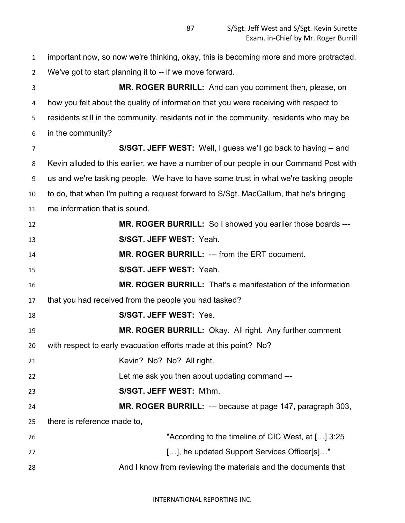important now, so now we're thinking, okay, this is becoming more and more protracted. We've got to start planning it to -- if we move forward. **MR. ROGER BURRILL:** And can you comment then, please, on how you felt about the quality of information that you were receiving with respect to residents still in the community, residents not in the community, residents who may be in the community? **S/SGT. JEFF WEST:** Well, I guess we'll go back to having -- and Kevin alluded to this earlier, we have a number of our people in our Command Post with us and we're tasking people. We have to have some trust in what we're tasking people to do, that when I'm putting a request forward to S/Sgt. MacCallum, that he's bringing me information that is sound. **MR. ROGER BURRILL:** So I showed you earlier those boards --- **S/SGT. JEFF WEST:** Yeah. **MR. ROGER BURRILL:** --- from the ERT document. **S/SGT. JEFF WEST:** Yeah. **MR. ROGER BURRILL:** That's a manifestation of the information that you had received from the people you had tasked? **S/SGT. JEFF WEST:** Yes. **MR. ROGER BURRILL:** Okay. All right. Any further comment with respect to early evacuation efforts made at this point? No? 21 Kevin? No? No? All right. Let me ask you then about updating command --- **S/SGT. JEFF WEST:** M'hm. **MR. ROGER BURRILL:** --- because at page 147, paragraph 303, there is reference made to, "According to the timeline of CIC West, at […] 3:25 **Example 27 Conserverse Conservation Conservation**  $[\ldots]$ , he updated Support Services Officer[s]..." And I know from reviewing the materials and the documents that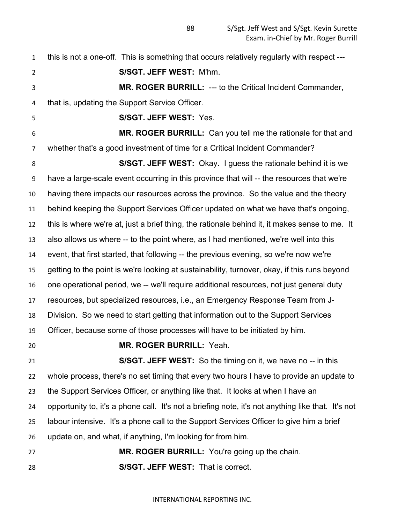this is not a one-off. This is something that occurs relatively regularly with respect --- **S/SGT. JEFF WEST:** M'hm. **MR. ROGER BURRILL:** --- to the Critical Incident Commander, that is, updating the Support Service Officer. **S/SGT. JEFF WEST:** Yes. **MR. ROGER BURRILL:** Can you tell me the rationale for that and whether that's a good investment of time for a Critical Incident Commander? **S/SGT. JEFF WEST:** Okay. I guess the rationale behind it is we have a large-scale event occurring in this province that will -- the resources that we're having there impacts our resources across the province. So the value and the theory behind keeping the Support Services Officer updated on what we have that's ongoing, this is where we're at, just a brief thing, the rationale behind it, it makes sense to me. It also allows us where -- to the point where, as I had mentioned, we're well into this event, that first started, that following -- the previous evening, so we're now we're getting to the point is we're looking at sustainability, turnover, okay, if this runs beyond one operational period, we -- we'll require additional resources, not just general duty resources, but specialized resources, i.e., an Emergency Response Team from J- Division. So we need to start getting that information out to the Support Services Officer, because some of those processes will have to be initiated by him. **MR. ROGER BURRILL:** Yeah. **S/SGT. JEFF WEST:** So the timing on it, we have no -- in this whole process, there's no set timing that every two hours I have to provide an update to the Support Services Officer, or anything like that. It looks at when I have an opportunity to, it's a phone call. It's not a briefing note, it's not anything like that. It's not labour intensive. It's a phone call to the Support Services Officer to give him a brief update on, and what, if anything, I'm looking for from him. **MR. ROGER BURRILL:** You're going up the chain. **S/SGT. JEFF WEST:** That is correct.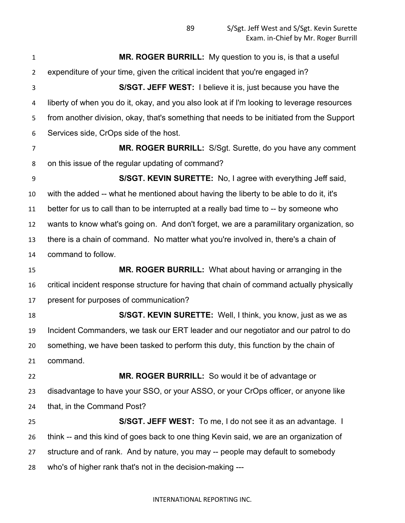**MR. ROGER BURRILL:** My question to you is, is that a useful expenditure of your time, given the critical incident that you're engaged in? **S/SGT. JEFF WEST:** I believe it is, just because you have the liberty of when you do it, okay, and you also look at if I'm looking to leverage resources from another division, okay, that's something that needs to be initiated from the Support Services side, CrOps side of the host. **MR. ROGER BURRILL:** S/Sgt. Surette, do you have any comment on this issue of the regular updating of command? **S/SGT. KEVIN SURETTE:** No, I agree with everything Jeff said, with the added -- what he mentioned about having the liberty to be able to do it, it's better for us to call than to be interrupted at a really bad time to -- by someone who wants to know what's going on. And don't forget, we are a paramilitary organization, so there is a chain of command. No matter what you're involved in, there's a chain of command to follow. **MR. ROGER BURRILL:** What about having or arranging in the critical incident response structure for having that chain of command actually physically present for purposes of communication? **S/SGT. KEVIN SURETTE:** Well, I think, you know, just as we as Incident Commanders, we task our ERT leader and our negotiator and our patrol to do something, we have been tasked to perform this duty, this function by the chain of command. **MR. ROGER BURRILL:** So would it be of advantage or disadvantage to have your SSO, or your ASSO, or your CrOps officer, or anyone like that, in the Command Post? **S/SGT. JEFF WEST:** To me, I do not see it as an advantage. I think -- and this kind of goes back to one thing Kevin said, we are an organization of structure and of rank. And by nature, you may -- people may default to somebody who's of higher rank that's not in the decision-making ---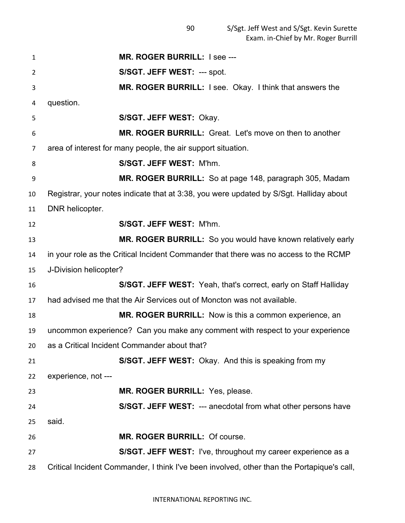| 1  | MR. ROGER BURRILL: I see ---                                                               |
|----|--------------------------------------------------------------------------------------------|
| 2  | S/SGT. JEFF WEST: --- spot.                                                                |
| 3  | <b>MR. ROGER BURRILL:</b> I see. Okay. I think that answers the                            |
| 4  | question.                                                                                  |
| 5  | S/SGT. JEFF WEST: Okay.                                                                    |
| 6  | MR. ROGER BURRILL: Great. Let's move on then to another                                    |
| 7  | area of interest for many people, the air support situation.                               |
| 8  | S/SGT. JEFF WEST: M'hm.                                                                    |
| 9  | MR. ROGER BURRILL: So at page 148, paragraph 305, Madam                                    |
| 10 | Registrar, your notes indicate that at 3:38, you were updated by S/Sgt. Halliday about     |
| 11 | DNR helicopter.                                                                            |
| 12 | S/SGT. JEFF WEST: M'hm.                                                                    |
| 13 | MR. ROGER BURRILL: So you would have known relatively early                                |
| 14 | in your role as the Critical Incident Commander that there was no access to the RCMP       |
| 15 | J-Division helicopter?                                                                     |
| 16 | <b>S/SGT. JEFF WEST:</b> Yeah, that's correct, early on Staff Halliday                     |
| 17 | had advised me that the Air Services out of Moncton was not available.                     |
| 18 | <b>MR. ROGER BURRILL:</b> Now is this a common experience, an                              |
| 19 | uncommon experience? Can you make any comment with respect to your experience              |
| 20 | as a Critical Incident Commander about that?                                               |
| 21 | S/SGT. JEFF WEST: Okay. And this is speaking from my                                       |
| 22 | experience, not ---                                                                        |
| 23 | MR. ROGER BURRILL: Yes, please.                                                            |
| 24 | S/SGT. JEFF WEST: --- anecdotal from what other persons have                               |
| 25 | said.                                                                                      |
| 26 | MR. ROGER BURRILL: Of course.                                                              |
| 27 | <b>S/SGT. JEFF WEST:</b> I've, throughout my career experience as a                        |
| 28 | Critical Incident Commander, I think I've been involved, other than the Portapique's call, |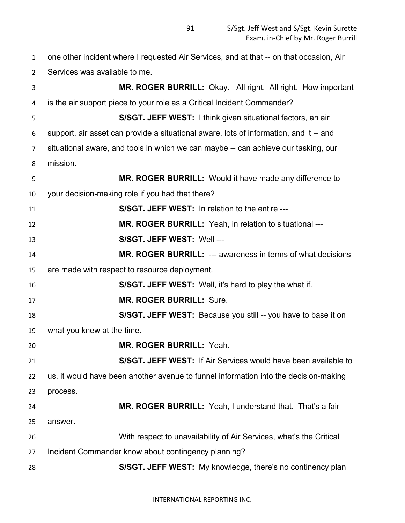| $\mathbf{1}$ | one other incident where I requested Air Services, and at that -- on that occasion, Air |
|--------------|-----------------------------------------------------------------------------------------|
| 2            | Services was available to me.                                                           |
| 3            | MR. ROGER BURRILL: Okay. All right. All right. How important                            |
| 4            | is the air support piece to your role as a Critical Incident Commander?                 |
| 5            | S/SGT. JEFF WEST: I think given situational factors, an air                             |
| 6            | support, air asset can provide a situational aware, lots of information, and it -- and  |
| 7            | situational aware, and tools in which we can maybe -- can achieve our tasking, our      |
| 8            | mission.                                                                                |
| 9            | MR. ROGER BURRILL: Would it have made any difference to                                 |
| 10           | your decision-making role if you had that there?                                        |
| 11           | S/SGT. JEFF WEST: In relation to the entire ---                                         |
| 12           | MR. ROGER BURRILL: Yeah, in relation to situational ---                                 |
| 13           | S/SGT. JEFF WEST: Well ---                                                              |
| 14           | <b>MR. ROGER BURRILL: --- awareness in terms of what decisions</b>                      |
| 15           | are made with respect to resource deployment.                                           |
| 16           | S/SGT. JEFF WEST: Well, it's hard to play the what if.                                  |
| 17           | <b>MR. ROGER BURRILL: Sure.</b>                                                         |
| 18           | S/SGT. JEFF WEST: Because you still -- you have to base it on                           |
| 19           | what you knew at the time.                                                              |
| 20           | <b>MR. ROGER BURRILL: Yeah.</b>                                                         |
| 21           | S/SGT. JEFF WEST: If Air Services would have been available to                          |
| 22           | us, it would have been another avenue to funnel information into the decision-making    |
| 23           | process.                                                                                |
| 24           | <b>MR. ROGER BURRILL:</b> Yeah, I understand that. That's a fair                        |
| 25           | answer.                                                                                 |
| 26           | With respect to unavailability of Air Services, what's the Critical                     |
| 27           | Incident Commander know about contingency planning?                                     |
| 28           | S/SGT. JEFF WEST: My knowledge, there's no continency plan                              |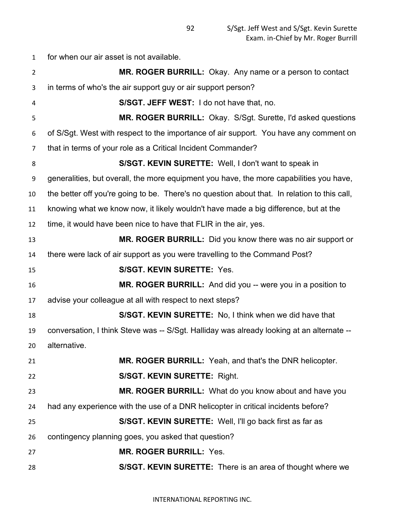for when our air asset is not available. **MR. ROGER BURRILL:** Okay. Any name or a person to contact in terms of who's the air support guy or air support person? **S/SGT. JEFF WEST:** I do not have that, no. **MR. ROGER BURRILL:** Okay. S/Sgt. Surette, I'd asked questions of S/Sgt. West with respect to the importance of air support. You have any comment on that in terms of your role as a Critical Incident Commander? **S/SGT. KEVIN SURETTE:** Well, I don't want to speak in generalities, but overall, the more equipment you have, the more capabilities you have, the better off you're going to be. There's no question about that. In relation to this call, knowing what we know now, it likely wouldn't have made a big difference, but at the time, it would have been nice to have that FLIR in the air, yes. **MR. ROGER BURRILL:** Did you know there was no air support or there were lack of air support as you were travelling to the Command Post? **S/SGT. KEVIN SURETTE:** Yes. **MR. ROGER BURRILL:** And did you -- were you in a position to advise your colleague at all with respect to next steps? **S/SGT. KEVIN SURETTE:** No, I think when we did have that conversation, I think Steve was -- S/Sgt. Halliday was already looking at an alternate -- alternative. **MR. ROGER BURRILL:** Yeah, and that's the DNR helicopter. **S/SGT. KEVIN SURETTE:** Right. **MR. ROGER BURRILL:** What do you know about and have you had any experience with the use of a DNR helicopter in critical incidents before? **S/SGT. KEVIN SURETTE:** Well, I'll go back first as far as contingency planning goes, you asked that question? **MR. ROGER BURRILL:** Yes. **S/SGT. KEVIN SURETTE:** There is an area of thought where we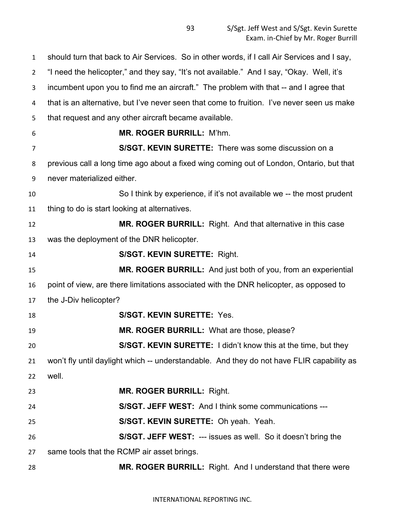should turn that back to Air Services. So in other words, if I call Air Services and I say, "I need the helicopter," and they say, "It's not available." And I say, "Okay. Well, it's incumbent upon you to find me an aircraft." The problem with that -- and I agree that that is an alternative, but I've never seen that come to fruition. I've never seen us make that request and any other aircraft became available. **MR. ROGER BURRILL:** M'hm. **S/SGT. KEVIN SURETTE:** There was some discussion on a previous call a long time ago about a fixed wing coming out of London, Ontario, but that never materialized either. So I think by experience, if it's not available we -- the most prudent thing to do is start looking at alternatives. **MR. ROGER BURRILL:** Right. And that alternative in this case was the deployment of the DNR helicopter. **S/SGT. KEVIN SURETTE:** Right. **MR. ROGER BURRILL:** And just both of you, from an experiential point of view, are there limitations associated with the DNR helicopter, as opposed to the J-Div helicopter? **S/SGT. KEVIN SURETTE:** Yes. **MR. ROGER BURRILL:** What are those, please? **S/SGT. KEVIN SURETTE:** I didn't know this at the time, but they won't fly until daylight which -- understandable. And they do not have FLIR capability as well. **MR. ROGER BURRILL:** Right. **S/SGT. JEFF WEST:** And I think some communications --- **S/SGT. KEVIN SURETTE:** Oh yeah. Yeah. **S/SGT. JEFF WEST:** --- issues as well. So it doesn't bring the same tools that the RCMP air asset brings. **MR. ROGER BURRILL:** Right. And I understand that there were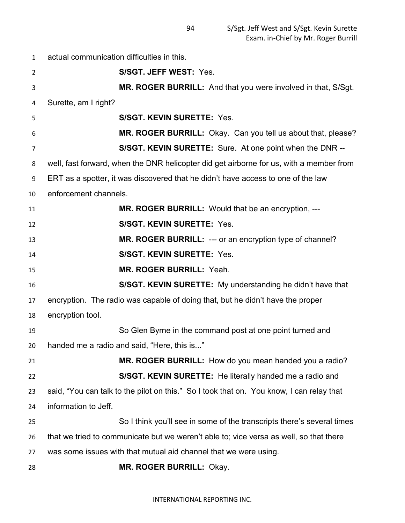actual communication difficulties in this. **S/SGT. JEFF WEST:** Yes. **MR. ROGER BURRILL:** And that you were involved in that, S/Sgt. Surette, am I right? **S/SGT. KEVIN SURETTE:** Yes. **MR. ROGER BURRILL:** Okay. Can you tell us about that, please? **S/SGT. KEVIN SURETTE:** Sure. At one point when the DNR -- well, fast forward, when the DNR helicopter did get airborne for us, with a member from ERT as a spotter, it was discovered that he didn't have access to one of the law enforcement channels. **MR. ROGER BURRILL:** Would that be an encryption, --- **S/SGT. KEVIN SURETTE:** Yes. **MR. ROGER BURRILL:** --- or an encryption type of channel? **S/SGT. KEVIN SURETTE:** Yes. **MR. ROGER BURRILL:** Yeah. **S/SGT. KEVIN SURETTE:** My understanding he didn't have that encryption. The radio was capable of doing that, but he didn't have the proper encryption tool. So Glen Byrne in the command post at one point turned and handed me a radio and said, "Here, this is..." **MR. ROGER BURRILL:** How do you mean handed you a radio? **S/SGT. KEVIN SURETTE:** He literally handed me a radio and said, "You can talk to the pilot on this." So I took that on. You know, I can relay that information to Jeff. So I think you'll see in some of the transcripts there's several times that we tried to communicate but we weren't able to; vice versa as well, so that there was some issues with that mutual aid channel that we were using. **MR. ROGER BURRILL:** Okay.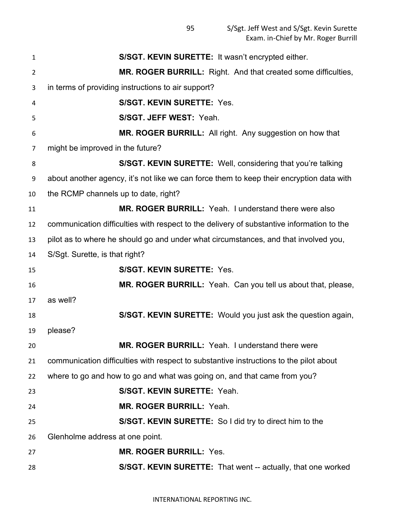| $\mathbf{1}$ | S/SGT. KEVIN SURETTE: It wasn't encrypted either.                                         |
|--------------|-------------------------------------------------------------------------------------------|
| 2            | MR. ROGER BURRILL: Right. And that created some difficulties,                             |
| 3            | in terms of providing instructions to air support?                                        |
| 4            | <b>S/SGT. KEVIN SURETTE: Yes.</b>                                                         |
| 5            | S/SGT. JEFF WEST: Yeah.                                                                   |
| 6            | MR. ROGER BURRILL: All right. Any suggestion on how that                                  |
| 7            | might be improved in the future?                                                          |
| 8            | S/SGT. KEVIN SURETTE: Well, considering that you're talking                               |
| 9            | about another agency, it's not like we can force them to keep their encryption data with  |
| 10           | the RCMP channels up to date, right?                                                      |
| 11           | MR. ROGER BURRILL: Yeah. I understand there were also                                     |
| 12           | communication difficulties with respect to the delivery of substantive information to the |
| 13           | pilot as to where he should go and under what circumstances, and that involved you,       |
| 14           | S/Sgt. Surette, is that right?                                                            |
|              |                                                                                           |
| 15           | <b>S/SGT. KEVIN SURETTE: Yes.</b>                                                         |
| 16           | MR. ROGER BURRILL: Yeah. Can you tell us about that, please,                              |
| 17           | as well?                                                                                  |
| 18           | S/SGT. KEVIN SURETTE: Would you just ask the question again,                              |
|              | please?                                                                                   |
| 19<br>20     | MR. ROGER BURRILL: Yeah. I understand there were                                          |
| 21           | communication difficulties with respect to substantive instructions to the pilot about    |
| 22           | where to go and how to go and what was going on, and that came from you?                  |
| 23           | S/SGT. KEVIN SURETTE: Yeah.                                                               |
| 24           | MR. ROGER BURRILL: Yeah.                                                                  |
| 25           | S/SGT. KEVIN SURETTE: So I did try to direct him to the                                   |
| 26           | Glenholme address at one point.                                                           |
| 27           | MR. ROGER BURRILL: Yes.                                                                   |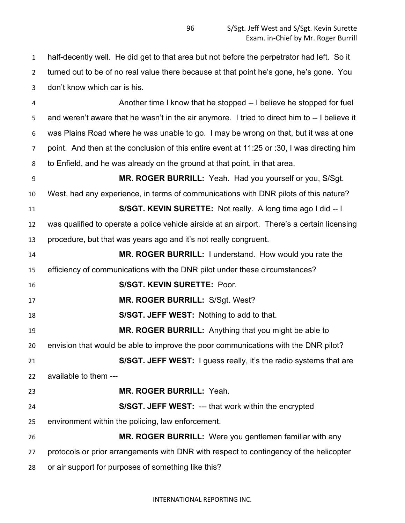half-decently well. He did get to that area but not before the perpetrator had left. So it turned out to be of no real value there because at that point he's gone, he's gone. You don't know which car is his.

 Another time I know that he stopped -- I believe he stopped for fuel and weren't aware that he wasn't in the air anymore. I tried to direct him to -- I believe it was Plains Road where he was unable to go. I may be wrong on that, but it was at one point. And then at the conclusion of this entire event at 11:25 or :30, I was directing him to Enfield, and he was already on the ground at that point, in that area.

 **MR. ROGER BURRILL:** Yeah. Had you yourself or you, S/Sgt. West, had any experience, in terms of communications with DNR pilots of this nature? **S/SGT. KEVIN SURETTE:** Not really. A long time ago I did -- I was qualified to operate a police vehicle airside at an airport. There's a certain licensing procedure, but that was years ago and it's not really congruent. **MR. ROGER BURRILL:** I understand. How would you rate the efficiency of communications with the DNR pilot under these circumstances? **S/SGT. KEVIN SURETTE:** Poor. **MR. ROGER BURRILL:** S/Sgt. West? **S/SGT. JEFF WEST:** Nothing to add to that. **MR. ROGER BURRILL:** Anything that you might be able to envision that would be able to improve the poor communications with the DNR pilot? **S/SGT. JEFF WEST:** I guess really, it's the radio systems that are available to them --- **MR. ROGER BURRILL:** Yeah.

 **S/SGT. JEFF WEST:** --- that work within the encrypted environment within the policing, law enforcement.

 **MR. ROGER BURRILL:** Were you gentlemen familiar with any protocols or prior arrangements with DNR with respect to contingency of the helicopter or air support for purposes of something like this?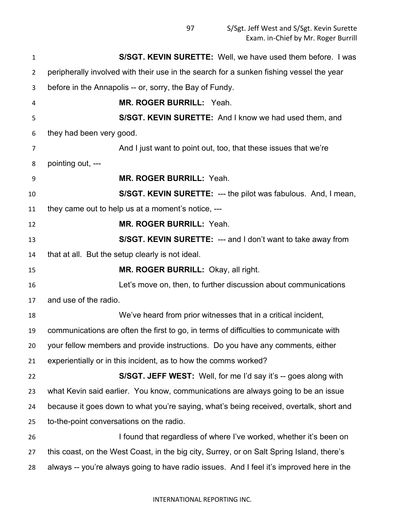| 1              | S/SGT. KEVIN SURETTE: Well, we have used them before. I was                               |
|----------------|-------------------------------------------------------------------------------------------|
| $\overline{2}$ | peripherally involved with their use in the search for a sunken fishing vessel the year   |
| 3              | before in the Annapolis -- or, sorry, the Bay of Fundy.                                   |
| 4              | MR. ROGER BURRILL: Yeah.                                                                  |
| 5              | S/SGT. KEVIN SURETTE: And I know we had used them, and                                    |
| 6              | they had been very good.                                                                  |
| 7              | And I just want to point out, too, that these issues that we're                           |
| 8              | pointing out, ---                                                                         |
| 9              | <b>MR. ROGER BURRILL: Yeah.</b>                                                           |
| 10             | S/SGT. KEVIN SURETTE: --- the pilot was fabulous. And, I mean,                            |
| 11             | they came out to help us at a moment's notice, ---                                        |
| 12             | <b>MR. ROGER BURRILL: Yeah.</b>                                                           |
| 13             | S/SGT. KEVIN SURETTE: --- and I don't want to take away from                              |
| 14             | that at all. But the setup clearly is not ideal.                                          |
| 15             | MR. ROGER BURRILL: Okay, all right.                                                       |
| 16             | Let's move on, then, to further discussion about communications                           |
| 17             | and use of the radio.                                                                     |
| 18             | We've heard from prior witnesses that in a critical incident,                             |
| 19             | communications are often the first to go, in terms of difficulties to communicate with    |
| 20             | your fellow members and provide instructions. Do you have any comments, either            |
| 21             | experientially or in this incident, as to how the comms worked?                           |
| 22             | S/SGT. JEFF WEST: Well, for me I'd say it's -- goes along with                            |
| 23             | what Kevin said earlier. You know, communications are always going to be an issue         |
| 24             | because it goes down to what you're saying, what's being received, overtalk, short and    |
| 25             | to-the-point conversations on the radio.                                                  |
| 26             | I found that regardless of where I've worked, whether it's been on                        |
| 27             | this coast, on the West Coast, in the big city, Surrey, or on Salt Spring Island, there's |
| 28             | always -- you're always going to have radio issues. And I feel it's improved here in the  |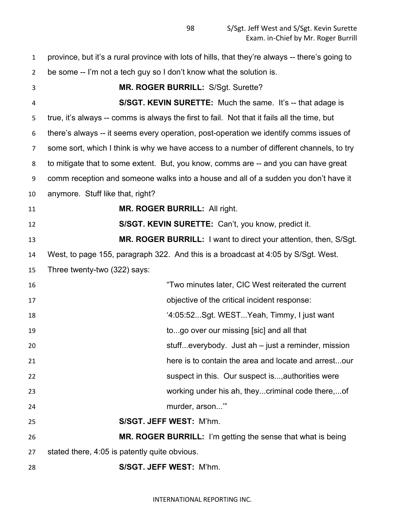| $\mathbf{1}$   | province, but it's a rural province with lots of hills, that they're always -- there's going to |
|----------------|-------------------------------------------------------------------------------------------------|
| $\overline{2}$ | be some -- I'm not a tech guy so I don't know what the solution is.                             |
| 3              | MR. ROGER BURRILL: S/Sgt. Surette?                                                              |
| 4              | S/SGT. KEVIN SURETTE: Much the same. It's -- that adage is                                      |
| 5              | true, it's always -- comms is always the first to fail. Not that it fails all the time, but     |
| 6              | there's always -- it seems every operation, post-operation we identify comms issues of          |
| 7              | some sort, which I think is why we have access to a number of different channels, to try        |
| 8              | to mitigate that to some extent. But, you know, comms are -- and you can have great             |
| 9              | comm reception and someone walks into a house and all of a sudden you don't have it             |
| 10             | anymore. Stuff like that, right?                                                                |
| 11             | <b>MR. ROGER BURRILL: All right.</b>                                                            |
| 12             | S/SGT. KEVIN SURETTE: Can't, you know, predict it.                                              |
| 13             | <b>MR. ROGER BURRILL:</b> I want to direct your attention, then, S/Sgt.                         |
| 14             | West, to page 155, paragraph 322. And this is a broadcast at 4:05 by S/Sgt. West.               |
| 15             | Three twenty-two (322) says:                                                                    |
| 16             | "Two minutes later, CIC West reiterated the current                                             |
| 17             | objective of the critical incident response:                                                    |
| 18             | '4:05:52Sgt. WESTYeah, Timmy, I just want                                                       |
| 19             | togo over our missing [sic] and all that                                                        |
| 20             | stuffeverybody. Just ah $-$ just a reminder, mission                                            |
| 21             | here is to contain the area and locate and arrestour                                            |
| 22             | suspect in this. Our suspect is, authorities were                                               |
| 23             | working under his ah, theycriminal code there,of                                                |
| 24             | murder, arson"                                                                                  |
| 25             | S/SGT. JEFF WEST: M'hm.                                                                         |
| 26             | <b>MR. ROGER BURRILL:</b> I'm getting the sense that what is being                              |
| 27             | stated there, 4:05 is patently quite obvious.                                                   |
| 28             | S/SGT. JEFF WEST: M'hm.                                                                         |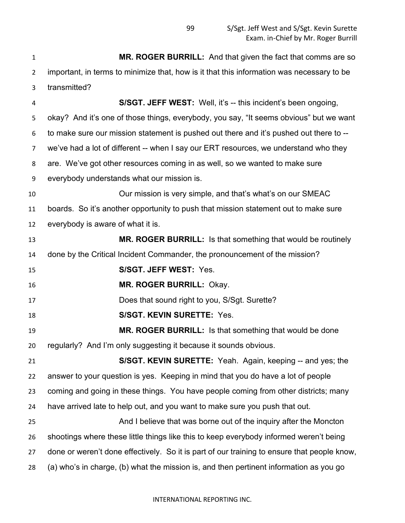**MR. ROGER BURRILL:** And that given the fact that comms are so important, in terms to minimize that, how is it that this information was necessary to be transmitted? **S/SGT. JEFF WEST:** Well, it's -- this incident's been ongoing, okay? And it's one of those things, everybody, you say, "It seems obvious" but we want to make sure our mission statement is pushed out there and it's pushed out there to -- we've had a lot of different -- when I say our ERT resources, we understand who they are. We've got other resources coming in as well, so we wanted to make sure everybody understands what our mission is. Our mission is very simple, and that's what's on our SMEAC boards. So it's another opportunity to push that mission statement out to make sure everybody is aware of what it is. **MR. ROGER BURRILL:** Is that something that would be routinely done by the Critical Incident Commander, the pronouncement of the mission? **S/SGT. JEFF WEST:** Yes. **MR. ROGER BURRILL:** Okay. Does that sound right to you, S/Sgt. Surette? **S/SGT. KEVIN SURETTE:** Yes. **MR. ROGER BURRILL:** Is that something that would be done regularly? And I'm only suggesting it because it sounds obvious. **S/SGT. KEVIN SURETTE:** Yeah. Again, keeping -- and yes; the answer to your question is yes. Keeping in mind that you do have a lot of people coming and going in these things. You have people coming from other districts; many have arrived late to help out, and you want to make sure you push that out. And I believe that was borne out of the inquiry after the Moncton shootings where these little things like this to keep everybody informed weren't being done or weren't done effectively. So it is part of our training to ensure that people know, (a) who's in charge, (b) what the mission is, and then pertinent information as you go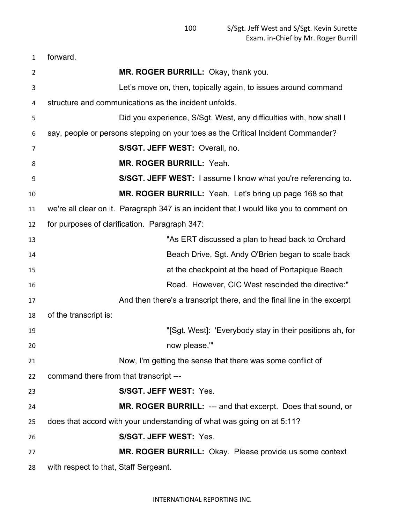| forward. |  |
|----------|--|
|----------|--|

| $\overline{2}$ | MR. ROGER BURRILL: Okay, thank you.                                                     |
|----------------|-----------------------------------------------------------------------------------------|
| 3              | Let's move on, then, topically again, to issues around command                          |
| 4              | structure and communications as the incident unfolds.                                   |
| 5              | Did you experience, S/Sgt. West, any difficulties with, how shall I                     |
| 6              | say, people or persons stepping on your toes as the Critical Incident Commander?        |
| 7              | S/SGT. JEFF WEST: Overall, no.                                                          |
| 8              | <b>MR. ROGER BURRILL: Yeah.</b>                                                         |
| 9              | S/SGT. JEFF WEST: I assume I know what you're referencing to.                           |
| 10             | MR. ROGER BURRILL: Yeah. Let's bring up page 168 so that                                |
| 11             | we're all clear on it. Paragraph 347 is an incident that I would like you to comment on |
| 12             | for purposes of clarification. Paragraph 347:                                           |
| 13             | "As ERT discussed a plan to head back to Orchard                                        |
| 14             | Beach Drive, Sgt. Andy O'Brien began to scale back                                      |
| 15             | at the checkpoint at the head of Portapique Beach                                       |
| 16             | Road. However, CIC West rescinded the directive:"                                       |
| 17             | And then there's a transcript there, and the final line in the excerpt                  |
| 18             | of the transcript is:                                                                   |
| 19             | "[Sgt. West]: 'Everybody stay in their positions ah, for                                |
| 20             | now please.""                                                                           |
| 21             | Now, I'm getting the sense that there was some conflict of                              |
| 22             | command there from that transcript ---                                                  |
| 23             | S/SGT. JEFF WEST: Yes.                                                                  |
| 24             | MR. ROGER BURRILL: --- and that excerpt. Does that sound, or                            |
| 25             | does that accord with your understanding of what was going on at 5:11?                  |
| 26             | S/SGT. JEFF WEST: Yes.                                                                  |
| 27             | <b>MR. ROGER BURRILL:</b> Okay. Please provide us some context                          |
| 28             | with respect to that, Staff Sergeant.                                                   |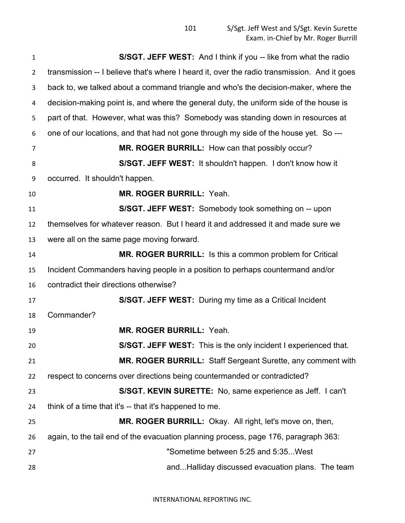| 1              | S/SGT. JEFF WEST: And I think if you -- like from what the radio                            |
|----------------|---------------------------------------------------------------------------------------------|
| $\overline{2}$ | transmission -- I believe that's where I heard it, over the radio transmission. And it goes |
| 3              | back to, we talked about a command triangle and who's the decision-maker, where the         |
| 4              | decision-making point is, and where the general duty, the uniform side of the house is      |
| 5              | part of that. However, what was this? Somebody was standing down in resources at            |
| 6              | one of our locations, and that had not gone through my side of the house yet. So ---        |
| 7              | MR. ROGER BURRILL: How can that possibly occur?                                             |
| 8              | S/SGT. JEFF WEST: It shouldn't happen. I don't know how it                                  |
| 9              | occurred. It shouldn't happen.                                                              |
| 10             | <b>MR. ROGER BURRILL: Yeah.</b>                                                             |
| 11             | S/SGT. JEFF WEST: Somebody took something on -- upon                                        |
| 12             | themselves for whatever reason. But I heard it and addressed it and made sure we            |
| 13             | were all on the same page moving forward.                                                   |
| 14             | MR. ROGER BURRILL: Is this a common problem for Critical                                    |
| 15             | Incident Commanders having people in a position to perhaps countermand and/or               |
| 16             | contradict their directions otherwise?                                                      |
| 17             | S/SGT. JEFF WEST: During my time as a Critical Incident                                     |
| 18             | Commander?                                                                                  |
| 19             | MR. ROGER BURRILL: Yeah.                                                                    |
| 20             | S/SGT. JEFF WEST: This is the only incident I experienced that.                             |
| 21             | <b>MR. ROGER BURRILL:</b> Staff Sergeant Surette, any comment with                          |
| 22             | respect to concerns over directions being countermanded or contradicted?                    |
| 23             | S/SGT. KEVIN SURETTE: No, same experience as Jeff. I can't                                  |
| 24             | think of a time that it's -- that it's happened to me.                                      |
| 25             | MR. ROGER BURRILL: Okay. All right, let's move on, then,                                    |
| 26             | again, to the tail end of the evacuation planning process, page 176, paragraph 363:         |
| 27             | "Sometime between 5:25 and 5:35 West                                                        |
| 28             | andHalliday discussed evacuation plans. The team                                            |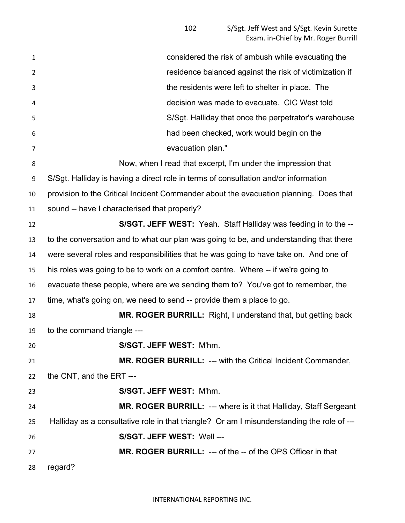considered the risk of ambush while evacuating the residence balanced against the risk of victimization if the residents were left to shelter in place. The decision was made to evacuate. CIC West told S/Sgt. Halliday that once the perpetrator's warehouse had been checked, work would begin on the evacuation plan." Now, when I read that excerpt, I'm under the impression that S/Sgt. Halliday is having a direct role in terms of consultation and/or information provision to the Critical Incident Commander about the evacuation planning. Does that sound -- have I characterised that properly? **S/SGT. JEFF WEST:** Yeah. Staff Halliday was feeding in to the -- to the conversation and to what our plan was going to be, and understanding that there were several roles and responsibilities that he was going to have take on. And one of his roles was going to be to work on a comfort centre. Where -- if we're going to evacuate these people, where are we sending them to? You've got to remember, the time, what's going on, we need to send -- provide them a place to go. **MR. ROGER BURRILL:** Right, I understand that, but getting back to the command triangle --- **S/SGT. JEFF WEST:** M'hm. **MR. ROGER BURRILL:** --- with the Critical Incident Commander, the CNT, and the ERT --- **S/SGT. JEFF WEST:** M'hm. **MR. ROGER BURRILL:** --- where is it that Halliday, Staff Sergeant Halliday as a consultative role in that triangle? Or am I misunderstanding the role of --- **S/SGT. JEFF WEST:** Well --- **MR. ROGER BURRILL:** --- of the -- of the OPS Officer in that regard?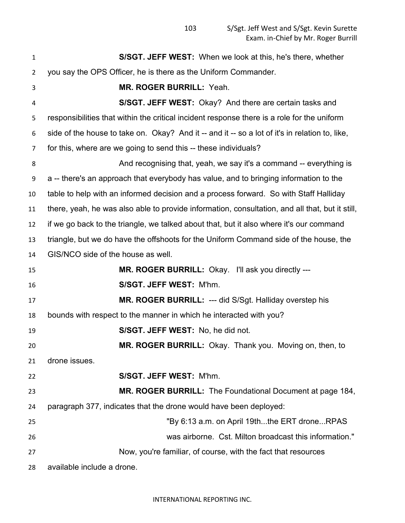| $\mathbf{1}$   | <b>S/SGT. JEFF WEST:</b> When we look at this, he's there, whether                              |
|----------------|-------------------------------------------------------------------------------------------------|
| $\overline{2}$ | you say the OPS Officer, he is there as the Uniform Commander.                                  |
| 3              | MR. ROGER BURRILL: Yeah.                                                                        |
| 4              | S/SGT. JEFF WEST: Okay? And there are certain tasks and                                         |
| 5              | responsibilities that within the critical incident response there is a role for the uniform     |
| 6              | side of the house to take on. Okay? And it -- and it -- so a lot of it's in relation to, like,  |
| 7              | for this, where are we going to send this -- these individuals?                                 |
| 8              | And recognising that, yeah, we say it's a command -- everything is                              |
| 9              | a -- there's an approach that everybody has value, and to bringing information to the           |
| 10             | table to help with an informed decision and a process forward. So with Staff Halliday           |
| 11             | there, yeah, he was also able to provide information, consultation, and all that, but it still, |
| 12             | if we go back to the triangle, we talked about that, but it also where it's our command         |
| 13             | triangle, but we do have the offshoots for the Uniform Command side of the house, the           |
| 14             | GIS/NCO side of the house as well.                                                              |
| 15             | MR. ROGER BURRILL: Okay. I'll ask you directly ---                                              |
| 16             | S/SGT. JEFF WEST: M'hm.                                                                         |
| 17             | MR. ROGER BURRILL: --- did S/Sgt. Halliday overstep his                                         |
| 18             | bounds with respect to the manner in which he interacted with you?                              |
| 19             | S/SGT. JEFF WEST: No, he did not.                                                               |
| 20             | MR. ROGER BURRILL: Okay. Thank you. Moving on, then, to                                         |
|                |                                                                                                 |
| 21             | drone issues.                                                                                   |
| 22             | S/SGT. JEFF WEST: M'hm.                                                                         |
| 23             | MR. ROGER BURRILL: The Foundational Document at page 184,                                       |
| 24             | paragraph 377, indicates that the drone would have been deployed:                               |
| 25             | "By 6:13 a.m. on April 19ththe ERT droneRPAS                                                    |
| 26             | was airborne. Cst. Milton broadcast this information."                                          |
| 27             | Now, you're familiar, of course, with the fact that resources                                   |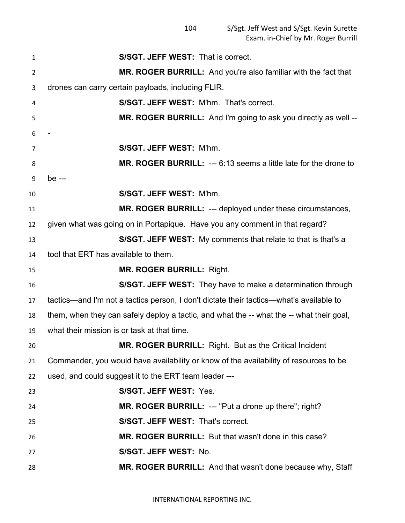| $\mathbf{1}$   | <b>S/SGT. JEFF WEST: That is correct.</b>                                                |
|----------------|------------------------------------------------------------------------------------------|
| $\overline{2}$ | MR. ROGER BURRILL: And you're also familiar with the fact that                           |
| 3              | drones can carry certain payloads, including FLIR.                                       |
| 4              | S/SGT. JEFF WEST: M'hm. That's correct.                                                  |
| 5              | MR. ROGER BURRILL: And I'm going to ask you directly as well --                          |
| 6              |                                                                                          |
| 7              | S/SGT. JEFF WEST: M'hm.                                                                  |
| 8              | MR. ROGER BURRILL: --- 6:13 seems a little late for the drone to                         |
| 9              | be ---                                                                                   |
| 10             | S/SGT. JEFF WEST: M'hm.                                                                  |
| 11             | <b>MR. ROGER BURRILL: --- deployed under these circumstances,</b>                        |
| 12             | given what was going on in Portapique. Have you any comment in that regard?              |
| 13             | S/SGT. JEFF WEST: My comments that relate to that is that's a                            |
| 14             | tool that ERT has available to them.                                                     |
| 15             | <b>MR. ROGER BURRILL: Right.</b>                                                         |
| 16             | <b>S/SGT. JEFF WEST:</b> They have to make a determination through                       |
| 17             | tactics—and I'm not a tactics person, I don't dictate their tactics—what's available to  |
| 18             | them, when they can safely deploy a tactic, and what the -- what the -- what their goal, |
| 19             | what their mission is or task at that time.                                              |
| 20             | <b>MR. ROGER BURRILL:</b> Right. But as the Critical Incident                            |
| 21             | Commander, you would have availability or know of the availability of resources to be    |
| 22             | used, and could suggest it to the ERT team leader ---                                    |
| 23             | S/SGT. JEFF WEST: Yes.                                                                   |
| 24             | <b>MR. ROGER BURRILL: --- "Put a drone up there"; right?</b>                             |
| 25             | S/SGT. JEFF WEST: That's correct.                                                        |
| 26             | MR. ROGER BURRILL: But that wasn't done in this case?                                    |
| 27             | S/SGT. JEFF WEST: No.                                                                    |
| 28             | MR. ROGER BURRILL: And that wasn't done because why, Staff                               |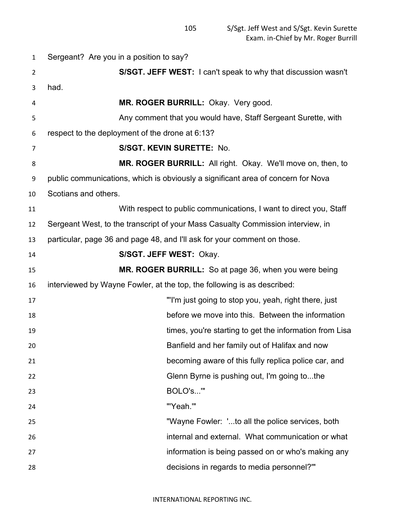Sergeant? Are you in a position to say? **S/SGT. JEFF WEST:** I can't speak to why that discussion wasn't had. **MR. ROGER BURRILL:** Okay. Very good. Any comment that you would have, Staff Sergeant Surette, with respect to the deployment of the drone at 6:13? **S/SGT. KEVIN SURETTE:** No. **MR. ROGER BURRILL:** All right. Okay. We'll move on, then, to public communications, which is obviously a significant area of concern for Nova Scotians and others. With respect to public communications, I want to direct you, Staff Sergeant West, to the transcript of your Mass Casualty Commission interview, in particular, page 36 and page 48, and I'll ask for your comment on those. **S/SGT. JEFF WEST:** Okay. **MR. ROGER BURRILL:** So at page 36, when you were being interviewed by Wayne Fowler, at the top, the following is as described: "'I'm just going to stop you, yeah, right there, just before we move into this. Between the information times, you're starting to get the information from Lisa Banfield and her family out of Halifax and now becoming aware of this fully replica police car, and Glenn Byrne is pushing out, I'm going to...the BOLO's...'" "'Yeah.'" "Wayne Fowler: '...to all the police services, both internal and external. What communication or what information is being passed on or who's making any decisions in regards to media personnel?'"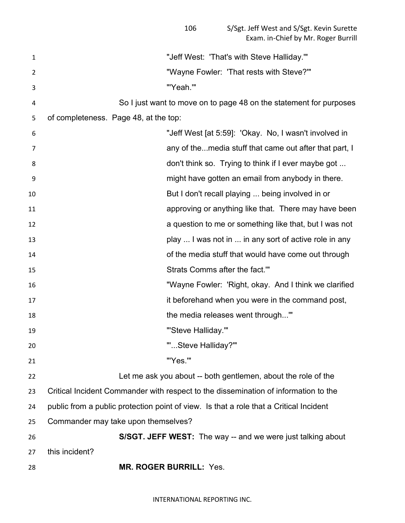| 1  | "Jeff West: 'That's with Steve Halliday.'"                                             |
|----|----------------------------------------------------------------------------------------|
| 2  | "Wayne Fowler: 'That rests with Steve?'"                                               |
| 3  | "'Yeah.""                                                                              |
| 4  | So I just want to move on to page 48 on the statement for purposes                     |
| 5  | of completeness. Page 48, at the top:                                                  |
| 6  | "Jeff West [at 5:59]: 'Okay. No, I wasn't involved in                                  |
| 7  | any of themedia stuff that came out after that part, I                                 |
| 8  | don't think so. Trying to think if I ever maybe got                                    |
| 9  | might have gotten an email from anybody in there.                                      |
| 10 | But I don't recall playing  being involved in or                                       |
| 11 | approving or anything like that. There may have been                                   |
| 12 | a question to me or something like that, but I was not                                 |
| 13 | play  I was not in  in any sort of active role in any                                  |
| 14 | of the media stuff that would have come out through                                    |
| 15 | Strats Comms after the fact."                                                          |
| 16 | "Wayne Fowler: 'Right, okay. And I think we clarified                                  |
| 17 | it beforehand when you were in the command post,                                       |
| 18 | the media releases went through"                                                       |
| 19 | "'Steve Halliday.""                                                                    |
| 20 | ""Steve Halliday?"                                                                     |
| 21 | "'Yes.""                                                                               |
| 22 | Let me ask you about -- both gentlemen, about the role of the                          |
| 23 | Critical Incident Commander with respect to the dissemination of information to the    |
| 24 | public from a public protection point of view. Is that a role that a Critical Incident |
| 25 | Commander may take upon themselves?                                                    |
| 26 | <b>S/SGT. JEFF WEST:</b> The way -- and we were just talking about                     |
| 27 | this incident?                                                                         |
| 28 | <b>MR. ROGER BURRILL: Yes.</b>                                                         |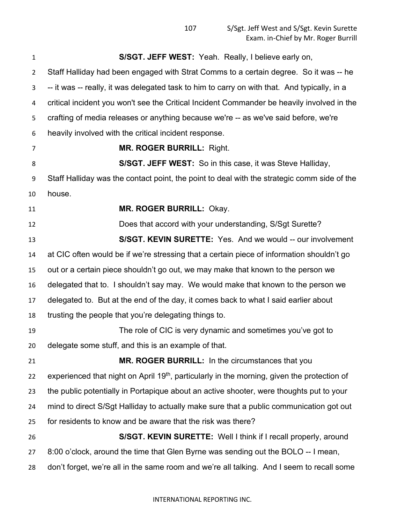**S/SGT. JEFF WEST:** Yeah. Really, I believe early on, Staff Halliday had been engaged with Strat Comms to a certain degree. So it was -- he -- it was -- really, it was delegated task to him to carry on with that. And typically, in a critical incident you won't see the Critical Incident Commander be heavily involved in the crafting of media releases or anything because we're -- as we've said before, we're heavily involved with the critical incident response. **MR. ROGER BURRILL:** Right. **S/SGT. JEFF WEST:** So in this case, it was Steve Halliday, Staff Halliday was the contact point, the point to deal with the strategic comm side of the house. **MR. ROGER BURRILL:** Okay. Does that accord with your understanding, S/Sgt Surette? **S/SGT. KEVIN SURETTE:** Yes. And we would -- our involvement at CIC often would be if we're stressing that a certain piece of information shouldn't go out or a certain piece shouldn't go out, we may make that known to the person we delegated that to. I shouldn't say may. We would make that known to the person we delegated to. But at the end of the day, it comes back to what I said earlier about trusting the people that you're delegating things to. The role of CIC is very dynamic and sometimes you've got to delegate some stuff, and this is an example of that. **MR. ROGER BURRILL:** In the circumstances that you experienced that night on April 19<sup>th</sup>, particularly in the morning, given the protection of the public potentially in Portapique about an active shooter, were thoughts put to your mind to direct S/Sgt Halliday to actually make sure that a public communication got out for residents to know and be aware that the risk was there? **S/SGT. KEVIN SURETTE:** Well I think if I recall properly, around 8:00 o'clock, around the time that Glen Byrne was sending out the BOLO -- I mean, don't forget, we're all in the same room and we're all talking. And I seem to recall some

## INTERNATIONAL REPORTING INC.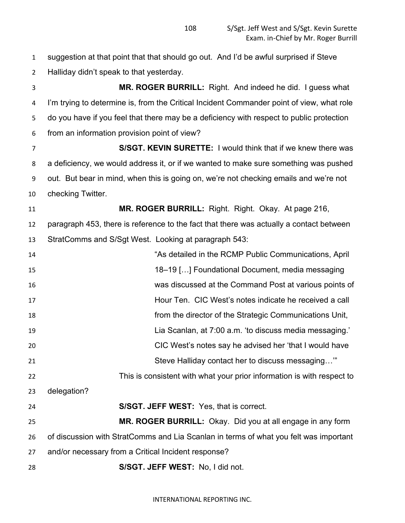suggestion at that point that that should go out. And I'd be awful surprised if Steve Halliday didn't speak to that yesterday.

 **MR. ROGER BURRILL:** Right. And indeed he did. I guess what I'm trying to determine is, from the Critical Incident Commander point of view, what role do you have if you feel that there may be a deficiency with respect to public protection from an information provision point of view?

 **S/SGT. KEVIN SURETTE:** I would think that if we knew there was a deficiency, we would address it, or if we wanted to make sure something was pushed out. But bear in mind, when this is going on, we're not checking emails and we're not checking Twitter.

 **MR. ROGER BURRILL:** Right. Right. Okay. At page 216, paragraph 453, there is reference to the fact that there was actually a contact between StratComms and S/Sgt West. Looking at paragraph 543:

 "As detailed in the RCMP Public Communications, April 18–19 […] Foundational Document, media messaging was discussed at the Command Post at various points of Hour Ten. CIC West's notes indicate he received a call from the director of the Strategic Communications Unit, Lia Scanlan, at 7:00 a.m. 'to discuss media messaging.' CIC West's notes say he advised her 'that I would have Steve Halliday contact her to discuss messaging…'" This is consistent with what your prior information is with respect to delegation? **S/SGT. JEFF WEST:** Yes, that is correct. **MR. ROGER BURRILL:** Okay. Did you at all engage in any form of discussion with StratComms and Lia Scanlan in terms of what you felt was important and/or necessary from a Critical Incident response?

**S/SGT. JEFF WEST:** No, I did not.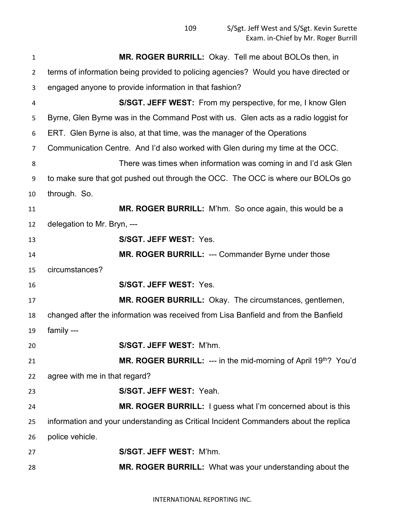| $\mathbf{1}$   | MR. ROGER BURRILL: Okay. Tell me about BOLOs then, in                                |  |
|----------------|--------------------------------------------------------------------------------------|--|
| $\overline{2}$ | terms of information being provided to policing agencies? Would you have directed or |  |
| 3              | engaged anyone to provide information in that fashion?                               |  |
| 4              | S/SGT. JEFF WEST: From my perspective, for me, I know Glen                           |  |
| 5              | Byrne, Glen Byrne was in the Command Post with us. Glen acts as a radio loggist for  |  |
| 6              | ERT. Glen Byrne is also, at that time, was the manager of the Operations             |  |
| 7              | Communication Centre. And I'd also worked with Glen during my time at the OCC.       |  |
| 8              | There was times when information was coming in and I'd ask Glen                      |  |
| 9              | to make sure that got pushed out through the OCC. The OCC is where our BOLOs go      |  |
| 10             | through. So.                                                                         |  |
| 11             | MR. ROGER BURRILL: M'hm. So once again, this would be a                              |  |
| 12             | delegation to Mr. Bryn, ---                                                          |  |
| 13             | S/SGT. JEFF WEST: Yes.                                                               |  |
| 14             | MR. ROGER BURRILL: --- Commander Byrne under those                                   |  |
| 15             | circumstances?                                                                       |  |
| 16             | S/SGT. JEFF WEST: Yes.                                                               |  |
| 17             | MR. ROGER BURRILL: Okay. The circumstances, gentlemen,                               |  |
| 18             | changed after the information was received from Lisa Banfield and from the Banfield  |  |
| 19             | family ---                                                                           |  |
| 20             | S/SGT. JEFF WEST: M'hm.                                                              |  |
| 21             | <b>MR. ROGER BURRILL:</b> --- in the mid-morning of April $19th$ ? You'd             |  |
| 22             | agree with me in that regard?                                                        |  |
| 23             | S/SGT. JEFF WEST: Yeah.                                                              |  |
| 24             | <b>MR. ROGER BURRILL:</b> I guess what I'm concerned about is this                   |  |
| 25             | information and your understanding as Critical Incident Commanders about the replica |  |
| 26             | police vehicle.                                                                      |  |
| 27             | S/SGT. JEFF WEST: M'hm.                                                              |  |
| 28             | <b>MR. ROGER BURRILL:</b> What was your understanding about the                      |  |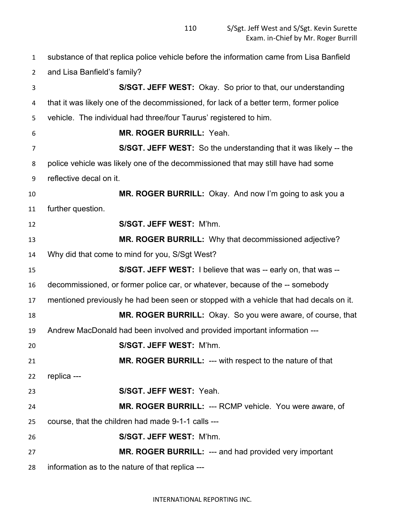substance of that replica police vehicle before the information came from Lisa Banfield and Lisa Banfield's family? **S/SGT. JEFF WEST:** Okay. So prior to that, our understanding that it was likely one of the decommissioned, for lack of a better term, former police vehicle. The individual had three/four Taurus' registered to him. **MR. ROGER BURRILL:** Yeah. **S/SGT. JEFF WEST:** So the understanding that it was likely -- the police vehicle was likely one of the decommissioned that may still have had some reflective decal on it. **MR. ROGER BURRILL:** Okay. And now I'm going to ask you a further question. **S/SGT. JEFF WEST:** M'hm. **MR. ROGER BURRILL:** Why that decommissioned adjective? Why did that come to mind for you, S/Sgt West? **S/SGT. JEFF WEST:** I believe that was -- early on, that was -- decommissioned, or former police car, or whatever, because of the -- somebody mentioned previously he had been seen or stopped with a vehicle that had decals on it. **MR. ROGER BURRILL:** Okay. So you were aware, of course, that Andrew MacDonald had been involved and provided important information --- **S/SGT. JEFF WEST:** M'hm. **MR. ROGER BURRILL:** --- with respect to the nature of that replica --- **S/SGT. JEFF WEST:** Yeah. **MR. ROGER BURRILL:** --- RCMP vehicle. You were aware, of course, that the children had made 9-1-1 calls --- **S/SGT. JEFF WEST:** M'hm. **MR. ROGER BURRILL:** --- and had provided very important information as to the nature of that replica ---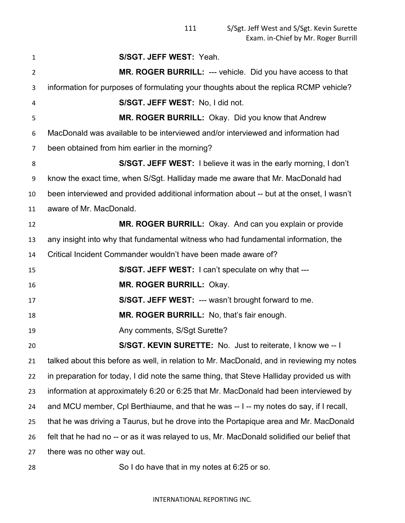| $\mathbf{1}$   | S/SGT. JEFF WEST: Yeah.                                                                     |  |
|----------------|---------------------------------------------------------------------------------------------|--|
| $\overline{2}$ | MR. ROGER BURRILL: --- vehicle. Did you have access to that                                 |  |
| 3              | information for purposes of formulating your thoughts about the replica RCMP vehicle?       |  |
| 4              | S/SGT. JEFF WEST: No, I did not.                                                            |  |
| 5              | MR. ROGER BURRILL: Okay. Did you know that Andrew                                           |  |
| 6              | MacDonald was available to be interviewed and/or interviewed and information had            |  |
| $\overline{7}$ | been obtained from him earlier in the morning?                                              |  |
| 8              | S/SGT. JEFF WEST: I believe it was in the early morning, I don't                            |  |
| 9              | know the exact time, when S/Sgt. Halliday made me aware that Mr. MacDonald had              |  |
| 10             | been interviewed and provided additional information about -- but at the onset, I wasn't    |  |
| 11             | aware of Mr. MacDonald.                                                                     |  |
| 12             | MR. ROGER BURRILL: Okay. And can you explain or provide                                     |  |
| 13             | any insight into why that fundamental witness who had fundamental information, the          |  |
| 14             | Critical Incident Commander wouldn't have been made aware of?                               |  |
| 15             | S/SGT. JEFF WEST: I can't speculate on why that ---                                         |  |
| 16             | MR. ROGER BURRILL: Okay.                                                                    |  |
| 17             | <b>S/SGT. JEFF WEST: --- wasn't brought forward to me.</b>                                  |  |
| 18             | MR. ROGER BURRILL: No, that's fair enough.                                                  |  |
| 19             | Any comments, S/Sgt Surette?                                                                |  |
| 20             | S/SGT. KEVIN SURETTE: No. Just to reiterate, I know we -- I                                 |  |
| 21             | talked about this before as well, in relation to Mr. MacDonald, and in reviewing my notes   |  |
| 22             | in preparation for today, I did note the same thing, that Steve Halliday provided us with   |  |
| 23             | information at approximately 6:20 or 6:25 that Mr. MacDonald had been interviewed by        |  |
| 24             | and MCU member, Cpl Berthiaume, and that he was -- I -- my notes do say, if I recall,       |  |
| 25             | that he was driving a Taurus, but he drove into the Portapique area and Mr. MacDonald       |  |
| 26             | felt that he had no -- or as it was relayed to us, Mr. MacDonald solidified our belief that |  |
| 27             | there was no other way out.                                                                 |  |
| 28             | So I do have that in my notes at 6:25 or so.                                                |  |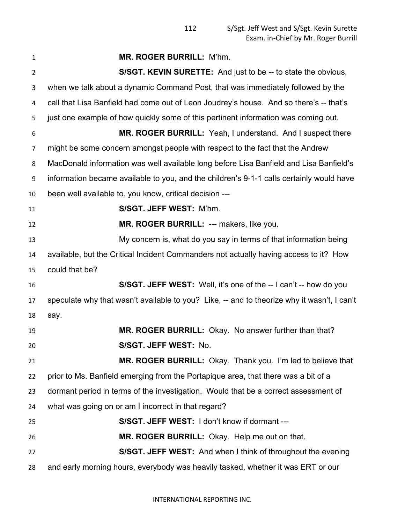| $\mathbf{1}$   | MR. ROGER BURRILL: M'hm.                                                                    |
|----------------|---------------------------------------------------------------------------------------------|
| $\overline{2}$ | S/SGT. KEVIN SURETTE: And just to be -- to state the obvious,                               |
| 3              | when we talk about a dynamic Command Post, that was immediately followed by the             |
| 4              | call that Lisa Banfield had come out of Leon Joudrey's house. And so there's -- that's      |
| 5              | just one example of how quickly some of this pertinent information was coming out.          |
| 6              | MR. ROGER BURRILL: Yeah, I understand. And I suspect there                                  |
| 7              | might be some concern amongst people with respect to the fact that the Andrew               |
| 8              | MacDonald information was well available long before Lisa Banfield and Lisa Banfield's      |
| 9              | information became available to you, and the children's 9-1-1 calls certainly would have    |
| 10             | been well available to, you know, critical decision ---                                     |
| 11             | S/SGT. JEFF WEST: M'hm.                                                                     |
| 12             | MR. ROGER BURRILL: --- makers, like you.                                                    |
| 13             | My concern is, what do you say in terms of that information being                           |
| 14             | available, but the Critical Incident Commanders not actually having access to it? How       |
| 15             | could that be?                                                                              |
| 16             | S/SGT. JEFF WEST: Well, it's one of the -- I can't -- how do you                            |
| 17             | speculate why that wasn't available to you? Like, -- and to theorize why it wasn't, I can't |
| 18             | say.                                                                                        |
| 19             | MR. ROGER BURRILL: Okay. No answer further than that?                                       |
| 20             | S/SGT. JEFF WEST: No.                                                                       |
| 21             | MR. ROGER BURRILL: Okay. Thank you. I'm led to believe that                                 |
| 22             | prior to Ms. Banfield emerging from the Portapique area, that there was a bit of a          |
| 23             | dormant period in terms of the investigation. Would that be a correct assessment of         |
| 24             | what was going on or am I incorrect in that regard?                                         |
| 25             | S/SGT. JEFF WEST: I don't know if dormant ---                                               |
| 26             | MR. ROGER BURRILL: Okay. Help me out on that.                                               |
| 27             | S/SGT. JEFF WEST: And when I think of throughout the evening                                |
| 28             | and early morning hours, everybody was heavily tasked, whether it was ERT or our            |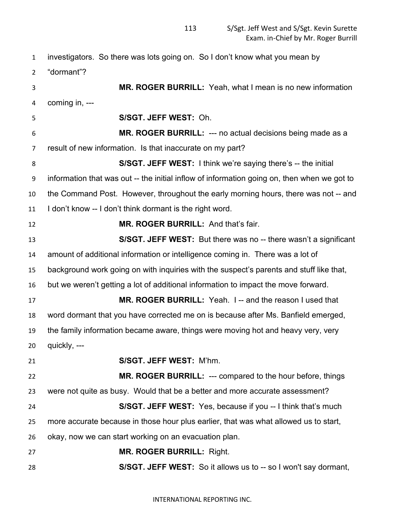| $\mathbf{1}$   | investigators. So there was lots going on. So I don't know what you mean by                 |  |
|----------------|---------------------------------------------------------------------------------------------|--|
| $\overline{2}$ | "dormant"?                                                                                  |  |
| 3              | MR. ROGER BURRILL: Yeah, what I mean is no new information                                  |  |
| 4              | coming in, ---                                                                              |  |
| 5              | S/SGT. JEFF WEST: Oh.                                                                       |  |
| 6              | MR. ROGER BURRILL: --- no actual decisions being made as a                                  |  |
| $\overline{7}$ | result of new information. Is that inaccurate on my part?                                   |  |
| 8              | S/SGT. JEFF WEST: I think we're saying there's -- the initial                               |  |
| 9              | information that was out -- the initial inflow of information going on, then when we got to |  |
| 10             | the Command Post. However, throughout the early morning hours, there was not -- and         |  |
| 11             | I don't know -- I don't think dormant is the right word.                                    |  |
| 12             | MR. ROGER BURRILL: And that's fair.                                                         |  |
| 13             | S/SGT. JEFF WEST: But there was no -- there wasn't a significant                            |  |
| 14             | amount of additional information or intelligence coming in. There was a lot of              |  |
| 15             | background work going on with inquiries with the suspect's parents and stuff like that,     |  |
| 16             | but we weren't getting a lot of additional information to impact the move forward.          |  |
| 17             | MR. ROGER BURRILL: Yeah. I-and the reason I used that                                       |  |
| 18             | word dormant that you have corrected me on is because after Ms. Banfield emerged,           |  |
| 19             | the family information became aware, things were moving hot and heavy very, very            |  |
| 20             | quickly, ---                                                                                |  |
| 21             | S/SGT. JEFF WEST: M'hm.                                                                     |  |
| 22             | MR. ROGER BURRILL: --- compared to the hour before, things                                  |  |
| 23             | were not quite as busy. Would that be a better and more accurate assessment?                |  |
| 24             | S/SGT. JEFF WEST: Yes, because if you -- I think that's much                                |  |
| 25             | more accurate because in those hour plus earlier, that was what allowed us to start,        |  |
| 26             | okay, now we can start working on an evacuation plan.                                       |  |
| 27             | <b>MR. ROGER BURRILL: Right.</b>                                                            |  |
| 28             | S/SGT. JEFF WEST: So it allows us to -- so I won't say dormant,                             |  |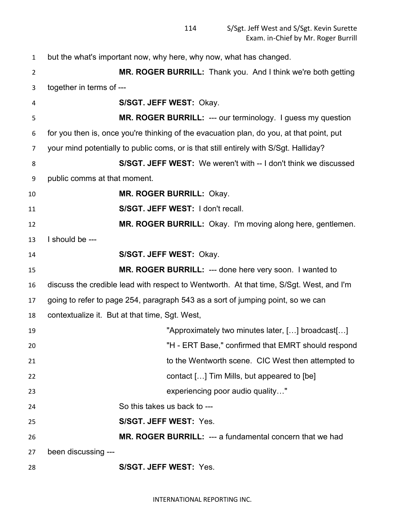| $\mathbf{1}$   | but the what's important now, why here, why now, what has changed.                       |
|----------------|------------------------------------------------------------------------------------------|
| $\overline{2}$ | MR. ROGER BURRILL: Thank you. And I think we're both getting                             |
| 3              | together in terms of ---                                                                 |
| 4              | S/SGT. JEFF WEST: Okay.                                                                  |
| 5              | <b>MR. ROGER BURRILL: --- our terminology.</b> I guess my question                       |
| 6              | for you then is, once you're thinking of the evacuation plan, do you, at that point, put |
| 7              | your mind potentially to public coms, or is that still entirely with S/Sgt. Halliday?    |
| 8              | S/SGT. JEFF WEST: We weren't with -- I don't think we discussed                          |
| 9              | public comms at that moment.                                                             |
| 10             | <b>MR. ROGER BURRILL: Okay.</b>                                                          |
| 11             | S/SGT. JEFF WEST: I don't recall.                                                        |
| 12             | MR. ROGER BURRILL: Okay. I'm moving along here, gentlemen.                               |
| 13             | I should be ---                                                                          |
| 14             | S/SGT. JEFF WEST: Okay.                                                                  |
| 15             | <b>MR. ROGER BURRILL: --- done here very soon. I wanted to</b>                           |
| 16             | discuss the credible lead with respect to Wentworth. At that time, S/Sgt. West, and I'm  |
| 17             | going to refer to page 254, paragraph 543 as a sort of jumping point, so we can          |
| 18             | contextualize it. But at that time, Sgt. West,                                           |
| 19             | "Approximately two minutes later, [] broadcast[]                                         |
| 20             | "H - ERT Base," confirmed that EMRT should respond                                       |
| 21             | to the Wentworth scene. CIC West then attempted to                                       |
| 22             | contact [] Tim Mills, but appeared to [be]                                               |
| 23             | experiencing poor audio quality"                                                         |
| 24             | So this takes us back to ---                                                             |
| 25             | S/SGT. JEFF WEST: Yes.                                                                   |
| 26             | MR. ROGER BURRILL: --- a fundamental concern that we had                                 |
| 27             | been discussing ---                                                                      |
| 28             | S/SGT. JEFF WEST: Yes.                                                                   |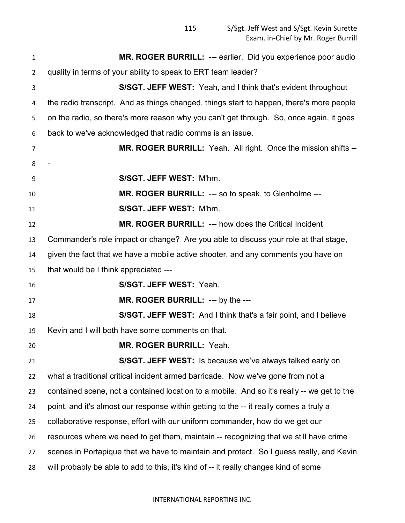S/Sgt. Jeff West and S/Sgt. Kevin Surette Exam. in-Chief by Mr. Roger Burrill

| $\mathbf{1}$   | MR. ROGER BURRILL: --- earlier. Did you experience poor audio                              |  |
|----------------|--------------------------------------------------------------------------------------------|--|
| $\overline{2}$ | quality in terms of your ability to speak to ERT team leader?                              |  |
| 3              | S/SGT. JEFF WEST: Yeah, and I think that's evident throughout                              |  |
| 4              | the radio transcript. And as things changed, things start to happen, there's more people   |  |
| 5              | on the radio, so there's more reason why you can't get through. So, once again, it goes    |  |
| 6              | back to we've acknowledged that radio comms is an issue.                                   |  |
| $\overline{7}$ | <b>MR. ROGER BURRILL:</b> Yeah. All right. Once the mission shifts --                      |  |
| 8              |                                                                                            |  |
| 9              | S/SGT. JEFF WEST: M'hm.                                                                    |  |
| 10             | MR. ROGER BURRILL: --- so to speak, to Glenholme ---                                       |  |
| 11             | S/SGT. JEFF WEST: M'hm.                                                                    |  |
| 12             | MR. ROGER BURRILL: --- how does the Critical Incident                                      |  |
| 13             | Commander's role impact or change? Are you able to discuss your role at that stage,        |  |
| 14             | given the fact that we have a mobile active shooter, and any comments you have on          |  |
| 15             | that would be I think appreciated ---                                                      |  |
| 16             | S/SGT. JEFF WEST: Yeah.                                                                    |  |
| 17             | MR. ROGER BURRILL: --- by the ---                                                          |  |
| 18             | <b>S/SGT. JEFF WEST:</b> And I think that's a fair point, and I believe                    |  |
| 19             | Kevin and I will both have some comments on that.                                          |  |
| 20             | <b>MR. ROGER BURRILL: Yeah.</b>                                                            |  |
| 21             | S/SGT. JEFF WEST: Is because we've always talked early on                                  |  |
| 22             | what a traditional critical incident armed barricade. Now we've gone from not a            |  |
| 23             | contained scene, not a contained location to a mobile. And so it's really -- we get to the |  |
| 24             | point, and it's almost our response within getting to the -- it really comes a truly a     |  |
| 25             | collaborative response, effort with our uniform commander, how do we get our               |  |
| 26             | resources where we need to get them, maintain -- recognizing that we still have crime      |  |
| 27             | scenes in Portapique that we have to maintain and protect. So I guess really, and Kevin    |  |
| 28             | will probably be able to add to this, it's kind of -- it really changes kind of some       |  |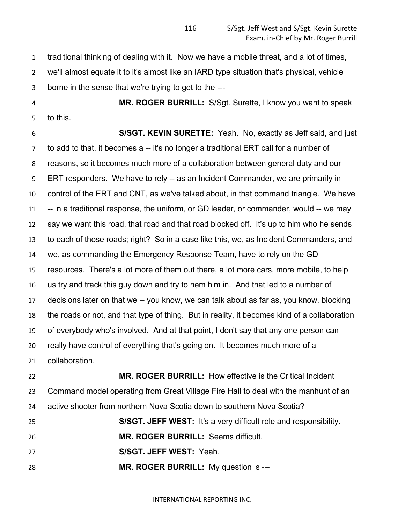traditional thinking of dealing with it. Now we have a mobile threat, and a lot of times, we'll almost equate it to it's almost like an IARD type situation that's physical, vehicle

borne in the sense that we're trying to get to the ---

 **MR. ROGER BURRILL:** S/Sgt. Surette, I know you want to speak to this.

 **S/SGT. KEVIN SURETTE:** Yeah. No, exactly as Jeff said, and just to add to that, it becomes a -- it's no longer a traditional ERT call for a number of reasons, so it becomes much more of a collaboration between general duty and our ERT responders. We have to rely -- as an Incident Commander, we are primarily in control of the ERT and CNT, as we've talked about, in that command triangle. We have 11 -- in a traditional response, the uniform, or GD leader, or commander, would -- we may say we want this road, that road and that road blocked off. It's up to him who he sends to each of those roads; right? So in a case like this, we, as Incident Commanders, and we, as commanding the Emergency Response Team, have to rely on the GD resources. There's a lot more of them out there, a lot more cars, more mobile, to help us try and track this guy down and try to hem him in. And that led to a number of decisions later on that we -- you know, we can talk about as far as, you know, blocking the roads or not, and that type of thing. But in reality, it becomes kind of a collaboration of everybody who's involved. And at that point, I don't say that any one person can really have control of everything that's going on. It becomes much more of a collaboration.

 **MR. ROGER BURRILL:** How effective is the Critical Incident Command model operating from Great Village Fire Hall to deal with the manhunt of an active shooter from northern Nova Scotia down to southern Nova Scotia?

**S/SGT. JEFF WEST:** It's a very difficult role and responsibility.

**MR. ROGER BURRILL:** Seems difficult.

**S/SGT. JEFF WEST:** Yeah.

**MR. ROGER BURRILL:** My question is ---

INTERNATIONAL REPORTING INC.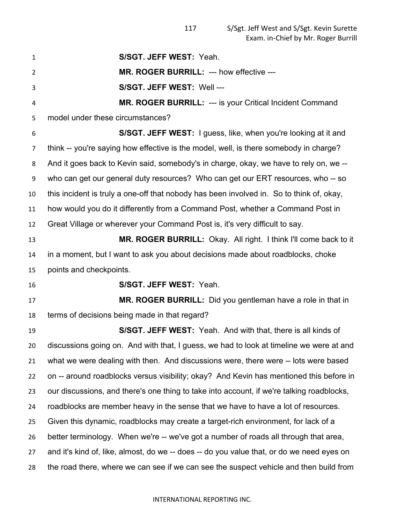| $\mathbf{1}$   | S/SGT. JEFF WEST: Yeah.                                                                   |
|----------------|-------------------------------------------------------------------------------------------|
| $\overline{2}$ | MR. ROGER BURRILL: --- how effective ---                                                  |
| 3              | S/SGT. JEFF WEST: Well ---                                                                |
| 4              | <b>MR. ROGER BURRILL: --- is your Critical Incident Command</b>                           |
| 5              | model under these circumstances?                                                          |
| 6              | S/SGT. JEFF WEST: I guess, like, when you're looking at it and                            |
| 7              | think -- you're saying how effective is the model, well, is there somebody in charge?     |
| 8              | And it goes back to Kevin said, somebody's in charge, okay, we have to rely on, we --     |
| 9              | who can get our general duty resources? Who can get our ERT resources, who -- so          |
| 10             | this incident is truly a one-off that nobody has been involved in. So to think of, okay,  |
| 11             | how would you do it differently from a Command Post, whether a Command Post in            |
| 12             | Great Village or wherever your Command Post is, it's very difficult to say.               |
| 13             | MR. ROGER BURRILL: Okay. All right. I think I'll come back to it                          |
| 14             | in a moment, but I want to ask you about decisions made about roadblocks, choke           |
| 15             | points and checkpoints.                                                                   |
| 16             | S/SGT. JEFF WEST: Yeah.                                                                   |
| 17             | MR. ROGER BURRILL: Did you gentleman have a role in that in                               |
| 18             | terms of decisions being made in that regard?                                             |
| 19             | S/SGT. JEFF WEST: Yeah. And with that, there is all kinds of                              |
| 20             | discussions going on. And with that, I guess, we had to look at timeline we were at and   |
| 21             | what we were dealing with then. And discussions were, there were -- lots were based       |
| 22             | on -- around roadblocks versus visibility; okay? And Kevin has mentioned this before in   |
| 23             | our discussions, and there's one thing to take into account, if we're talking roadblocks, |
| 24             | roadblocks are member heavy in the sense that we have to have a lot of resources.         |
| 25             | Given this dynamic, roadblocks may create a target-rich environment, for lack of a        |
| 26             | better terminology. When we're -- we've got a number of roads all through that area,      |
| 27             | and it's kind of, like, almost, do we -- does -- do you value that, or do we need eyes on |
| 28             | the road there, where we can see if we can see the suspect vehicle and then build from    |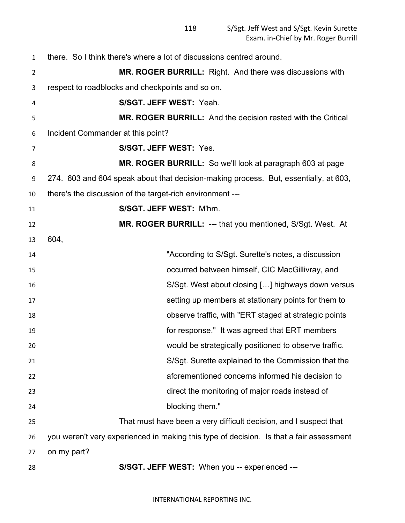| 1  | there. So I think there's where a lot of discussions centred around.                    |  |
|----|-----------------------------------------------------------------------------------------|--|
| 2  | <b>MR. ROGER BURRILL:</b> Right. And there was discussions with                         |  |
| 3  | respect to roadblocks and checkpoints and so on.                                        |  |
| 4  | S/SGT. JEFF WEST: Yeah.                                                                 |  |
| 5  | <b>MR. ROGER BURRILL:</b> And the decision rested with the Critical                     |  |
| 6  | Incident Commander at this point?                                                       |  |
| 7  | S/SGT. JEFF WEST: Yes.                                                                  |  |
| 8  | MR. ROGER BURRILL: So we'll look at paragraph 603 at page                               |  |
| 9  | 274. 603 and 604 speak about that decision-making process. But, essentially, at 603,    |  |
| 10 | there's the discussion of the target-rich environment ---                               |  |
| 11 | S/SGT. JEFF WEST: M'hm.                                                                 |  |
| 12 | MR. ROGER BURRILL: --- that you mentioned, S/Sgt. West. At                              |  |
| 13 | 604,                                                                                    |  |
| 14 | "According to S/Sgt. Surette's notes, a discussion                                      |  |
| 15 | occurred between himself, CIC MacGillivray, and                                         |  |
| 16 | S/Sgt. West about closing [] highways down versus                                       |  |
| 17 | setting up members at stationary points for them to                                     |  |
| 18 | observe traffic, with "ERT staged at strategic points                                   |  |
| 19 | for response." It was agreed that ERT members                                           |  |
| 20 | would be strategically positioned to observe traffic.                                   |  |
| 21 | S/Sgt. Surette explained to the Commission that the                                     |  |
| 22 | aforementioned concerns informed his decision to                                        |  |
| 23 | direct the monitoring of major roads instead of                                         |  |
| 24 | blocking them."                                                                         |  |
| 25 | That must have been a very difficult decision, and I suspect that                       |  |
| 26 | you weren't very experienced in making this type of decision. Is that a fair assessment |  |
| 27 | on my part?                                                                             |  |
| 28 | S/SGT. JEFF WEST: When you -- experienced ---                                           |  |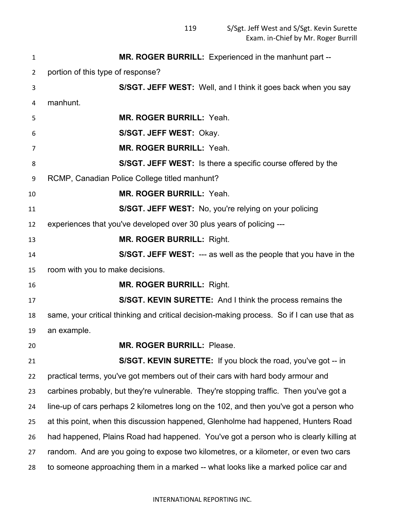| 1  | MR. ROGER BURRILL: Experienced in the manhunt part --                                      |  |
|----|--------------------------------------------------------------------------------------------|--|
| 2  | portion of this type of response?                                                          |  |
| 3  | S/SGT. JEFF WEST: Well, and I think it goes back when you say                              |  |
| 4  | manhunt.                                                                                   |  |
| 5  | <b>MR. ROGER BURRILL: Yeah.</b>                                                            |  |
| 6  | S/SGT. JEFF WEST: Okay.                                                                    |  |
| 7  | <b>MR. ROGER BURRILL: Yeah.</b>                                                            |  |
| 8  | S/SGT. JEFF WEST: Is there a specific course offered by the                                |  |
| 9  | RCMP, Canadian Police College titled manhunt?                                              |  |
| 10 | <b>MR. ROGER BURRILL: Yeah.</b>                                                            |  |
| 11 | S/SGT. JEFF WEST: No, you're relying on your policing                                      |  |
| 12 | experiences that you've developed over 30 plus years of policing ---                       |  |
| 13 | <b>MR. ROGER BURRILL: Right.</b>                                                           |  |
| 14 | S/SGT. JEFF WEST: --- as well as the people that you have in the                           |  |
| 15 | room with you to make decisions.                                                           |  |
| 16 | <b>MR. ROGER BURRILL: Right.</b>                                                           |  |
| 17 | S/SGT. KEVIN SURETTE: And I think the process remains the                                  |  |
| 18 | same, your critical thinking and critical decision-making process. So if I can use that as |  |
| 19 | an example.                                                                                |  |
| 20 | MR. ROGER BURRILL: Please.                                                                 |  |
| 21 | S/SGT. KEVIN SURETTE: If you block the road, you've got -- in                              |  |
| 22 | practical terms, you've got members out of their cars with hard body armour and            |  |
| 23 | carbines probably, but they're vulnerable. They're stopping traffic. Then you've got a     |  |
| 24 | line-up of cars perhaps 2 kilometres long on the 102, and then you've got a person who     |  |
| 25 | at this point, when this discussion happened, Glenholme had happened, Hunters Road         |  |
| 26 | had happened, Plains Road had happened. You've got a person who is clearly killing at      |  |
| 27 | random. And are you going to expose two kilometres, or a kilometer, or even two cars       |  |
| 28 | to someone approaching them in a marked -- what looks like a marked police car and         |  |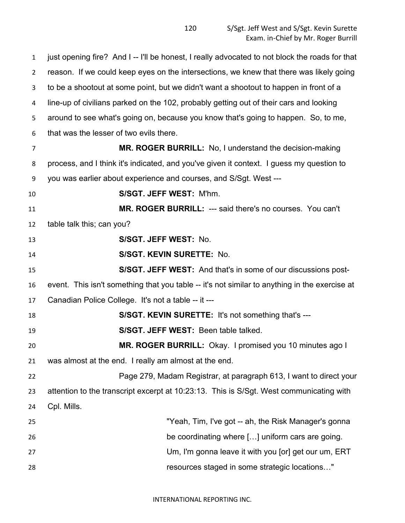just opening fire? And I -- I'll be honest, I really advocated to not block the roads for that reason. If we could keep eyes on the intersections, we knew that there was likely going to be a shootout at some point, but we didn't want a shootout to happen in front of a line-up of civilians parked on the 102, probably getting out of their cars and looking around to see what's going on, because you know that's going to happen. So, to me, that was the lesser of two evils there. **MR. ROGER BURRILL:** No, I understand the decision-making process, and I think it's indicated, and you've given it context. I guess my question to you was earlier about experience and courses, and S/Sgt. West --- **S/SGT. JEFF WEST:** M'hm. **MR. ROGER BURRILL:** --- said there's no courses. You can't table talk this; can you? **S/SGT. JEFF WEST:** No. **S/SGT. KEVIN SURETTE:** No. **S/SGT. JEFF WEST:** And that's in some of our discussions post- event. This isn't something that you table -- it's not similar to anything in the exercise at Canadian Police College. It's not a table -- it --- **S/SGT. KEVIN SURETTE:** It's not something that's --- **S/SGT. JEFF WEST:** Been table talked. **MR. ROGER BURRILL:** Okay. I promised you 10 minutes ago I was almost at the end. I really am almost at the end. Page 279, Madam Registrar, at paragraph 613, I want to direct your attention to the transcript excerpt at 10:23:13. This is S/Sgt. West communicating with Cpl. Mills. "Yeah, Tim, I've got -- ah, the Risk Manager's gonna be coordinating where […] uniform cars are going. Um, I'm gonna leave it with you [or] get our um, ERT resources staged in some strategic locations…"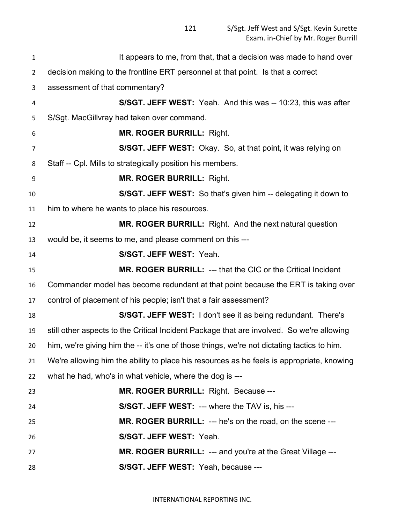| $\mathbf{1}$   | It appears to me, from that, that a decision was made to hand over                         |
|----------------|--------------------------------------------------------------------------------------------|
| $\overline{2}$ | decision making to the frontline ERT personnel at that point. Is that a correct            |
| 3              | assessment of that commentary?                                                             |
| 4              | <b>S/SGT. JEFF WEST:</b> Yeah. And this was -- 10:23, this was after                       |
| 5              | S/Sgt. MacGillvray had taken over command.                                                 |
| 6              | <b>MR. ROGER BURRILL: Right.</b>                                                           |
| $\overline{7}$ | <b>S/SGT. JEFF WEST:</b> Okay. So, at that point, it was relying on                        |
| 8              | Staff -- Cpl. Mills to strategically position his members.                                 |
| 9              | <b>MR. ROGER BURRILL: Right.</b>                                                           |
| 10             | S/SGT. JEFF WEST: So that's given him -- delegating it down to                             |
| 11             | him to where he wants to place his resources.                                              |
| 12             | MR. ROGER BURRILL: Right. And the next natural question                                    |
| 13             | would be, it seems to me, and please comment on this ---                                   |
| 14             | S/SGT. JEFF WEST: Yeah.                                                                    |
| 15             | <b>MR. ROGER BURRILL: --- that the CIC or the Critical Incident</b>                        |
| 16             | Commander model has become redundant at that point because the ERT is taking over          |
| 17             | control of placement of his people; isn't that a fair assessment?                          |
| 18             | S/SGT. JEFF WEST: I don't see it as being redundant. There's                               |
| 19             | still other aspects to the Critical Incident Package that are involved. So we're allowing  |
| 20             | him, we're giving him the -- it's one of those things, we're not dictating tactics to him. |
| 21             | We're allowing him the ability to place his resources as he feels is appropriate, knowing  |
| 22             | what he had, who's in what vehicle, where the dog is ---                                   |
| 23             | MR. ROGER BURRILL: Right. Because ---                                                      |
| 24             | S/SGT. JEFF WEST: --- where the TAV is, his ---                                            |
| 25             | <b>MR. ROGER BURRILL: --- he's on the road, on the scene ---</b>                           |
| 26             | S/SGT. JEFF WEST: Yeah.                                                                    |
| 27             | MR. ROGER BURRILL: --- and you're at the Great Village ---                                 |
| 28             | S/SGT. JEFF WEST: Yeah, because ---                                                        |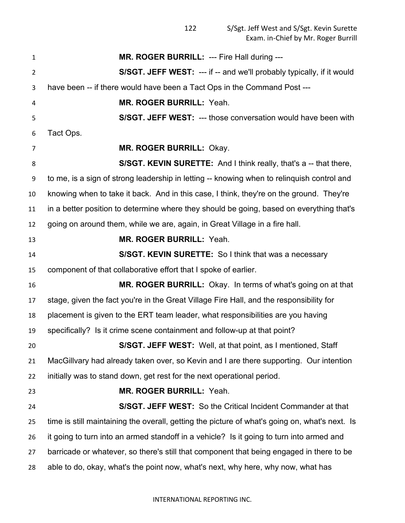**MR. ROGER BURRILL:** --- Fire Hall during --- **S/SGT. JEFF WEST:** --- if -- and we'll probably typically, if it would have been -- if there would have been a Tact Ops in the Command Post --- **MR. ROGER BURRILL:** Yeah. **S/SGT. JEFF WEST:** --- those conversation would have been with Tact Ops. **MR. ROGER BURRILL:** Okay. **S/SGT. KEVIN SURETTE:** And I think really, that's a -- that there, to me, is a sign of strong leadership in letting -- knowing when to relinquish control and knowing when to take it back. And in this case, I think, they're on the ground. They're in a better position to determine where they should be going, based on everything that's going on around them, while we are, again, in Great Village in a fire hall. **MR. ROGER BURRILL:** Yeah. **S/SGT. KEVIN SURETTE:** So I think that was a necessary component of that collaborative effort that I spoke of earlier. **MR. ROGER BURRILL:** Okay. In terms of what's going on at that stage, given the fact you're in the Great Village Fire Hall, and the responsibility for placement is given to the ERT team leader, what responsibilities are you having specifically? Is it crime scene containment and follow-up at that point? **S/SGT. JEFF WEST:** Well, at that point, as I mentioned, Staff MacGillvary had already taken over, so Kevin and I are there supporting. Our intention initially was to stand down, get rest for the next operational period. **MR. ROGER BURRILL:** Yeah. **S/SGT. JEFF WEST:** So the Critical Incident Commander at that time is still maintaining the overall, getting the picture of what's going on, what's next. Is it going to turn into an armed standoff in a vehicle? Is it going to turn into armed and barricade or whatever, so there's still that component that being engaged in there to be able to do, okay, what's the point now, what's next, why here, why now, what has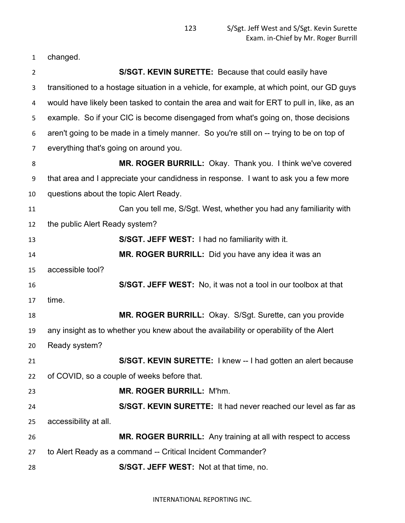changed.

| $\overline{2}$ |                                                                                      | S/SGT. KEVIN SURETTE: Because that could easily have                                       |
|----------------|--------------------------------------------------------------------------------------|--------------------------------------------------------------------------------------------|
| 3              |                                                                                      | transitioned to a hostage situation in a vehicle, for example, at which point, our GD guys |
| 4              |                                                                                      | would have likely been tasked to contain the area and wait for ERT to pull in, like, as an |
| 5              |                                                                                      | example. So if your CIC is become disengaged from what's going on, those decisions         |
| 6              |                                                                                      | aren't going to be made in a timely manner. So you're still on -- trying to be on top of   |
| $\overline{7}$ | everything that's going on around you.                                               |                                                                                            |
| 8              |                                                                                      | MR. ROGER BURRILL: Okay. Thank you. I think we've covered                                  |
| 9              | that area and I appreciate your candidness in response. I want to ask you a few more |                                                                                            |
| 10             | questions about the topic Alert Ready.                                               |                                                                                            |
| 11             |                                                                                      | Can you tell me, S/Sgt. West, whether you had any familiarity with                         |
| 12             | the public Alert Ready system?                                                       |                                                                                            |
| 13             |                                                                                      | S/SGT. JEFF WEST: I had no familiarity with it.                                            |
| 14             |                                                                                      | MR. ROGER BURRILL: Did you have any idea it was an                                         |
| 15             | accessible tool?                                                                     |                                                                                            |
| 16             |                                                                                      | S/SGT. JEFF WEST: No, it was not a tool in our toolbox at that                             |
| 17             | time.                                                                                |                                                                                            |
| 18             |                                                                                      | MR. ROGER BURRILL: Okay. S/Sgt. Surette, can you provide                                   |
| 19             |                                                                                      | any insight as to whether you knew about the availability or operability of the Alert      |
| 20             | Ready system?                                                                        |                                                                                            |
| 21             |                                                                                      | S/SGT. KEVIN SURETTE: I knew -- I had gotten an alert because                              |
| 22             |                                                                                      | of COVID, so a couple of weeks before that.                                                |
| 23             |                                                                                      | MR. ROGER BURRILL: M'hm.                                                                   |
| 24             |                                                                                      | S/SGT. KEVIN SURETTE: It had never reached our level as far as                             |
| 25             | accessibility at all.                                                                |                                                                                            |
| 26             |                                                                                      | MR. ROGER BURRILL: Any training at all with respect to access                              |
| 27             |                                                                                      | to Alert Ready as a command -- Critical Incident Commander?                                |
| 28             |                                                                                      | S/SGT. JEFF WEST: Not at that time, no.                                                    |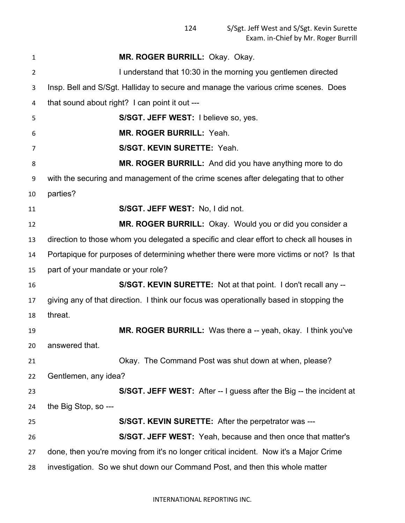| $\mathbf{1}$   | MR. ROGER BURRILL: Okay. Okay.                                                           |
|----------------|------------------------------------------------------------------------------------------|
| $\overline{2}$ | I understand that 10:30 in the morning you gentlemen directed                            |
| 3              | Insp. Bell and S/Sgt. Halliday to secure and manage the various crime scenes. Does       |
| 4              | that sound about right? I can point it out ---                                           |
| 5              | S/SGT. JEFF WEST: I believe so, yes.                                                     |
| 6              | MR. ROGER BURRILL: Yeah.                                                                 |
| 7              | S/SGT. KEVIN SURETTE: Yeah.                                                              |
| 8              | MR. ROGER BURRILL: And did you have anything more to do                                  |
| 9              | with the securing and management of the crime scenes after delegating that to other      |
| 10             | parties?                                                                                 |
| 11             | S/SGT. JEFF WEST: No, I did not.                                                         |
| 12             | MR. ROGER BURRILL: Okay. Would you or did you consider a                                 |
| 13             | direction to those whom you delegated a specific and clear effort to check all houses in |
| 14             | Portapique for purposes of determining whether there were more victims or not? Is that   |
| 15             | part of your mandate or your role?                                                       |
| 16             | S/SGT. KEVIN SURETTE: Not at that point. I don't recall any --                           |
| 17             | giving any of that direction. I think our focus was operationally based in stopping the  |
| 18             | threat.                                                                                  |
| 19             | <b>MR. ROGER BURRILL:</b> Was there a -- yeah, okay. I think you've                      |
| 20             | answered that.                                                                           |
| 21             | Okay. The Command Post was shut down at when, please?                                    |
| 22             | Gentlemen, any idea?                                                                     |
| 23             | <b>S/SGT. JEFF WEST:</b> After -- I guess after the Big -- the incident at               |
| 24             | the Big Stop, so ---                                                                     |
| 25             | S/SGT. KEVIN SURETTE: After the perpetrator was ---                                      |
| 26             | <b>S/SGT. JEFF WEST:</b> Yeah, because and then once that matter's                       |
| 27             | done, then you're moving from it's no longer critical incident. Now it's a Major Crime   |
| 28             | investigation. So we shut down our Command Post, and then this whole matter              |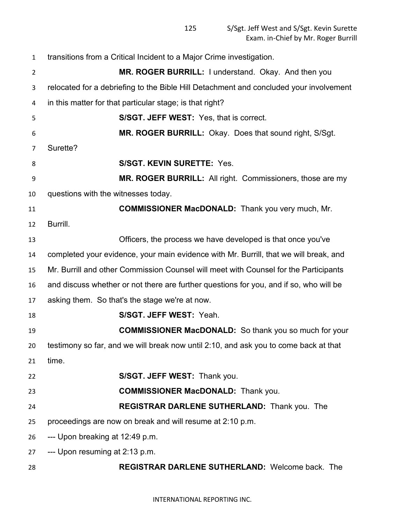| $\mathbf{1}$   | transitions from a Critical Incident to a Major Crime investigation.                   |
|----------------|----------------------------------------------------------------------------------------|
| $\overline{2}$ | MR. ROGER BURRILL: I understand. Okay. And then you                                    |
| 3              | relocated for a debriefing to the Bible Hill Detachment and concluded your involvement |
| 4              | in this matter for that particular stage; is that right?                               |
| 5              | S/SGT. JEFF WEST: Yes, that is correct.                                                |
| 6              | MR. ROGER BURRILL: Okay. Does that sound right, S/Sgt.                                 |
| 7              | Surette?                                                                               |
| 8              | <b>S/SGT. KEVIN SURETTE: Yes.</b>                                                      |
| 9              | MR. ROGER BURRILL: All right. Commissioners, those are my                              |
| 10             | questions with the witnesses today.                                                    |
| 11             | <b>COMMISSIONER MacDONALD:</b> Thank you very much, Mr.                                |
| 12             | Burrill.                                                                               |
| 13             | Officers, the process we have developed is that once you've                            |
| 14             | completed your evidence, your main evidence with Mr. Burrill, that we will break, and  |
| 15             | Mr. Burrill and other Commission Counsel will meet with Counsel for the Participants   |
| 16             | and discuss whether or not there are further questions for you, and if so, who will be |
| 17             | asking them. So that's the stage we're at now.                                         |
| 18             | S/SGT. JEFF WEST: Yeah.                                                                |
| 19             | <b>COMMISSIONER MacDONALD:</b> So thank you so much for your                           |
| 20             | testimony so far, and we will break now until 2:10, and ask you to come back at that   |
| 21             | time.                                                                                  |
| 22             | S/SGT. JEFF WEST: Thank you.                                                           |
| 23             | <b>COMMISSIONER MacDONALD:</b> Thank you.                                              |
| 24             | <b>REGISTRAR DARLENE SUTHERLAND: Thank you. The</b>                                    |
| 25             | proceedings are now on break and will resume at 2:10 p.m.                              |
| 26             | --- Upon breaking at 12:49 p.m.                                                        |
| 27             | --- Upon resuming at 2:13 p.m.                                                         |
| 28             | REGISTRAR DARLENE SUTHERLAND: Welcome back. The                                        |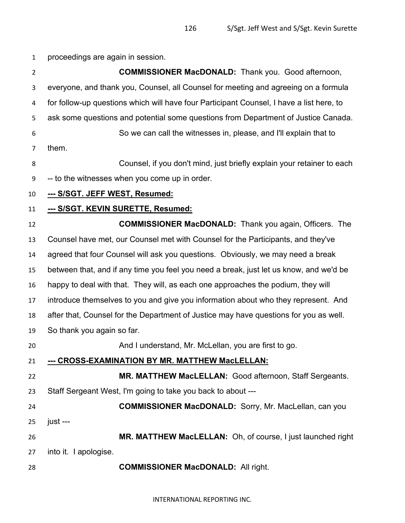proceedings are again in session.

**COMMISSIONER MacDONALD:** Thank you. Good afternoon, everyone, and thank you, Counsel, all Counsel for meeting and agreeing on a formula for follow-up questions which will have four Participant Counsel, I have a list here, to ask some questions and potential some questions from Department of Justice Canada. So we can call the witnesses in, please, and I'll explain that to them. Counsel, if you don't mind, just briefly explain your retainer to each -- to the witnesses when you come up in order. **--- S/SGT. JEFF WEST, Resumed: --- S/SGT. KEVIN SURETTE, Resumed: COMMISSIONER MacDONALD:** Thank you again, Officers. The Counsel have met, our Counsel met with Counsel for the Participants, and they've agreed that four Counsel will ask you questions. Obviously, we may need a break between that, and if any time you feel you need a break, just let us know, and we'd be happy to deal with that. They will, as each one approaches the podium, they will introduce themselves to you and give you information about who they represent. And after that, Counsel for the Department of Justice may have questions for you as well. So thank you again so far. And I understand, Mr. McLellan, you are first to go. **--- CROSS-EXAMINATION BY MR. MATTHEW MacLELLAN: MR. MATTHEW MacLELLAN:** Good afternoon, Staff Sergeants. Staff Sergeant West, I'm going to take you back to about --- **COMMISSIONER MacDONALD:** Sorry, Mr. MacLellan, can you just --- **MR. MATTHEW MacLELLAN:** Oh, of course, I just launched right into it. I apologise. **COMMISSIONER MacDONALD:** All right.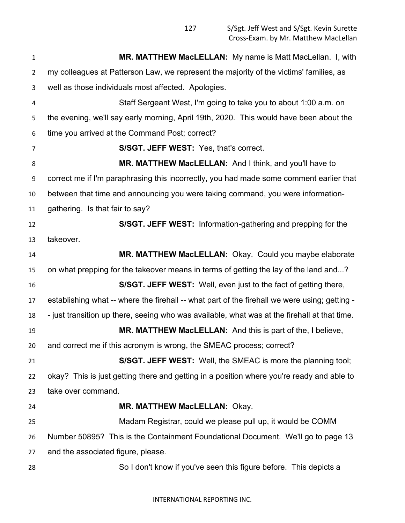| $\mathbf{1}$   | MR. MATTHEW MacLELLAN: My name is Matt MacLellan. I, with                                     |
|----------------|-----------------------------------------------------------------------------------------------|
| $\overline{2}$ | my colleagues at Patterson Law, we represent the majority of the victims' families, as        |
| 3              | well as those individuals most affected. Apologies.                                           |
| 4              | Staff Sergeant West, I'm going to take you to about 1:00 a.m. on                              |
| 5              | the evening, we'll say early morning, April 19th, 2020. This would have been about the        |
| 6              | time you arrived at the Command Post; correct?                                                |
| $\overline{7}$ | S/SGT. JEFF WEST: Yes, that's correct.                                                        |
| 8              | MR. MATTHEW MacLELLAN: And I think, and you'll have to                                        |
| 9              | correct me if I'm paraphrasing this incorrectly, you had made some comment earlier that       |
| 10             | between that time and announcing you were taking command, you were information-               |
| 11             | gathering. Is that fair to say?                                                               |
| 12             | S/SGT. JEFF WEST: Information-gathering and prepping for the                                  |
| 13             | takeover.                                                                                     |
| 14             | MR. MATTHEW MacLELLAN: Okay. Could you maybe elaborate                                        |
| 15             | on what prepping for the takeover means in terms of getting the lay of the land and?          |
| 16             | <b>S/SGT. JEFF WEST:</b> Well, even just to the fact of getting there,                        |
| 17             | establishing what -- where the firehall -- what part of the firehall we were using; getting - |
| 18             | - just transition up there, seeing who was available, what was at the firehall at that time.  |
| 19             | MR. MATTHEW MacLELLAN: And this is part of the, I believe,                                    |
| 20             | and correct me if this acronym is wrong, the SMEAC process; correct?                          |
| 21             | S/SGT. JEFF WEST: Well, the SMEAC is more the planning tool;                                  |
| 22             | okay? This is just getting there and getting in a position where you're ready and able to     |
| 23             | take over command.                                                                            |
| 24             | MR. MATTHEW MacLELLAN: Okay.                                                                  |
| 25             | Madam Registrar, could we please pull up, it would be COMM                                    |
| 26             | Number 50895? This is the Containment Foundational Document. We'll go to page 13              |
| 27             | and the associated figure, please.                                                            |
| 28             | So I don't know if you've seen this figure before. This depicts a                             |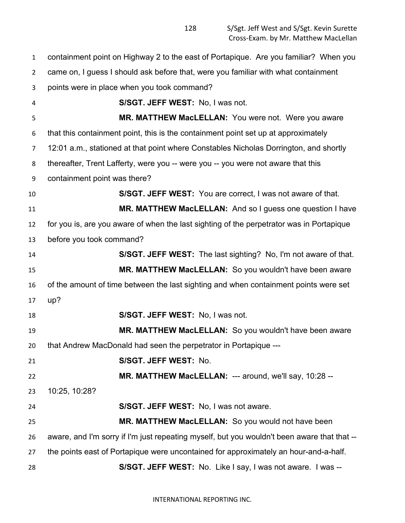containment point on Highway 2 to the east of Portapique. Are you familiar? When you came on, I guess I should ask before that, were you familiar with what containment points were in place when you took command? **S/SGT. JEFF WEST:** No, I was not. **MR. MATTHEW MacLELLAN:** You were not. Were you aware that this containment point, this is the containment point set up at approximately 12:01 a.m., stationed at that point where Constables Nicholas Dorrington, and shortly thereafter, Trent Lafferty, were you -- were you -- you were not aware that this containment point was there? **S/SGT. JEFF WEST:** You are correct, I was not aware of that. **MR. MATTHEW MacLELLAN:** And so I guess one question I have for you is, are you aware of when the last sighting of the perpetrator was in Portapique before you took command? **S/SGT. JEFF WEST:** The last sighting? No, I'm not aware of that. **MR. MATTHEW MacLELLAN:** So you wouldn't have been aware of the amount of time between the last sighting and when containment points were set up? **S/SGT. JEFF WEST:** No, I was not. **MR. MATTHEW MacLELLAN:** So you wouldn't have been aware that Andrew MacDonald had seen the perpetrator in Portapique --- **S/SGT. JEFF WEST:** No. **MR. MATTHEW MacLELLAN:** --- around, we'll say, 10:28 -- 10:25, 10:28? **S/SGT. JEFF WEST:** No, I was not aware. **MR. MATTHEW MacLELLAN:** So you would not have been aware, and I'm sorry if I'm just repeating myself, but you wouldn't been aware that that -- the points east of Portapique were uncontained for approximately an hour-and-a-half. **S/SGT. JEFF WEST:** No. Like I say, I was not aware. I was --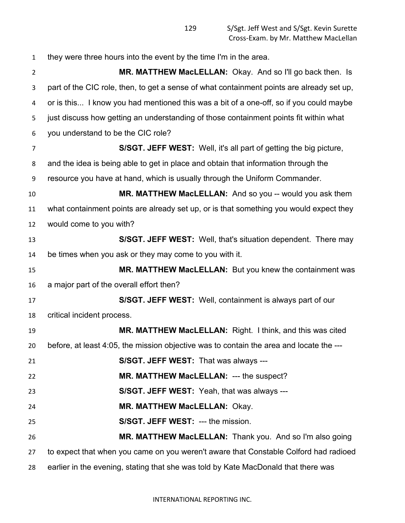they were three hours into the event by the time I'm in the area. **MR. MATTHEW MacLELLAN:** Okay. And so I'll go back then. Is part of the CIC role, then, to get a sense of what containment points are already set up, or is this... I know you had mentioned this was a bit of a one-off, so if you could maybe just discuss how getting an understanding of those containment points fit within what you understand to be the CIC role? **S/SGT. JEFF WEST:** Well, it's all part of getting the big picture, and the idea is being able to get in place and obtain that information through the resource you have at hand, which is usually through the Uniform Commander. **MR. MATTHEW MacLELLAN:** And so you -- would you ask them what containment points are already set up, or is that something you would expect they would come to you with? **S/SGT. JEFF WEST:** Well, that's situation dependent. There may be times when you ask or they may come to you with it. **MR. MATTHEW MacLELLAN:** But you knew the containment was a major part of the overall effort then? **S/SGT. JEFF WEST:** Well, containment is always part of our critical incident process. **MR. MATTHEW MacLELLAN:** Right. I think, and this was cited before, at least 4:05, the mission objective was to contain the area and locate the --- **S/SGT. JEFF WEST:** That was always --- **MR. MATTHEW MacLELLAN:** --- the suspect? **S/SGT. JEFF WEST:** Yeah, that was always --- **MR. MATTHEW MacLELLAN:** Okay. **S/SGT. JEFF WEST:** --- the mission. **MR. MATTHEW MacLELLAN:** Thank you. And so I'm also going to expect that when you came on you weren't aware that Constable Colford had radioed earlier in the evening, stating that she was told by Kate MacDonald that there was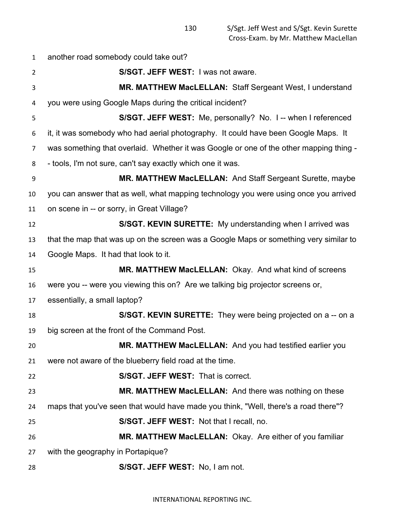another road somebody could take out? **S/SGT. JEFF WEST:** I was not aware. **MR. MATTHEW MacLELLAN:** Staff Sergeant West, I understand you were using Google Maps during the critical incident? **S/SGT. JEFF WEST:** Me, personally? No. I -- when I referenced it, it was somebody who had aerial photography. It could have been Google Maps. It was something that overlaid. Whether it was Google or one of the other mapping thing - - tools, I'm not sure, can't say exactly which one it was. **MR. MATTHEW MacLELLAN:** And Staff Sergeant Surette, maybe you can answer that as well, what mapping technology you were using once you arrived on scene in -- or sorry, in Great Village? **S/SGT. KEVIN SURETTE:** My understanding when I arrived was that the map that was up on the screen was a Google Maps or something very similar to Google Maps. It had that look to it. **MR. MATTHEW MacLELLAN:** Okay. And what kind of screens were you -- were you viewing this on? Are we talking big projector screens or, essentially, a small laptop? **S/SGT. KEVIN SURETTE:** They were being projected on a -- on a big screen at the front of the Command Post. **MR. MATTHEW MacLELLAN:** And you had testified earlier you were not aware of the blueberry field road at the time. **S/SGT. JEFF WEST:** That is correct. **MR. MATTHEW MacLELLAN:** And there was nothing on these maps that you've seen that would have made you think, "Well, there's a road there"? **S/SGT. JEFF WEST:** Not that I recall, no. **MR. MATTHEW MacLELLAN:** Okay. Are either of you familiar with the geography in Portapique? **S/SGT. JEFF WEST:** No, I am not.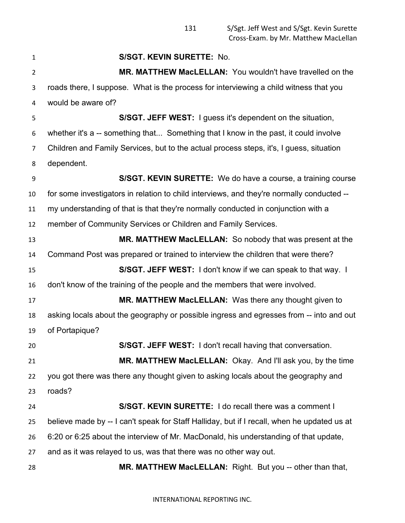**S/SGT. KEVIN SURETTE:** No. **MR. MATTHEW MacLELLAN:** You wouldn't have travelled on the roads there, I suppose. What is the process for interviewing a child witness that you would be aware of? **S/SGT. JEFF WEST:** I guess it's dependent on the situation, whether it's a -- something that... Something that I know in the past, it could involve Children and Family Services, but to the actual process steps, it's, I guess, situation dependent. **S/SGT. KEVIN SURETTE:** We do have a course, a training course for some investigators in relation to child interviews, and they're normally conducted -- my understanding of that is that they're normally conducted in conjunction with a member of Community Services or Children and Family Services. **MR. MATTHEW MacLELLAN:** So nobody that was present at the Command Post was prepared or trained to interview the children that were there? **S/SGT. JEFF WEST:** I don't know if we can speak to that way. I don't know of the training of the people and the members that were involved. **MR. MATTHEW MacLELLAN:** Was there any thought given to asking locals about the geography or possible ingress and egresses from -- into and out of Portapique? **S/SGT. JEFF WEST:** I don't recall having that conversation. **MR. MATTHEW MacLELLAN:** Okay. And I'll ask you, by the time you got there was there any thought given to asking locals about the geography and roads? **S/SGT. KEVIN SURETTE:** I do recall there was a comment I believe made by -- I can't speak for Staff Halliday, but if I recall, when he updated us at 6:20 or 6:25 about the interview of Mr. MacDonald, his understanding of that update, and as it was relayed to us, was that there was no other way out. **MR. MATTHEW MacLELLAN:** Right. But you -- other than that,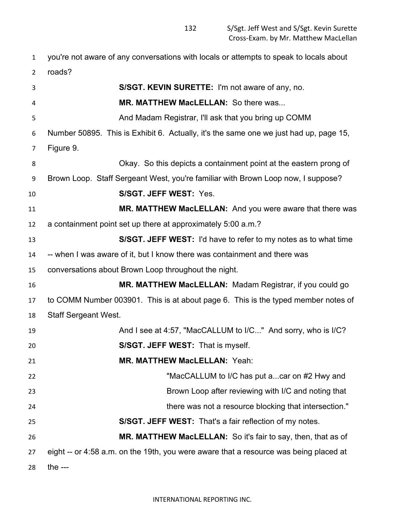you're not aware of any conversations with locals or attempts to speak to locals about roads? **S/SGT. KEVIN SURETTE:** I'm not aware of any, no. **MR. MATTHEW MacLELLAN:** So there was... And Madam Registrar, I'll ask that you bring up COMM Number 50895. This is Exhibit 6. Actually, it's the same one we just had up, page 15, Figure 9. Okay. So this depicts a containment point at the eastern prong of Brown Loop. Staff Sergeant West, you're familiar with Brown Loop now, I suppose? **S/SGT. JEFF WEST:** Yes. **MR. MATTHEW MacLELLAN:** And you were aware that there was a containment point set up there at approximately 5:00 a.m.? **S/SGT. JEFF WEST:** I'd have to refer to my notes as to what time -- when I was aware of it, but I know there was containment and there was conversations about Brown Loop throughout the night. **MR. MATTHEW MacLELLAN:** Madam Registrar, if you could go to COMM Number 003901. This is at about page 6. This is the typed member notes of Staff Sergeant West. 19 And I see at 4:57, "MacCALLUM to I/C..." And sorry, who is I/C? **S/SGT. JEFF WEST:** That is myself. **MR. MATTHEW MacLELLAN:** Yeah: "MacCALLUM to I/C has put a...car on #2 Hwy and Brown Loop after reviewing with I/C and noting that there was not a resource blocking that intersection." **S/SGT. JEFF WEST:** That's a fair reflection of my notes. **MR. MATTHEW MacLELLAN:** So it's fair to say, then, that as of eight -- or 4:58 a.m. on the 19th, you were aware that a resource was being placed at the ---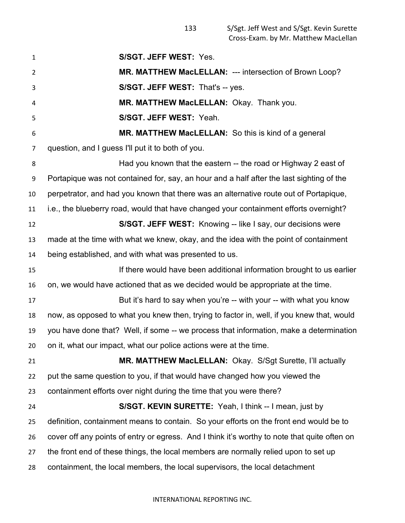**S/SGT. JEFF WEST:** Yes. **MR. MATTHEW MacLELLAN:** --- intersection of Brown Loop? **S/SGT. JEFF WEST:** That's -- yes. **MR. MATTHEW MacLELLAN:** Okay. Thank you. **S/SGT. JEFF WEST:** Yeah. **MR. MATTHEW MacLELLAN:** So this is kind of a general question, and I guess I'll put it to both of you. Had you known that the eastern -- the road or Highway 2 east of Portapique was not contained for, say, an hour and a half after the last sighting of the perpetrator, and had you known that there was an alternative route out of Portapique, i.e., the blueberry road, would that have changed your containment efforts overnight? **S/SGT. JEFF WEST:** Knowing -- like I say, our decisions were made at the time with what we knew, okay, and the idea with the point of containment being established, and with what was presented to us. If there would have been additional information brought to us earlier on, we would have actioned that as we decided would be appropriate at the time. **But it's hard to say when you're -- with your -- with what you know**  now, as opposed to what you knew then, trying to factor in, well, if you knew that, would you have done that? Well, if some -- we process that information, make a determination on it, what our impact, what our police actions were at the time. **MR. MATTHEW MacLELLAN:** Okay. S/Sgt Surette, I'll actually put the same question to you, if that would have changed how you viewed the containment efforts over night during the time that you were there? **S/SGT. KEVIN SURETTE:** Yeah, I think -- I mean, just by definition, containment means to contain. So your efforts on the front end would be to cover off any points of entry or egress. And I think it's worthy to note that quite often on the front end of these things, the local members are normally relied upon to set up containment, the local members, the local supervisors, the local detachment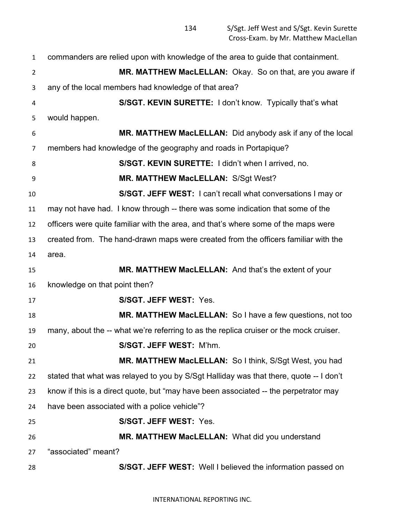| $\mathbf{1}$   | commanders are relied upon with knowledge of the area to guide that containment.       |
|----------------|----------------------------------------------------------------------------------------|
| $\overline{2}$ | MR. MATTHEW MacLELLAN: Okay. So on that, are you aware if                              |
| 3              | any of the local members had knowledge of that area?                                   |
| 4              | S/SGT. KEVIN SURETTE: I don't know. Typically that's what                              |
| 5              | would happen.                                                                          |
| 6              | MR. MATTHEW MacLELLAN: Did anybody ask if any of the local                             |
| $\overline{7}$ | members had knowledge of the geography and roads in Portapique?                        |
| 8              | S/SGT. KEVIN SURETTE: I didn't when I arrived, no.                                     |
| 9              | MR. MATTHEW MacLELLAN: S/Sgt West?                                                     |
| 10             | S/SGT. JEFF WEST: I can't recall what conversations I may or                           |
| 11             | may not have had. I know through -- there was some indication that some of the         |
| 12             | officers were quite familiar with the area, and that's where some of the maps were     |
| 13             | created from. The hand-drawn maps were created from the officers familiar with the     |
| 14             | area.                                                                                  |
| 15             | MR. MATTHEW MacLELLAN: And that's the extent of your                                   |
| 16             | knowledge on that point then?                                                          |
| 17             | S/SGT. JEFF WEST: Yes.                                                                 |
| 18             | MR. MATTHEW MacLELLAN: So I have a few questions, not too                              |
| 19             | many, about the -- what we're referring to as the replica cruiser or the mock cruiser. |
| 20             | S/SGT. JEFF WEST: M'hm.                                                                |
| 21             | MR. MATTHEW MacLELLAN: So I think, S/Sgt West, you had                                 |
| 22             | stated that what was relayed to you by S/Sgt Halliday was that there, quote -- I don't |
| 23             | know if this is a direct quote, but "may have been associated -- the perpetrator may   |
| 24             | have been associated with a police vehicle"?                                           |
| 25             | S/SGT. JEFF WEST: Yes.                                                                 |
| 26             | MR. MATTHEW MacLELLAN: What did you understand                                         |
| 27             | "associated" meant?                                                                    |
| 28             | S/SGT. JEFF WEST: Well I believed the information passed on                            |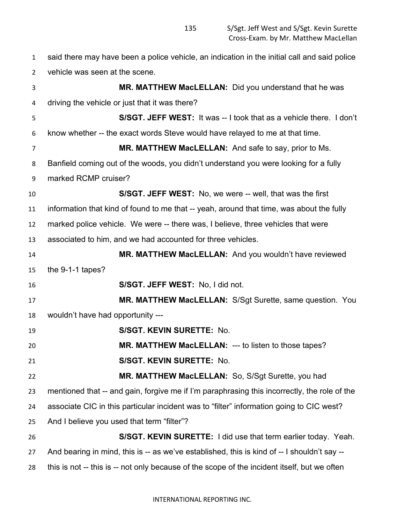said there may have been a police vehicle, an indication in the initial call and said police vehicle was seen at the scene. **MR. MATTHEW MacLELLAN:** Did you understand that he was driving the vehicle or just that it was there? **S/SGT. JEFF WEST:** It was -- I took that as a vehicle there. I don't know whether -- the exact words Steve would have relayed to me at that time. **MR. MATTHEW MacLELLAN:** And safe to say, prior to Ms. Banfield coming out of the woods, you didn't understand you were looking for a fully marked RCMP cruiser? **S/SGT. JEFF WEST:** No, we were -- well, that was the first information that kind of found to me that -- yeah, around that time, was about the fully marked police vehicle. We were -- there was, I believe, three vehicles that were associated to him, and we had accounted for three vehicles. **MR. MATTHEW MacLELLAN:** And you wouldn't have reviewed the 9-1-1 tapes? **S/SGT. JEFF WEST:** No, I did not. **MR. MATTHEW MacLELLAN:** S/Sgt Surette, same question. You wouldn't have had opportunity --- **S/SGT. KEVIN SURETTE:** No. **MR. MATTHEW MacLELLAN:** --- to listen to those tapes? **S/SGT. KEVIN SURETTE:** No. **MR. MATTHEW MacLELLAN:** So, S/Sgt Surette, you had mentioned that -- and gain, forgive me if I'm paraphrasing this incorrectly, the role of the associate CIC in this particular incident was to "filter" information going to CIC west? And I believe you used that term "filter"? **S/SGT. KEVIN SURETTE:** I did use that term earlier today. Yeah. And bearing in mind, this is -- as we've established, this is kind of -- I shouldn't say -- this is not -- this is -- not only because of the scope of the incident itself, but we often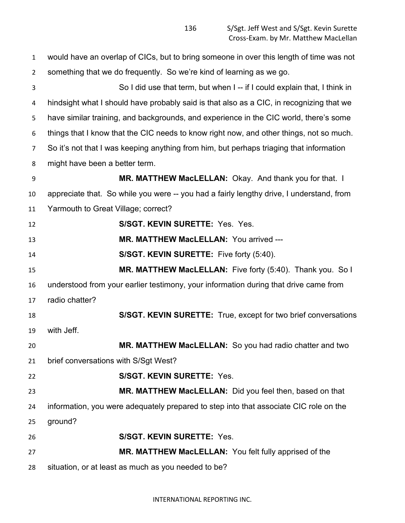| 1              | would have an overlap of CICs, but to bring someone in over this length of time was not  |
|----------------|------------------------------------------------------------------------------------------|
| $\overline{2}$ | something that we do frequently. So we're kind of learning as we go.                     |
| 3              | So I did use that term, but when I -- if I could explain that, I think in                |
| 4              | hindsight what I should have probably said is that also as a CIC, in recognizing that we |
| 5              | have similar training, and backgrounds, and experience in the CIC world, there's some    |
| 6              | things that I know that the CIC needs to know right now, and other things, not so much.  |
| 7              | So it's not that I was keeping anything from him, but perhaps triaging that information  |
| 8              | might have been a better term.                                                           |
| 9              | MR. MATTHEW MacLELLAN: Okay. And thank you for that. I                                   |
| 10             | appreciate that. So while you were -- you had a fairly lengthy drive, I understand, from |
| 11             | Yarmouth to Great Village; correct?                                                      |
| 12             | S/SGT. KEVIN SURETTE: Yes. Yes.                                                          |
| 13             | MR. MATTHEW MacLELLAN: You arrived ---                                                   |
| 14             | S/SGT. KEVIN SURETTE: Five forty (5:40).                                                 |
| 15             | MR. MATTHEW MacLELLAN: Five forty (5:40). Thank you. So I                                |
| 16             | understood from your earlier testimony, your information during that drive came from     |
| 17             | radio chatter?                                                                           |
| 18             | S/SGT. KEVIN SURETTE: True, except for two brief conversations                           |
| 19             | with Jeff.                                                                               |
| 20             | MR. MATTHEW MacLELLAN: So you had radio chatter and two                                  |
| 21             | brief conversations with S/Sgt West?                                                     |
| 22             | <b>S/SGT. KEVIN SURETTE: Yes.</b>                                                        |
| 23             | MR. MATTHEW MacLELLAN: Did you feel then, based on that                                  |
| 24             | information, you were adequately prepared to step into that associate CIC role on the    |
| 25             | ground?                                                                                  |
| 26             | <b>S/SGT. KEVIN SURETTE: Yes.</b>                                                        |
| 27             | MR. MATTHEW MacLELLAN: You felt fully apprised of the                                    |
| 28             | situation, or at least as much as you needed to be?                                      |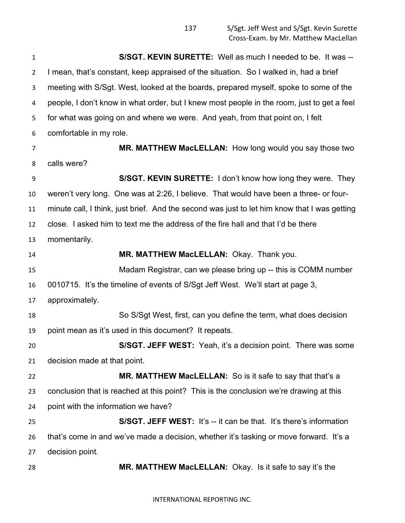**S/SGT. KEVIN SURETTE:** Well as much I needed to be. It was -- I mean, that's constant, keep appraised of the situation. So I walked in, had a brief meeting with S/Sgt. West, looked at the boards, prepared myself, spoke to some of the people, I don't know in what order, but I knew most people in the room, just to get a feel for what was going on and where we were. And yeah, from that point on, I felt comfortable in my role. **MR. MATTHEW MacLELLAN:** How long would you say those two calls were? **S/SGT. KEVIN SURETTE:** I don't know how long they were. They weren't very long. One was at 2:26, I believe. That would have been a three- or four- minute call, I think, just brief. And the second was just to let him know that I was getting close. I asked him to text me the address of the fire hall and that I'd be there momentarily. **MR. MATTHEW MacLELLAN:** Okay. Thank you. Madam Registrar, can we please bring up -- this is COMM number 0010715. It's the timeline of events of S/Sgt Jeff West. We'll start at page 3, approximately. So S/Sgt West, first, can you define the term, what does decision point mean as it's used in this document? It repeats. **S/SGT. JEFF WEST:** Yeah, it's a decision point. There was some decision made at that point. **MR. MATTHEW MacLELLAN:** So is it safe to say that that's a conclusion that is reached at this point? This is the conclusion we're drawing at this point with the information we have? **S/SGT. JEFF WEST:** It's -- it can be that. It's there's information that's come in and we've made a decision, whether it's tasking or move forward. It's a decision point. **MR. MATTHEW MacLELLAN:** Okay. Is it safe to say it's the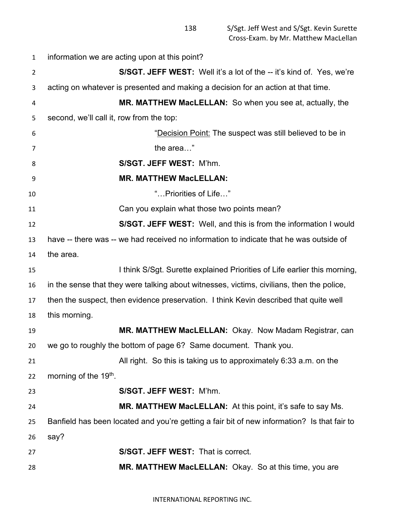information we are acting upon at this point? **S/SGT. JEFF WEST:** Well it's a lot of the -- it's kind of. Yes, we're acting on whatever is presented and making a decision for an action at that time. **MR. MATTHEW MacLELLAN:** So when you see at, actually, the second, we'll call it, row from the top: "Decision Point: The suspect was still believed to be in 7 the area…" **S/SGT. JEFF WEST:** M'hm. **MR. MATTHEW MacLELLAN:** "…Priorities of Life…" Can you explain what those two points mean? **S/SGT. JEFF WEST:** Well, and this is from the information I would have -- there was -- we had received no information to indicate that he was outside of the area. I think S/Sgt. Surette explained Priorities of Life earlier this morning, in the sense that they were talking about witnesses, victims, civilians, then the police, then the suspect, then evidence preservation. I think Kevin described that quite well this morning. **MR. MATTHEW MacLELLAN:** Okay. Now Madam Registrar, can we go to roughly the bottom of page 6? Same document. Thank you. All right. So this is taking us to approximately 6:33 a.m. on the 22 morning of the  $19<sup>th</sup>$ . **S/SGT. JEFF WEST:** M'hm. **MR. MATTHEW MacLELLAN:** At this point, it's safe to say Ms. Banfield has been located and you're getting a fair bit of new information? Is that fair to say? **S/SGT. JEFF WEST:** That is correct. **MR. MATTHEW MacLELLAN:** Okay. So at this time, you are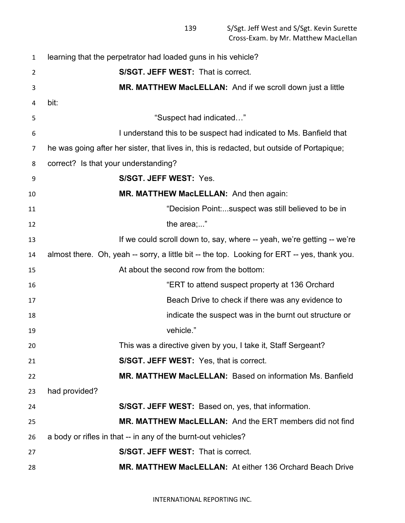| 1              | learning that the perpetrator had loaded guns in his vehicle?                                |
|----------------|----------------------------------------------------------------------------------------------|
| $\overline{2}$ | S/SGT. JEFF WEST: That is correct.                                                           |
| 3              | MR. MATTHEW MacLELLAN: And if we scroll down just a little                                   |
| 4              | bit:                                                                                         |
| 5              | "Suspect had indicated"                                                                      |
| 6              | I understand this to be suspect had indicated to Ms. Banfield that                           |
| 7              | he was going after her sister, that lives in, this is redacted, but outside of Portapique;   |
| 8              | correct? Is that your understanding?                                                         |
| 9              | S/SGT. JEFF WEST: Yes.                                                                       |
| 10             | MR. MATTHEW MacLELLAN: And then again:                                                       |
| 11             | "Decision Point:suspect was still believed to be in                                          |
| 12             | the area;"                                                                                   |
| 13             | If we could scroll down to, say, where -- yeah, we're getting -- we're                       |
| 14             | almost there. Oh, yeah -- sorry, a little bit -- the top. Looking for ERT -- yes, thank you. |
| 15             | At about the second row from the bottom:                                                     |
| 16             | "ERT to attend suspect property at 136 Orchard                                               |
| 17             | Beach Drive to check if there was any evidence to                                            |
| 18             | indicate the suspect was in the burnt out structure or                                       |
| 19             | vehicle."                                                                                    |
| 20             | This was a directive given by you, I take it, Staff Sergeant?                                |
| 21             | S/SGT. JEFF WEST: Yes, that is correct.                                                      |
| 22             | <b>MR. MATTHEW MacLELLAN: Based on information Ms. Banfield</b>                              |
| 23             | had provided?                                                                                |
| 24             | S/SGT. JEFF WEST: Based on, yes, that information.                                           |
| 25             | MR. MATTHEW MacLELLAN: And the ERT members did not find                                      |
| 26             | a body or rifles in that -- in any of the burnt-out vehicles?                                |
| 27             | S/SGT. JEFF WEST: That is correct.                                                           |
| 28             | <b>MR. MATTHEW MacLELLAN: At either 136 Orchard Beach Drive</b>                              |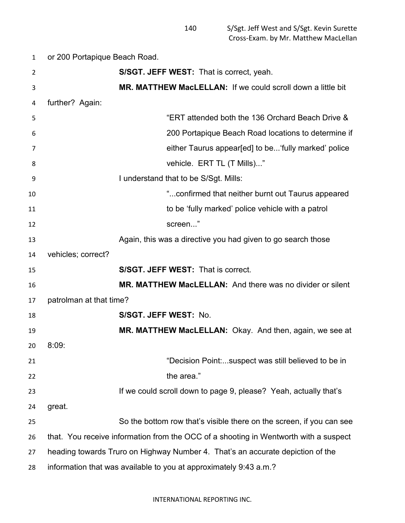or 200 Portapique Beach Road. **S/SGT. JEFF WEST:** That is correct, yeah. **MR. MATTHEW MacLELLAN:** If we could scroll down a little bit further? Again: "ERT attended both the 136 Orchard Beach Drive & 200 Portapique Beach Road locations to determine if either Taurus appear[ed] to be...'fully marked' police 8 vehicle. ERT TL (T Mills)..." I understand that to be S/Sgt. Mills: "...confirmed that neither burnt out Taurus appeared to be 'fully marked' police vehicle with a patrol 12 screen..." Again, this was a directive you had given to go search those vehicles; correct? **S/SGT. JEFF WEST:** That is correct. **MR. MATTHEW MacLELLAN:** And there was no divider or silent patrolman at that time? **S/SGT. JEFF WEST:** No. **MR. MATTHEW MacLELLAN:** Okay. And then, again, we see at 8:09: "Decision Point:...suspect was still believed to be in 22 the area." **If we could scroll down to page 9, please?** Yeah, actually that's great. So the bottom row that's visible there on the screen, if you can see that. You receive information from the OCC of a shooting in Wentworth with a suspect heading towards Truro on Highway Number 4. That's an accurate depiction of the information that was available to you at approximately 9:43 a.m.?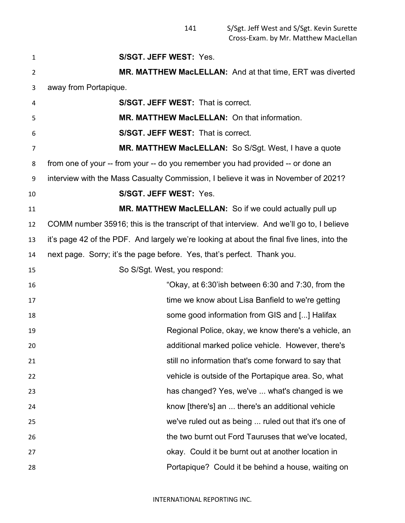**S/SGT. JEFF WEST:** Yes. **MR. MATTHEW MacLELLAN:** And at that time, ERT was diverted away from Portapique. **S/SGT. JEFF WEST:** That is correct. **MR. MATTHEW MacLELLAN:** On that information. **S/SGT. JEFF WEST:** That is correct. **MR. MATTHEW MacLELLAN:** So S/Sgt. West, I have a quote from one of your -- from your -- do you remember you had provided -- or done an interview with the Mass Casualty Commission, I believe it was in November of 2021? **S/SGT. JEFF WEST:** Yes. **MR. MATTHEW MacLELLAN:** So if we could actually pull up COMM number 35916; this is the transcript of that interview. And we'll go to, I believe it's page 42 of the PDF. And largely we're looking at about the final five lines, into the next page. Sorry; it's the page before. Yes, that's perfect. Thank you. So S/Sgt. West, you respond: "Okay, at 6:30'ish between 6:30 and 7:30, from the **time we know about Lisa Banfield to we're getting**  some good information from GIS and [...] Halifax Regional Police, okay, we know there's a vehicle, an additional marked police vehicle. However, there's still no information that's come forward to say that vehicle is outside of the Portapique area. So, what has changed? Yes, we've ... what's changed is we know [there's] an ... there's an additional vehicle we've ruled out as being ... ruled out that it's one of the two burnt out Ford Tauruses that we've located, okay. Could it be burnt out at another location in Portapique? Could it be behind a house, waiting on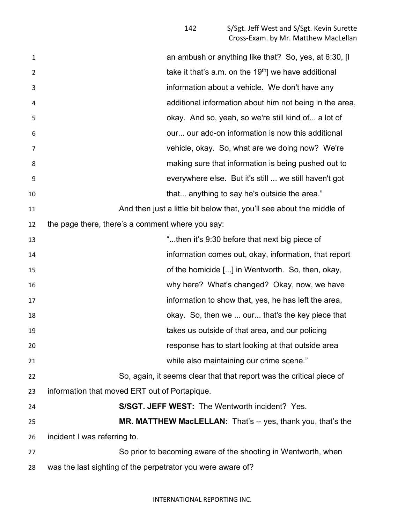| 1  | an ambush or anything like that? So, yes, at 6:30, [I                 |
|----|-----------------------------------------------------------------------|
| 2  | take it that's a.m. on the 19 <sup>th</sup> ] we have additional      |
| 3  | information about a vehicle. We don't have any                        |
| 4  | additional information about him not being in the area,               |
| 5  | okay. And so, yeah, so we're still kind of a lot of                   |
| 6  | our our add-on information is now this additional                     |
| 7  | vehicle, okay. So, what are we doing now? We're                       |
| 8  | making sure that information is being pushed out to                   |
| 9  | everywhere else. But it's still  we still haven't got                 |
| 10 | that anything to say he's outside the area."                          |
| 11 | And then just a little bit below that, you'll see about the middle of |
| 12 | the page there, there's a comment where you say:                      |
| 13 | "then it's 9:30 before that next big piece of                         |
| 14 | information comes out, okay, information, that report                 |
| 15 | of the homicide [] in Wentworth. So, then, okay,                      |
| 16 | why here? What's changed? Okay, now, we have                          |
| 17 | information to show that, yes, he has left the area,                  |
| 18 | okay. So, then we  our that's the key piece that                      |
| 19 | takes us outside of that area, and our policing                       |
| 20 | response has to start looking at that outside area                    |
| 21 | while also maintaining our crime scene."                              |
| 22 | So, again, it seems clear that that report was the critical piece of  |
| 23 | information that moved ERT out of Portapique.                         |
| 24 | S/SGT. JEFF WEST: The Wentworth incident? Yes.                        |
| 25 | MR. MATTHEW MacLELLAN: That's -- yes, thank you, that's the           |
| 26 | incident I was referring to.                                          |
| 27 | So prior to becoming aware of the shooting in Wentworth, when         |
| 28 | was the last sighting of the perpetrator you were aware of?           |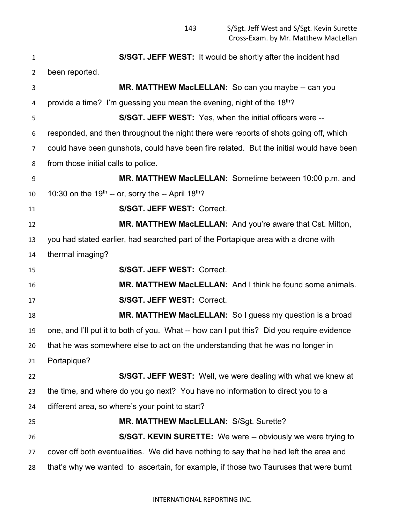**S/SGT. JEFF WEST:** It would be shortly after the incident had been reported. **MR. MATTHEW MacLELLAN:** So can you maybe -- can you 4 provide a time? I'm guessing you mean the evening, night of the  $18<sup>th</sup>$ ? **S/SGT. JEFF WEST:** Yes, when the initial officers were -- responded, and then throughout the night there were reports of shots going off, which could have been gunshots, could have been fire related. But the initial would have been from those initial calls to police. **MR. MATTHEW MacLELLAN:** Sometime between 10:00 p.m. and 10 10:30 on the 19<sup>th</sup> -- or, sorry the -- April 18<sup>th</sup>? **S/SGT. JEFF WEST:** Correct. **MR. MATTHEW MacLELLAN:** And you're aware that Cst. Milton, you had stated earlier, had searched part of the Portapique area with a drone with thermal imaging? **S/SGT. JEFF WEST:** Correct. **MR. MATTHEW MacLELLAN:** And I think he found some animals. **S/SGT. JEFF WEST:** Correct. **MR. MATTHEW MacLELLAN:** So I guess my question is a broad one, and I'll put it to both of you. What -- how can I put this? Did you require evidence that he was somewhere else to act on the understanding that he was no longer in Portapique? **S/SGT. JEFF WEST:** Well, we were dealing with what we knew at the time, and where do you go next? You have no information to direct you to a different area, so where's your point to start? **MR. MATTHEW MacLELLAN:** S/Sgt. Surette? **S/SGT. KEVIN SURETTE:** We were -- obviously we were trying to cover off both eventualities. We did have nothing to say that he had left the area and that's why we wanted to ascertain, for example, if those two Tauruses that were burnt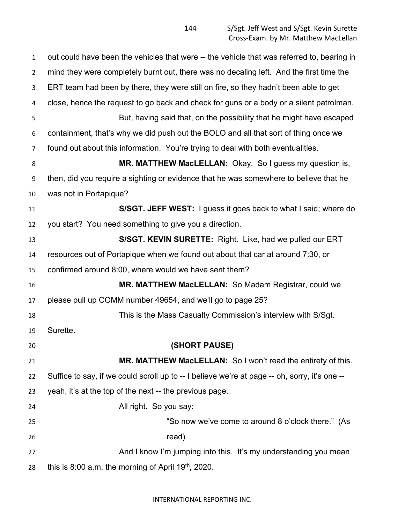out could have been the vehicles that were -- the vehicle that was referred to, bearing in mind they were completely burnt out, there was no decaling left. And the first time the ERT team had been by there, they were still on fire, so they hadn't been able to get close, hence the request to go back and check for guns or a body or a silent patrolman. But, having said that, on the possibility that he might have escaped containment, that's why we did push out the BOLO and all that sort of thing once we found out about this information. You're trying to deal with both eventualities. 8 MR. MATTHEW MacLELLAN: Okay. So I guess my question is, then, did you require a sighting or evidence that he was somewhere to believe that he was not in Portapique? **S/SGT. JEFF WEST:** I guess it goes back to what I said; where do you start? You need something to give you a direction. **S/SGT. KEVIN SURETTE:** Right. Like, had we pulled our ERT resources out of Portapique when we found out about that car at around 7:30, or confirmed around 8:00, where would we have sent them? **MR. MATTHEW MacLELLAN:** So Madam Registrar, could we please pull up COMM number 49654, and we'll go to page 25? This is the Mass Casualty Commission's interview with S/Sgt. Surette. **(SHORT PAUSE) MR. MATTHEW MacLELLAN:** So I won't read the entirety of this. Suffice to say, if we could scroll up to -- I believe we're at page -- oh, sorry, it's one -- yeah, it's at the top of the next -- the previous page. All right. So you say: "So now we've come to around 8 o'clock there." (As 26 read) 27 And I know I'm jumping into this. It's my understanding you mean 28 this is  $8:00$  a.m. the morning of April 19<sup>th</sup>, 2020.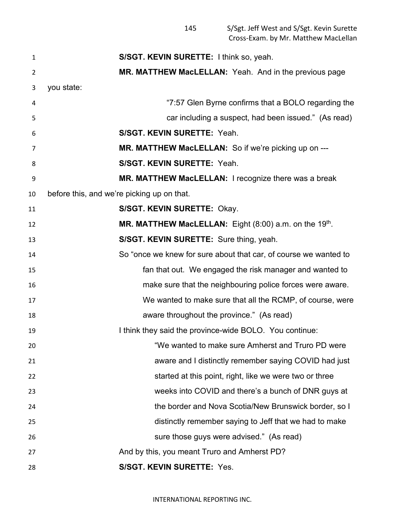S/Sgt. Jeff West and S/Sgt. Kevin Surette Cross-Exam. by Mr. Matthew MacLellan

 **S/SGT. KEVIN SURETTE:** I think so, yeah. **MR. MATTHEW MacLELLAN:** Yeah. And in the previous page you state: "7:57 Glen Byrne confirms that a BOLO regarding the car including a suspect, had been issued." (As read) **S/SGT. KEVIN SURETTE:** Yeah. **MR. MATTHEW MacLELLAN:** So if we're picking up on --- **S/SGT. KEVIN SURETTE:** Yeah. **MR. MATTHEW MacLELLAN:** I recognize there was a break before this, and we're picking up on that. **S/SGT. KEVIN SURETTE:** Okay. **MR. MATTHEW MacLELLAN:** Eight (8:00) a.m. on the 19<sup>th</sup>. **S/SGT. KEVIN SURETTE:** Sure thing, yeah. So "once we knew for sure about that car, of course we wanted to fan that out. We engaged the risk manager and wanted to make sure that the neighbouring police forces were aware. We wanted to make sure that all the RCMP, of course, were aware throughout the province." (As read) 19 I think they said the province-wide BOLO. You continue: "We wanted to make sure Amherst and Truro PD were aware and I distinctly remember saying COVID had just 22 started at this point, right, like we were two or three weeks into COVID and there's a bunch of DNR guys at the border and Nova Scotia/New Brunswick border, so I distinctly remember saying to Jeff that we had to make sure those guys were advised." (As read) And by this, you meant Truro and Amherst PD? **S/SGT. KEVIN SURETTE:** Yes.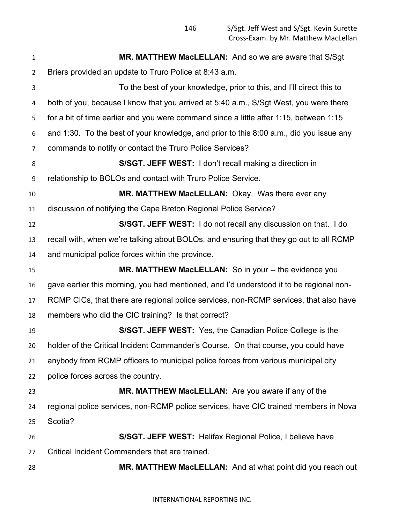S/Sgt. Jeff West and S/Sgt. Kevin Surette Cross-Exam. by Mr. Matthew MacLellan

| $\mathbf{1}$   | <b>MR. MATTHEW MacLELLAN:</b> And so we are aware that S/Sgt                            |
|----------------|-----------------------------------------------------------------------------------------|
| $\overline{2}$ | Briers provided an update to Truro Police at 8:43 a.m.                                  |
| 3              | To the best of your knowledge, prior to this, and I'll direct this to                   |
| 4              | both of you, because I know that you arrived at 5:40 a.m., S/Sgt West, you were there   |
| 5              | for a bit of time earlier and you were command since a little after 1:15, between 1:15  |
| 6              | and 1:30. To the best of your knowledge, and prior to this 8:00 a.m., did you issue any |
| $\overline{7}$ | commands to notify or contact the Truro Police Services?                                |
| 8              | S/SGT. JEFF WEST: I don't recall making a direction in                                  |
| 9              | relationship to BOLOs and contact with Truro Police Service.                            |
| 10             | MR. MATTHEW MacLELLAN: Okay. Was there ever any                                         |
| 11             | discussion of notifying the Cape Breton Regional Police Service?                        |
| 12             | S/SGT. JEFF WEST: I do not recall any discussion on that. I do                          |
| 13             | recall with, when we're talking about BOLOs, and ensuring that they go out to all RCMP  |
| 14             | and municipal police forces within the province.                                        |
| 15             | MR. MATTHEW MacLELLAN: So in your -- the evidence you                                   |
| 16             | gave earlier this morning, you had mentioned, and I'd understood it to be regional non- |
| 17             | RCMP CICs, that there are regional police services, non-RCMP services, that also have   |
| 18             | members who did the CIC training? Is that correct?                                      |
| 19             | S/SGT. JEFF WEST: Yes, the Canadian Police College is the                               |
| 20             | holder of the Critical Incident Commander's Course. On that course, you could have      |
| 21             | anybody from RCMP officers to municipal police forces from various municipal city       |
| 22             | police forces across the country.                                                       |
| 23             | MR. MATTHEW MacLELLAN: Are you aware if any of the                                      |
| 24             | regional police services, non-RCMP police services, have CIC trained members in Nova    |
| 25             | Scotia?                                                                                 |
| 26             | S/SGT. JEFF WEST: Halifax Regional Police, I believe have                               |
| 27             | Critical Incident Commanders that are trained.                                          |
| 28             | MR. MATTHEW MacLELLAN: And at what point did you reach out                              |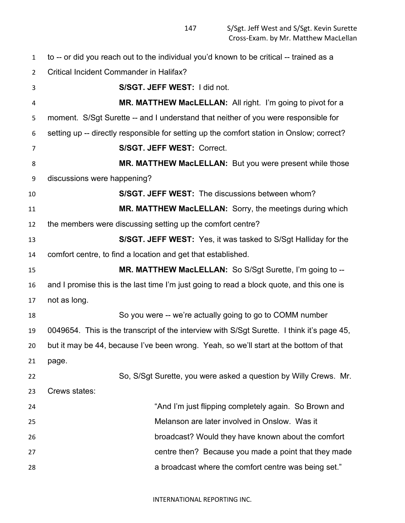to -- or did you reach out to the individual you'd known to be critical -- trained as a Critical Incident Commander in Halifax? **S/SGT. JEFF WEST:** I did not. **MR. MATTHEW MacLELLAN:** All right. I'm going to pivot for a moment. S/Sgt Surette -- and I understand that neither of you were responsible for setting up -- directly responsible for setting up the comfort station in Onslow; correct? **S/SGT. JEFF WEST:** Correct. **MR. MATTHEW MacLELLAN:** But you were present while those discussions were happening? **S/SGT. JEFF WEST:** The discussions between whom? **MR. MATTHEW MacLELLAN:** Sorry, the meetings during which the members were discussing setting up the comfort centre? **S/SGT. JEFF WEST:** Yes, it was tasked to S/Sgt Halliday for the comfort centre, to find a location and get that established. **MR. MATTHEW MacLELLAN:** So S/Sgt Surette, I'm going to -- and I promise this is the last time I'm just going to read a block quote, and this one is not as long. So you were -- we're actually going to go to COMM number 0049654. This is the transcript of the interview with S/Sgt Surette. I think it's page 45, but it may be 44, because I've been wrong. Yeah, so we'll start at the bottom of that page. So, S/Sgt Surette, you were asked a question by Willy Crews. Mr. Crews states: **And I'm just flipping completely again. So Brown and Some Example 24** and the state of the state of the state of the state of the state of the state of the state of the state of the state of the state of the state of t Melanson are later involved in Onslow. Was it broadcast? Would they have known about the comfort centre then? Because you made a point that they made a broadcast where the comfort centre was being set."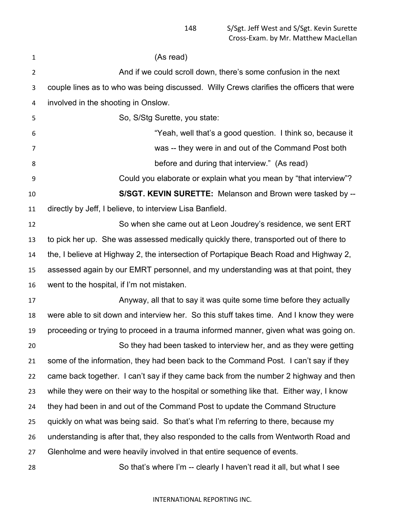| 1              | (As read)                                                                                |
|----------------|------------------------------------------------------------------------------------------|
| $\overline{2}$ | And if we could scroll down, there's some confusion in the next                          |
| 3              | couple lines as to who was being discussed. Willy Crews clarifies the officers that were |
| 4              | involved in the shooting in Onslow.                                                      |
| 5              | So, S/Stg Surette, you state:                                                            |
| 6              | "Yeah, well that's a good question. I think so, because it                               |
| 7              | was -- they were in and out of the Command Post both                                     |
| 8              | before and during that interview." (As read)                                             |
| 9              | Could you elaborate or explain what you mean by "that interview"?                        |
| 10             | S/SGT. KEVIN SURETTE: Melanson and Brown were tasked by --                               |
| 11             | directly by Jeff, I believe, to interview Lisa Banfield.                                 |
| 12             | So when she came out at Leon Joudrey's residence, we sent ERT                            |
| 13             | to pick her up. She was assessed medically quickly there, transported out of there to    |
| 14             | the, I believe at Highway 2, the intersection of Portapique Beach Road and Highway 2,    |
| 15             | assessed again by our EMRT personnel, and my understanding was at that point, they       |
| 16             | went to the hospital, if I'm not mistaken.                                               |
| 17             | Anyway, all that to say it was quite some time before they actually                      |
| 18             | were able to sit down and interview her. So this stuff takes time. And I know they were  |
| 19             | proceeding or trying to proceed in a trauma informed manner, given what was going on.    |
| 20             | So they had been tasked to interview her, and as they were getting                       |
| 21             | some of the information, they had been back to the Command Post. I can't say if they     |
| 22             | came back together. I can't say if they came back from the number 2 highway and then     |
| 23             | while they were on their way to the hospital or something like that. Either way, I know  |
| 24             | they had been in and out of the Command Post to update the Command Structure             |
| 25             | quickly on what was being said. So that's what I'm referring to there, because my        |
| 26             | understanding is after that, they also responded to the calls from Wentworth Road and    |
| 27             | Glenholme and were heavily involved in that entire sequence of events.                   |
| 28             | So that's where I'm -- clearly I haven't read it all, but what I see                     |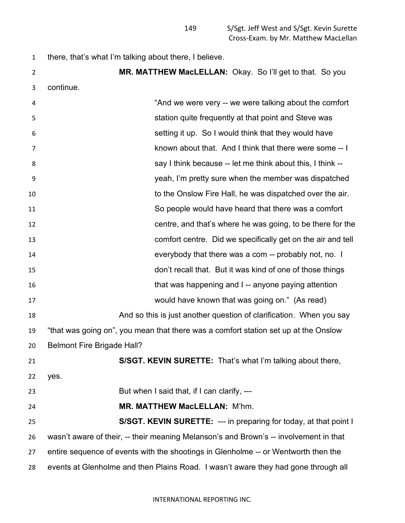there, that's what I'm talking about there, I believe.

 **MR. MATTHEW MacLELLAN:** Okay. So I'll get to that. So you continue. "And we were very -- we were talking about the comfort station quite frequently at that point and Steve was setting it up. So I would think that they would have known about that. And I think that there were some -- I **8** Say I think because -- let me think about this, I think -- yeah, I'm pretty sure when the member was dispatched to the Onslow Fire Hall, he was dispatched over the air. So people would have heard that there was a comfort centre, and that's where he was going, to be there for the comfort centre. Did we specifically get on the air and tell everybody that there was a com -- probably not, no. I don't recall that. But it was kind of one of those things that was happening and I -- anyone paying attention would have known that was going on." (As read) **And so this is just another question of clarification.** When you say "that was going on", you mean that there was a comfort station set up at the Onslow Belmont Fire Brigade Hall? **S/SGT. KEVIN SURETTE:** That's what I'm talking about there, yes. But when I said that, if I can clarify, --- **MR. MATTHEW MacLELLAN:** M'hm. **S/SGT. KEVIN SURETTE:** --- in preparing for today, at that point I wasn't aware of their, -- their meaning Melanson's and Brown's -- involvement in that entire sequence of events with the shootings in Glenholme -- or Wentworth then the events at Glenholme and then Plains Road. I wasn't aware they had gone through all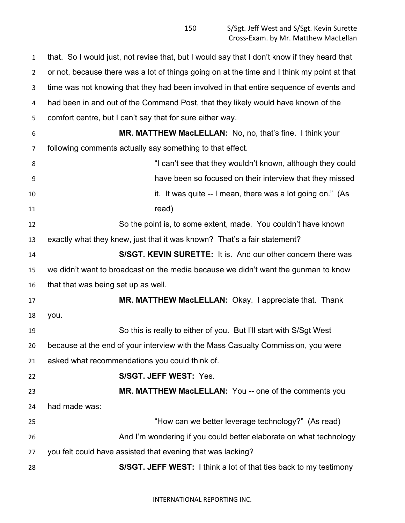that. So I would just, not revise that, but I would say that I don't know if they heard that or not, because there was a lot of things going on at the time and I think my point at that time was not knowing that they had been involved in that entire sequence of events and had been in and out of the Command Post, that they likely would have known of the comfort centre, but I can't say that for sure either way. **MR. MATTHEW MacLELLAN:** No, no, that's fine. I think your following comments actually say something to that effect. **8** "I can't see that they wouldn't known, although they could have been so focused on their interview that they missed **it. It was quite -- I mean, there was a lot going on." (As** 11 read) So the point is, to some extent, made. You couldn't have known exactly what they knew, just that it was known? That's a fair statement? **S/SGT. KEVIN SURETTE:** It is. And our other concern there was we didn't want to broadcast on the media because we didn't want the gunman to know that that was being set up as well. **MR. MATTHEW MacLELLAN:** Okay. I appreciate that. Thank you. So this is really to either of you. But I'll start with S/Sgt West because at the end of your interview with the Mass Casualty Commission, you were asked what recommendations you could think of. **S/SGT. JEFF WEST:** Yes. **MR. MATTHEW MacLELLAN:** You -- one of the comments you had made was: "How can we better leverage technology?" (As read) And I'm wondering if you could better elaborate on what technology you felt could have assisted that evening that was lacking? **S/SGT. JEFF WEST:** I think a lot of that ties back to my testimony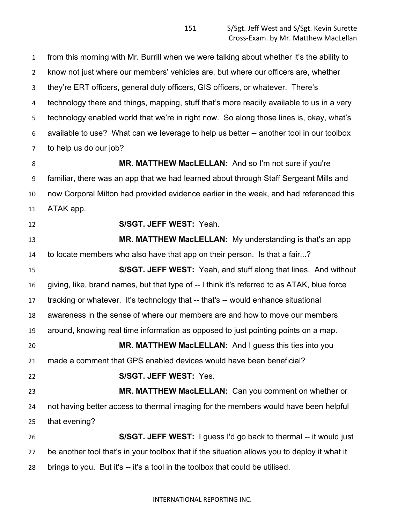from this morning with Mr. Burrill when we were talking about whether it's the ability to know not just where our members' vehicles are, but where our officers are, whether they're ERT officers, general duty officers, GIS officers, or whatever. There's technology there and things, mapping, stuff that's more readily available to us in a very technology enabled world that we're in right now. So along those lines is, okay, what's available to use? What can we leverage to help us better -- another tool in our toolbox to help us do our job?

8 MR. MATTHEW MacLELLAN: And so I'm not sure if you're familiar, there was an app that we had learned about through Staff Sergeant Mills and now Corporal Milton had provided evidence earlier in the week, and had referenced this ATAK app.

## **S/SGT. JEFF WEST:** Yeah.

 **MR. MATTHEW MacLELLAN:** My understanding is that's an app to locate members who also have that app on their person. Is that a fair...?

 **S/SGT. JEFF WEST:** Yeah, and stuff along that lines. And without giving, like, brand names, but that type of -- I think it's referred to as ATAK, blue force tracking or whatever. It's technology that -- that's -- would enhance situational awareness in the sense of where our members are and how to move our members around, knowing real time information as opposed to just pointing points on a map. **MR. MATTHEW MacLELLAN:** And I guess this ties into you made a comment that GPS enabled devices would have been beneficial? **S/SGT. JEFF WEST:** Yes. **MR. MATTHEW MacLELLAN:** Can you comment on whether or not having better access to thermal imaging for the members would have been helpful that evening? **S/SGT. JEFF WEST:** I guess I'd go back to thermal -- it would just be another tool that's in your toolbox that if the situation allows you to deploy it what it

brings to you. But it's -- it's a tool in the toolbox that could be utilised.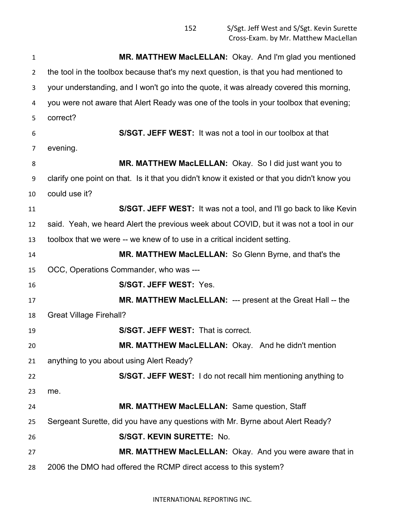**MR. MATTHEW MacLELLAN:** Okay. And I'm glad you mentioned 2 the tool in the toolbox because that's my next question, is that you had mentioned to your understanding, and I won't go into the quote, it was already covered this morning, you were not aware that Alert Ready was one of the tools in your toolbox that evening; correct? **S/SGT. JEFF WEST:** It was not a tool in our toolbox at that evening. **MR. MATTHEW MacLELLAN:** Okay. So I did just want you to clarify one point on that. Is it that you didn't know it existed or that you didn't know you could use it? **S/SGT. JEFF WEST:** It was not a tool, and I'll go back to like Kevin said. Yeah, we heard Alert the previous week about COVID, but it was not a tool in our toolbox that we were -- we knew of to use in a critical incident setting. **MR. MATTHEW MacLELLAN:** So Glenn Byrne, and that's the OCC, Operations Commander, who was --- **S/SGT. JEFF WEST:** Yes. **MR. MATTHEW MacLELLAN:** --- present at the Great Hall -- the Great Village Firehall? **S/SGT. JEFF WEST:** That is correct. **MR. MATTHEW MacLELLAN:** Okay. And he didn't mention anything to you about using Alert Ready? **S/SGT. JEFF WEST:** I do not recall him mentioning anything to me. **MR. MATTHEW MacLELLAN:** Same question, Staff Sergeant Surette, did you have any questions with Mr. Byrne about Alert Ready? **S/SGT. KEVIN SURETTE:** No. **MR. MATTHEW MacLELLAN:** Okay. And you were aware that in 2006 the DMO had offered the RCMP direct access to this system?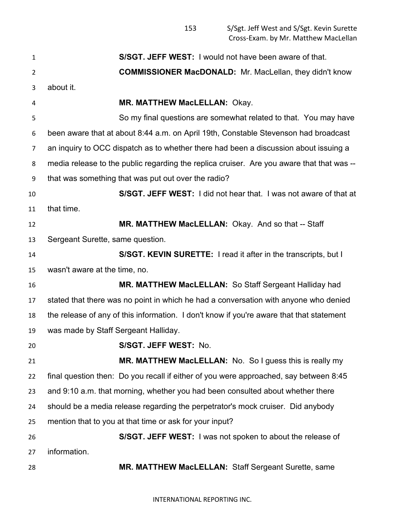| $\mathbf{1}$   | <b>S/SGT. JEFF WEST:</b> I would not have been aware of that.                             |
|----------------|-------------------------------------------------------------------------------------------|
| $\overline{2}$ | <b>COMMISSIONER MacDONALD:</b> Mr. MacLellan, they didn't know                            |
| 3              | about it.                                                                                 |
| 4              | <b>MR. MATTHEW MacLELLAN: Okay.</b>                                                       |
| 5              | So my final questions are somewhat related to that. You may have                          |
| 6              | been aware that at about 8:44 a.m. on April 19th, Constable Stevenson had broadcast       |
| 7              | an inquiry to OCC dispatch as to whether there had been a discussion about issuing a      |
| 8              | media release to the public regarding the replica cruiser. Are you aware that that was -- |
| 9              | that was something that was put out over the radio?                                       |
| 10             | S/SGT. JEFF WEST: I did not hear that. I was not aware of that at                         |
| 11             | that time.                                                                                |
| 12             | MR. MATTHEW MacLELLAN: Okay. And so that -- Staff                                         |
| 13             | Sergeant Surette, same question.                                                          |
| 14             | S/SGT. KEVIN SURETTE: I read it after in the transcripts, but I                           |
| 15             | wasn't aware at the time, no.                                                             |
| 16             | <b>MR. MATTHEW MacLELLAN: So Staff Sergeant Halliday had</b>                              |
| 17             | stated that there was no point in which he had a conversation with anyone who denied      |
| 18             | the release of any of this information. I don't know if you're aware that that statement  |
| 19             | was made by Staff Sergeant Halliday.                                                      |
| 20             | <b>S/SGT. JEFF WEST: No.</b>                                                              |
| 21             | MR. MATTHEW MacLELLAN: No. So I guess this is really my                                   |
| 22             | final question then: Do you recall if either of you were approached, say between 8:45     |
| 23             | and 9:10 a.m. that morning, whether you had been consulted about whether there            |
| 24             | should be a media release regarding the perpetrator's mock cruiser. Did anybody           |
| 25             | mention that to you at that time or ask for your input?                                   |
| 26             | S/SGT. JEFF WEST: I was not spoken to about the release of                                |
| 27             | information.                                                                              |
| 28             | MR. MATTHEW MacLELLAN: Staff Sergeant Surette, same                                       |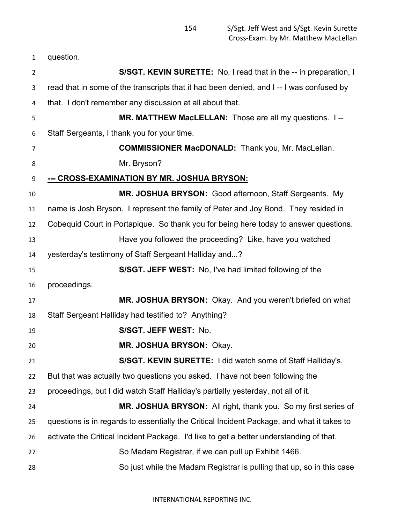| $\mathbf{1}$   | question.                                                                                  |
|----------------|--------------------------------------------------------------------------------------------|
| $\overline{2}$ | S/SGT. KEVIN SURETTE: No, I read that in the -- in preparation, I                          |
| 3              | read that in some of the transcripts that it had been denied, and I--I was confused by     |
| 4              | that. I don't remember any discussion at all about that.                                   |
| 5              | MR. MATTHEW MacLELLAN: Those are all my questions. I--                                     |
| 6              | Staff Sergeants, I thank you for your time.                                                |
| 7              | <b>COMMISSIONER MacDONALD:</b> Thank you, Mr. MacLellan.                                   |
| 8              | Mr. Bryson?                                                                                |
| 9              | <u>--- CROSS-EXAMINATION BY MR. JOSHUA BRYSON:</u>                                         |
| 10             | MR. JOSHUA BRYSON: Good afternoon, Staff Sergeants. My                                     |
| 11             | name is Josh Bryson. I represent the family of Peter and Joy Bond. They resided in         |
| 12             | Cobequid Court in Portapique. So thank you for being here today to answer questions.       |
| 13             | Have you followed the proceeding? Like, have you watched                                   |
| 14             | yesterday's testimony of Staff Sergeant Halliday and?                                      |
| 15             | S/SGT. JEFF WEST: No, I've had limited following of the                                    |
| 16             | proceedings.                                                                               |
| 17             | MR. JOSHUA BRYSON: Okay. And you weren't briefed on what                                   |
| 18             | Staff Sergeant Halliday had testified to? Anything?                                        |
| 19             | S/SGT. JEFF WEST: No.                                                                      |
| 20             | MR. JOSHUA BRYSON: Okay.                                                                   |
| 21             | S/SGT. KEVIN SURETTE: I did watch some of Staff Halliday's.                                |
| 22             | But that was actually two questions you asked. I have not been following the               |
| 23             | proceedings, but I did watch Staff Halliday's partially yesterday, not all of it.          |
| 24             | MR. JOSHUA BRYSON: All right, thank you. So my first series of                             |
| 25             | questions is in regards to essentially the Critical Incident Package, and what it takes to |
| 26             | activate the Critical Incident Package. I'd like to get a better understanding of that.    |
| 27             | So Madam Registrar, if we can pull up Exhibit 1466.                                        |
| 28             | So just while the Madam Registrar is pulling that up, so in this case                      |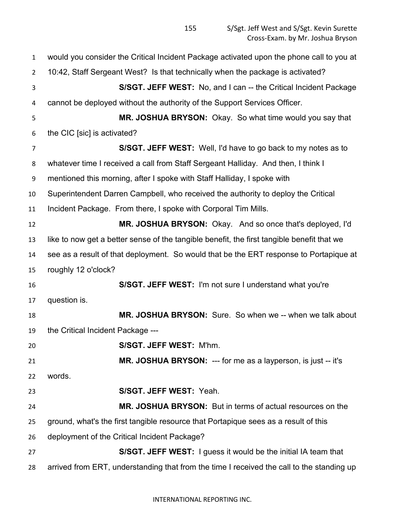would you consider the Critical Incident Package activated upon the phone call to you at 10:42, Staff Sergeant West? Is that technically when the package is activated? **S/SGT. JEFF WEST:** No, and I can -- the Critical Incident Package cannot be deployed without the authority of the Support Services Officer. **MR. JOSHUA BRYSON:** Okay. So what time would you say that the CIC [sic] is activated? **S/SGT. JEFF WEST:** Well, I'd have to go back to my notes as to whatever time I received a call from Staff Sergeant Halliday. And then, I think I mentioned this morning, after I spoke with Staff Halliday, I spoke with Superintendent Darren Campbell, who received the authority to deploy the Critical Incident Package. From there, I spoke with Corporal Tim Mills. **MR. JOSHUA BRYSON:** Okay. And so once that's deployed, I'd like to now get a better sense of the tangible benefit, the first tangible benefit that we see as a result of that deployment. So would that be the ERT response to Portapique at roughly 12 o'clock? **S/SGT. JEFF WEST:** I'm not sure I understand what you're question is. **MR. JOSHUA BRYSON:** Sure. So when we -- when we talk about the Critical Incident Package --- **S/SGT. JEFF WEST:** M'hm. **MR. JOSHUA BRYSON:** --- for me as a layperson, is just -- it's words. **S/SGT. JEFF WEST:** Yeah. **MR. JOSHUA BRYSON:** But in terms of actual resources on the ground, what's the first tangible resource that Portapique sees as a result of this deployment of the Critical Incident Package? **S/SGT. JEFF WEST:** I guess it would be the initial IA team that arrived from ERT, understanding that from the time I received the call to the standing up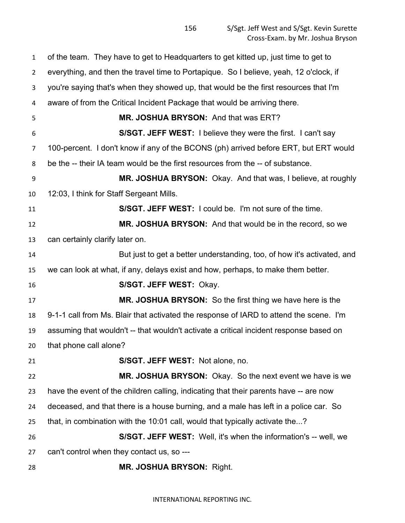of the team. They have to get to Headquarters to get kitted up, just time to get to everything, and then the travel time to Portapique. So I believe, yeah, 12 o'clock, if you're saying that's when they showed up, that would be the first resources that I'm aware of from the Critical Incident Package that would be arriving there. **MR. JOSHUA BRYSON:** And that was ERT? **S/SGT. JEFF WEST:** I believe they were the first. I can't say 100-percent. I don't know if any of the BCONS (ph) arrived before ERT, but ERT would be the -- their IA team would be the first resources from the -- of substance. **MR. JOSHUA BRYSON:** Okay. And that was, I believe, at roughly 12:03, I think for Staff Sergeant Mills. **S/SGT. JEFF WEST:** I could be. I'm not sure of the time. **MR. JOSHUA BRYSON:** And that would be in the record, so we can certainly clarify later on. But just to get a better understanding, too, of how it's activated, and we can look at what, if any, delays exist and how, perhaps, to make them better. **S/SGT. JEFF WEST:** Okay. **MR. JOSHUA BRYSON:** So the first thing we have here is the 9-1-1 call from Ms. Blair that activated the response of IARD to attend the scene. I'm assuming that wouldn't -- that wouldn't activate a critical incident response based on that phone call alone? **S/SGT. JEFF WEST:** Not alone, no. **MR. JOSHUA BRYSON:** Okay. So the next event we have is we have the event of the children calling, indicating that their parents have -- are now deceased, and that there is a house burning, and a male has left in a police car. So that, in combination with the 10:01 call, would that typically activate the...? **S/SGT. JEFF WEST:** Well, it's when the information's -- well, we can't control when they contact us, so --- **MR. JOSHUA BRYSON:** Right.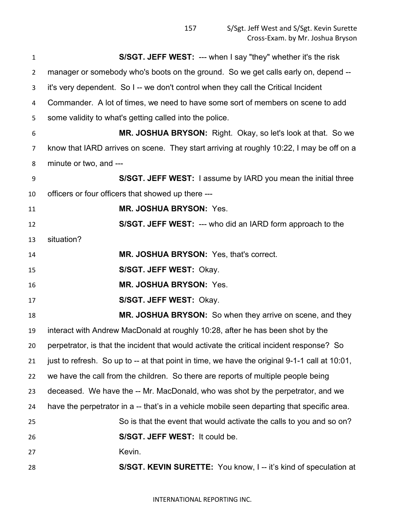| 1              | S/SGT. JEFF WEST: --- when I say "they" whether it's the risk                                 |
|----------------|-----------------------------------------------------------------------------------------------|
| $\overline{2}$ | manager or somebody who's boots on the ground. So we get calls early on, depend --            |
| 3              | it's very dependent. So I-- we don't control when they call the Critical Incident             |
| 4              | Commander. A lot of times, we need to have some sort of members on scene to add               |
| 5              | some validity to what's getting called into the police.                                       |
| 6              | MR. JOSHUA BRYSON: Right. Okay, so let's look at that. So we                                  |
| 7              | know that IARD arrives on scene. They start arriving at roughly 10:22, I may be off on a      |
| 8              | minute or two, and ---                                                                        |
| 9              | S/SGT. JEFF WEST: I assume by IARD you mean the initial three                                 |
| 10             | officers or four officers that showed up there ---                                            |
| 11             | <b>MR. JOSHUA BRYSON: Yes.</b>                                                                |
| 12             | <b>S/SGT. JEFF WEST: --- who did an IARD form approach to the</b>                             |
| 13             | situation?                                                                                    |
| 14             | MR. JOSHUA BRYSON: Yes, that's correct.                                                       |
| 15             | S/SGT. JEFF WEST: Okay.                                                                       |
| 16             | <b>MR. JOSHUA BRYSON: Yes.</b>                                                                |
| 17             | S/SGT. JEFF WEST: Okay.                                                                       |
| 18             | MR. JOSHUA BRYSON: So when they arrive on scene, and they                                     |
| 19             | interact with Andrew MacDonald at roughly 10:28, after he has been shot by the                |
| 20             | perpetrator, is that the incident that would activate the critical incident response? So      |
| 21             | just to refresh. So up to -- at that point in time, we have the original 9-1-1 call at 10:01, |
| 22             | we have the call from the children. So there are reports of multiple people being             |
| 23             | deceased. We have the -- Mr. MacDonald, who was shot by the perpetrator, and we               |
| 24             | have the perpetrator in a -- that's in a vehicle mobile seen departing that specific area.    |
| 25             | So is that the event that would activate the calls to you and so on?                          |
| 26             | S/SGT. JEFF WEST: It could be.                                                                |
| 27             | Kevin.                                                                                        |
| 28             | S/SGT. KEVIN SURETTE: You know, I -- it's kind of speculation at                              |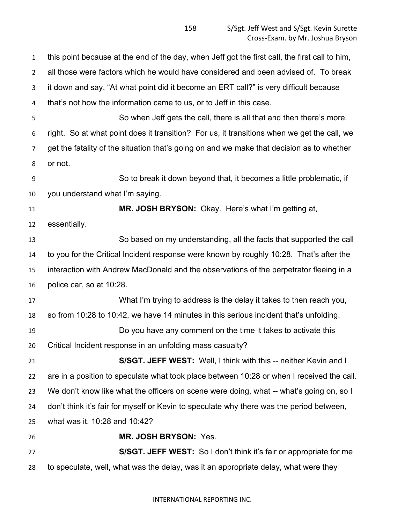this point because at the end of the day, when Jeff got the first call, the first call to him, all those were factors which he would have considered and been advised of. To break it down and say, "At what point did it become an ERT call?" is very difficult because that's not how the information came to us, or to Jeff in this case. So when Jeff gets the call, there is all that and then there's more, right. So at what point does it transition? For us, it transitions when we get the call, we get the fatality of the situation that's going on and we make that decision as to whether or not. So to break it down beyond that, it becomes a little problematic, if you understand what I'm saying. **MR. JOSH BRYSON:** Okay. Here's what I'm getting at, essentially. So based on my understanding, all the facts that supported the call to you for the Critical Incident response were known by roughly 10:28. That's after the interaction with Andrew MacDonald and the observations of the perpetrator fleeing in a police car, so at 10:28. What I'm trying to address is the delay it takes to then reach you, so from 10:28 to 10:42, we have 14 minutes in this serious incident that's unfolding. Do you have any comment on the time it takes to activate this Critical Incident response in an unfolding mass casualty? **S/SGT. JEFF WEST:** Well, I think with this -- neither Kevin and I are in a position to speculate what took place between 10:28 or when I received the call. We don't know like what the officers on scene were doing, what -- what's going on, so I don't think it's fair for myself or Kevin to speculate why there was the period between, what was it, 10:28 and 10:42? **MR. JOSH BRYSON:** Yes. **S/SGT. JEFF WEST:** So I don't think it's fair or appropriate for me to speculate, well, what was the delay, was it an appropriate delay, what were they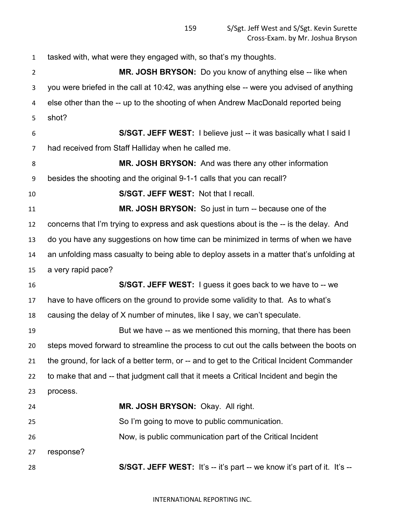tasked with, what were they engaged with, so that's my thoughts. **MR. JOSH BRYSON:** Do you know of anything else -- like when you were briefed in the call at 10:42, was anything else -- were you advised of anything else other than the -- up to the shooting of when Andrew MacDonald reported being shot? **S/SGT. JEFF WEST:** I believe just -- it was basically what I said I had received from Staff Halliday when he called me. **MR. JOSH BRYSON:** And was there any other information besides the shooting and the original 9-1-1 calls that you can recall? **S/SGT. JEFF WEST:** Not that I recall. **MR. JOSH BRYSON:** So just in turn -- because one of the concerns that I'm trying to express and ask questions about is the -- is the delay. And do you have any suggestions on how time can be minimized in terms of when we have an unfolding mass casualty to being able to deploy assets in a matter that's unfolding at a very rapid pace? **S/SGT. JEFF WEST:** I guess it goes back to we have to -- we have to have officers on the ground to provide some validity to that. As to what's causing the delay of X number of minutes, like I say, we can't speculate. But we have -- as we mentioned this morning, that there has been steps moved forward to streamline the process to cut out the calls between the boots on the ground, for lack of a better term, or -- and to get to the Critical Incident Commander to make that and -- that judgment call that it meets a Critical Incident and begin the process. **MR. JOSH BRYSON:** Okay. All right. So I'm going to move to public communication. Now, is public communication part of the Critical Incident response? **S/SGT. JEFF WEST:** It's -- it's part -- we know it's part of it. It's --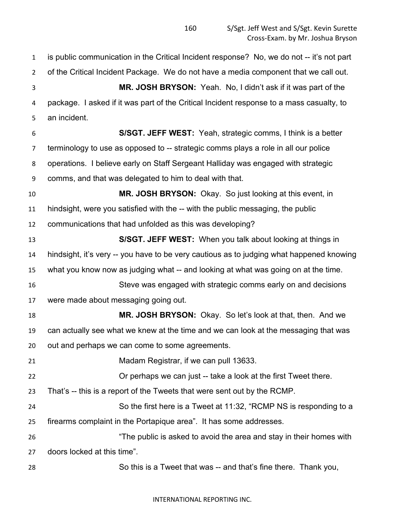is public communication in the Critical Incident response? No, we do not -- it's not part of the Critical Incident Package. We do not have a media component that we call out. **MR. JOSH BRYSON:** Yeah. No, I didn't ask if it was part of the package. I asked if it was part of the Critical Incident response to a mass casualty, to an incident. **S/SGT. JEFF WEST:** Yeah, strategic comms, I think is a better terminology to use as opposed to -- strategic comms plays a role in all our police operations. I believe early on Staff Sergeant Halliday was engaged with strategic comms, and that was delegated to him to deal with that. **MR. JOSH BRYSON:** Okay. So just looking at this event, in hindsight, were you satisfied with the -- with the public messaging, the public communications that had unfolded as this was developing? **S/SGT. JEFF WEST:** When you talk about looking at things in hindsight, it's very -- you have to be very cautious as to judging what happened knowing what you know now as judging what -- and looking at what was going on at the time. Steve was engaged with strategic comms early on and decisions were made about messaging going out. **MR. JOSH BRYSON:** Okay. So let's look at that, then. And we can actually see what we knew at the time and we can look at the messaging that was out and perhaps we can come to some agreements. Madam Registrar, if we can pull 13633. Or perhaps we can just -- take a look at the first Tweet there. That's -- this is a report of the Tweets that were sent out by the RCMP. So the first here is a Tweet at 11:32, "RCMP NS is responding to a firearms complaint in the Portapique area". It has some addresses. "The public is asked to avoid the area and stay in their homes with doors locked at this time". So this is a Tweet that was -- and that's fine there. Thank you,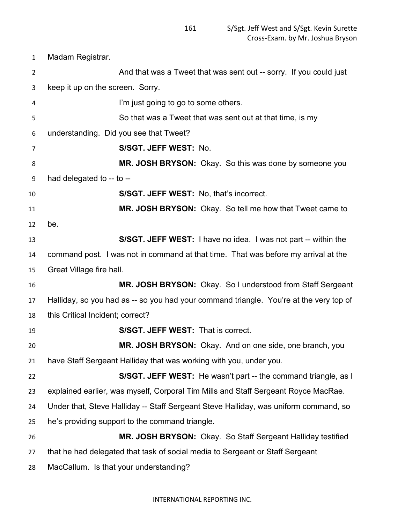Madam Registrar.

| $\overline{2}$ | And that was a Tweet that was sent out -- sorry. If you could just                     |
|----------------|----------------------------------------------------------------------------------------|
| 3              | keep it up on the screen. Sorry.                                                       |
| 4              | I'm just going to go to some others.                                                   |
| 5              | So that was a Tweet that was sent out at that time, is my                              |
| 6              | understanding. Did you see that Tweet?                                                 |
| 7              | S/SGT. JEFF WEST: No.                                                                  |
| 8              | MR. JOSH BRYSON: Okay. So this was done by someone you                                 |
| 9              | had delegated to -- to --                                                              |
| 10             | S/SGT. JEFF WEST: No, that's incorrect.                                                |
| 11             | MR. JOSH BRYSON: Okay. So tell me how that Tweet came to                               |
| 12             | be.                                                                                    |
| 13             | S/SGT. JEFF WEST: I have no idea. I was not part -- within the                         |
| 14             | command post. I was not in command at that time. That was before my arrival at the     |
| 15             | Great Village fire hall.                                                               |
| 16             | MR. JOSH BRYSON: Okay. So I understood from Staff Sergeant                             |
| 17             | Halliday, so you had as -- so you had your command triangle. You're at the very top of |
| 18             | this Critical Incident; correct?                                                       |
| 19             | S/SGT. JEFF WEST: That is correct.                                                     |
| 20             | MR. JOSH BRYSON: Okay. And on one side, one branch, you                                |
| 21             | have Staff Sergeant Halliday that was working with you, under you.                     |
| 22             | S/SGT. JEFF WEST: He wasn't part -- the command triangle, as I                         |
| 23             | explained earlier, was myself, Corporal Tim Mills and Staff Sergeant Royce MacRae.     |
| 24             | Under that, Steve Halliday -- Staff Sergeant Steve Halliday, was uniform command, so   |
| 25             | he's providing support to the command triangle.                                        |
| 26             | MR. JOSH BRYSON: Okay. So Staff Sergeant Halliday testified                            |
| 27             | that he had delegated that task of social media to Sergeant or Staff Sergeant          |
| 28             | MacCallum. Is that your understanding?                                                 |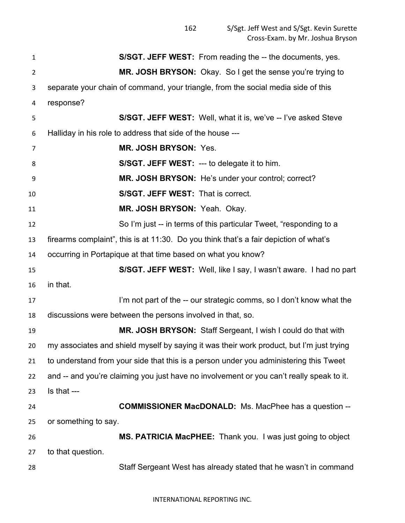| 1  | S/SGT. JEFF WEST: From reading the -- the documents, yes.                                |
|----|------------------------------------------------------------------------------------------|
| 2  | MR. JOSH BRYSON: Okay. So I get the sense you're trying to                               |
| 3  | separate your chain of command, your triangle, from the social media side of this        |
| 4  | response?                                                                                |
| 5  | S/SGT. JEFF WEST: Well, what it is, we've -- I've asked Steve                            |
| 6  | Halliday in his role to address that side of the house ---                               |
| 7  | MR. JOSH BRYSON: Yes.                                                                    |
| 8  | <b>S/SGT. JEFF WEST: --- to delegate it to him.</b>                                      |
| 9  | MR. JOSH BRYSON: He's under your control; correct?                                       |
| 10 | <b>S/SGT. JEFF WEST: That is correct.</b>                                                |
| 11 | MR. JOSH BRYSON: Yeah. Okay.                                                             |
| 12 | So I'm just -- in terms of this particular Tweet, "responding to a                       |
| 13 | firearms complaint", this is at 11:30. Do you think that's a fair depiction of what's    |
| 14 | occurring in Portapique at that time based on what you know?                             |
| 15 | S/SGT. JEFF WEST: Well, like I say, I wasn't aware. I had no part                        |
| 16 | in that.                                                                                 |
| 17 | I'm not part of the -- our strategic comms, so I don't know what the                     |
| 18 | discussions were between the persons involved in that, so.                               |
| 19 | MR. JOSH BRYSON: Staff Sergeant, I wish I could do that with                             |
| 20 | my associates and shield myself by saying it was their work product, but I'm just trying |
| 21 | to understand from your side that this is a person under you administering this Tweet    |
| 22 | and -- and you're claiming you just have no involvement or you can't really speak to it. |
| 23 | Is that ---                                                                              |
| 24 | <b>COMMISSIONER MacDONALD:</b> Ms. MacPhee has a question --                             |
| 25 | or something to say.                                                                     |
| 26 | MS. PATRICIA MacPHEE: Thank you. I was just going to object                              |
| 27 | to that question.                                                                        |
| 28 | Staff Sergeant West has already stated that he wasn't in command                         |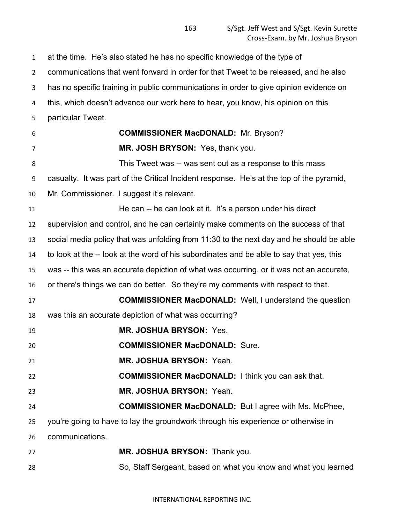at the time. He's also stated he has no specific knowledge of the type of communications that went forward in order for that Tweet to be released, and he also has no specific training in public communications in order to give opinion evidence on this, which doesn't advance our work here to hear, you know, his opinion on this particular Tweet. **COMMISSIONER MacDONALD:** Mr. Bryson? **MR. JOSH BRYSON:** Yes, thank you. 8 This Tweet was -- was sent out as a response to this mass casualty. It was part of the Critical Incident response. He's at the top of the pyramid, Mr. Commissioner. I suggest it's relevant. He can -- he can look at it. It's a person under his direct supervision and control, and he can certainly make comments on the success of that social media policy that was unfolding from 11:30 to the next day and he should be able to look at the -- look at the word of his subordinates and be able to say that yes, this was -- this was an accurate depiction of what was occurring, or it was not an accurate, or there's things we can do better. So they're my comments with respect to that. **COMMISSIONER MacDONALD:** Well, I understand the question was this an accurate depiction of what was occurring? **MR. JOSHUA BRYSON:** Yes. **COMMISSIONER MacDONALD:** Sure. **MR. JOSHUA BRYSON:** Yeah. **COMMISSIONER MacDONALD:** I think you can ask that. **MR. JOSHUA BRYSON:** Yeah. **COMMISSIONER MacDONALD:** But I agree with Ms. McPhee, you're going to have to lay the groundwork through his experience or otherwise in communications. **MR. JOSHUA BRYSON:** Thank you. So, Staff Sergeant, based on what you know and what you learned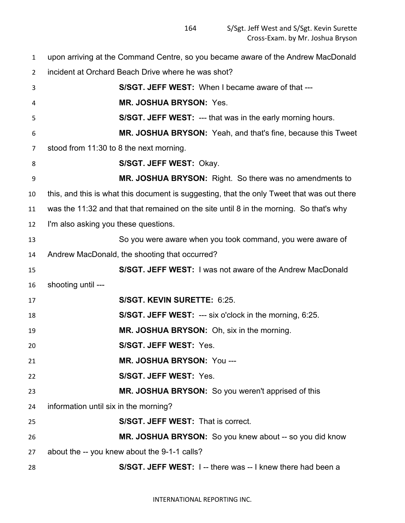upon arriving at the Command Centre, so you became aware of the Andrew MacDonald incident at Orchard Beach Drive where he was shot?

| 3  | S/SGT. JEFF WEST: When I became aware of that ---                                          |
|----|--------------------------------------------------------------------------------------------|
| 4  | <b>MR. JOSHUA BRYSON: Yes.</b>                                                             |
| 5  | <b>S/SGT. JEFF WEST: --- that was in the early morning hours.</b>                          |
| 6  | MR. JOSHUA BRYSON: Yeah, and that's fine, because this Tweet                               |
| 7  | stood from 11:30 to 8 the next morning.                                                    |
| 8  | S/SGT. JEFF WEST: Okay.                                                                    |
| 9  | MR. JOSHUA BRYSON: Right. So there was no amendments to                                    |
| 10 | this, and this is what this document is suggesting, that the only Tweet that was out there |
| 11 | was the 11:32 and that that remained on the site until 8 in the morning. So that's why     |
| 12 | I'm also asking you these questions.                                                       |
| 13 | So you were aware when you took command, you were aware of                                 |
| 14 | Andrew MacDonald, the shooting that occurred?                                              |
| 15 | S/SGT. JEFF WEST: I was not aware of the Andrew MacDonald                                  |
| 16 | shooting until ---                                                                         |
| 17 | S/SGT. KEVIN SURETTE: 6:25.                                                                |
| 18 | S/SGT. JEFF WEST: --- six o'clock in the morning, 6:25.                                    |
| 19 | MR. JOSHUA BRYSON: Oh, six in the morning.                                                 |
| 20 | S/SGT. JEFF WEST: Yes.                                                                     |
| 21 | MR. JOSHUA BRYSON: You ---                                                                 |
| 22 | S/SGT. JEFF WEST: Yes.                                                                     |
| 23 | MR. JOSHUA BRYSON: So you weren't apprised of this                                         |
| 24 | information until six in the morning?                                                      |
| 25 | S/SGT. JEFF WEST: That is correct.                                                         |
| 26 | MR. JOSHUA BRYSON: So you knew about -- so you did know                                    |
| 27 | about the -- you knew about the 9-1-1 calls?                                               |
| 28 | S/SGT. JEFF WEST: I -- there was -- I knew there had been a                                |
|    |                                                                                            |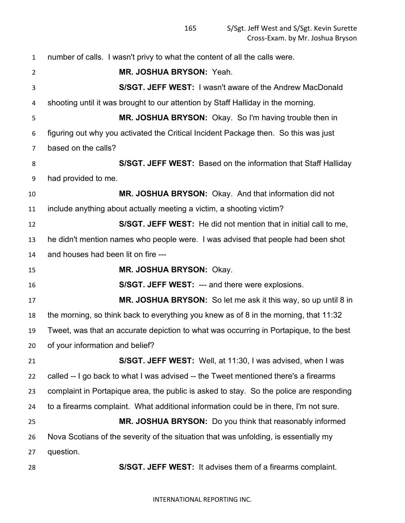number of calls. I wasn't privy to what the content of all the calls were. **MR. JOSHUA BRYSON:** Yeah. **S/SGT. JEFF WEST:** I wasn't aware of the Andrew MacDonald shooting until it was brought to our attention by Staff Halliday in the morning. **MR. JOSHUA BRYSON:** Okay. So I'm having trouble then in figuring out why you activated the Critical Incident Package then. So this was just based on the calls? **S/SGT. JEFF WEST:** Based on the information that Staff Halliday had provided to me. **MR. JOSHUA BRYSON:** Okay. And that information did not include anything about actually meeting a victim, a shooting victim? **S/SGT. JEFF WEST:** He did not mention that in initial call to me, he didn't mention names who people were. I was advised that people had been shot and houses had been lit on fire --- **MR. JOSHUA BRYSON:** Okay. **S/SGT. JEFF WEST:** --- and there were explosions. **MR. JOSHUA BRYSON:** So let me ask it this way, so up until 8 in the morning, so think back to everything you knew as of 8 in the morning, that 11:32 Tweet, was that an accurate depiction to what was occurring in Portapique, to the best of your information and belief? **S/SGT. JEFF WEST:** Well, at 11:30, I was advised, when I was called -- I go back to what I was advised -- the Tweet mentioned there's a firearms complaint in Portapique area, the public is asked to stay. So the police are responding to a firearms complaint. What additional information could be in there, I'm not sure. **MR. JOSHUA BRYSON:** Do you think that reasonably informed Nova Scotians of the severity of the situation that was unfolding, is essentially my question. **S/SGT. JEFF WEST:** It advises them of a firearms complaint.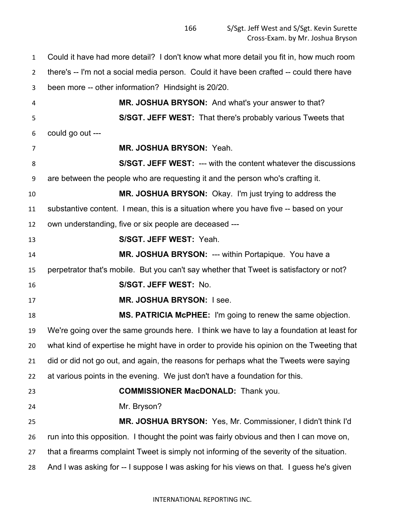Could it have had more detail? I don't know what more detail you fit in, how much room there's -- I'm not a social media person. Could it have been crafted -- could there have been more -- other information? Hindsight is 20/20. **MR. JOSHUA BRYSON:** And what's your answer to that? **S/SGT. JEFF WEST:** That there's probably various Tweets that could go out --- **MR. JOSHUA BRYSON:** Yeah. **S/SGT. JEFF WEST:** --- with the content whatever the discussions are between the people who are requesting it and the person who's crafting it. **MR. JOSHUA BRYSON:** Okay. I'm just trying to address the substantive content. I mean, this is a situation where you have five -- based on your own understanding, five or six people are deceased --- **S/SGT. JEFF WEST:** Yeah. **MR. JOSHUA BRYSON:** --- within Portapique. You have a perpetrator that's mobile. But you can't say whether that Tweet is satisfactory or not? **S/SGT. JEFF WEST:** No. **MR. JOSHUA BRYSON:** I see. **MS. PATRICIA McPHEE:** I'm going to renew the same objection. We're going over the same grounds here. I think we have to lay a foundation at least for what kind of expertise he might have in order to provide his opinion on the Tweeting that did or did not go out, and again, the reasons for perhaps what the Tweets were saying at various points in the evening. We just don't have a foundation for this. **COMMISSIONER MacDONALD:** Thank you. Mr. Bryson? **MR. JOSHUA BRYSON:** Yes, Mr. Commissioner, I didn't think I'd run into this opposition. I thought the point was fairly obvious and then I can move on, that a firearms complaint Tweet is simply not informing of the severity of the situation. And I was asking for -- I suppose I was asking for his views on that. I guess he's given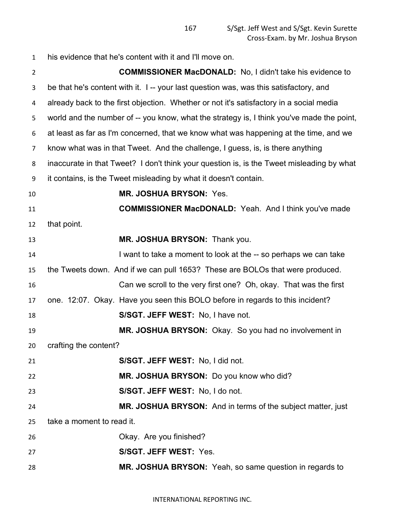| $\mathbf{1}$   | his evidence that he's content with it and I'll move on.                                  |
|----------------|-------------------------------------------------------------------------------------------|
| $\overline{2}$ | <b>COMMISSIONER MacDONALD:</b> No, I didn't take his evidence to                          |
| 3              | be that he's content with it. I -- your last question was, was this satisfactory, and     |
| 4              | already back to the first objection. Whether or not it's satisfactory in a social media   |
| 5              | world and the number of -- you know, what the strategy is, I think you've made the point, |
| 6              | at least as far as I'm concerned, that we know what was happening at the time, and we     |
| 7              | know what was in that Tweet. And the challenge, I guess, is, is there anything            |
| 8              | inaccurate in that Tweet? I don't think your question is, is the Tweet misleading by what |
| 9              | it contains, is the Tweet misleading by what it doesn't contain.                          |
| 10             | MR. JOSHUA BRYSON: Yes.                                                                   |
| 11             | <b>COMMISSIONER MacDONALD:</b> Yeah. And I think you've made                              |
| 12             | that point.                                                                               |
| 13             | MR. JOSHUA BRYSON: Thank you.                                                             |
| 14             | I want to take a moment to look at the -- so perhaps we can take                          |
| 15             | the Tweets down. And if we can pull 1653? These are BOLOs that were produced.             |
| 16             | Can we scroll to the very first one? Oh, okay. That was the first                         |
| 17             | one. 12:07. Okay. Have you seen this BOLO before in regards to this incident?             |
| 18             | S/SGT. JEFF WEST: No, I have not.                                                         |
| 19             | MR. JOSHUA BRYSON: Okay. So you had no involvement in                                     |
| 20             | crafting the content?                                                                     |
| 21             | S/SGT. JEFF WEST: No, I did not.                                                          |
| 22             | MR. JOSHUA BRYSON: Do you know who did?                                                   |
| 23             | S/SGT. JEFF WEST: No, I do not.                                                           |
| 24             | MR. JOSHUA BRYSON: And in terms of the subject matter, just                               |
| 25             | take a moment to read it.                                                                 |
| 26             | Okay. Are you finished?                                                                   |
| 27             | S/SGT. JEFF WEST: Yes.                                                                    |
| 28             | MR. JOSHUA BRYSON: Yeah, so same question in regards to                                   |
|                |                                                                                           |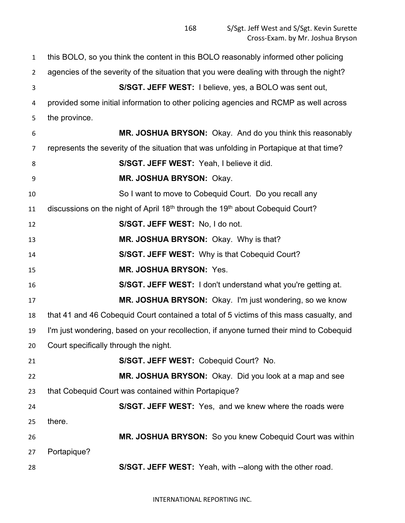this BOLO, so you think the content in this BOLO reasonably informed other policing agencies of the severity of the situation that you were dealing with through the night? **S/SGT. JEFF WEST:** I believe, yes, a BOLO was sent out, provided some initial information to other policing agencies and RCMP as well across the province. **MR. JOSHUA BRYSON:** Okay. And do you think this reasonably represents the severity of the situation that was unfolding in Portapique at that time? **S/SGT. JEFF WEST:** Yeah, I believe it did. **MR. JOSHUA BRYSON:** Okay. So I want to move to Cobequid Court. Do you recall any 11 discussions on the night of April 18<sup>th</sup> through the 19<sup>th</sup> about Cobequid Court? **S/SGT. JEFF WEST:** No, I do not. **MR. JOSHUA BRYSON:** Okay. Why is that? **S/SGT. JEFF WEST:** Why is that Cobequid Court? **MR. JOSHUA BRYSON:** Yes. **S/SGT. JEFF WEST:** I don't understand what you're getting at. **MR. JOSHUA BRYSON:** Okay. I'm just wondering, so we know that 41 and 46 Cobequid Court contained a total of 5 victims of this mass casualty, and I'm just wondering, based on your recollection, if anyone turned their mind to Cobequid Court specifically through the night. **S/SGT. JEFF WEST:** Cobequid Court? No. **MR. JOSHUA BRYSON:** Okay. Did you look at a map and see that Cobequid Court was contained within Portapique? **S/SGT. JEFF WEST:** Yes, and we knew where the roads were there. **MR. JOSHUA BRYSON:** So you knew Cobequid Court was within Portapique? **S/SGT. JEFF WEST:** Yeah, with --along with the other road.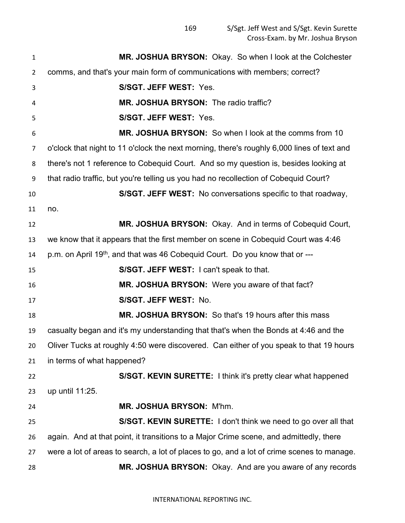| $\mathbf{1}$   | MR. JOSHUA BRYSON: Okay. So when I look at the Colchester                                  |
|----------------|--------------------------------------------------------------------------------------------|
| $\overline{2}$ | comms, and that's your main form of communications with members; correct?                  |
| 3              | S/SGT. JEFF WEST: Yes.                                                                     |
| 4              | MR. JOSHUA BRYSON: The radio traffic?                                                      |
| 5              | S/SGT. JEFF WEST: Yes.                                                                     |
| 6              | MR. JOSHUA BRYSON: So when I look at the comms from 10                                     |
| $\overline{7}$ | o'clock that night to 11 o'clock the next morning, there's roughly 6,000 lines of text and |
| 8              | there's not 1 reference to Cobequid Court. And so my question is, besides looking at       |
| 9              | that radio traffic, but you're telling us you had no recollection of Cobequid Court?       |
| 10             | S/SGT. JEFF WEST: No conversations specific to that roadway,                               |
| 11             | no.                                                                                        |
| 12             | MR. JOSHUA BRYSON: Okay. And in terms of Cobequid Court,                                   |
| 13             | we know that it appears that the first member on scene in Cobequid Court was 4:46          |
| 14             | p.m. on April 19 <sup>th</sup> , and that was 46 Cobequid Court. Do you know that or ---   |
| 15             | S/SGT. JEFF WEST: I can't speak to that.                                                   |
| 16             | MR. JOSHUA BRYSON: Were you aware of that fact?                                            |
| 17             | S/SGT. JEFF WEST: No.                                                                      |
| 18             | MR. JOSHUA BRYSON: So that's 19 hours after this mass                                      |
| 19             | casualty began and it's my understanding that that's when the Bonds at 4:46 and the        |
| 20             | Oliver Tucks at roughly 4:50 were discovered. Can either of you speak to that 19 hours     |
| 21             | in terms of what happened?                                                                 |
| 22             | S/SGT. KEVIN SURETTE: I think it's pretty clear what happened                              |
| 23             | up until 11:25.                                                                            |
| 24             | MR. JOSHUA BRYSON: M'hm.                                                                   |
| 25             | S/SGT. KEVIN SURETTE: I don't think we need to go over all that                            |
| 26             | again. And at that point, it transitions to a Major Crime scene, and admittedly, there     |
| 27             | were a lot of areas to search, a lot of places to go, and a lot of crime scenes to manage. |
| 28             | MR. JOSHUA BRYSON: Okay. And are you aware of any records                                  |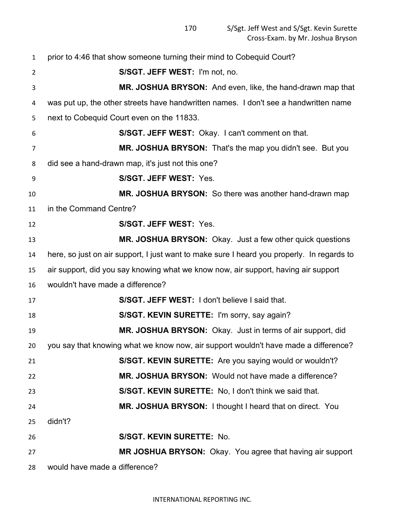prior to 4:46 that show someone turning their mind to Cobequid Court? **S/SGT. JEFF WEST:** I'm not, no. **MR. JOSHUA BRYSON:** And even, like, the hand-drawn map that was put up, the other streets have handwritten names. I don't see a handwritten name next to Cobequid Court even on the 11833. **S/SGT. JEFF WEST:** Okay. I can't comment on that. **MR. JOSHUA BRYSON:** That's the map you didn't see. But you did see a hand-drawn map, it's just not this one? **S/SGT. JEFF WEST:** Yes. **MR. JOSHUA BRYSON:** So there was another hand-drawn map in the Command Centre? **S/SGT. JEFF WEST:** Yes. **MR. JOSHUA BRYSON:** Okay. Just a few other quick questions here, so just on air support, I just want to make sure I heard you properly. In regards to air support, did you say knowing what we know now, air support, having air support wouldn't have made a difference? **S/SGT. JEFF WEST:** I don't believe I said that. **S/SGT. KEVIN SURETTE:** I'm sorry, say again? **MR. JOSHUA BRYSON:** Okay. Just in terms of air support, did you say that knowing what we know now, air support wouldn't have made a difference? **S/SGT. KEVIN SURETTE:** Are you saying would or wouldn't? **MR. JOSHUA BRYSON:** Would not have made a difference? **S/SGT. KEVIN SURETTE:** No, I don't think we said that. **MR. JOSHUA BRYSON:** I thought I heard that on direct. You didn't? **S/SGT. KEVIN SURETTE:** No. **MR JOSHUA BRYSON:** Okay. You agree that having air support would have made a difference?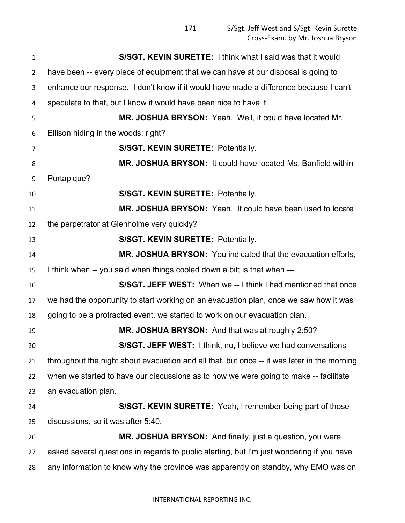| 1              | S/SGT. KEVIN SURETTE: I think what I said was that it would                                 |
|----------------|---------------------------------------------------------------------------------------------|
| $\overline{2}$ | have been -- every piece of equipment that we can have at our disposal is going to          |
| 3              | enhance our response. I don't know if it would have made a difference because I can't       |
| 4              | speculate to that, but I know it would have been nice to have it.                           |
| 5              | MR. JOSHUA BRYSON: Yeah. Well, it could have located Mr.                                    |
| 6              | Ellison hiding in the woods; right?                                                         |
| 7              | S/SGT. KEVIN SURETTE: Potentially.                                                          |
| 8              | MR. JOSHUA BRYSON: It could have located Ms. Banfield within                                |
| 9              | Portapique?                                                                                 |
| 10             | S/SGT. KEVIN SURETTE: Potentially.                                                          |
| 11             | MR. JOSHUA BRYSON: Yeah. It could have been used to locate                                  |
| 12             | the perpetrator at Glenholme very quickly?                                                  |
| 13             | <b>S/SGT. KEVIN SURETTE: Potentially.</b>                                                   |
| 14             | MR. JOSHUA BRYSON: You indicated that the evacuation efforts,                               |
| 15             | I think when -- you said when things cooled down a bit; is that when ---                    |
| 16             | S/SGT. JEFF WEST: When we -- I think I had mentioned that once                              |
| 17             | we had the opportunity to start working on an evacuation plan, once we saw how it was       |
| 18             | going to be a protracted event, we started to work on our evacuation plan.                  |
| 19             | MR. JOSHUA BRYSON: And that was at roughly 2:50?                                            |
| 20             | S/SGT. JEFF WEST: I think, no, I believe we had conversations                               |
| 21             | throughout the night about evacuation and all that, but once -- it was later in the morning |
| 22             | when we started to have our discussions as to how we were going to make -- facilitate       |
| 23             | an evacuation plan.                                                                         |
| 24             | S/SGT. KEVIN SURETTE: Yeah, I remember being part of those                                  |
| 25             | discussions, so it was after 5:40.                                                          |
| 26             | MR. JOSHUA BRYSON: And finally, just a question, you were                                   |
| 27             | asked several questions in regards to public alerting, but I'm just wondering if you have   |
| 28             | any information to know why the province was apparently on standby, why EMO was on          |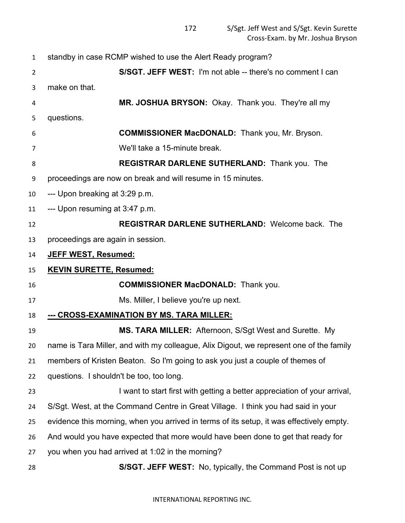| $\mathbf{1}$   | standby in case RCMP wished to use the Alert Ready program?                              |
|----------------|------------------------------------------------------------------------------------------|
| $\overline{2}$ | S/SGT. JEFF WEST: I'm not able -- there's no comment I can                               |
| 3              | make on that.                                                                            |
| 4              | MR. JOSHUA BRYSON: Okay. Thank you. They're all my                                       |
| 5              | questions.                                                                               |
| 6              | <b>COMMISSIONER MacDONALD:</b> Thank you, Mr. Bryson.                                    |
| 7              | We'll take a 15-minute break.                                                            |
| 8              | <b>REGISTRAR DARLENE SUTHERLAND:</b> Thank you. The                                      |
| 9              | proceedings are now on break and will resume in 15 minutes.                              |
| 10             | --- Upon breaking at 3:29 p.m.                                                           |
| 11             | --- Upon resuming at 3:47 p.m.                                                           |
| 12             | <b>REGISTRAR DARLENE SUTHERLAND: Welcome back. The</b>                                   |
| 13             | proceedings are again in session.                                                        |
| 14             | JEFF WEST, Resumed:                                                                      |
| 15             | <b>KEVIN SURETTE, Resumed:</b>                                                           |
| 16             | <b>COMMISSIONER MacDONALD:</b> Thank you.                                                |
| 17             |                                                                                          |
|                | Ms. Miller, I believe you're up next.                                                    |
| 18             | --- CROSS-EXAMINATION BY MS. TARA MILLER:                                                |
| 19             | MS. TARA MILLER: Afternoon, S/Sgt West and Surette. My                                   |
| 20             | name is Tara Miller, and with my colleague, Alix Digout, we represent one of the family  |
| 21             | members of Kristen Beaton. So I'm going to ask you just a couple of themes of            |
| 22             | questions. I shouldn't be too, too long.                                                 |
| 23             | I want to start first with getting a better appreciation of your arrival,                |
| 24             | S/Sgt. West, at the Command Centre in Great Village. I think you had said in your        |
| 25             | evidence this morning, when you arrived in terms of its setup, it was effectively empty. |
| 26             | And would you have expected that more would have been done to get that ready for         |
| 27             | you when you had arrived at 1:02 in the morning?                                         |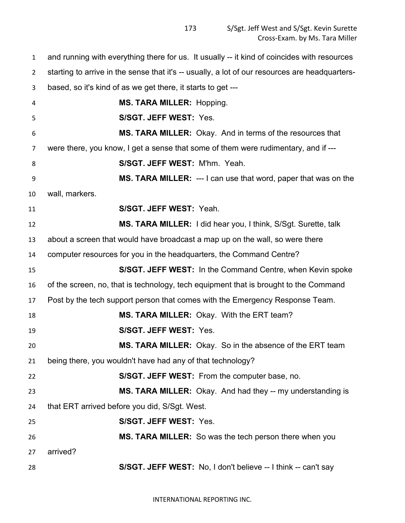and running with everything there for us. It usually -- it kind of coincides with resources starting to arrive in the sense that it's -- usually, a lot of our resources are headquarters- based, so it's kind of as we get there, it starts to get --- **MS. TARA MILLER:** Hopping. **S/SGT. JEFF WEST:** Yes. **MS. TARA MILLER:** Okay. And in terms of the resources that were there, you know, I get a sense that some of them were rudimentary, and if --- **S/SGT. JEFF WEST:** M'hm. Yeah. **MS. TARA MILLER:** --- I can use that word, paper that was on the wall, markers. **S/SGT. JEFF WEST:** Yeah. **MS. TARA MILLER:** I did hear you, I think, S/Sgt. Surette, talk about a screen that would have broadcast a map up on the wall, so were there computer resources for you in the headquarters, the Command Centre? **S/SGT. JEFF WEST:** In the Command Centre, when Kevin spoke of the screen, no, that is technology, tech equipment that is brought to the Command Post by the tech support person that comes with the Emergency Response Team. **MS. TARA MILLER:** Okay. With the ERT team? **S/SGT. JEFF WEST:** Yes. **MS. TARA MILLER:** Okay. So in the absence of the ERT team being there, you wouldn't have had any of that technology? **S/SGT. JEFF WEST:** From the computer base, no. **MS. TARA MILLER:** Okay. And had they -- my understanding is that ERT arrived before you did, S/Sgt. West. **S/SGT. JEFF WEST:** Yes. **MS. TARA MILLER:** So was the tech person there when you arrived? **S/SGT. JEFF WEST:** No, I don't believe -- I think -- can't say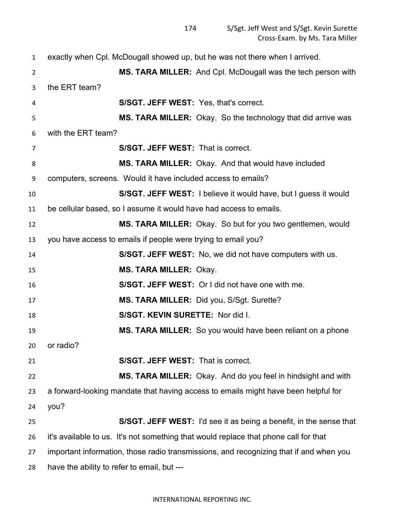exactly when Cpl. McDougall showed up, but he was not there when I arrived. **MS. TARA MILLER:** And Cpl. McDougall was the tech person with the ERT team? **S/SGT. JEFF WEST:** Yes, that's correct. **MS. TARA MILLER:** Okay. So the technology that did arrive was with the ERT team? **S/SGT. JEFF WEST:** That is correct. **MS. TARA MILLER:** Okay. And that would have included computers, screens. Would it have included access to emails? **S/SGT. JEFF WEST:** I believe it would have, but I guess it would be cellular based, so I assume it would have had access to emails. **MS. TARA MILLER:** Okay. So but for you two gentlemen, would you have access to emails if people were trying to email you? **S/SGT. JEFF WEST:** No, we did not have computers with us. **MS. TARA MILLER:** Okay. **S/SGT. JEFF WEST:** Or I did not have one with me. **MS. TARA MILLER:** Did you, S/Sgt. Surette? **S/SGT. KEVIN SURETTE:** Nor did I. **MS. TARA MILLER:** So you would have been reliant on a phone or radio? **S/SGT. JEFF WEST:** That is correct. **MS. TARA MILLER:** Okay. And do you feel in hindsight and with a forward-looking mandate that having access to emails might have been helpful for you? **S/SGT. JEFF WEST:** I'd see it as being a benefit, in the sense that it's available to us. It's not something that would replace that phone call for that important information, those radio transmissions, and recognizing that if and when you have the ability to refer to email, but ---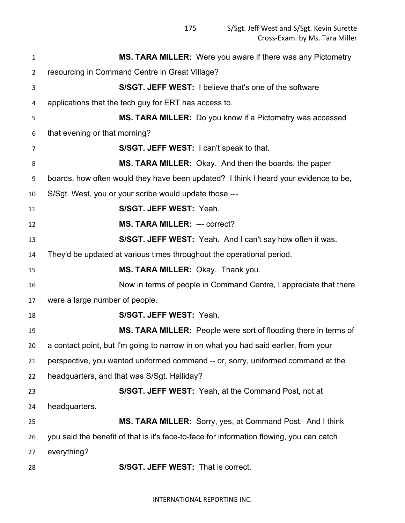| $\mathbf{1}$   | MS. TARA MILLER: Were you aware if there was any Pictometry                              |
|----------------|------------------------------------------------------------------------------------------|
| $\overline{2}$ | resourcing in Command Centre in Great Village?                                           |
| 3              | <b>S/SGT. JEFF WEST:</b> I believe that's one of the software                            |
| 4              | applications that the tech guy for ERT has access to.                                    |
| 5              | MS. TARA MILLER: Do you know if a Pictometry was accessed                                |
| 6              | that evening or that morning?                                                            |
| $\overline{7}$ | S/SGT. JEFF WEST: I can't speak to that.                                                 |
| 8              | MS. TARA MILLER: Okay. And then the boards, the paper                                    |
| 9              | boards, how often would they have been updated? I think I heard your evidence to be,     |
| 10             | S/Sgt. West, you or your scribe would update those ---                                   |
| 11             | S/SGT. JEFF WEST: Yeah.                                                                  |
| 12             | <b>MS. TARA MILLER: --- correct?</b>                                                     |
| 13             | S/SGT. JEFF WEST: Yeah. And I can't say how often it was.                                |
| 14             | They'd be updated at various times throughout the operational period.                    |
| 15             | MS. TARA MILLER: Okay. Thank you.                                                        |
| 16             | Now in terms of people in Command Centre, I appreciate that there                        |
| 17             | were a large number of people.                                                           |
| 18             | S/SGT. JEFF WEST: Yeah.                                                                  |
| 19             | MS. TARA MILLER: People were sort of flooding there in terms of                          |
| 20             | a contact point, but I'm going to narrow in on what you had said earlier, from your      |
| 21             | perspective, you wanted uniformed command -- or, sorry, uniformed command at the         |
| 22             | headquarters, and that was S/Sgt. Halliday?                                              |
| 23             | S/SGT. JEFF WEST: Yeah, at the Command Post, not at                                      |
| 24             | headquarters.                                                                            |
| 25             | MS. TARA MILLER: Sorry, yes, at Command Post. And I think                                |
| 26             | you said the benefit of that is it's face-to-face for information flowing, you can catch |
| 27             | everything?                                                                              |
| 28             | S/SGT. JEFF WEST: That is correct.                                                       |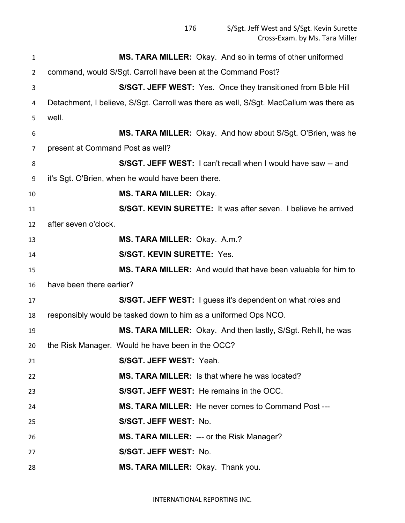| $\mathbf{1}$   | MS. TARA MILLER: Okay. And so in terms of other uniformed                              |
|----------------|----------------------------------------------------------------------------------------|
| $\overline{2}$ | command, would S/Sgt. Carroll have been at the Command Post?                           |
| 3              | S/SGT. JEFF WEST: Yes. Once they transitioned from Bible Hill                          |
| 4              | Detachment, I believe, S/Sgt. Carroll was there as well, S/Sgt. MacCallum was there as |
| 5              | well.                                                                                  |
| 6              | MS. TARA MILLER: Okay. And how about S/Sgt. O'Brien, was he                            |
| 7              | present at Command Post as well?                                                       |
| 8              | S/SGT. JEFF WEST: I can't recall when I would have saw -- and                          |
| 9              | it's Sgt. O'Brien, when he would have been there.                                      |
| 10             | <b>MS. TARA MILLER: Okay.</b>                                                          |
| 11             | S/SGT. KEVIN SURETTE: It was after seven. I believe he arrived                         |
| 12             | after seven o'clock.                                                                   |
| 13             | MS. TARA MILLER: Okay. A.m.?                                                           |
| 14             | <b>S/SGT. KEVIN SURETTE: Yes.</b>                                                      |
| 15             | MS. TARA MILLER: And would that have been valuable for him to                          |
| 16             | have been there earlier?                                                               |
| 17             | S/SGT. JEFF WEST: I guess it's dependent on what roles and                             |
| 18             | responsibly would be tasked down to him as a uniformed Ops NCO.                        |
| 19             | MS. TARA MILLER: Okay. And then lastly, S/Sgt. Rehill, he was                          |
| 20             | the Risk Manager. Would he have been in the OCC?                                       |
| 21             | S/SGT. JEFF WEST: Yeah.                                                                |
| 22             | <b>MS. TARA MILLER:</b> Is that where he was located?                                  |
| 23             | S/SGT. JEFF WEST: He remains in the OCC.                                               |
| 24             | <b>MS. TARA MILLER:</b> He never comes to Command Post ---                             |
| 25             | S/SGT. JEFF WEST: No.                                                                  |
| 26             | <b>MS. TARA MILLER: --- or the Risk Manager?</b>                                       |
| 27             | S/SGT. JEFF WEST: No.                                                                  |
| 28             | MS. TARA MILLER: Okay. Thank you.                                                      |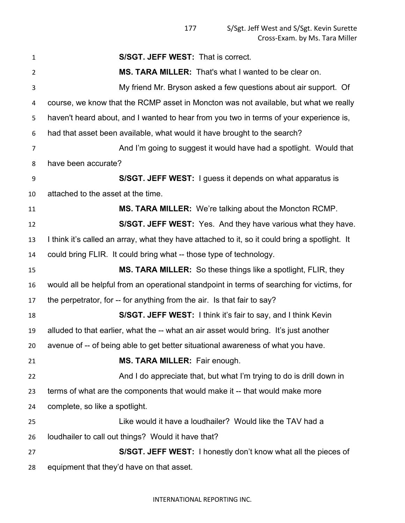| $\mathbf{1}$   | <b>S/SGT. JEFF WEST: That is correct.</b>                                                      |
|----------------|------------------------------------------------------------------------------------------------|
| $\overline{2}$ | MS. TARA MILLER: That's what I wanted to be clear on.                                          |
| 3              | My friend Mr. Bryson asked a few questions about air support. Of                               |
| 4              | course, we know that the RCMP asset in Moncton was not available, but what we really           |
| 5              | haven't heard about, and I wanted to hear from you two in terms of your experience is,         |
| 6              | had that asset been available, what would it have brought to the search?                       |
| 7              | And I'm going to suggest it would have had a spotlight. Would that                             |
| 8              | have been accurate?                                                                            |
| 9              | S/SGT. JEFF WEST: I guess it depends on what apparatus is                                      |
| 10             | attached to the asset at the time.                                                             |
| 11             | <b>MS. TARA MILLER:</b> We're talking about the Moncton RCMP.                                  |
| 12             | S/SGT. JEFF WEST: Yes. And they have various what they have.                                   |
| 13             | I think it's called an array, what they have attached to it, so it could bring a spotlight. It |
| 14             | could bring FLIR. It could bring what -- those type of technology.                             |
| 15             | <b>MS. TARA MILLER:</b> So these things like a spotlight, FLIR, they                           |
| 16             | would all be helpful from an operational standpoint in terms of searching for victims, for     |
| 17             | the perpetrator, for -- for anything from the air. Is that fair to say?                        |
| 18             | S/SGT. JEFF WEST: I think it's fair to say, and I think Kevin                                  |
| 19             | alluded to that earlier, what the -- what an air asset would bring. It's just another          |
| 20             | avenue of -- of being able to get better situational awareness of what you have.               |
| 21             | MS. TARA MILLER: Fair enough.                                                                  |
| 22             | And I do appreciate that, but what I'm trying to do is drill down in                           |
| 23             | terms of what are the components that would make it -- that would make more                    |
| 24             | complete, so like a spotlight.                                                                 |
| 25             | Like would it have a loudhailer? Would like the TAV had a                                      |
| 26             | loudhailer to call out things? Would it have that?                                             |
| 27             | S/SGT. JEFF WEST: I honestly don't know what all the pieces of                                 |
| 28             | equipment that they'd have on that asset.                                                      |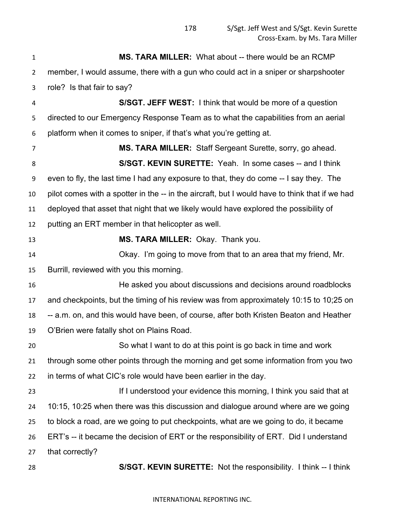**MS. TARA MILLER:** What about -- there would be an RCMP member, I would assume, there with a gun who could act in a sniper or sharpshooter role? Is that fair to say? **S/SGT. JEFF WEST:** I think that would be more of a question directed to our Emergency Response Team as to what the capabilities from an aerial platform when it comes to sniper, if that's what you're getting at. **MS. TARA MILLER:** Staff Sergeant Surette, sorry, go ahead. **S/SGT. KEVIN SURETTE:** Yeah. In some cases -- and I think even to fly, the last time I had any exposure to that, they do come -- I say they. The pilot comes with a spotter in the -- in the aircraft, but I would have to think that if we had deployed that asset that night that we likely would have explored the possibility of putting an ERT member in that helicopter as well. **MS. TARA MILLER:** Okay. Thank you. Okay. I'm going to move from that to an area that my friend, Mr. Burrill, reviewed with you this morning. He asked you about discussions and decisions around roadblocks and checkpoints, but the timing of his review was from approximately 10:15 to 10;25 on -- a.m. on, and this would have been, of course, after both Kristen Beaton and Heather O'Brien were fatally shot on Plains Road. So what I want to do at this point is go back in time and work through some other points through the morning and get some information from you two in terms of what CIC's role would have been earlier in the day. **If I understood your evidence this morning, I think you said that at**  10:15, 10:25 when there was this discussion and dialogue around where are we going to block a road, are we going to put checkpoints, what are we going to do, it became ERT's -- it became the decision of ERT or the responsibility of ERT. Did I understand that correctly? **S/SGT. KEVIN SURETTE:** Not the responsibility. I think -- I think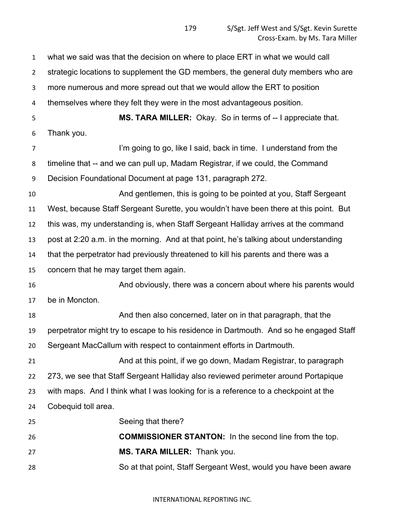what we said was that the decision on where to place ERT in what we would call strategic locations to supplement the GD members, the general duty members who are more numerous and more spread out that we would allow the ERT to position themselves where they felt they were in the most advantageous position. **MS. TARA MILLER:** Okay. So in terms of -- I appreciate that. Thank you. **I'm going to go, like I said, back in time.** I understand from the timeline that -- and we can pull up, Madam Registrar, if we could, the Command Decision Foundational Document at page 131, paragraph 272. And gentlemen, this is going to be pointed at you, Staff Sergeant West, because Staff Sergeant Surette, you wouldn't have been there at this point. But this was, my understanding is, when Staff Sergeant Halliday arrives at the command post at 2:20 a.m. in the morning. And at that point, he's talking about understanding that the perpetrator had previously threatened to kill his parents and there was a concern that he may target them again. And obviously, there was a concern about where his parents would be in Moncton. And then also concerned, later on in that paragraph, that the perpetrator might try to escape to his residence in Dartmouth. And so he engaged Staff Sergeant MacCallum with respect to containment efforts in Dartmouth. And at this point, if we go down, Madam Registrar, to paragraph 273, we see that Staff Sergeant Halliday also reviewed perimeter around Portapique with maps. And I think what I was looking for is a reference to a checkpoint at the Cobequid toll area. Seeing that there? **COMMISSIONER STANTON:** In the second line from the top. **MS. TARA MILLER:** Thank you. So at that point, Staff Sergeant West, would you have been aware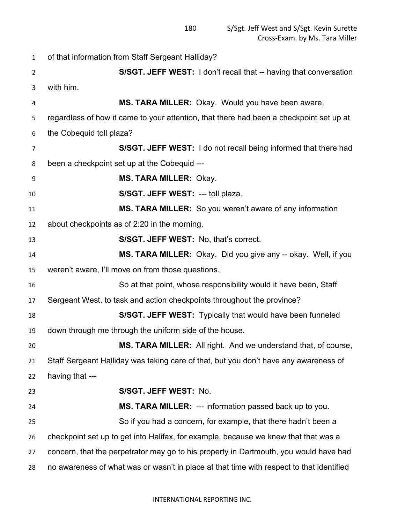of that information from Staff Sergeant Halliday? **S/SGT. JEFF WEST:** I don't recall that -- having that conversation with him. **MS. TARA MILLER:** Okay. Would you have been aware, regardless of how it came to your attention, that there had been a checkpoint set up at the Cobequid toll plaza? **S/SGT. JEFF WEST:** I do not recall being informed that there had been a checkpoint set up at the Cobequid --- **MS. TARA MILLER:** Okay. **S/SGT. JEFF WEST:** --- toll plaza. **MS. TARA MILLER:** So you weren't aware of any information about checkpoints as of 2:20 in the morning. **S/SGT. JEFF WEST:** No, that's correct. **MS. TARA MILLER:** Okay. Did you give any -- okay. Well, if you weren't aware, I'll move on from those questions. So at that point, whose responsibility would it have been, Staff Sergeant West, to task and action checkpoints throughout the province? **S/SGT. JEFF WEST:** Typically that would have been funneled down through me through the uniform side of the house. **MS. TARA MILLER:** All right. And we understand that, of course, Staff Sergeant Halliday was taking care of that, but you don't have any awareness of having that --- **S/SGT. JEFF WEST:** No. **MS. TARA MILLER:** --- information passed back up to you. So if you had a concern, for example, that there hadn't been a checkpoint set up to get into Halifax, for example, because we knew that that was a concern, that the perpetrator may go to his property in Dartmouth, you would have had no awareness of what was or wasn't in place at that time with respect to that identified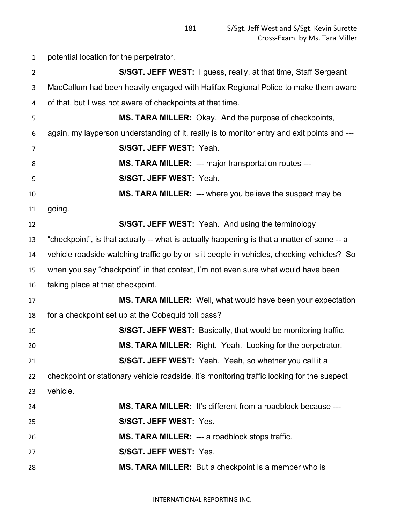potential location for the perpetrator. **S/SGT. JEFF WEST:** I guess, really, at that time, Staff Sergeant MacCallum had been heavily engaged with Halifax Regional Police to make them aware of that, but I was not aware of checkpoints at that time. **MS. TARA MILLER:** Okay. And the purpose of checkpoints, again, my layperson understanding of it, really is to monitor entry and exit points and --- **S/SGT. JEFF WEST:** Yeah. **MS. TARA MILLER:** --- major transportation routes --- **S/SGT. JEFF WEST:** Yeah. **MS. TARA MILLER:** --- where you believe the suspect may be going. **S/SGT. JEFF WEST:** Yeah. And using the terminology "checkpoint", is that actually -- what is actually happening is that a matter of some -- a vehicle roadside watching traffic go by or is it people in vehicles, checking vehicles? So when you say "checkpoint" in that context, I'm not even sure what would have been taking place at that checkpoint. **MS. TARA MILLER:** Well, what would have been your expectation for a checkpoint set up at the Cobequid toll pass? **S/SGT. JEFF WEST:** Basically, that would be monitoring traffic. **MS. TARA MILLER:** Right. Yeah. Looking for the perpetrator. **S/SGT. JEFF WEST:** Yeah. Yeah, so whether you call it a checkpoint or stationary vehicle roadside, it's monitoring traffic looking for the suspect vehicle. **MS. TARA MILLER:** It's different from a roadblock because --- **S/SGT. JEFF WEST:** Yes. **MS. TARA MILLER:** --- a roadblock stops traffic. **S/SGT. JEFF WEST:** Yes. **MS. TARA MILLER:** But a checkpoint is a member who is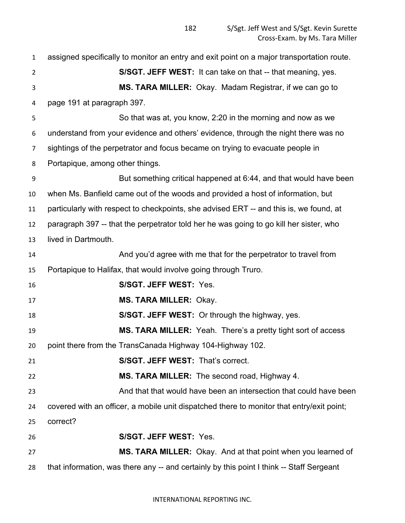assigned specifically to monitor an entry and exit point on a major transportation route. **S/SGT. JEFF WEST:** It can take on that -- that meaning, yes. **MS. TARA MILLER:** Okay. Madam Registrar, if we can go to page 191 at paragraph 397. So that was at, you know, 2:20 in the morning and now as we understand from your evidence and others' evidence, through the night there was no sightings of the perpetrator and focus became on trying to evacuate people in Portapique, among other things. But something critical happened at 6:44, and that would have been when Ms. Banfield came out of the woods and provided a host of information, but particularly with respect to checkpoints, she advised ERT -- and this is, we found, at paragraph 397 -- that the perpetrator told her he was going to go kill her sister, who lived in Dartmouth. And you'd agree with me that for the perpetrator to travel from Portapique to Halifax, that would involve going through Truro. **S/SGT. JEFF WEST:** Yes. **MS. TARA MILLER:** Okay. **S/SGT. JEFF WEST:** Or through the highway, yes. **MS. TARA MILLER:** Yeah. There's a pretty tight sort of access point there from the TransCanada Highway 104-Highway 102. **S/SGT. JEFF WEST:** That's correct. **MS. TARA MILLER:** The second road, Highway 4. And that that would have been an intersection that could have been covered with an officer, a mobile unit dispatched there to monitor that entry/exit point; correct? **S/SGT. JEFF WEST:** Yes. **MS. TARA MILLER:** Okay. And at that point when you learned of that information, was there any -- and certainly by this point I think -- Staff Sergeant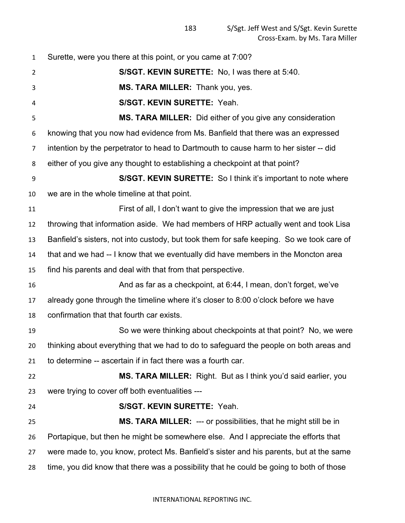Surette, were you there at this point, or you came at 7:00? **S/SGT. KEVIN SURETTE:** No, I was there at 5:40. **MS. TARA MILLER:** Thank you, yes. **S/SGT. KEVIN SURETTE:** Yeah. **MS. TARA MILLER:** Did either of you give any consideration knowing that you now had evidence from Ms. Banfield that there was an expressed intention by the perpetrator to head to Dartmouth to cause harm to her sister -- did either of you give any thought to establishing a checkpoint at that point? **S/SGT. KEVIN SURETTE:** So I think it's important to note where we are in the whole timeline at that point. First of all, I don't want to give the impression that we are just throwing that information aside. We had members of HRP actually went and took Lisa Banfield's sisters, not into custody, but took them for safe keeping. So we took care of that and we had -- I know that we eventually did have members in the Moncton area find his parents and deal with that from that perspective. And as far as a checkpoint, at 6:44, I mean, don't forget, we've already gone through the timeline where it's closer to 8:00 o'clock before we have confirmation that that fourth car exists. So we were thinking about checkpoints at that point? No, we were thinking about everything that we had to do to safeguard the people on both areas and to determine -- ascertain if in fact there was a fourth car. **MS. TARA MILLER:** Right. But as I think you'd said earlier, you were trying to cover off both eventualities --- **S/SGT. KEVIN SURETTE:** Yeah. **MS. TARA MILLER:** --- or possibilities, that he might still be in Portapique, but then he might be somewhere else. And I appreciate the efforts that were made to, you know, protect Ms. Banfield's sister and his parents, but at the same time, you did know that there was a possibility that he could be going to both of those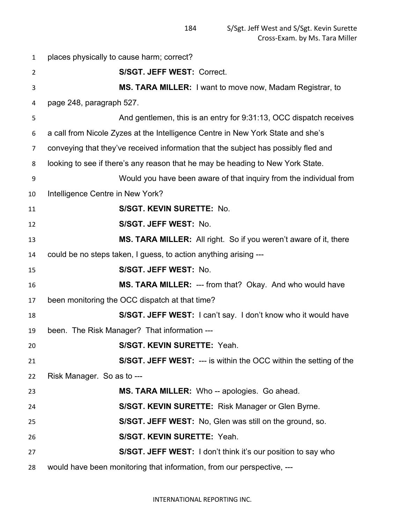places physically to cause harm; correct? **S/SGT. JEFF WEST:** Correct. **MS. TARA MILLER:** I want to move now, Madam Registrar, to page 248, paragraph 527. And gentlemen, this is an entry for 9:31:13, OCC dispatch receives a call from Nicole Zyzes at the Intelligence Centre in New York State and she's conveying that they've received information that the subject has possibly fled and looking to see if there's any reason that he may be heading to New York State. Would you have been aware of that inquiry from the individual from Intelligence Centre in New York? **S/SGT. KEVIN SURETTE:** No. **S/SGT. JEFF WEST:** No. **MS. TARA MILLER:** All right. So if you weren't aware of it, there could be no steps taken, I guess, to action anything arising --- **S/SGT. JEFF WEST:** No. **MS. TARA MILLER:** --- from that? Okay. And who would have been monitoring the OCC dispatch at that time? **S/SGT. JEFF WEST:** I can't say. I don't know who it would have been. The Risk Manager? That information --- **S/SGT. KEVIN SURETTE:** Yeah. **S/SGT. JEFF WEST:** --- is within the OCC within the setting of the Risk Manager. So as to --- **MS. TARA MILLER:** Who -- apologies. Go ahead. **S/SGT. KEVIN SURETTE:** Risk Manager or Glen Byrne. **S/SGT. JEFF WEST:** No, Glen was still on the ground, so. **S/SGT. KEVIN SURETTE:** Yeah. **S/SGT. JEFF WEST:** I don't think it's our position to say who would have been monitoring that information, from our perspective, ---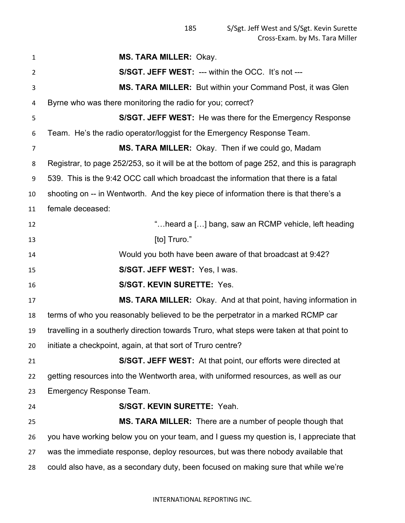| $\mathbf{1}$   | <b>MS. TARA MILLER: Okay.</b>                                                              |
|----------------|--------------------------------------------------------------------------------------------|
| $\overline{2}$ | S/SGT. JEFF WEST: --- within the OCC. It's not ---                                         |
| 3              | <b>MS. TARA MILLER:</b> But within your Command Post, it was Glen                          |
| 4              | Byrne who was there monitoring the radio for you; correct?                                 |
| 5              | <b>S/SGT. JEFF WEST:</b> He was there for the Emergency Response                           |
| 6              | Team. He's the radio operator/loggist for the Emergency Response Team.                     |
| 7              | MS. TARA MILLER: Okay. Then if we could go, Madam                                          |
| 8              | Registrar, to page 252/253, so it will be at the bottom of page 252, and this is paragraph |
| 9              | 539. This is the 9:42 OCC call which broadcast the information that there is a fatal       |
| 10             | shooting on -- in Wentworth. And the key piece of information there is that there's a      |
| 11             | female deceased:                                                                           |
| 12             | "heard a [] bang, saw an RCMP vehicle, left heading                                        |
| 13             | [to] Truro."                                                                               |
| 14             | Would you both have been aware of that broadcast at 9:42?                                  |
| 15             | S/SGT. JEFF WEST: Yes, I was.                                                              |
| 16             | <b>S/SGT. KEVIN SURETTE: Yes.</b>                                                          |
| 17             | MS. TARA MILLER: Okay. And at that point, having information in                            |
| 18             | terms of who you reasonably believed to be the perpetrator in a marked RCMP car            |
| 19             | travelling in a southerly direction towards Truro, what steps were taken at that point to  |
| 20             | initiate a checkpoint, again, at that sort of Truro centre?                                |
| 21             | S/SGT. JEFF WEST: At that point, our efforts were directed at                              |
| 22             | getting resources into the Wentworth area, with uniformed resources, as well as our        |
| 23             | <b>Emergency Response Team.</b>                                                            |
| 24             | S/SGT. KEVIN SURETTE: Yeah.                                                                |
| 25             | MS. TARA MILLER: There are a number of people though that                                  |
| 26             | you have working below you on your team, and I guess my question is, I appreciate that     |
| 27             | was the immediate response, deploy resources, but was there nobody available that          |
| 28             | could also have, as a secondary duty, been focused on making sure that while we're         |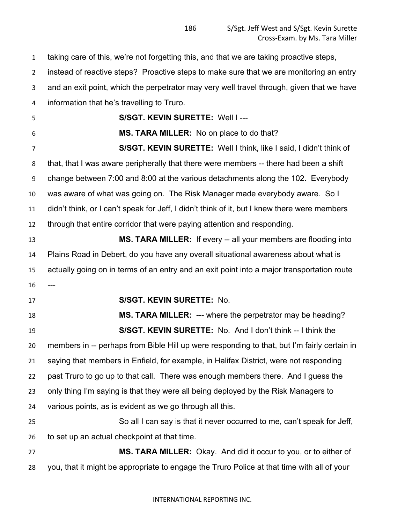taking care of this, we're not forgetting this, and that we are taking proactive steps, instead of reactive steps? Proactive steps to make sure that we are monitoring an entry and an exit point, which the perpetrator may very well travel through, given that we have information that he's travelling to Truro. **S/SGT. KEVIN SURETTE:** Well I --- **MS. TARA MILLER:** No on place to do that? **S/SGT. KEVIN SURETTE:** Well I think, like I said, I didn't think of that, that I was aware peripherally that there were members -- there had been a shift change between 7:00 and 8:00 at the various detachments along the 102. Everybody was aware of what was going on. The Risk Manager made everybody aware. So I didn't think, or I can't speak for Jeff, I didn't think of it, but I knew there were members through that entire corridor that were paying attention and responding. **MS. TARA MILLER:** If every -- all your members are flooding into Plains Road in Debert, do you have any overall situational awareness about what is actually going on in terms of an entry and an exit point into a major transportation route **S/SGT. KEVIN SURETTE:** No. **MS. TARA MILLER:** --- where the perpetrator may be heading? **S/SGT. KEVIN SURETTE:** No. And I don't think -- I think the members in -- perhaps from Bible Hill up were responding to that, but I'm fairly certain in saying that members in Enfield, for example, in Halifax District, were not responding past Truro to go up to that call. There was enough members there. And I guess the only thing I'm saying is that they were all being deployed by the Risk Managers to various points, as is evident as we go through all this. So all I can say is that it never occurred to me, can't speak for Jeff, to set up an actual checkpoint at that time. **MS. TARA MILLER:** Okay. And did it occur to you, or to either of you, that it might be appropriate to engage the Truro Police at that time with all of your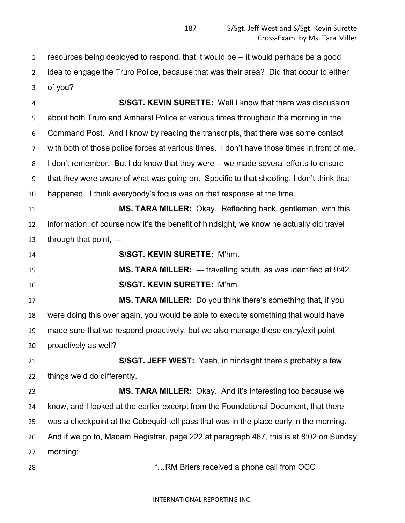resources being deployed to respond, that it would be -- it would perhaps be a good idea to engage the Truro Police, because that was their area? Did that occur to either of you?

 **S/SGT. KEVIN SURETTE:** Well I know that there was discussion about both Truro and Amherst Police at various times throughout the morning in the Command Post. And I know by reading the transcripts, that there was some contact with both of those police forces at various times. I don't have those times in front of me. 8 I don't remember. But I do know that they were -- we made several efforts to ensure that they were aware of what was going on. Specific to that shooting, I don't think that happened. I think everybody's focus was on that response at the time. **MS. TARA MILLER:** Okay. Reflecting back, gentlemen, with this information, of course now it's the benefit of hindsight, we know he actually did travel through that point, --- **S/SGT. KEVIN SURETTE:** M'hm. **MS. TARA MILLER:** --- travelling south, as was identified at 9:42. **S/SGT. KEVIN SURETTE:** M'hm. **MS. TARA MILLER:** Do you think there's something that, if you were doing this over again, you would be able to execute something that would have made sure that we respond proactively, but we also manage these entry/exit point proactively as well? **S/SGT. JEFF WEST:** Yeah, in hindsight there's probably a few things we'd do differently. **MS. TARA MILLER:** Okay. And it's interesting too because we know, and I looked at the earlier excerpt from the Foundational Document, that there was a checkpoint at the Cobequid toll pass that was in the place early in the morning. And if we go to, Madam Registrar, page 222 at paragraph 467, this is at 8:02 on Sunday morning: "…RM Briers received a phone call from OCC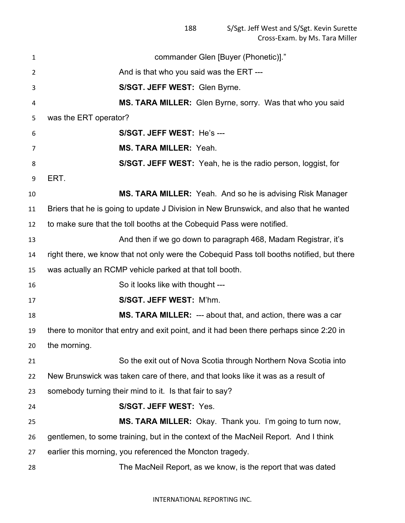commander Glen [Buyer (Phonetic)]." 2 And is that who you said was the ERT --- **S/SGT. JEFF WEST:** Glen Byrne. **MS. TARA MILLER:** Glen Byrne, sorry. Was that who you said was the ERT operator? **S/SGT. JEFF WEST:** He's --- **MS. TARA MILLER:** Yeah. **S/SGT. JEFF WEST:** Yeah, he is the radio person, loggist, for ERT. **MS. TARA MILLER:** Yeah. And so he is advising Risk Manager Briers that he is going to update J Division in New Brunswick, and also that he wanted to make sure that the toll booths at the Cobequid Pass were notified. **And then if we go down to paragraph 468, Madam Registrar, it's**  right there, we know that not only were the Cobequid Pass toll booths notified, but there was actually an RCMP vehicle parked at that toll booth. 16 So it looks like with thought --- **S/SGT. JEFF WEST:** M'hm. **MS. TARA MILLER:** --- about that, and action, there was a car there to monitor that entry and exit point, and it had been there perhaps since 2:20 in the morning. So the exit out of Nova Scotia through Northern Nova Scotia into New Brunswick was taken care of there, and that looks like it was as a result of somebody turning their mind to it. Is that fair to say? **S/SGT. JEFF WEST:** Yes. **MS. TARA MILLER:** Okay. Thank you. I'm going to turn now, gentlemen, to some training, but in the context of the MacNeil Report. And I think earlier this morning, you referenced the Moncton tragedy. The MacNeil Report, as we know, is the report that was dated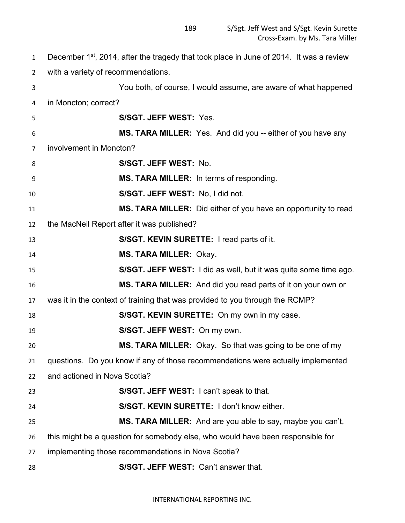1 December  $1^{st}$ , 2014, after the tragedy that took place in June of 2014. It was a review with a variety of recommendations. You both, of course, I would assume, are aware of what happened in Moncton; correct? **S/SGT. JEFF WEST:** Yes. **MS. TARA MILLER:** Yes. And did you -- either of you have any involvement in Moncton? **S/SGT. JEFF WEST:** No. **MS. TARA MILLER:** In terms of responding. **S/SGT. JEFF WEST:** No, I did not. **MS. TARA MILLER:** Did either of you have an opportunity to read the MacNeil Report after it was published? **S/SGT. KEVIN SURETTE:** I read parts of it. **MS. TARA MILLER:** Okay. **S/SGT. JEFF WEST:** I did as well, but it was quite some time ago. **MS. TARA MILLER:** And did you read parts of it on your own or was it in the context of training that was provided to you through the RCMP? **S/SGT. KEVIN SURETTE:** On my own in my case. **S/SGT. JEFF WEST:** On my own. **MS. TARA MILLER:** Okay. So that was going to be one of my questions. Do you know if any of those recommendations were actually implemented and actioned in Nova Scotia? **S/SGT. JEFF WEST:** I can't speak to that. **S/SGT. KEVIN SURETTE:** I don't know either. **MS. TARA MILLER:** And are you able to say, maybe you can't, this might be a question for somebody else, who would have been responsible for implementing those recommendations in Nova Scotia? **S/SGT. JEFF WEST:** Can't answer that.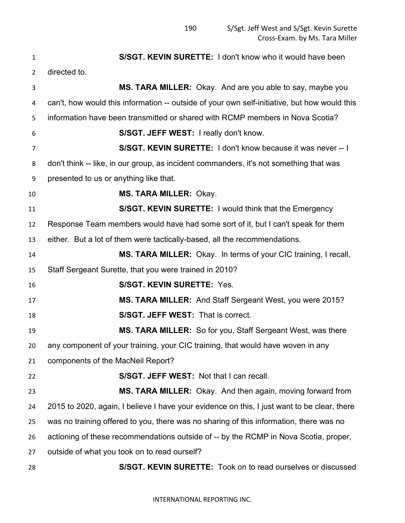**S/SGT. KEVIN SURETTE:** I don't know who it would have been directed to. **MS. TARA MILLER:** Okay. And are you able to say, maybe you can't, how would this information -- outside of your own self-initiative, but how would this information have been transmitted or shared with RCMP members in Nova Scotia? **S/SGT. JEFF WEST:** I really don't know. **S/SGT. KEVIN SURETTE:** I don't know because it was never -- I don't think -- like, in our group, as incident commanders, it's not something that was presented to us or anything like that. **MS. TARA MILLER:** Okay. **S/SGT. KEVIN SURETTE:** I would think that the Emergency Response Team members would have had some sort of it, but I can't speak for them either. But a lot of them were tactically-based, all the recommendations. **MS. TARA MILLER:** Okay. In terms of your CIC training, I recall, Staff Sergeant Surette, that you were trained in 2010? **S/SGT. KEVIN SURETTE:** Yes. **MS. TARA MILLER:** And Staff Sergeant West, you were 2015? **S/SGT. JEFF WEST:** That is correct. **MS. TARA MILLER:** So for you, Staff Sergeant West, was there any component of your training, your CIC training, that would have woven in any components of the MacNeil Report? **S/SGT. JEFF WEST:** Not that I can recall. **MS. TARA MILLER:** Okay. And then again, moving forward from 2015 to 2020, again, I believe I have your evidence on this, I just want to be clear, there was no training offered to you, there was no sharing of this information, there was no actioning of these recommendations outside of -- by the RCMP in Nova Scotia, proper, outside of what you took on to read ourself? **S/SGT. KEVIN SURETTE:** Took on to read ourselves or discussed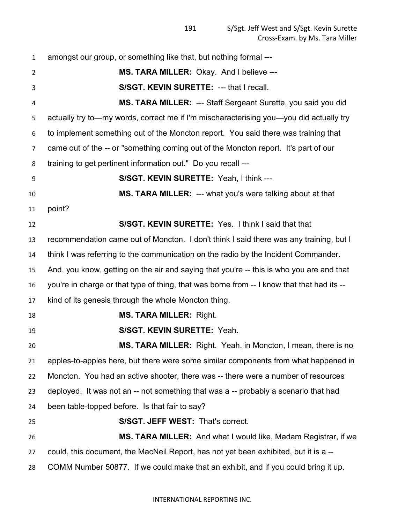amongst our group, or something like that, but nothing formal --- **MS. TARA MILLER:** Okay. And I believe --- **S/SGT. KEVIN SURETTE:** --- that I recall. **MS. TARA MILLER:** --- Staff Sergeant Surette, you said you did actually try to—my words, correct me if I'm mischaracterising you—you did actually try to implement something out of the Moncton report. You said there was training that came out of the -- or "something coming out of the Moncton report. It's part of our training to get pertinent information out." Do you recall --- **S/SGT. KEVIN SURETTE:** Yeah, I think --- **MS. TARA MILLER:** --- what you's were talking about at that point? **S/SGT. KEVIN SURETTE:** Yes. I think I said that that recommendation came out of Moncton. I don't think I said there was any training, but I think I was referring to the communication on the radio by the Incident Commander. And, you know, getting on the air and saying that you're -- this is who you are and that you're in charge or that type of thing, that was borne from -- I know that that had its -- kind of its genesis through the whole Moncton thing. **MS. TARA MILLER:** Right. **S/SGT. KEVIN SURETTE:** Yeah. **MS. TARA MILLER:** Right. Yeah, in Moncton, I mean, there is no apples-to-apples here, but there were some similar components from what happened in Moncton. You had an active shooter, there was -- there were a number of resources deployed. It was not an -- not something that was a -- probably a scenario that had been table-topped before. Is that fair to say? **S/SGT. JEFF WEST:** That's correct. **MS. TARA MILLER:** And what I would like, Madam Registrar, if we could, this document, the MacNeil Report, has not yet been exhibited, but it is a -- COMM Number 50877. If we could make that an exhibit, and if you could bring it up.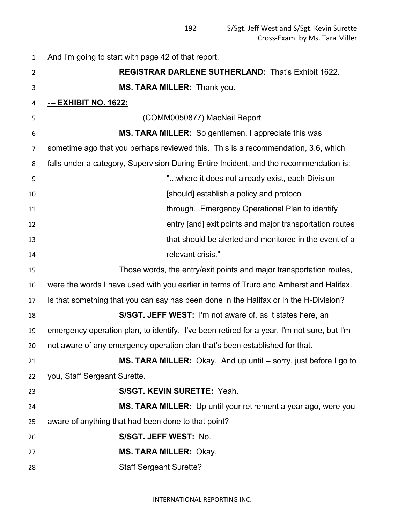| 1              | And I'm going to start with page 42 of that report.                                        |
|----------------|--------------------------------------------------------------------------------------------|
| $\overline{2}$ | <b>REGISTRAR DARLENE SUTHERLAND: That's Exhibit 1622.</b>                                  |
| 3              | MS. TARA MILLER: Thank you.                                                                |
| 4              | <u>--- ЕХНІВІТ NO. 1622:</u>                                                               |
| 5              | (COMM0050877) MacNeil Report                                                               |
| 6              | MS. TARA MILLER: So gentlemen, I appreciate this was                                       |
| 7              | sometime ago that you perhaps reviewed this. This is a recommendation, 3.6, which          |
| 8              | falls under a category, Supervision During Entire Incident, and the recommendation is:     |
| 9              | "where it does not already exist, each Division                                            |
| 10             | [should] establish a policy and protocol                                                   |
| 11             | throughEmergency Operational Plan to identify                                              |
| 12             | entry [and] exit points and major transportation routes                                    |
| 13             | that should be alerted and monitored in the event of a                                     |
| 14             | relevant crisis."                                                                          |
| 15             | Those words, the entry/exit points and major transportation routes,                        |
| 16             | were the words I have used with you earlier in terms of Truro and Amherst and Halifax.     |
| 17             | Is that something that you can say has been done in the Halifax or in the H-Division?      |
| 18             | S/SGT. JEFF WEST: I'm not aware of, as it states here, an                                  |
| 19             | emergency operation plan, to identify. I've been retired for a year, I'm not sure, but I'm |
| 20             | not aware of any emergency operation plan that's been established for that.                |
| 21             | MS. TARA MILLER: Okay. And up until -- sorry, just before I go to                          |
| 22             | you, Staff Sergeant Surette.                                                               |
| 23             | S/SGT. KEVIN SURETTE: Yeah.                                                                |
| 24             | MS. TARA MILLER: Up until your retirement a year ago, were you                             |
| 25             | aware of anything that had been done to that point?                                        |
| 26             | S/SGT. JEFF WEST: No.                                                                      |
| 27             | <b>MS. TARA MILLER: Okay.</b>                                                              |
| 28             | <b>Staff Sergeant Surette?</b>                                                             |
|                |                                                                                            |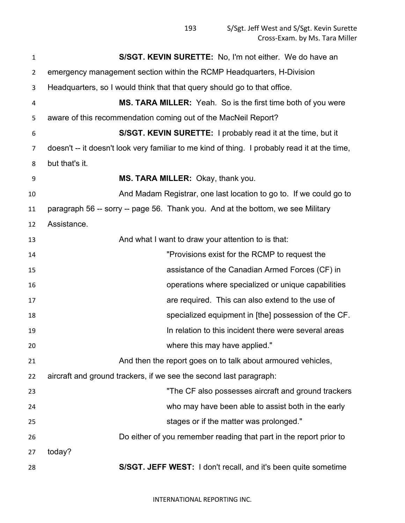| $\mathbf{1}$   | S/SGT. KEVIN SURETTE: No, I'm not either. We do have an                                       |
|----------------|-----------------------------------------------------------------------------------------------|
| $\overline{2}$ | emergency management section within the RCMP Headquarters, H-Division                         |
| 3              | Headquarters, so I would think that that query should go to that office.                      |
| 4              | MS. TARA MILLER: Yeah. So is the first time both of you were                                  |
| 5              | aware of this recommendation coming out of the MacNeil Report?                                |
| 6              | S/SGT. KEVIN SURETTE: I probably read it at the time, but it                                  |
| 7              | doesn't -- it doesn't look very familiar to me kind of thing. I probably read it at the time, |
| 8              | but that's it.                                                                                |
| 9              | MS. TARA MILLER: Okay, thank you.                                                             |
| 10             | And Madam Registrar, one last location to go to. If we could go to                            |
| 11             | paragraph 56 -- sorry -- page 56. Thank you. And at the bottom, we see Military               |
| 12             | Assistance.                                                                                   |
| 13             | And what I want to draw your attention to is that:                                            |
| 14             | "Provisions exist for the RCMP to request the                                                 |
| 15             | assistance of the Canadian Armed Forces (CF) in                                               |
| 16             | operations where specialized or unique capabilities                                           |
| 17             | are required. This can also extend to the use of                                              |
| 18             | specialized equipment in [the] possession of the CF.                                          |
| 19             | In relation to this incident there were several areas                                         |
| 20             | where this may have applied."                                                                 |
| 21             | And then the report goes on to talk about armoured vehicles,                                  |
| 22             | aircraft and ground trackers, if we see the second last paragraph:                            |
| 23             | "The CF also possesses aircraft and ground trackers                                           |
| 24             | who may have been able to assist both in the early                                            |
| 25             | stages or if the matter was prolonged."                                                       |
| 26             | Do either of you remember reading that part in the report prior to                            |
| 27             | today?                                                                                        |
| 28             | S/SGT. JEFF WEST: I don't recall, and it's been quite sometime                                |

INTERNATIONAL REPORTING INC.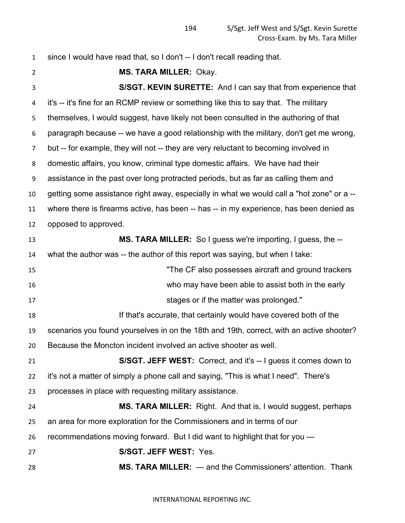since I would have read that, so I don't -- I don't recall reading that.

 **MS. TARA MILLER:** Okay. **S/SGT. KEVIN SURETTE:** And I can say that from experience that it's -- it's fine for an RCMP review or something like this to say that. The military themselves, I would suggest, have likely not been consulted in the authoring of that paragraph because -- we have a good relationship with the military, don't get me wrong, but -- for example, they will not -- they are very reluctant to becoming involved in domestic affairs, you know, criminal type domestic affairs. We have had their assistance in the past over long protracted periods, but as far as calling them and getting some assistance right away, especially in what we would call a "hot zone" or a -- where there is firearms active, has been -- has -- in my experience, has been denied as opposed to approved. **MS. TARA MILLER:** So I guess we're importing, I guess, the -- what the author was -- the author of this report was saying, but when I take: "The CF also possesses aircraft and ground trackers who may have been able to assist both in the early **Stages or if the matter was prolonged."** Stages or if the matter was prolonged." If that's accurate, that certainly would have covered both of the scenarios you found yourselves in on the 18th and 19th, correct, with an active shooter? Because the Moncton incident involved an active shooter as well. **S/SGT. JEFF WEST:** Correct, and it's -- I guess it comes down to it's not a matter of simply a phone call and saying, "This is what I need". There's processes in place with requesting military assistance. **MS. TARA MILLER:** Right. And that is, I would suggest, perhaps an area for more exploration for the Commissioners and in terms of our recommendations moving forward. But I did want to highlight that for you --- **S/SGT. JEFF WEST:** Yes. **MS. TARA MILLER:** --- and the Commissioners' attention. Thank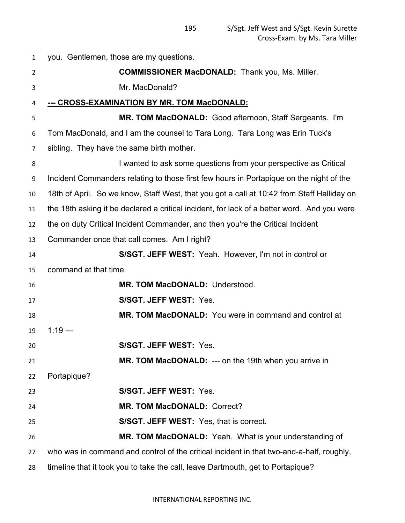| $\mathbf{1}$ | you. Gentlemen, those are my questions.                                                     |
|--------------|---------------------------------------------------------------------------------------------|
| 2            | <b>COMMISSIONER MacDONALD:</b> Thank you, Ms. Miller.                                       |
| 3            | Mr. MacDonald?                                                                              |
| 4            | <u>--- CROSS-EXAMINATION BY MR. TOM MacDONALD:</u>                                          |
| 5            | MR. TOM MacDONALD: Good afternoon, Staff Sergeants. I'm                                     |
| 6            | Tom MacDonald, and I am the counsel to Tara Long. Tara Long was Erin Tuck's                 |
| 7            | sibling. They have the same birth mother.                                                   |
| 8            | I wanted to ask some questions from your perspective as Critical                            |
| 9            | Incident Commanders relating to those first few hours in Portapique on the night of the     |
| 10           | 18th of April. So we know, Staff West, that you got a call at 10:42 from Staff Halliday on  |
| 11           | the 18th asking it be declared a critical incident, for lack of a better word. And you were |
| 12           | the on duty Critical Incident Commander, and then you're the Critical Incident              |
| 13           | Commander once that call comes. Am I right?                                                 |
| 14           | S/SGT. JEFF WEST: Yeah. However, I'm not in control or                                      |
| 15           | command at that time.                                                                       |
| 16           | MR. TOM MacDONALD: Understood.                                                              |
| 17           | S/SGT. JEFF WEST: Yes.                                                                      |
| 18           | MR. TOM MacDONALD: You were in command and control at                                       |
| 19           | $1:19 - -$                                                                                  |
| 20           | <b>S/SGT. JEFF WEST: Yes</b>                                                                |
| 21           | MR. TOM MacDONALD: --- on the 19th when you arrive in                                       |
| 22           | Portapique?                                                                                 |
| 23           | S/SGT. JEFF WEST: Yes.                                                                      |
| 24           | MR. TOM MacDONALD: Correct?                                                                 |
| 25           | <b>S/SGT. JEFF WEST:</b> Yes, that is correct.                                              |
| 26           | MR. TOM MacDONALD: Yeah. What is your understanding of                                      |
| 27           | who was in command and control of the critical incident in that two-and-a-half, roughly,    |
| 28           | timeline that it took you to take the call, leave Dartmouth, get to Portapique?             |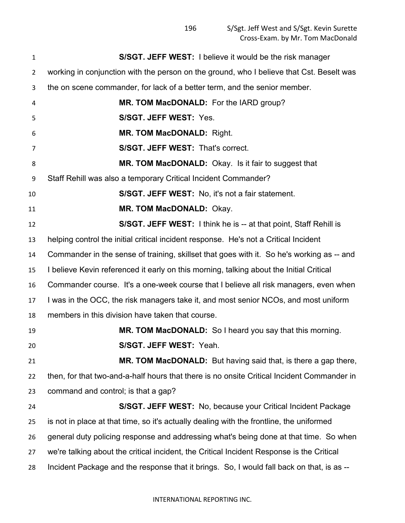| 1              | <b>S/SGT. JEFF WEST:</b> I believe it would be the risk manager                            |
|----------------|--------------------------------------------------------------------------------------------|
| $\overline{2}$ | working in conjunction with the person on the ground, who I believe that Cst. Beselt was   |
| 3              | the on scene commander, for lack of a better term, and the senior member.                  |
| 4              | MR. TOM MacDONALD: For the IARD group?                                                     |
| 5              | S/SGT. JEFF WEST: Yes.                                                                     |
| 6              | MR. TOM MacDONALD: Right.                                                                  |
| 7              | S/SGT. JEFF WEST: That's correct.                                                          |
| 8              | MR. TOM MacDONALD: Okay. Is it fair to suggest that                                        |
| 9              | Staff Rehill was also a temporary Critical Incident Commander?                             |
| 10             | <b>S/SGT. JEFF WEST:</b> No, it's not a fair statement.                                    |
| 11             | MR. TOM MacDONALD: Okay.                                                                   |
| 12             | <b>S/SGT. JEFF WEST:</b> I think he is -- at that point, Staff Rehill is                   |
| 13             | helping control the initial critical incident response. He's not a Critical Incident       |
| 14             | Commander in the sense of training, skillset that goes with it. So he's working as -- and  |
| 15             | I believe Kevin referenced it early on this morning, talking about the Initial Critical    |
| 16             | Commander course. It's a one-week course that I believe all risk managers, even when       |
| 17             | I was in the OCC, the risk managers take it, and most senior NCOs, and most uniform        |
| 18             | members in this division have taken that course.                                           |
| 19             | MR. TOM MacDONALD: So I heard you say that this morning.                                   |
| 20             | <b>S/SGT. JEFF WEST: Yeah.</b>                                                             |
| 21             | MR. TOM MacDONALD: But having said that, is there a gap there,                             |
| 22             | then, for that two-and-a-half hours that there is no onsite Critical Incident Commander in |
| 23             | command and control; is that a gap?                                                        |
| 24             | <b>S/SGT. JEFF WEST:</b> No, because your Critical Incident Package                        |
| 25             | is not in place at that time, so it's actually dealing with the frontline, the uniformed   |
| 26             | general duty policing response and addressing what's being done at that time. So when      |
| 27             | we're talking about the critical incident, the Critical Incident Response is the Critical  |
| 28             | Incident Package and the response that it brings. So, I would fall back on that, is as --  |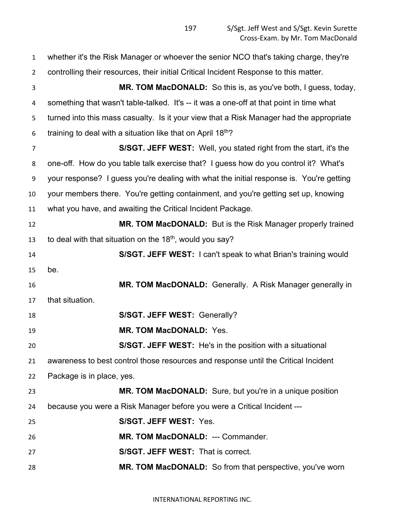whether it's the Risk Manager or whoever the senior NCO that's taking charge, they're controlling their resources, their initial Critical Incident Response to this matter. **MR. TOM MacDONALD:** So this is, as you've both, I guess, today, something that wasn't table-talked. It's -- it was a one-off at that point in time what turned into this mass casualty. Is it your view that a Risk Manager had the appropriate 6 training to deal with a situation like that on April  $18<sup>th</sup>$ ? **S/SGT. JEFF WEST:** Well, you stated right from the start, it's the one-off. How do you table talk exercise that? I guess how do you control it? What's your response? I guess you're dealing with what the initial response is. You're getting your members there. You're getting containment, and you're getting set up, knowing what you have, and awaiting the Critical Incident Package. **MR. TOM MacDONALD:** But is the Risk Manager properly trained 13 to deal with that situation on the  $18<sup>th</sup>$ , would you say? **S/SGT. JEFF WEST:** I can't speak to what Brian's training would be. **MR. TOM MacDONALD:** Generally. A Risk Manager generally in that situation. **S/SGT. JEFF WEST:** Generally? **MR. TOM MacDONALD:** Yes. **S/SGT. JEFF WEST:** He's in the position with a situational awareness to best control those resources and response until the Critical Incident Package is in place, yes. **MR. TOM MacDONALD:** Sure, but you're in a unique position because you were a Risk Manager before you were a Critical Incident --- **S/SGT. JEFF WEST:** Yes. **MR. TOM MacDONALD:** --- Commander. **S/SGT. JEFF WEST:** That is correct. **MR. TOM MacDONALD:** So from that perspective, you've worn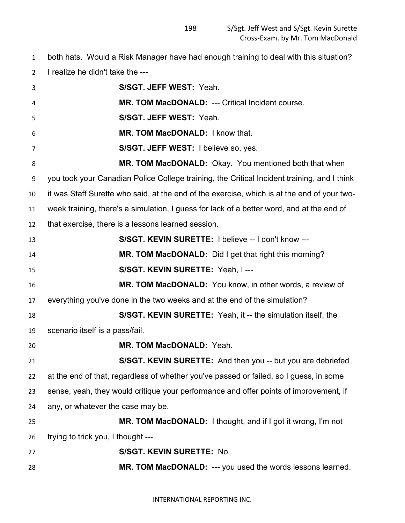both hats. Would a Risk Manager have had enough training to deal with this situation? I realize he didn't take the ---

| 3  | S/SGT. JEFF WEST: Yeah.                                                                     |
|----|---------------------------------------------------------------------------------------------|
| 4  | MR. TOM MacDONALD: --- Critical Incident course.                                            |
| 5  | S/SGT. JEFF WEST: Yeah.                                                                     |
| 6  | MR. TOM MacDONALD: I know that.                                                             |
| 7  | S/SGT. JEFF WEST: I believe so, yes.                                                        |
| 8  | MR. TOM MacDONALD: Okay. You mentioned both that when                                       |
| 9  | you took your Canadian Police College training, the Critical Incident training, and I think |
| 10 | it was Staff Surette who said, at the end of the exercise, which is at the end of your two- |
| 11 | week training, there's a simulation, I guess for lack of a better word, and at the end of   |
| 12 | that exercise, there is a lessons learned session.                                          |
| 13 | S/SGT. KEVIN SURETTE: I believe -- I don't know ---                                         |
| 14 | MR. TOM MacDONALD: Did I get that right this morning?                                       |
| 15 | S/SGT. KEVIN SURETTE: Yeah, I ---                                                           |
| 16 | MR. TOM MacDONALD: You know, in other words, a review of                                    |
| 17 | everything you've done in the two weeks and at the end of the simulation?                   |
| 18 | S/SGT. KEVIN SURETTE: Yeah, it -- the simulation itself, the                                |
| 19 | scenario itself is a pass/fail.                                                             |
| 20 | MR. TOM MacDONALD: Yeah.                                                                    |
| 21 | S/SGT. KEVIN SURETTE: And then you -- but you are debriefed                                 |
| 22 | at the end of that, regardless of whether you've passed or failed, so I guess, in some      |
| 23 | sense, yeah, they would critique your performance and offer points of improvement, if       |
| 24 | any, or whatever the case may be.                                                           |
| 25 | MR. TOM MacDONALD: I thought, and if I got it wrong, I'm not                                |
| 26 | trying to trick you, I thought ---                                                          |
| 27 | S/SGT. KEVIN SURETTE: No.                                                                   |
| 28 | MR. TOM MacDONALD: --- you used the words lessons learned.                                  |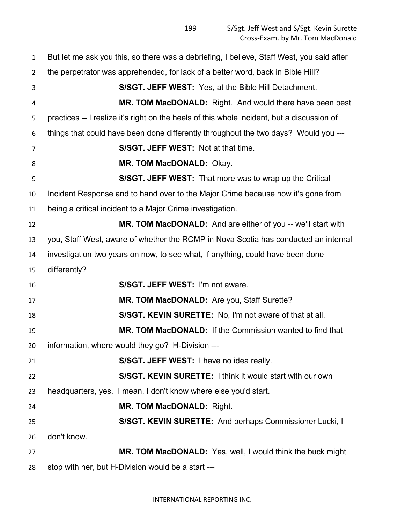But let me ask you this, so there was a debriefing, I believe, Staff West, you said after the perpetrator was apprehended, for lack of a better word, back in Bible Hill? **S/SGT. JEFF WEST:** Yes, at the Bible Hill Detachment. **MR. TOM MacDONALD:** Right. And would there have been best practices -- I realize it's right on the heels of this whole incident, but a discussion of things that could have been done differently throughout the two days? Would you --- **S/SGT. JEFF WEST:** Not at that time. **MR. TOM MacDONALD:** Okay. **S/SGT. JEFF WEST:** That more was to wrap up the Critical Incident Response and to hand over to the Major Crime because now it's gone from being a critical incident to a Major Crime investigation. **MR. TOM MacDONALD:** And are either of you -- we'll start with you, Staff West, aware of whether the RCMP in Nova Scotia has conducted an internal investigation two years on now, to see what, if anything, could have been done differently? **S/SGT. JEFF WEST:** I'm not aware. **MR. TOM MacDONALD:** Are you, Staff Surette? **S/SGT. KEVIN SURETTE:** No, I'm not aware of that at all. **MR. TOM MacDONALD:** If the Commission wanted to find that information, where would they go? H-Division --- **S/SGT. JEFF WEST:** I have no idea really. **S/SGT. KEVIN SURETTE:** I think it would start with our own headquarters, yes. I mean, I don't know where else you'd start. **MR. TOM MacDONALD:** Right. **S/SGT. KEVIN SURETTE:** And perhaps Commissioner Lucki, I don't know. **MR. TOM MacDONALD:** Yes, well, I would think the buck might stop with her, but H-Division would be a start ---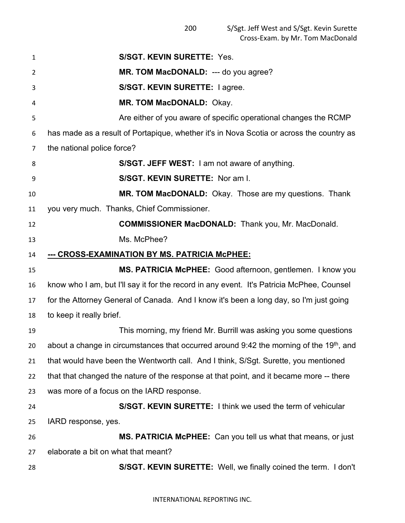| 1              | <b>S/SGT. KEVIN SURETTE: Yes.</b>                                                                     |
|----------------|-------------------------------------------------------------------------------------------------------|
| 2              | MR. TOM MacDONALD: --- do you agree?                                                                  |
| 3              | S/SGT. KEVIN SURETTE: I agree.                                                                        |
| 4              | MR. TOM MacDONALD: Okay.                                                                              |
| 5              | Are either of you aware of specific operational changes the RCMP                                      |
| 6              | has made as a result of Portapique, whether it's in Nova Scotia or across the country as              |
| 7              | the national police force?                                                                            |
| 8              | S/SGT. JEFF WEST: I am not aware of anything.                                                         |
| 9              | S/SGT. KEVIN SURETTE: Nor am I.                                                                       |
| 10             | MR. TOM MacDONALD: Okay. Those are my questions. Thank                                                |
| 11             | you very much. Thanks, Chief Commissioner.                                                            |
| 12             | <b>COMMISSIONER MacDONALD:</b> Thank you, Mr. MacDonald.                                              |
| 13             | Ms. McPhee?                                                                                           |
| 14             | --- CROSS-EXAMINATION BY MS. PATRICIA McPHEE:                                                         |
|                |                                                                                                       |
|                | MS. PATRICIA McPHEE: Good afternoon, gentlemen. I know you                                            |
| 15<br>16       | know who I am, but I'll say it for the record in any event. It's Patricia McPhee, Counsel             |
|                | for the Attorney General of Canada. And I know it's been a long day, so I'm just going                |
| 17<br>18       | to keep it really brief.                                                                              |
|                | This morning, my friend Mr. Burrill was asking you some questions                                     |
|                | about a change in circumstances that occurred around $9:42$ the morning of the 19 <sup>th</sup> , and |
| 19<br>20<br>21 | that would have been the Wentworth call. And I think, S/Sgt. Surette, you mentioned                   |
| 22             | that that changed the nature of the response at that point, and it became more -- there               |
| 23             | was more of a focus on the IARD response.                                                             |
| 24             | S/SGT. KEVIN SURETTE: I think we used the term of vehicular                                           |
| 25             | IARD response, yes.                                                                                   |
| 26             | MS. PATRICIA McPHEE: Can you tell us what that means, or just                                         |
| 27             | elaborate a bit on what that meant?                                                                   |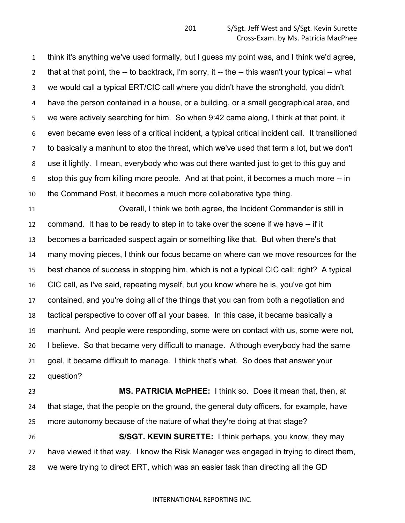think it's anything we've used formally, but I guess my point was, and I think we'd agree, that at that point, the -- to backtrack, I'm sorry, it -- the -- this wasn't your typical -- what we would call a typical ERT/CIC call where you didn't have the stronghold, you didn't have the person contained in a house, or a building, or a small geographical area, and we were actively searching for him. So when 9:42 came along, I think at that point, it even became even less of a critical incident, a typical critical incident call. It transitioned to basically a manhunt to stop the threat, which we've used that term a lot, but we don't use it lightly. I mean, everybody who was out there wanted just to get to this guy and stop this guy from killing more people. And at that point, it becomes a much more -- in the Command Post, it becomes a much more collaborative type thing.

 Overall, I think we both agree, the Incident Commander is still in command. It has to be ready to step in to take over the scene if we have -- if it becomes a barricaded suspect again or something like that. But when there's that many moving pieces, I think our focus became on where can we move resources for the best chance of success in stopping him, which is not a typical CIC call; right? A typical CIC call, as I've said, repeating myself, but you know where he is, you've got him contained, and you're doing all of the things that you can from both a negotiation and tactical perspective to cover off all your bases. In this case, it became basically a manhunt. And people were responding, some were on contact with us, some were not, I believe. So that became very difficult to manage. Although everybody had the same goal, it became difficult to manage. I think that's what. So does that answer your question?

 **MS. PATRICIA McPHEE:** I think so. Does it mean that, then, at that stage, that the people on the ground, the general duty officers, for example, have more autonomy because of the nature of what they're doing at that stage? **S/SGT. KEVIN SURETTE:** I think perhaps, you know, they may have viewed it that way. I know the Risk Manager was engaged in trying to direct them, we were trying to direct ERT, which was an easier task than directing all the GD

## INTERNATIONAL REPORTING INC.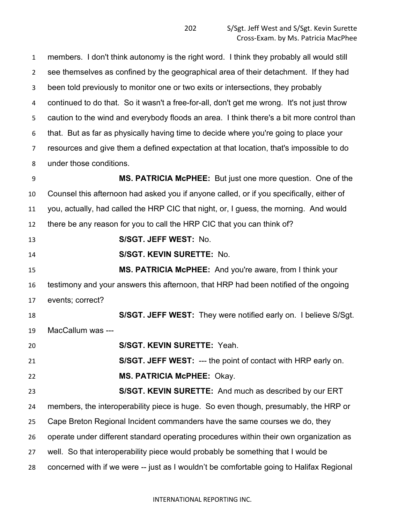members. I don't think autonomy is the right word. I think they probably all would still see themselves as confined by the geographical area of their detachment. If they had been told previously to monitor one or two exits or intersections, they probably continued to do that. So it wasn't a free-for-all, don't get me wrong. It's not just throw caution to the wind and everybody floods an area. I think there's a bit more control than that. But as far as physically having time to decide where you're going to place your resources and give them a defined expectation at that location, that's impossible to do under those conditions.

 **MS. PATRICIA McPHEE:** But just one more question. One of the Counsel this afternoon had asked you if anyone called, or if you specifically, either of you, actually, had called the HRP CIC that night, or, I guess, the morning. And would there be any reason for you to call the HRP CIC that you can think of?

**S/SGT. JEFF WEST:** No.

**S/SGT. KEVIN SURETTE:** No.

 **MS. PATRICIA McPHEE:** And you're aware, from I think your testimony and your answers this afternoon, that HRP had been notified of the ongoing events; correct?

 **S/SGT. JEFF WEST:** They were notified early on. I believe S/Sgt. MacCallum was --- **S/SGT. KEVIN SURETTE:** Yeah.

 **S/SGT. JEFF WEST:** --- the point of contact with HRP early on. **MS. PATRICIA McPHEE:** Okay.

 **S/SGT. KEVIN SURETTE:** And much as described by our ERT members, the interoperability piece is huge. So even though, presumably, the HRP or Cape Breton Regional Incident commanders have the same courses we do, they operate under different standard operating procedures within their own organization as well. So that interoperability piece would probably be something that I would be concerned with if we were -- just as I wouldn't be comfortable going to Halifax Regional

INTERNATIONAL REPORTING INC.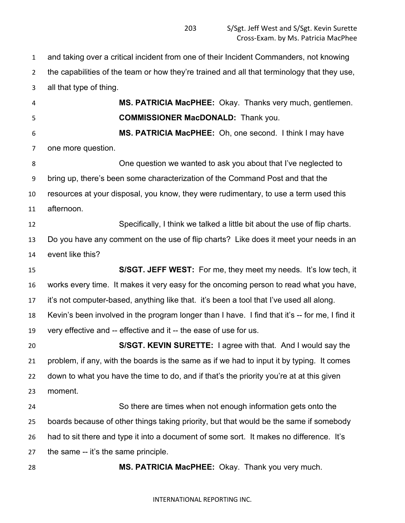and taking over a critical incident from one of their Incident Commanders, not knowing the capabilities of the team or how they're trained and all that terminology that they use,

 all that type of thing. **MS. PATRICIA MacPHEE:** Okay. Thanks very much, gentlemen. **COMMISSIONER MacDONALD:** Thank you. **MS. PATRICIA MacPHEE:** Oh, one second. I think I may have one more question. One question we wanted to ask you about that I've neglected to bring up, there's been some characterization of the Command Post and that the resources at your disposal, you know, they were rudimentary, to use a term used this afternoon. Specifically, I think we talked a little bit about the use of flip charts. Do you have any comment on the use of flip charts? Like does it meet your needs in an event like this? **S/SGT. JEFF WEST:** For me, they meet my needs. It's low tech, it works every time. It makes it very easy for the oncoming person to read what you have, it's not computer-based, anything like that. it's been a tool that I've used all along. Kevin's been involved in the program longer than I have. I find that it's -- for me, I find it very effective and -- effective and it -- the ease of use for us. **S/SGT. KEVIN SURETTE:** I agree with that. And I would say the problem, if any, with the boards is the same as if we had to input it by typing. It comes down to what you have the time to do, and if that's the priority you're at at this given moment. So there are times when not enough information gets onto the boards because of other things taking priority, but that would be the same if somebody had to sit there and type it into a document of some sort. It makes no difference. It's

the same -- it's the same principle.

**MS. PATRICIA MacPHEE:** Okay. Thank you very much.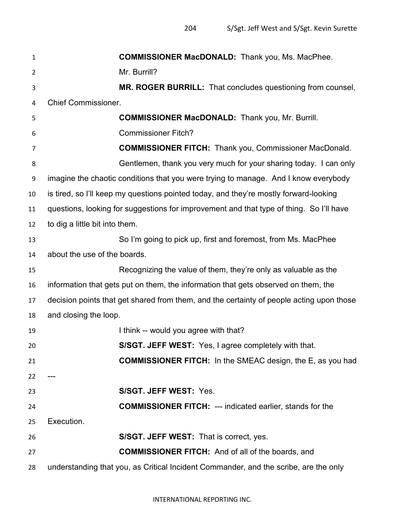| 1              | <b>COMMISSIONER MacDONALD:</b> Thank you, Ms. MacPhee.                                   |
|----------------|------------------------------------------------------------------------------------------|
| $\overline{2}$ | Mr. Burrill?                                                                             |
| 3              | MR. ROGER BURRILL: That concludes questioning from counsel,                              |
| 4              | <b>Chief Commissioner.</b>                                                               |
| 5              | <b>COMMISSIONER MacDONALD:</b> Thank you, Mr. Burrill.                                   |
| 6              | <b>Commissioner Fitch?</b>                                                               |
| 7              | <b>COMMISSIONER FITCH:</b> Thank you, Commissioner MacDonald.                            |
| 8              | Gentlemen, thank you very much for your sharing today. I can only                        |
| 9              | imagine the chaotic conditions that you were trying to manage. And I know everybody      |
| 10             | is tired, so I'll keep my questions pointed today, and they're mostly forward-looking    |
| 11             | questions, looking for suggestions for improvement and that type of thing. So I'll have  |
| 12             | to dig a little bit into them.                                                           |
| 13             | So I'm going to pick up, first and foremost, from Ms. MacPhee                            |
| 14             | about the use of the boards.                                                             |
| 15             | Recognizing the value of them, they're only as valuable as the                           |
| 16             | information that gets put on them, the information that gets observed on them, the       |
| 17             | decision points that get shared from them, and the certainty of people acting upon those |
| 18             | and closing the loop.                                                                    |
| 19             | I think -- would you agree with that?                                                    |
| 20             | S/SGT. JEFF WEST: Yes, I agree completely with that.                                     |
| 21             | <b>COMMISSIONER FITCH:</b> In the SMEAC design, the E, as you had                        |
| 22             |                                                                                          |
| 23             | S/SGT. JEFF WEST: Yes.                                                                   |
| 24             | <b>COMMISSIONER FITCH: --- indicated earlier, stands for the</b>                         |
| 25             | Execution.                                                                               |
| 26             | S/SGT. JEFF WEST: That is correct, yes.                                                  |
| 27             | <b>COMMISSIONER FITCH:</b> And of all of the boards, and                                 |
| 28             | understanding that you, as Critical Incident Commander, and the scribe, are the only     |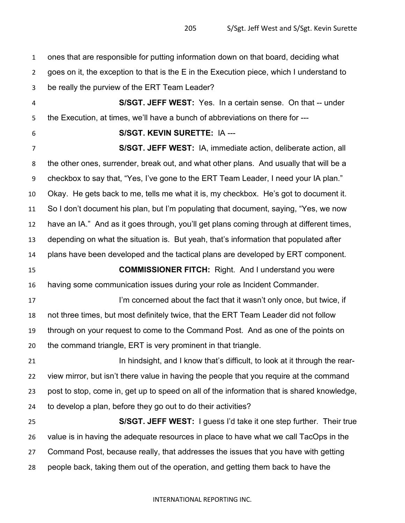ones that are responsible for putting information down on that board, deciding what goes on it, the exception to that is the E in the Execution piece, which I understand to be really the purview of the ERT Team Leader? **S/SGT. JEFF WEST:** Yes. In a certain sense. On that -- under the Execution, at times, we'll have a bunch of abbreviations on there for --- **S/SGT. KEVIN SURETTE:** IA --- **S/SGT. JEFF WEST:** IA, immediate action, deliberate action, all the other ones, surrender, break out, and what other plans. And usually that will be a checkbox to say that, "Yes, I've gone to the ERT Team Leader, I need your IA plan." Okay. He gets back to me, tells me what it is, my checkbox. He's got to document it. So I don't document his plan, but I'm populating that document, saying, "Yes, we now have an IA." And as it goes through, you'll get plans coming through at different times, depending on what the situation is. But yeah, that's information that populated after plans have been developed and the tactical plans are developed by ERT component. **COMMISSIONER FITCH:** Right. And I understand you were having some communication issues during your role as Incident Commander. **I'm concerned about the fact that it wasn't only once, but twice, if**  not three times, but most definitely twice, that the ERT Team Leader did not follow through on your request to come to the Command Post. And as one of the points on the command triangle, ERT is very prominent in that triangle. In hindsight, and I know that's difficult, to look at it through the rear- view mirror, but isn't there value in having the people that you require at the command post to stop, come in, get up to speed on all of the information that is shared knowledge, to develop a plan, before they go out to do their activities? **S/SGT. JEFF WEST:** I guess I'd take it one step further. Their true value is in having the adequate resources in place to have what we call TacOps in the Command Post, because really, that addresses the issues that you have with getting people back, taking them out of the operation, and getting them back to have the

## INTERNATIONAL REPORTING INC.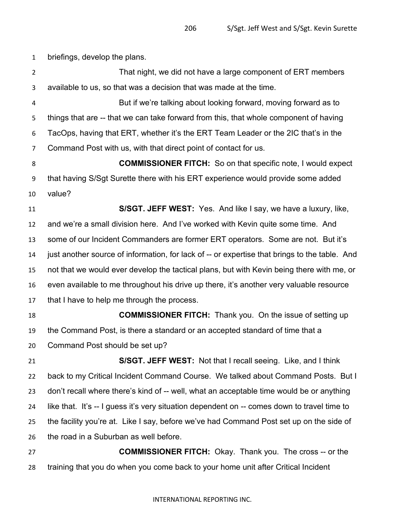briefings, develop the plans.

 That night, we did not have a large component of ERT members available to us, so that was a decision that was made at the time. But if we're talking about looking forward, moving forward as to things that are -- that we can take forward from this, that whole component of having TacOps, having that ERT, whether it's the ERT Team Leader or the 2IC that's in the Command Post with us, with that direct point of contact for us. **COMMISSIONER FITCH:** So on that specific note, I would expect that having S/Sgt Surette there with his ERT experience would provide some added value? **S/SGT. JEFF WEST:** Yes. And like I say, we have a luxury, like, and we're a small division here. And I've worked with Kevin quite some time. And some of our Incident Commanders are former ERT operators. Some are not. But it's just another source of information, for lack of -- or expertise that brings to the table. And not that we would ever develop the tactical plans, but with Kevin being there with me, or even available to me throughout his drive up there, it's another very valuable resource that I have to help me through the process. **COMMISSIONER FITCH:** Thank you. On the issue of setting up the Command Post, is there a standard or an accepted standard of time that a Command Post should be set up? **S/SGT. JEFF WEST:** Not that I recall seeing. Like, and I think back to my Critical Incident Command Course. We talked about Command Posts. But I don't recall where there's kind of -- well, what an acceptable time would be or anything like that. It's -- I guess it's very situation dependent on -- comes down to travel time to the facility you're at. Like I say, before we've had Command Post set up on the side of the road in a Suburban as well before. **COMMISSIONER FITCH:** Okay. Thank you. The cross -- or the training that you do when you come back to your home unit after Critical Incident

## INTERNATIONAL REPORTING INC.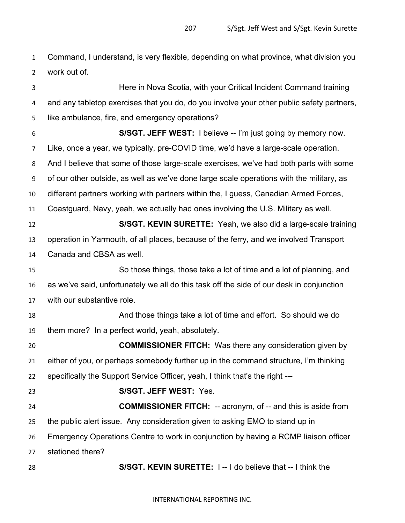Command, I understand, is very flexible, depending on what province, what division you work out of.

 Here in Nova Scotia, with your Critical Incident Command training and any tabletop exercises that you do, do you involve your other public safety partners, like ambulance, fire, and emergency operations? **S/SGT. JEFF WEST:** I believe -- I'm just going by memory now. Like, once a year, we typically, pre-COVID time, we'd have a large-scale operation. And I believe that some of those large-scale exercises, we've had both parts with some of our other outside, as well as we've done large scale operations with the military, as different partners working with partners within the, I guess, Canadian Armed Forces, Coastguard, Navy, yeah, we actually had ones involving the U.S. Military as well. **S/SGT. KEVIN SURETTE:** Yeah, we also did a large-scale training operation in Yarmouth, of all places, because of the ferry, and we involved Transport Canada and CBSA as well. So those things, those take a lot of time and a lot of planning, and as we've said, unfortunately we all do this task off the side of our desk in conjunction with our substantive role. And those things take a lot of time and effort. So should we do them more? In a perfect world, yeah, absolutely. **COMMISSIONER FITCH:** Was there any consideration given by either of you, or perhaps somebody further up in the command structure, I'm thinking specifically the Support Service Officer, yeah, I think that's the right --- **S/SGT. JEFF WEST:** Yes. **COMMISSIONER FITCH:** -- acronym, of -- and this is aside from the public alert issue. Any consideration given to asking EMO to stand up in Emergency Operations Centre to work in conjunction by having a RCMP liaison officer stationed there? **S/SGT. KEVIN SURETTE:** I -- I do believe that -- I think the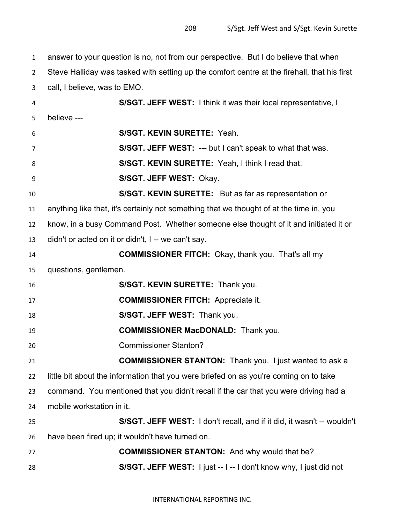answer to your question is no, not from our perspective. But I do believe that when Steve Halliday was tasked with setting up the comfort centre at the firehall, that his first call, I believe, was to EMO. **S/SGT. JEFF WEST:** I think it was their local representative, I believe --- **S/SGT. KEVIN SURETTE:** Yeah. **S/SGT. JEFF WEST:** --- but I can't speak to what that was. **S/SGT. KEVIN SURETTE:** Yeah, I think I read that. **S/SGT. JEFF WEST:** Okay. **S/SGT. KEVIN SURETTE:** But as far as representation or anything like that, it's certainly not something that we thought of at the time in, you know, in a busy Command Post. Whether someone else thought of it and initiated it or didn't or acted on it or didn't, I -- we can't say. **COMMISSIONER FITCH:** Okay, thank you. That's all my questions, gentlemen. **S/SGT. KEVIN SURETTE:** Thank you. **COMMISSIONER FITCH:** Appreciate it. **S/SGT. JEFF WEST:** Thank you. **COMMISSIONER MacDONALD:** Thank you. Commissioner Stanton? **COMMISSIONER STANTON:** Thank you. I just wanted to ask a little bit about the information that you were briefed on as you're coming on to take command. You mentioned that you didn't recall if the car that you were driving had a mobile workstation in it. **S/SGT. JEFF WEST:** I don't recall, and if it did, it wasn't -- wouldn't have been fired up; it wouldn't have turned on. **COMMISSIONER STANTON:** And why would that be? **S/SGT. JEFF WEST:** I just -- I -- I don't know why, I just did not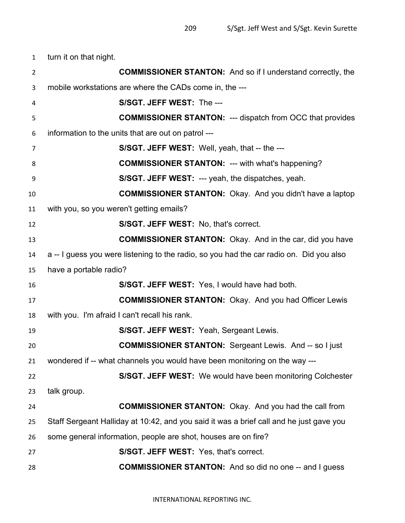turn it on that night.

| $\overline{2}$ | <b>COMMISSIONER STANTON:</b> And so if I understand correctly, the                      |
|----------------|-----------------------------------------------------------------------------------------|
| 3              | mobile workstations are where the CADs come in, the ---                                 |
| 4              | S/SGT. JEFF WEST: The ---                                                               |
| 5              | <b>COMMISSIONER STANTON: --- dispatch from OCC that provides</b>                        |
| 6              | information to the units that are out on patrol ---                                     |
| 7              | S/SGT. JEFF WEST: Well, yeah, that -- the ---                                           |
| 8              | <b>COMMISSIONER STANTON: --- with what's happening?</b>                                 |
| 9              | <b>S/SGT. JEFF WEST: --- yeah, the dispatches, yeah.</b>                                |
| 10             | <b>COMMISSIONER STANTON:</b> Okay. And you didn't have a laptop                         |
| 11             | with you, so you weren't getting emails?                                                |
| 12             | S/SGT. JEFF WEST: No, that's correct.                                                   |
| 13             | <b>COMMISSIONER STANTON:</b> Okay. And in the car, did you have                         |
| 14             | a -- I guess you were listening to the radio, so you had the car radio on. Did you also |
| 15             | have a portable radio?                                                                  |
| 16             | S/SGT. JEFF WEST: Yes, I would have had both.                                           |
| 17             | <b>COMMISSIONER STANTON: Okay. And you had Officer Lewis</b>                            |
| 18             | with you. I'm afraid I can't recall his rank.                                           |
| 19             | <b>S/SGT. JEFF WEST: Yeah, Sergeant Lewis.</b>                                          |
| 20             | <b>COMMISSIONER STANTON:</b> Sergeant Lewis. And -- so I just                           |
| 21             | wondered if -- what channels you would have been monitoring on the way -                |
| 22             | <b>S/SGT. JEFF WEST:</b> We would have been monitoring Colchester                       |
| 23             | talk group.                                                                             |
| 24             | <b>COMMISSIONER STANTON:</b> Okay. And you had the call from                            |
| 25             | Staff Sergeant Halliday at 10:42, and you said it was a brief call and he just gave you |
| 26             | some general information, people are shot, houses are on fire?                          |
| 27             | S/SGT. JEFF WEST: Yes, that's correct.                                                  |
| 28             | <b>COMMISSIONER STANTON:</b> And so did no one -- and I guess                           |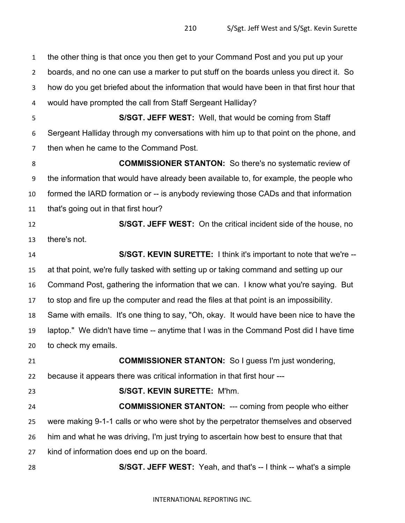the other thing is that once you then get to your Command Post and you put up your boards, and no one can use a marker to put stuff on the boards unless you direct it. So how do you get briefed about the information that would have been in that first hour that would have prompted the call from Staff Sergeant Halliday? **S/SGT. JEFF WEST:** Well, that would be coming from Staff Sergeant Halliday through my conversations with him up to that point on the phone, and then when he came to the Command Post. **COMMISSIONER STANTON:** So there's no systematic review of the information that would have already been available to, for example, the people who formed the IARD formation or -- is anybody reviewing those CADs and that information that's going out in that first hour? **S/SGT. JEFF WEST:** On the critical incident side of the house, no there's not. **S/SGT. KEVIN SURETTE:** I think it's important to note that we're -- at that point, we're fully tasked with setting up or taking command and setting up our Command Post, gathering the information that we can. I know what you're saying. But to stop and fire up the computer and read the files at that point is an impossibility. Same with emails. It's one thing to say, "Oh, okay. It would have been nice to have the laptop." We didn't have time -- anytime that I was in the Command Post did I have time to check my emails. **COMMISSIONER STANTON:** So I guess I'm just wondering, because it appears there was critical information in that first hour --- **S/SGT. KEVIN SURETTE:** M'hm. **COMMISSIONER STANTON:** --- coming from people who either were making 9-1-1 calls or who were shot by the perpetrator themselves and observed him and what he was driving, I'm just trying to ascertain how best to ensure that that kind of information does end up on the board. **S/SGT. JEFF WEST:** Yeah, and that's -- I think -- what's a simple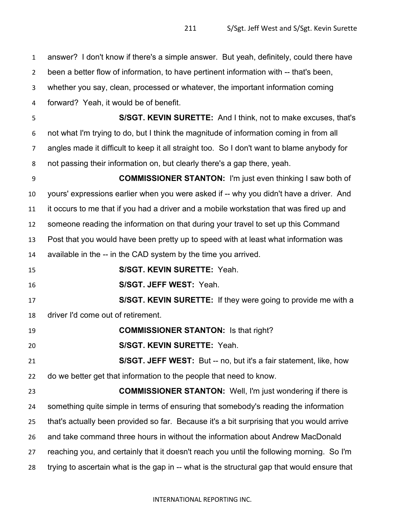answer? I don't know if there's a simple answer. But yeah, definitely, could there have

been a better flow of information, to have pertinent information with -- that's been,

whether you say, clean, processed or whatever, the important information coming

forward? Yeah, it would be of benefit.

 **S/SGT. KEVIN SURETTE:** And I think, not to make excuses, that's not what I'm trying to do, but I think the magnitude of information coming in from all angles made it difficult to keep it all straight too. So I don't want to blame anybody for not passing their information on, but clearly there's a gap there, yeah.

 **COMMISSIONER STANTON:** I'm just even thinking I saw both of yours' expressions earlier when you were asked if -- why you didn't have a driver. And it occurs to me that if you had a driver and a mobile workstation that was fired up and someone reading the information on that during your travel to set up this Command Post that you would have been pretty up to speed with at least what information was available in the -- in the CAD system by the time you arrived.

**S/SGT. KEVIN SURETTE:** Yeah.

**S/SGT. JEFF WEST:** Yeah.

 **S/SGT. KEVIN SURETTE:** If they were going to provide me with a driver I'd come out of retirement.

**COMMISSIONER STANTON:** Is that right?

**S/SGT. KEVIN SURETTE:** Yeah.

 **S/SGT. JEFF WEST:** But -- no, but it's a fair statement, like, how do we better get that information to the people that need to know.

 **COMMISSIONER STANTON:** Well, I'm just wondering if there is something quite simple in terms of ensuring that somebody's reading the information that's actually been provided so far. Because it's a bit surprising that you would arrive and take command three hours in without the information about Andrew MacDonald reaching you, and certainly that it doesn't reach you until the following morning. So I'm trying to ascertain what is the gap in -- what is the structural gap that would ensure that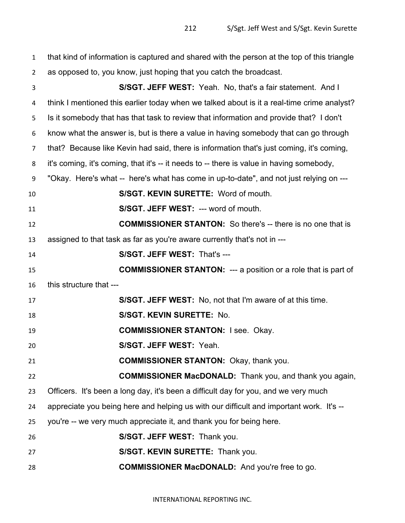| $\mathbf{1}$   | that kind of information is captured and shared with the person at the top of this triangle |
|----------------|---------------------------------------------------------------------------------------------|
| $\overline{2}$ | as opposed to, you know, just hoping that you catch the broadcast.                          |
| 3              | S/SGT. JEFF WEST: Yeah. No, that's a fair statement. And I                                  |
| 4              | think I mentioned this earlier today when we talked about is it a real-time crime analyst?  |
| 5              | Is it somebody that has that task to review that information and provide that? I don't      |
| 6              | know what the answer is, but is there a value in having somebody that can go through        |
| 7              | that? Because like Kevin had said, there is information that's just coming, it's coming,    |
| 8              | it's coming, it's coming, that it's -- it needs to -- there is value in having somebody,    |
| 9              | "Okay. Here's what -- here's what has come in up-to-date", and not just relying on ---      |
| 10             | S/SGT. KEVIN SURETTE: Word of mouth.                                                        |
| 11             | S/SGT. JEFF WEST: --- word of mouth.                                                        |
| 12             | <b>COMMISSIONER STANTON:</b> So there's -- there is no one that is                          |
| 13             | assigned to that task as far as you're aware currently that's not in ---                    |
| 14             | S/SGT. JEFF WEST: That's ---                                                                |
| 15             | <b>COMMISSIONER STANTON:</b> --- a position or a role that is part of                       |
| 16             | this structure that ---                                                                     |
| 17             | <b>S/SGT. JEFF WEST:</b> No, not that I'm aware of at this time.                            |
| 18             | S/SGT. KEVIN SURETTE: No.                                                                   |
| 19             | <b>COMMISSIONER STANTON: I see. Okay.</b>                                                   |
| 20             | S/SGT. JEFF WEST: Yeah.                                                                     |
| 21             | <b>COMMISSIONER STANTON: Okay, thank you.</b>                                               |
| 22             | <b>COMMISSIONER MacDONALD:</b> Thank you, and thank you again,                              |
| 23             | Officers. It's been a long day, it's been a difficult day for you, and we very much         |
| 24             | appreciate you being here and helping us with our difficult and important work. It's --     |
| 25             | you're -- we very much appreciate it, and thank you for being here.                         |
| 26             | S/SGT. JEFF WEST: Thank you.                                                                |
| 27             | S/SGT. KEVIN SURETTE: Thank you.                                                            |
| 28             | <b>COMMISSIONER MacDONALD:</b> And you're free to go.                                       |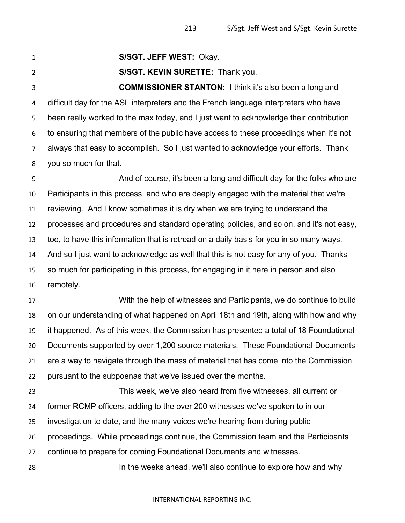**S/SGT. JEFF WEST:** Okay.

**S/SGT. KEVIN SURETTE:** Thank you.

 **COMMISSIONER STANTON:** I think it's also been a long and difficult day for the ASL interpreters and the French language interpreters who have been really worked to the max today, and I just want to acknowledge their contribution to ensuring that members of the public have access to these proceedings when it's not always that easy to accomplish. So I just wanted to acknowledge your efforts. Thank you so much for that.

 And of course, it's been a long and difficult day for the folks who are Participants in this process, and who are deeply engaged with the material that we're reviewing. And I know sometimes it is dry when we are trying to understand the processes and procedures and standard operating policies, and so on, and it's not easy, too, to have this information that is retread on a daily basis for you in so many ways. And so I just want to acknowledge as well that this is not easy for any of you. Thanks so much for participating in this process, for engaging in it here in person and also remotely.

 With the help of witnesses and Participants, we do continue to build on our understanding of what happened on April 18th and 19th, along with how and why it happened. As of this week, the Commission has presented a total of 18 Foundational Documents supported by over 1,200 source materials. These Foundational Documents are a way to navigate through the mass of material that has come into the Commission pursuant to the subpoenas that we've issued over the months.

 This week, we've also heard from five witnesses, all current or former RCMP officers, adding to the over 200 witnesses we've spoken to in our investigation to date, and the many voices we're hearing from during public proceedings. While proceedings continue, the Commission team and the Participants continue to prepare for coming Foundational Documents and witnesses.

In the weeks ahead, we'll also continue to explore how and why

## INTERNATIONAL REPORTING INC.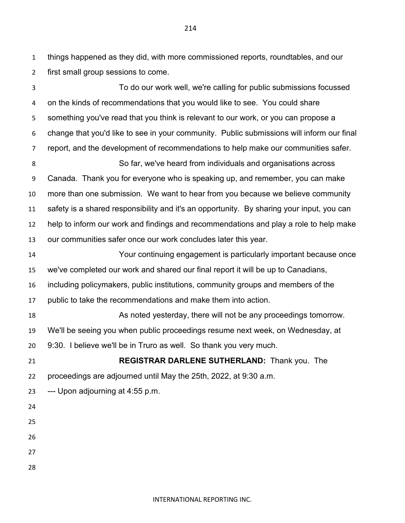things happened as they did, with more commissioned reports, roundtables, and our first small group sessions to come.

 To do our work well, we're calling for public submissions focussed on the kinds of recommendations that you would like to see. You could share something you've read that you think is relevant to our work, or you can propose a change that you'd like to see in your community. Public submissions will inform our final report, and the development of recommendations to help make our communities safer. So far, we've heard from individuals and organisations across Canada. Thank you for everyone who is speaking up, and remember, you can make more than one submission. We want to hear from you because we believe community safety is a shared responsibility and it's an opportunity. By sharing your input, you can help to inform our work and findings and recommendations and play a role to help make our communities safer once our work concludes later this year. Your continuing engagement is particularly important because once we've completed our work and shared our final report it will be up to Canadians, including policymakers, public institutions, community groups and members of the public to take the recommendations and make them into action. As noted yesterday, there will not be any proceedings tomorrow. We'll be seeing you when public proceedings resume next week, on Wednesday, at 9:30. I believe we'll be in Truro as well. So thank you very much. **REGISTRAR DARLENE SUTHERLAND:** Thank you. The proceedings are adjourned until May the 25th, 2022, at 9:30 a.m. --- Upon adjourning at 4:55 p.m.